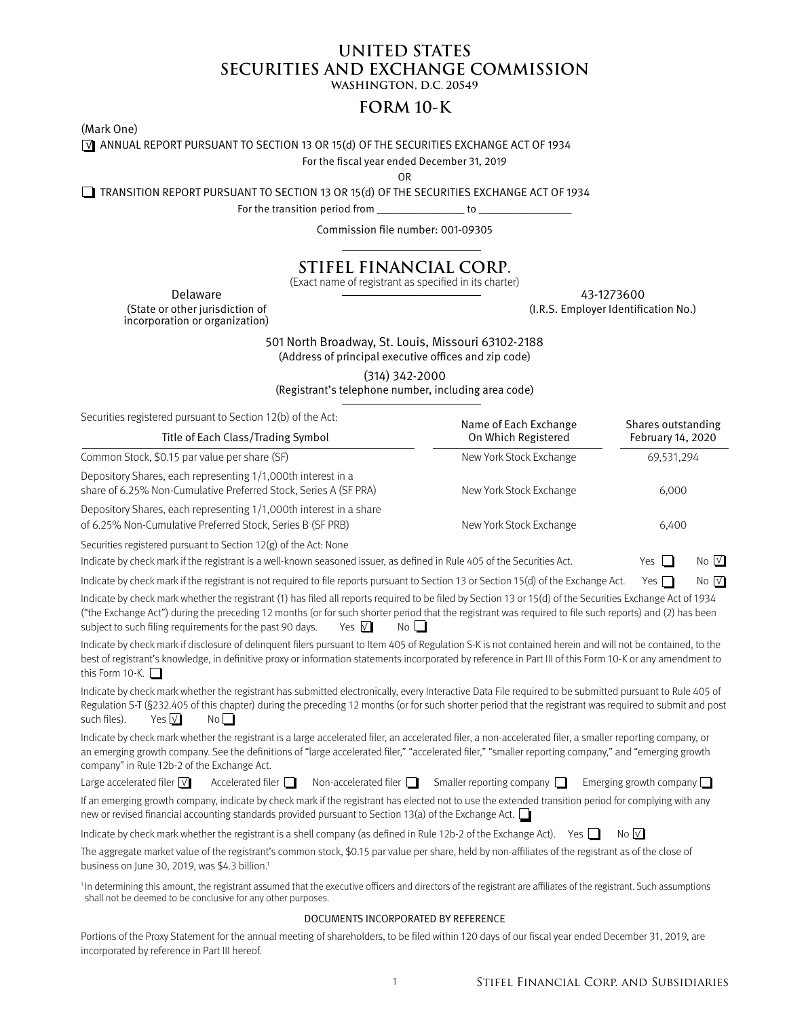# **UNITED STATES SECURITIES AND EXCHANGE COMMISSION WASHINGTON, D.C. 20549**

**FORM 10-K**

(Mark One)

√ ANNUAL REPORT PURSUANT TO SECTION 13 OR 15(d) OF THE SECURITIES EXCHANGE ACT OF 1934

For the fiscal year ended December 31, 2019

OR

TRANSITION REPORT PURSUANT TO SECTION 13 OR 15(d) OF THE SECURITIES EXCHANGE ACT OF 1934

For the transition period from \_\_\_\_\_\_\_\_\_\_\_\_\_\_\_\_\_\_\_ to \_

Commission file number: 001-09305

# **STIFEL FINANCIAL CORP.**

(Exact name of registrant as specified in its charter)

incorporation or organization)

Delaware 43-1273600 (State or other jurisdiction of (I.R.S. Employer Identification No.)

> 501 North Broadway, St. Louis, Missouri 63102-2188 (Address of principal executive offices and zip code)

> > (314) 342-2000

(Registrant's telephone number, including area code)

| Securities registered pursuant to Section 12(b) of the Act:                                                                                                                                                                                                                                                                                                                                                         | Name of Each Exchange     | Shares outstanding                |  |  |
|---------------------------------------------------------------------------------------------------------------------------------------------------------------------------------------------------------------------------------------------------------------------------------------------------------------------------------------------------------------------------------------------------------------------|---------------------------|-----------------------------------|--|--|
| Title of Each Class/Trading Symbol                                                                                                                                                                                                                                                                                                                                                                                  | On Which Registered       | February 14, 2020                 |  |  |
| Common Stock, \$0.15 par value per share (SF)                                                                                                                                                                                                                                                                                                                                                                       | New York Stock Exchange   | 69,531,294                        |  |  |
| Depository Shares, each representing 1/1,000th interest in a<br>share of 6.25% Non-Cumulative Preferred Stock, Series A (SF PRA)                                                                                                                                                                                                                                                                                    | New York Stock Exchange   | 6,000                             |  |  |
| Depository Shares, each representing 1/1,000th interest in a share<br>of 6.25% Non-Cumulative Preferred Stock, Series B (SF PRB)                                                                                                                                                                                                                                                                                    | New York Stock Exchange   | 6,400                             |  |  |
| Securities registered pursuant to Section 12(g) of the Act: None<br>Indicate by check mark if the registrant is a well-known seasoned issuer, as defined in Rule 405 of the Securities Act.                                                                                                                                                                                                                         |                           | $No$ $V$<br>Yes<br>$\blacksquare$ |  |  |
| Indicate by check mark if the registrant is not required to file reports pursuant to Section 13 or Section 15(d) of the Exchange Act.                                                                                                                                                                                                                                                                               |                           | $No$ $V$<br>Yes $\Box$            |  |  |
| Indicate by check mark whether the registrant (1) has filed all reports required to be filed by Section 13 or 15(d) of the Securities Exchange Act of 1934<br>("the Exchange Act") during the preceding 12 months (or for such shorter period that the registrant was required to file such reports) and (2) has been<br>subject to such filing requirements for the past 90 days.<br>Yes $\sqrt{ }$<br>$No$ $\Box$ |                           |                                   |  |  |
| Indicate by check mark if disclosure of delinquent filers pursuant to Item 405 of Regulation S-K is not contained herein and will not be contained, to the<br>best of registrant's knowledge, in definitive proxy or information statements incorporated by reference in Part III of this Form 10-K or any amendment to<br>this Form 10-K. $\Box$                                                                   |                           |                                   |  |  |
| Indicate by check mark whether the registrant has submitted electronically, every Interactive Data File required to be submitted pursuant to Rule 405 of<br>Regulation S-T (§232.405 of this chapter) during the preceding 12 months (or for such shorter period that the registrant was required to submit and post<br>Yes $\sqrt{}$<br>such files).<br>Nol I                                                      |                           |                                   |  |  |
| Indicate by check mark whether the registrant is a large accelerated filer, an accelerated filer, a non-accelerated filer, a smaller reporting company, or<br>an emerging growth company. See the definitions of "large accelerated filer," "accelerated filer," "smaller reporting company," and "emerging growth<br>company" in Rule 12b-2 of the Exchange Act.                                                   |                           |                                   |  |  |
| Large accelerated filer $\overline{V}$<br>Accelerated filer $\Box$<br>Non-accelerated filer                                                                                                                                                                                                                                                                                                                         | Smaller reporting company | Emerging growth company $\Box$    |  |  |
| If an emerging growth company, indicate by check mark if the registrant has elected not to use the extended transition period for complying with any<br>new or revised financial accounting standards provided pursuant to Section 13(a) of the Exchange Act.                                                                                                                                                       |                           |                                   |  |  |
| Indicate by check mark whether the registrant is a shell company (as defined in Rule 12b-2 of the Exchange Act). Yes                                                                                                                                                                                                                                                                                                |                           | NoV                               |  |  |
| The aggregate market value of the registrant's common stock, \$0.15 par value per share, held by non-affiliates of the registrant as of the close of<br>business on June 30, 2019, was \$4.3 billion. <sup>1</sup>                                                                                                                                                                                                  |                           |                                   |  |  |
| <sup>1</sup> In determining this amount, the registrant assumed that the executive officers and directors of the registrant are affiliates of the registrant. Such assumptions<br>shall not be deemed to be conclusive for any other purposes.                                                                                                                                                                      |                           |                                   |  |  |

## DOCUMENTS INCORPORATED BY REFERENCE

Portions of the Proxy Statement for the annual meeting of shareholders, to be filed within 120 days of our fiscal year ended December 31, 2019, are incorporated by reference in Part III hereof.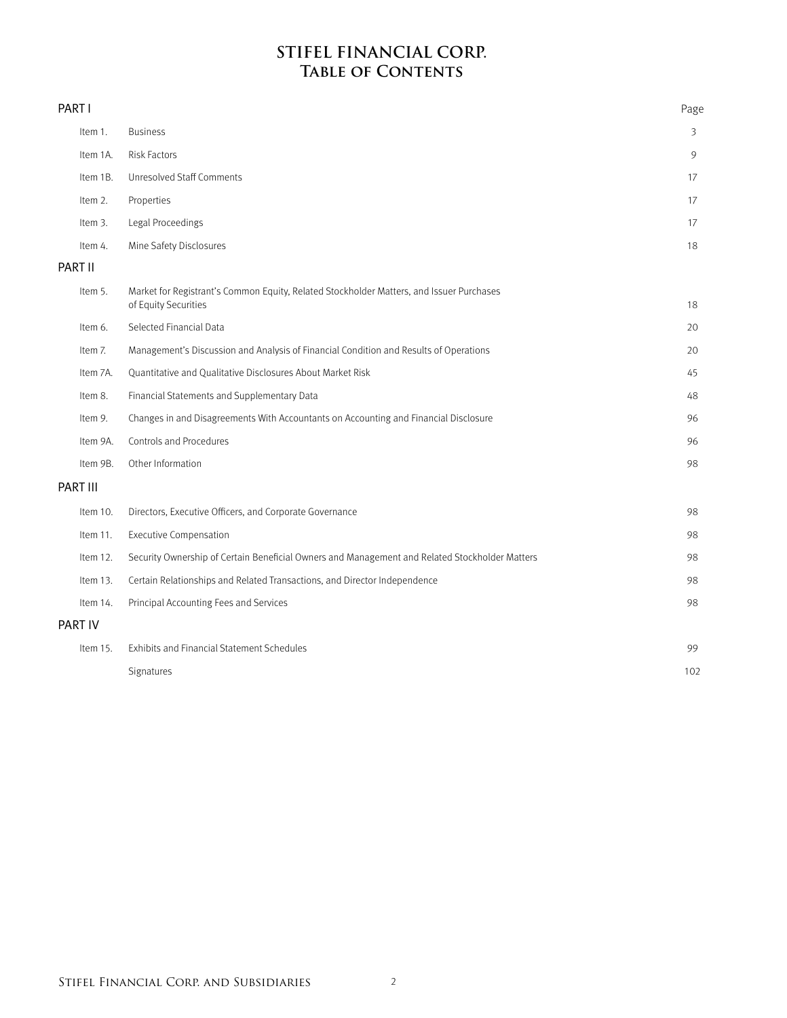# **STIFEL FINANCIAL CORP. Table of Contents**

| PART I         |                                                                                                                  | Page |
|----------------|------------------------------------------------------------------------------------------------------------------|------|
| Item 1.        | <b>Business</b>                                                                                                  | 3    |
| Item 1A.       | <b>Risk Factors</b>                                                                                              | 9    |
| Item 1B.       | <b>Unresolved Staff Comments</b>                                                                                 | 17   |
| Item 2.        | Properties                                                                                                       | 17   |
| Item 3.        | Legal Proceedings                                                                                                | 17   |
| Item 4.        | Mine Safety Disclosures                                                                                          | 18   |
| PART II        |                                                                                                                  |      |
| Item 5.        | Market for Registrant's Common Equity, Related Stockholder Matters, and Issuer Purchases<br>of Equity Securities | 18   |
| Item 6.        | Selected Financial Data                                                                                          | 20   |
| Item 7.        | Management's Discussion and Analysis of Financial Condition and Results of Operations                            | 20   |
| Item 7A.       | Quantitative and Qualitative Disclosures About Market Risk                                                       | 45   |
| Item 8.        | Financial Statements and Supplementary Data                                                                      | 48   |
| Item 9.        | Changes in and Disagreements With Accountants on Accounting and Financial Disclosure                             | 96   |
| Item 9A.       | Controls and Procedures                                                                                          | 96   |
| Item 9B.       | Other Information                                                                                                | 98   |
| PART III       |                                                                                                                  |      |
| Item 10.       | Directors, Executive Officers, and Corporate Governance                                                          | 98   |
| Item 11.       | <b>Executive Compensation</b>                                                                                    | 98   |
| Item 12.       | Security Ownership of Certain Beneficial Owners and Management and Related Stockholder Matters                   | 98   |
| Item 13.       | Certain Relationships and Related Transactions, and Director Independence                                        | 98   |
| Item 14.       | Principal Accounting Fees and Services                                                                           | 98   |
| <b>PART IV</b> |                                                                                                                  |      |
| Item 15.       | <b>Exhibits and Financial Statement Schedules</b>                                                                | 99   |
|                | Signatures                                                                                                       | 102  |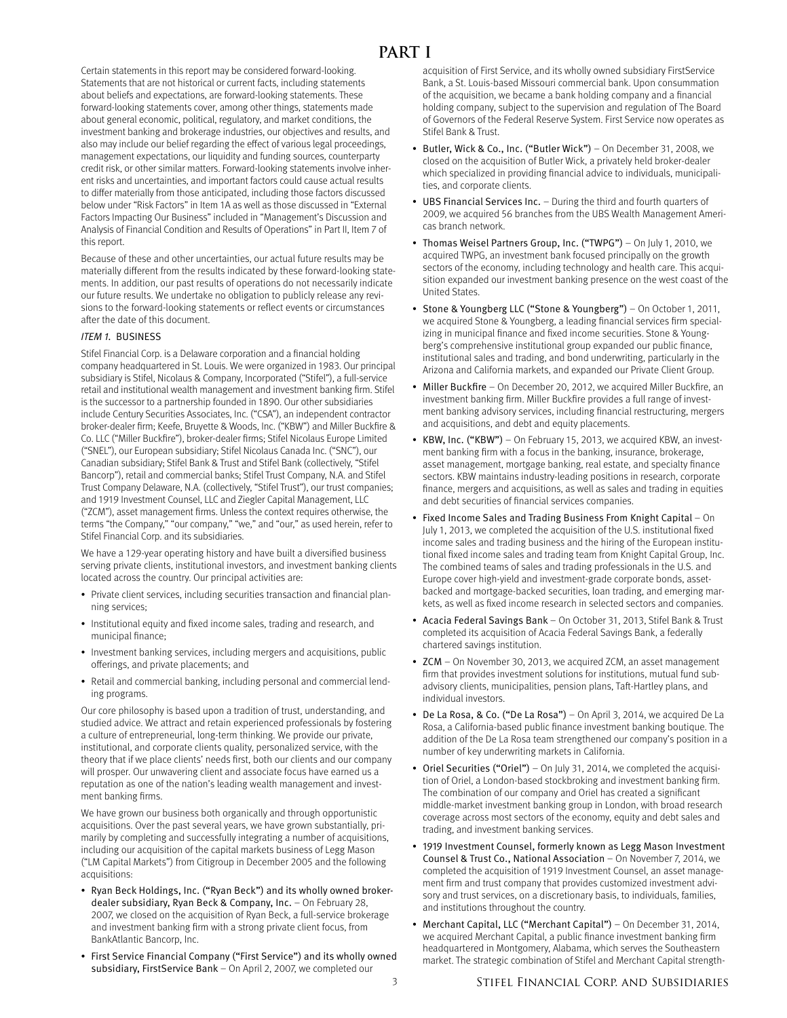# **PART I**

Certain statements in this report may be considered forward-looking. Statements that are not historical or current facts, including statements about beliefs and expectations, are forward-looking statements. These forward-looking statements cover, among other things, statements made about general economic, political, regulatory, and market conditions, the investment banking and brokerage industries, our objectives and results, and also may include our belief regarding the effect of various legal proceedings, management expectations, our liquidity and funding sources, counterparty credit risk, or other similar matters. Forward-looking statements involve inherent risks and uncertainties, and important factors could cause actual results to differ materially from those anticipated, including those factors discussed below under "Risk Factors" in Item 1A as well as those discussed in "External Factors Impacting Our Business" included in "Management's Discussion and Analysis of Financial Condition and Results of Operations" in Part II, Item 7 of this report.

Because of these and other uncertainties, our actual future results may be materially different from the results indicated by these forward-looking statements. In addition, our past results of operations do not necessarily indicate our future results. We undertake no obligation to publicly release any revisions to the forward-looking statements or reflect events or circumstances after the date of this document.

## ITEM 1. BUSINESS

Stifel Financial Corp. is a Delaware corporation and a financial holding company headquartered in St. Louis. We were organized in 1983. Our principal subsidiary is Stifel, Nicolaus & Company, Incorporated ("Stifel"), a full-service retail and institutional wealth management and investment banking firm. Stifel is the successor to a partnership founded in 1890. Our other subsidiaries include Century Securities Associates, Inc. ("CSA"), an independent contractor broker-dealer firm; Keefe, Bruyette & Woods, Inc. ("KBW") and Miller Buckfire & Co. LLC ("Miller Buckfire"), broker-dealer firms; Stifel Nicolaus Europe Limited ("SNEL"), our European subsidiary; Stifel Nicolaus Canada Inc. ("SNC"), our Canadian subsidiary; Stifel Bank & Trust and Stifel Bank (collectively, "Stifel Bancorp"), retail and commercial banks; Stifel Trust Company, N.A. and Stifel Trust Company Delaware, N.A. (collectively, "Stifel Trust"), our trust companies; and 1919 Investment Counsel, LLC and Ziegler Capital Management, LLC ("ZCM"), asset management firms. Unless the context requires otherwise, the terms "the Company," "our company," "we," and "our," as used herein, refer to Stifel Financial Corp. and its subsidiaries.

We have a 129-year operating history and have built a diversified business serving private clients, institutional investors, and investment banking clients located across the country. Our principal activities are:

- Private client services, including securities transaction and financial planning services;
- Institutional equity and fixed income sales, trading and research, and municipal finance;
- Investment banking services, including mergers and acquisitions, public offerings, and private placements; and
- Retail and commercial banking, including personal and commercial lending programs.

Our core philosophy is based upon a tradition of trust, understanding, and studied advice. We attract and retain experienced professionals by fostering a culture of entrepreneurial, long-term thinking. We provide our private, institutional, and corporate clients quality, personalized service, with the theory that if we place clients' needs first, both our clients and our company will prosper. Our unwavering client and associate focus have earned us a reputation as one of the nation's leading wealth management and investment banking firms.

We have grown our business both organically and through opportunistic acquisitions. Over the past several years, we have grown substantially, primarily by completing and successfully integrating a number of acquisitions, including our acquisition of the capital markets business of Legg Mason ("LM Capital Markets") from Citigroup in December 2005 and the following acquisitions:

- Ryan Beck Holdings, Inc. ("Ryan Beck") and its wholly owned brokerdealer subsidiary, Ryan Beck & Company, Inc. – On February 28, 2007, we closed on the acquisition of Ryan Beck, a full-service brokerage and investment banking firm with a strong private client focus, from BankAtlantic Bancorp, Inc.
- First Service Financial Company ("First Service") and its wholly owned subsidiary, FirstService Bank – On April 2, 2007, we completed our

acquisition of First Service, and its wholly owned subsidiary FirstService Bank, a St. Louis-based Missouri commercial bank. Upon consummation of the acquisition, we became a bank holding company and a financial holding company, subject to the supervision and regulation of The Board of Governors of the Federal Reserve System. First Service now operates as Stifel Bank & Trust.

- Butler, Wick & Co., Inc. ("Butler Wick") On December 31, 2008, we closed on the acquisition of Butler Wick, a privately held broker-dealer which specialized in providing financial advice to individuals, municipalities, and corporate clients.
- UBS Financial Services Inc. During the third and fourth quarters of 2009, we acquired 56 branches from the UBS Wealth Management Americas branch network.
- Thomas Weisel Partners Group, Inc. ("TWPG") On July 1, 2010, we acquired TWPG, an investment bank focused principally on the growth sectors of the economy, including technology and health care. This acquisition expanded our investment banking presence on the west coast of the United States.
- Stone & Youngberg LLC ("Stone & Youngberg") On October 1, 2011, we acquired Stone & Youngberg, a leading financial services firm specializing in municipal finance and fixed income securities. Stone & Youngberg's comprehensive institutional group expanded our public finance, institutional sales and trading, and bond underwriting, particularly in the Arizona and California markets, and expanded our Private Client Group.
- Miller Buckfire On December 20, 2012, we acquired Miller Buckfire, an investment banking firm. Miller Buckfire provides a full range of investment banking advisory services, including financial restructuring, mergers and acquisitions, and debt and equity placements.
- KBW, Inc. ("KBW") On February 15, 2013, we acquired KBW, an investment banking firm with a focus in the banking, insurance, brokerage, asset management, mortgage banking, real estate, and specialty finance sectors. KBW maintains industry-leading positions in research, corporate finance, mergers and acquisitions, as well as sales and trading in equities and debt securities of financial services companies.
- Fixed Income Sales and Trading Business From Knight Capital On July 1, 2013, we completed the acquisition of the U.S. institutional fixed income sales and trading business and the hiring of the European institutional fixed income sales and trading team from Knight Capital Group, Inc. The combined teams of sales and trading professionals in the U.S. and Europe cover high-yield and investment-grade corporate bonds, assetbacked and mortgage-backed securities, loan trading, and emerging markets, as well as fixed income research in selected sectors and companies.
- Acacia Federal Savings Bank On October 31, 2013, Stifel Bank & Trust completed its acquisition of Acacia Federal Savings Bank, a federally chartered savings institution.
- ZCM On November 30, 2013, we acquired ZCM, an asset management firm that provides investment solutions for institutions, mutual fund subadvisory clients, municipalities, pension plans, Taft-Hartley plans, and individual investors.
- De La Rosa, & Co. ("De La Rosa") On April 3, 2014, we acquired De La Rosa, a California-based public finance investment banking boutique. The addition of the De La Rosa team strengthened our company's position in a number of key underwriting markets in California.
- Oriel Securities ("Oriel") On July 31, 2014, we completed the acquisition of Oriel, a London-based stockbroking and investment banking firm. The combination of our company and Oriel has created a significant middle-market investment banking group in London, with broad research coverage across most sectors of the economy, equity and debt sales and trading, and investment banking services.
- 1919 Investment Counsel, formerly known as Legg Mason Investment Counsel & Trust Co., National Association – On November 7, 2014, we completed the acquisition of 1919 Investment Counsel, an asset management firm and trust company that provides customized investment advisory and trust services, on a discretionary basis, to individuals, families, and institutions throughout the country.
- Merchant Capital, LLC ("Merchant Capital") On December 31, 2014, we acquired Merchant Capital, a public finance investment banking firm headquartered in Montgomery, Alabama, which serves the Southeastern market. The strategic combination of Stifel and Merchant Capital strength-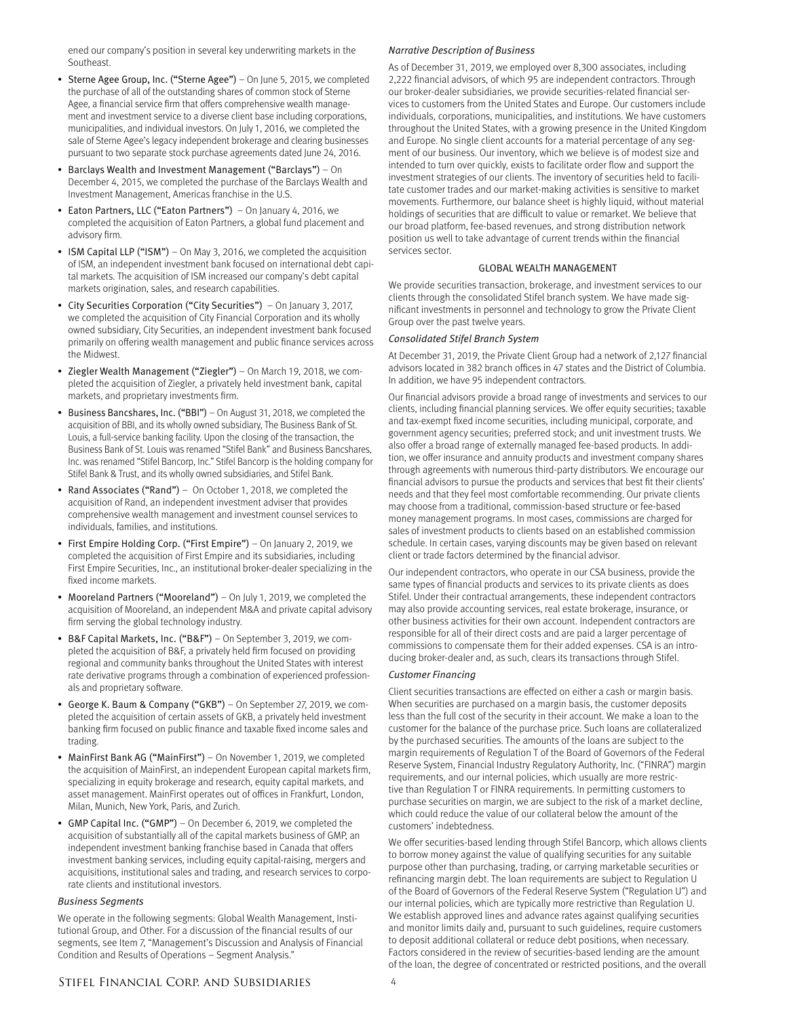ened our company's position in several key underwriting markets in the Southeast.

- Sterne Agee Group, Inc. ("Sterne Agee") On June 5, 2015, we completed the purchase of all of the outstanding shares of common stock of Sterne Agee, a financial service firm that offers comprehensive wealth management and investment service to a diverse client base including corporations, municipalities, and individual investors. On July 1, 2016, we completed the sale of Sterne Agee's legacy independent brokerage and clearing businesses pursuant to two separate stock purchase agreements dated June 24, 2016.
- Barclays Wealth and Investment Management ("Barclays") On December 4, 2015, we completed the purchase of the Barclays Wealth and Investment Management, Americas franchise in the U.S.
- Eaton Partners, LLC ("Eaton Partners") On January 4, 2016, we completed the acquisition of Eaton Partners, a global fund placement and advisory firm.
- ISM Capital LLP ("ISM") On May 3, 2016, we completed the acquisition of ISM, an independent investment bank focused on international debt capital markets. The acquisition of ISM increased our company's debt capital markets origination, sales, and research capabilities.
- City Securities Corporation ("City Securities") On January 3, 2017, we completed the acquisition of City Financial Corporation and its wholly owned subsidiary, City Securities, an independent investment bank focused primarily on offering wealth management and public finance services across the Midwest.
- Ziegler Wealth Management ("Ziegler") On March 19, 2018, we completed the acquisition of Ziegler, a privately held investment bank, capital markets, and proprietary investments firm.
- Business Bancshares, Inc. ("BBI") On August 31, 2018, we completed the acquisition of BBI, and its wholly owned subsidiary, The Business Bank of St. Louis, a full-service banking facility. Upon the closing of the transaction, the Business Bank of St. Louis was renamed "Stifel Bank" and Business Bancshares, Inc. was renamed "Stifel Bancorp, Inc." Stifel Bancorp is the holding company for Stifel Bank & Trust, and its wholly owned subsidiaries, and Stifel Bank.
- Rand Associates ("Rand") On October 1, 2018, we completed the acquisition of Rand, an independent investment adviser that provides comprehensive wealth management and investment counsel services to individuals, families, and institutions.
- First Empire Holding Corp. ("First Empire") On January 2, 2019, we completed the acquisition of First Empire and its subsidiaries, including First Empire Securities, Inc., an institutional broker-dealer specializing in the fixed income markets.
- Mooreland Partners ("Mooreland") On July 1, 2019, we completed the acquisition of Mooreland, an independent M&A and private capital advisory firm serving the global technology industry.
- B&F Capital Markets, Inc. ("B&F") On September 3, 2019, we completed the acquisition of B&F, a privately held firm focused on providing regional and community banks throughout the United States with interest rate derivative programs through a combination of experienced professionals and proprietary software.
- George K. Baum & Company ("GKB") On September 27, 2019, we completed the acquisition of certain assets of GKB, a privately held investment banking firm focused on public finance and taxable fixed income sales and trading.
- MainFirst Bank AG ("MainFirst") On November 1, 2019, we completed the acquisition of MainFirst, an independent European capital markets firm, specializing in equity brokerage and research, equity capital markets, and asset management. MainFirst operates out of offices in Frankfurt, London, Milan, Munich, New York, Paris, and Zurich.
- GMP Capital Inc. ("GMP") On December 6, 2019, we completed the acquisition of substantially all of the capital markets business of GMP, an independent investment banking franchise based in Canada that offers investment banking services, including equity capital-raising, mergers and acquisitions, institutional sales and trading, and research services to corporate clients and institutional investors.

#### Business Segments

We operate in the following segments: Global Wealth Management, Institutional Group, and Other. For a discussion of the financial results of our segments, see Item 7, "Management's Discussion and Analysis of Financial Condition and Results of Operations – Segment Analysis."

## Narrative Description of Business

As of December 31, 2019, we employed over 8,300 associates, including 2,222 financial advisors, of which 95 are independent contractors. Through our broker-dealer subsidiaries, we provide securities-related financial services to customers from the United States and Europe. Our customers include individuals, corporations, municipalities, and institutions. We have customers throughout the United States, with a growing presence in the United Kingdom and Europe. No single client accounts for a material percentage of any segment of our business. Our inventory, which we believe is of modest size and intended to turn over quickly, exists to facilitate order flow and support the investment strategies of our clients. The inventory of securities held to facilitate customer trades and our market-making activities is sensitive to market movements. Furthermore, our balance sheet is highly liquid, without material holdings of securities that are difficult to value or remarket. We believe that our broad platform, fee-based revenues, and strong distribution network position us well to take advantage of current trends within the financial services sector.

#### GLOBAL WEALTH MANAGEMENT

We provide securities transaction, brokerage, and investment services to our clients through the consolidated Stifel branch system. We have made significant investments in personnel and technology to grow the Private Client Group over the past twelve years.

#### Consolidated Stifel Branch System

At December 31, 2019, the Private Client Group had a network of 2,127 financial advisors located in 382 branch offices in 47 states and the District of Columbia. In addition, we have 95 independent contractors.

Our financial advisors provide a broad range of investments and services to our clients, including financial planning services. We offer equity securities; taxable and tax-exempt fixed income securities, including municipal, corporate, and government agency securities; preferred stock; and unit investment trusts. We also offer a broad range of externally managed fee-based products. In addition, we offer insurance and annuity products and investment company shares through agreements with numerous third-party distributors. We encourage our financial advisors to pursue the products and services that best fit their clients' needs and that they feel most comfortable recommending. Our private clients may choose from a traditional, commission-based structure or fee-based money management programs. In most cases, commissions are charged for sales of investment products to clients based on an established commission schedule. In certain cases, varying discounts may be given based on relevant client or trade factors determined by the financial advisor.

Our independent contractors, who operate in our CSA business, provide the same types of financial products and services to its private clients as does Stifel. Under their contractual arrangements, these independent contractors may also provide accounting services, real estate brokerage, insurance, or other business activities for their own account. Independent contractors are responsible for all of their direct costs and are paid a larger percentage of commissions to compensate them for their added expenses. CSA is an introducing broker-dealer and, as such, clears its transactions through Stifel.

#### Customer Financing

Client securities transactions are effected on either a cash or margin basis. When securities are purchased on a margin basis, the customer deposits less than the full cost of the security in their account. We make a loan to the customer for the balance of the purchase price. Such loans are collateralized by the purchased securities. The amounts of the loans are subject to the margin requirements of Regulation T of the Board of Governors of the Federal Reserve System, Financial Industry Regulatory Authority, Inc. ("FINRA") margin requirements, and our internal policies, which usually are more restrictive than Regulation T or FINRA requirements. In permitting customers to purchase securities on margin, we are subject to the risk of a market decline, which could reduce the value of our collateral below the amount of the customers' indebtedness.

We offer securities-based lending through Stifel Bancorp, which allows clients to borrow money against the value of qualifying securities for any suitable purpose other than purchasing, trading, or carrying marketable securities or refinancing margin debt. The loan requirements are subject to Regulation U of the Board of Governors of the Federal Reserve System ("Regulation U") and our internal policies, which are typically more restrictive than Regulation U. We establish approved lines and advance rates against qualifying securities and monitor limits daily and, pursuant to such guidelines, require customers to deposit additional collateral or reduce debt positions, when necessary. Factors considered in the review of securities-based lending are the amount of the loan, the degree of concentrated or restricted positions, and the overall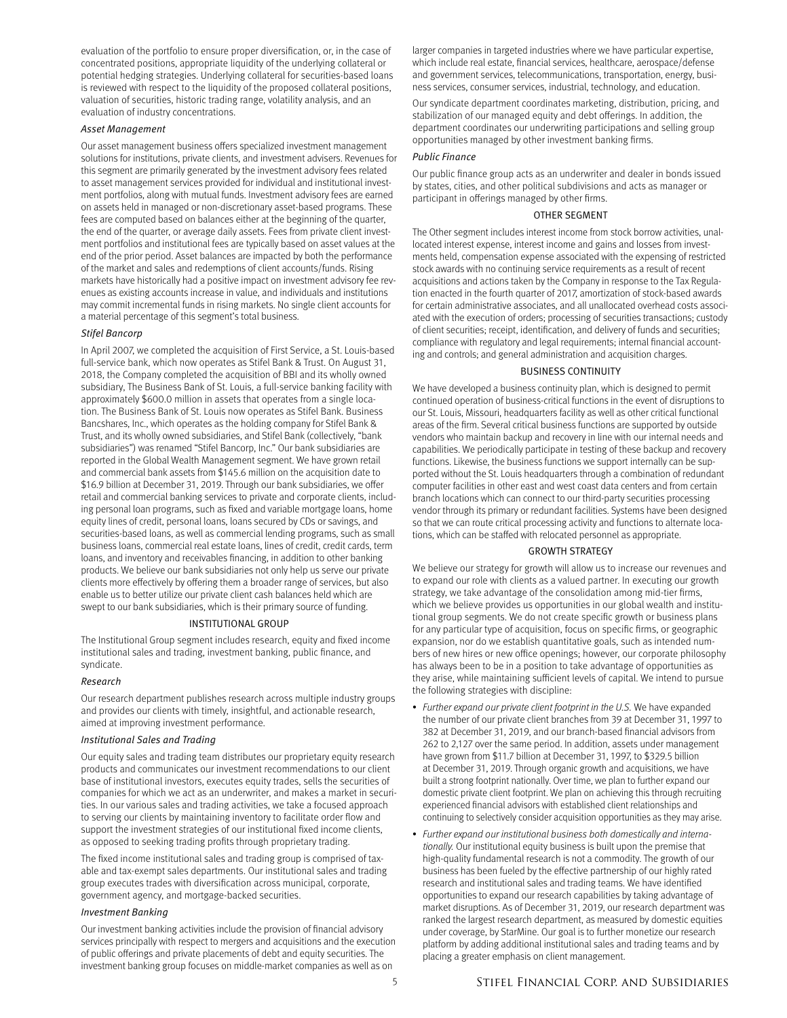evaluation of the portfolio to ensure proper diversification, or, in the case of concentrated positions, appropriate liquidity of the underlying collateral or potential hedging strategies. Underlying collateral for securities-based loans is reviewed with respect to the liquidity of the proposed collateral positions, valuation of securities, historic trading range, volatility analysis, and an evaluation of industry concentrations.

#### Asset Management

Our asset management business offers specialized investment management solutions for institutions, private clients, and investment advisers. Revenues for this segment are primarily generated by the investment advisory fees related to asset management services provided for individual and institutional investment portfolios, along with mutual funds. Investment advisory fees are earned on assets held in managed or non-discretionary asset-based programs. These fees are computed based on balances either at the beginning of the quarter, the end of the quarter, or average daily assets. Fees from private client investment portfolios and institutional fees are typically based on asset values at the end of the prior period. Asset balances are impacted by both the performance of the market and sales and redemptions of client accounts/funds. Rising markets have historically had a positive impact on investment advisory fee revenues as existing accounts increase in value, and individuals and institutions may commit incremental funds in rising markets. No single client accounts for a material percentage of this segment's total business.

## Stifel Bancorp

In April 2007, we completed the acquisition of First Service, a St. Louis-based full-service bank, which now operates as Stifel Bank & Trust. On August 31, 2018, the Company completed the acquisition of BBI and its wholly owned subsidiary, The Business Bank of St. Louis, a full-service banking facility with approximately \$600.0 million in assets that operates from a single location. The Business Bank of St. Louis now operates as Stifel Bank. Business Bancshares, Inc., which operates as the holding company for Stifel Bank & Trust, and its wholly owned subsidiaries, and Stifel Bank (collectively, "bank subsidiaries") was renamed "Stifel Bancorp, Inc." Our bank subsidiaries are reported in the Global Wealth Management segment. We have grown retail and commercial bank assets from \$145.6 million on the acquisition date to \$16.9 billion at December 31, 2019. Through our bank subsidiaries, we offer retail and commercial banking services to private and corporate clients, including personal loan programs, such as fixed and variable mortgage loans, home equity lines of credit, personal loans, loans secured by CDs or savings, and securities-based loans, as well as commercial lending programs, such as small business loans, commercial real estate loans, lines of credit, credit cards, term loans, and inventory and receivables financing, in addition to other banking products. We believe our bank subsidiaries not only help us serve our private clients more effectively by offering them a broader range of services, but also enable us to better utilize our private client cash balances held which are swept to our bank subsidiaries, which is their primary source of funding.

## INSTITUTIONAL GROUP

The Institutional Group segment includes research, equity and fixed income institutional sales and trading, investment banking, public finance, and syndicate.

## Research

Our research department publishes research across multiple industry groups and provides our clients with timely, insightful, and actionable research, aimed at improving investment performance.

## Institutional Sales and Trading

Our equity sales and trading team distributes our proprietary equity research products and communicates our investment recommendations to our client base of institutional investors, executes equity trades, sells the securities of companies for which we act as an underwriter, and makes a market in securities. In our various sales and trading activities, we take a focused approach to serving our clients by maintaining inventory to facilitate order flow and support the investment strategies of our institutional fixed income clients, as opposed to seeking trading profits through proprietary trading.

The fixed income institutional sales and trading group is comprised of taxable and tax-exempt sales departments. Our institutional sales and trading group executes trades with diversification across municipal, corporate, government agency, and mortgage-backed securities.

#### Investment Banking

Our investment banking activities include the provision of financial advisory services principally with respect to mergers and acquisitions and the execution of public offerings and private placements of debt and equity securities. The investment banking group focuses on middle-market companies as well as on

larger companies in targeted industries where we have particular expertise, which include real estate, financial services, healthcare, aerospace/defense and government services, telecommunications, transportation, energy, business services, consumer services, industrial, technology, and education.

Our syndicate department coordinates marketing, distribution, pricing, and stabilization of our managed equity and debt offerings. In addition, the department coordinates our underwriting participations and selling group opportunities managed by other investment banking firms.

#### Public Finance

Our public finance group acts as an underwriter and dealer in bonds issued by states, cities, and other political subdivisions and acts as manager or participant in offerings managed by other firms.

## OTHER SEGMENT

The Other segment includes interest income from stock borrow activities, unallocated interest expense, interest income and gains and losses from investments held, compensation expense associated with the expensing of restricted stock awards with no continuing service requirements as a result of recent acquisitions and actions taken by the Company in response to the Tax Regulation enacted in the fourth quarter of 2017, amortization of stock-based awards for certain administrative associates, and all unallocated overhead costs associated with the execution of orders; processing of securities transactions; custody of client securities; receipt, identification, and delivery of funds and securities; compliance with regulatory and legal requirements; internal financial accounting and controls; and general administration and acquisition charges.

## BUSINESS CONTINUITY

We have developed a business continuity plan, which is designed to permit continued operation of business-critical functions in the event of disruptions to our St. Louis, Missouri, headquarters facility as well as other critical functional areas of the firm. Several critical business functions are supported by outside vendors who maintain backup and recovery in line with our internal needs and capabilities. We periodically participate in testing of these backup and recovery functions. Likewise, the business functions we support internally can be supported without the St. Louis headquarters through a combination of redundant computer facilities in other east and west coast data centers and from certain branch locations which can connect to our third-party securities processing vendor through its primary or redundant facilities. Systems have been designed so that we can route critical processing activity and functions to alternate locations, which can be staffed with relocated personnel as appropriate.

#### GROWTH STRATEGY

We believe our strategy for growth will allow us to increase our revenues and to expand our role with clients as a valued partner. In executing our growth strategy, we take advantage of the consolidation among mid-tier firms, which we believe provides us opportunities in our global wealth and institutional group segments. We do not create specific growth or business plans for any particular type of acquisition, focus on specific firms, or geographic expansion, nor do we establish quantitative goals, such as intended numbers of new hires or new office openings; however, our corporate philosophy has always been to be in a position to take advantage of opportunities as they arise, while maintaining sufficient levels of capital. We intend to pursue the following strategies with discipline:

- Further expand our private client footprint in the U.S. We have expanded the number of our private client branches from 39 at December 31, 1997 to 382 at December 31, 2019, and our branch-based financial advisors from 262 to 2,127 over the same period. In addition, assets under management have grown from \$11.7 billion at December 31, 1997, to \$329.5 billion at December 31, 2019. Through organic growth and acquisitions, we have built a strong footprint nationally. Over time, we plan to further expand our domestic private client footprint. We plan on achieving this through recruiting experienced financial advisors with established client relationships and continuing to selectively consider acquisition opportunities as they may arise.
- Further expand our institutional business both domestically and internationally. Our institutional equity business is built upon the premise that high-quality fundamental research is not a commodity. The growth of our business has been fueled by the effective partnership of our highly rated research and institutional sales and trading teams. We have identified opportunities to expand our research capabilities by taking advantage of market disruptions. As of December 31, 2019, our research department was ranked the largest research department, as measured by domestic equities under coverage, by StarMine. Our goal is to further monetize our research platform by adding additional institutional sales and trading teams and by placing a greater emphasis on client management.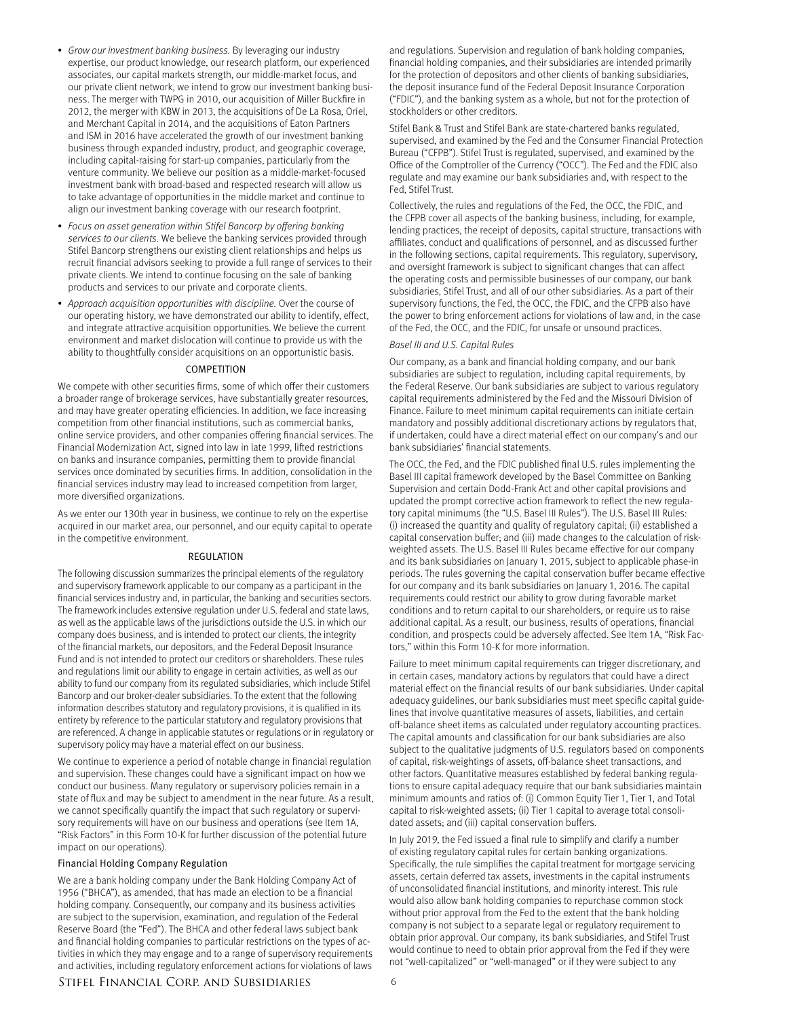- Grow our investment banking business. By leveraging our industry expertise, our product knowledge, our research platform, our experienced associates, our capital markets strength, our middle-market focus, and our private client network, we intend to grow our investment banking business. The merger with TWPG in 2010, our acquisition of Miller Buckfire in 2012, the merger with KBW in 2013, the acquisitions of De La Rosa, Oriel, and Merchant Capital in 2014, and the acquisitions of Eaton Partners and ISM in 2016 have accelerated the growth of our investment banking business through expanded industry, product, and geographic coverage, including capital-raising for start-up companies, particularly from the venture community. We believe our position as a middle-market-focused investment bank with broad-based and respected research will allow us to take advantage of opportunities in the middle market and continue to align our investment banking coverage with our research footprint.
- Focus on asset generation within Stifel Bancorp by offering banking services to our clients. We believe the banking services provided through Stifel Bancorp strengthens our existing client relationships and helps us recruit financial advisors seeking to provide a full range of services to their private clients. We intend to continue focusing on the sale of banking products and services to our private and corporate clients.
- Approach acquisition opportunities with discipline. Over the course of our operating history, we have demonstrated our ability to identify, effect, and integrate attractive acquisition opportunities. We believe the current environment and market dislocation will continue to provide us with the ability to thoughtfully consider acquisitions on an opportunistic basis.

#### COMPETITION

We compete with other securities firms, some of which offer their customers a broader range of brokerage services, have substantially greater resources, and may have greater operating efficiencies. In addition, we face increasing competition from other financial institutions, such as commercial banks, online service providers, and other companies offering financial services. The Financial Modernization Act, signed into law in late 1999, lifted restrictions on banks and insurance companies, permitting them to provide financial services once dominated by securities firms. In addition, consolidation in the financial services industry may lead to increased competition from larger, more diversified organizations.

As we enter our 130th year in business, we continue to rely on the expertise acquired in our market area, our personnel, and our equity capital to operate in the competitive environment.

#### REGULATION

The following discussion summarizes the principal elements of the regulatory and supervisory framework applicable to our company as a participant in the financial services industry and, in particular, the banking and securities sectors. The framework includes extensive regulation under U.S. federal and state laws, as well as the applicable laws of the jurisdictions outside the U.S. in which our company does business, and is intended to protect our clients, the integrity of the financial markets, our depositors, and the Federal Deposit Insurance Fund and is not intended to protect our creditors or shareholders. These rules and regulations limit our ability to engage in certain activities, as well as our ability to fund our company from its regulated subsidiaries, which include Stifel Bancorp and our broker-dealer subsidiaries. To the extent that the following information describes statutory and regulatory provisions, it is qualified in its entirety by reference to the particular statutory and regulatory provisions that are referenced. A change in applicable statutes or regulations or in regulatory or supervisory policy may have a material effect on our business.

We continue to experience a period of notable change in financial regulation and supervision. These changes could have a significant impact on how we conduct our business. Many regulatory or supervisory policies remain in a state of flux and may be subject to amendment in the near future. As a result, we cannot specifically quantify the impact that such regulatory or supervisory requirements will have on our business and operations (see Item 1A, "Risk Factors" in this Form 10-K for further discussion of the potential future impact on our operations).

#### Financial Holding Company Regulation

We are a bank holding company under the Bank Holding Company Act of 1956 ("BHCA"), as amended, that has made an election to be a financial holding company. Consequently, our company and its business activities are subject to the supervision, examination, and regulation of the Federal Reserve Board (the "Fed"). The BHCA and other federal laws subject bank and financial holding companies to particular restrictions on the types of activities in which they may engage and to a range of supervisory requirements and activities, including regulatory enforcement actions for violations of laws

and regulations. Supervision and regulation of bank holding companies, financial holding companies, and their subsidiaries are intended primarily for the protection of depositors and other clients of banking subsidiaries, the deposit insurance fund of the Federal Deposit Insurance Corporation ("FDIC"), and the banking system as a whole, but not for the protection of stockholders or other creditors.

Stifel Bank & Trust and Stifel Bank are state-chartered banks regulated, supervised, and examined by the Fed and the Consumer Financial Protection Bureau ("CFPB"). Stifel Trust is regulated, supervised, and examined by the Office of the Comptroller of the Currency ("OCC"). The Fed and the FDIC also regulate and may examine our bank subsidiaries and, with respect to the Fed, Stifel Trust.

Collectively, the rules and regulations of the Fed, the OCC, the FDIC, and the CFPB cover all aspects of the banking business, including, for example, lending practices, the receipt of deposits, capital structure, transactions with affiliates, conduct and qualifications of personnel, and as discussed further in the following sections, capital requirements. This regulatory, supervisory, and oversight framework is subject to significant changes that can affect the operating costs and permissible businesses of our company, our bank subsidiaries, Stifel Trust, and all of our other subsidiaries. As a part of their supervisory functions, the Fed, the OCC, the FDIC, and the CFPB also have the power to bring enforcement actions for violations of law and, in the case of the Fed, the OCC, and the FDIC, for unsafe or unsound practices.

#### Basel III and U.S. Capital Rules

Our company, as a bank and financial holding company, and our bank subsidiaries are subject to regulation, including capital requirements, by the Federal Reserve. Our bank subsidiaries are subject to various regulatory capital requirements administered by the Fed and the Missouri Division of Finance. Failure to meet minimum capital requirements can initiate certain mandatory and possibly additional discretionary actions by regulators that, if undertaken, could have a direct material effect on our company's and our bank subsidiaries' financial statements.

The OCC, the Fed, and the FDIC published final U.S. rules implementing the Basel III capital framework developed by the Basel Committee on Banking Supervision and certain Dodd-Frank Act and other capital provisions and updated the prompt corrective action framework to reflect the new regulatory capital minimums (the "U.S. Basel III Rules"). The U.S. Basel III Rules: (i) increased the quantity and quality of regulatory capital; (ii) established a capital conservation buffer; and (iii) made changes to the calculation of riskweighted assets. The U.S. Basel III Rules became effective for our company and its bank subsidiaries on January 1, 2015, subject to applicable phase-in periods. The rules governing the capital conservation buffer became effective for our company and its bank subsidiaries on January 1, 2016. The capital requirements could restrict our ability to grow during favorable market conditions and to return capital to our shareholders, or require us to raise additional capital. As a result, our business, results of operations, financial condition, and prospects could be adversely affected. See Item 1A, "Risk Factors," within this Form 10-K for more information.

Failure to meet minimum capital requirements can trigger discretionary, and in certain cases, mandatory actions by regulators that could have a direct material effect on the financial results of our bank subsidiaries. Under capital adequacy guidelines, our bank subsidiaries must meet specific capital guidelines that involve quantitative measures of assets, liabilities, and certain off-balance sheet items as calculated under regulatory accounting practices. The capital amounts and classification for our bank subsidiaries are also subject to the qualitative judgments of U.S. regulators based on components of capital, risk-weightings of assets, off-balance sheet transactions, and other factors. Quantitative measures established by federal banking regulations to ensure capital adequacy require that our bank subsidiaries maintain minimum amounts and ratios of: (i) Common Equity Tier 1, Tier 1, and Total capital to risk-weighted assets; (ii) Tier 1 capital to average total consolidated assets; and (iii) capital conservation buffers.

In July 2019, the Fed issued a final rule to simplify and clarify a number of existing regulatory capital rules for certain banking organizations. Specifically, the rule simplifies the capital treatment for mortgage servicing assets, certain deferred tax assets, investments in the capital instruments of unconsolidated financial institutions, and minority interest. This rule would also allow bank holding companies to repurchase common stock without prior approval from the Fed to the extent that the bank holding company is not subject to a separate legal or regulatory requirement to obtain prior approval. Our company, its bank subsidiaries, and Stifel Trust would continue to need to obtain prior approval from the Fed if they were not "well-capitalized" or "well-managed" or if they were subject to any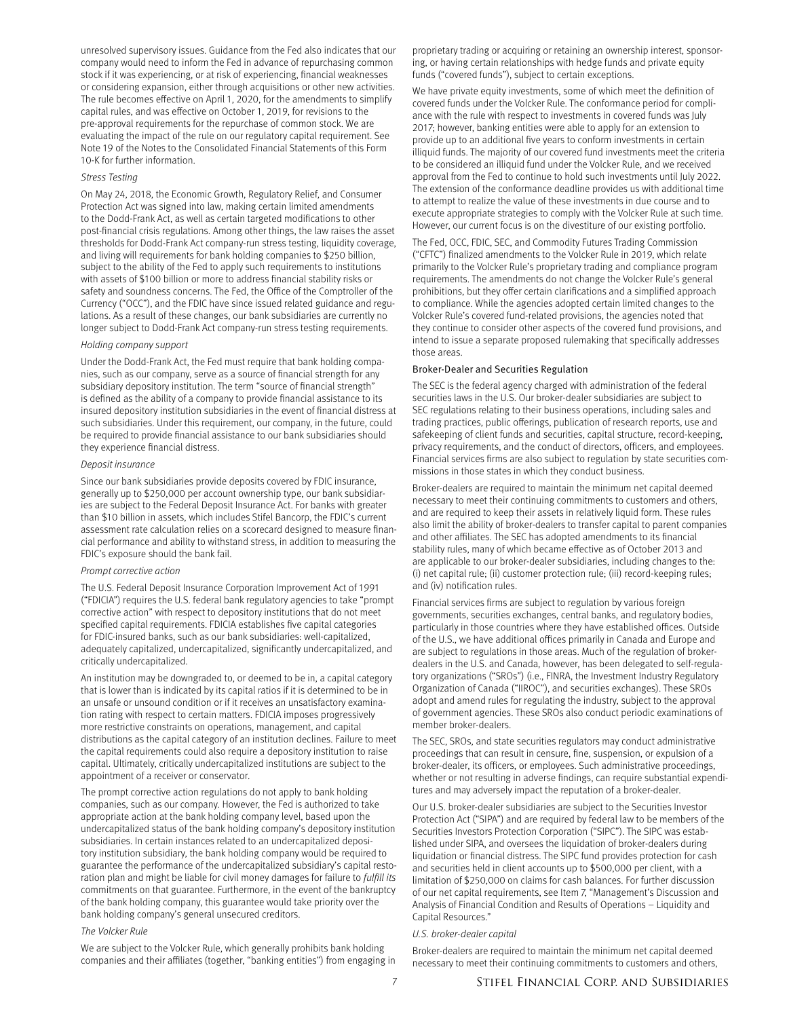unresolved supervisory issues. Guidance from the Fed also indicates that our company would need to inform the Fed in advance of repurchasing common stock if it was experiencing, or at risk of experiencing, financial weaknesses or considering expansion, either through acquisitions or other new activities. The rule becomes effective on April 1, 2020, for the amendments to simplify capital rules, and was effective on October 1, 2019, for revisions to the pre-approval requirements for the repurchase of common stock. We are evaluating the impact of the rule on our regulatory capital requirement. See Note 19 of the Notes to the Consolidated Financial Statements of this Form 10-K for further information.

#### Stress Testing

On May 24, 2018, the Economic Growth, Regulatory Relief, and Consumer Protection Act was signed into law, making certain limited amendments to the Dodd-Frank Act, as well as certain targeted modifications to other post-financial crisis regulations. Among other things, the law raises the asset thresholds for Dodd-Frank Act company-run stress testing, liquidity coverage, and living will requirements for bank holding companies to \$250 billion, subject to the ability of the Fed to apply such requirements to institutions with assets of \$100 billion or more to address financial stability risks or safety and soundness concerns. The Fed, the Office of the Comptroller of the Currency ("OCC"), and the FDIC have since issued related guidance and regulations. As a result of these changes, our bank subsidiaries are currently no longer subject to Dodd-Frank Act company-run stress testing requirements.

#### Holding company support

Under the Dodd-Frank Act, the Fed must require that bank holding companies, such as our company, serve as a source of financial strength for any subsidiary depository institution. The term "source of financial strength" is defined as the ability of a company to provide financial assistance to its insured depository institution subsidiaries in the event of financial distress at such subsidiaries. Under this requirement, our company, in the future, could be required to provide financial assistance to our bank subsidiaries should they experience financial distress.

## Deposit insurance

Since our bank subsidiaries provide deposits covered by FDIC insurance, generally up to \$250,000 per account ownership type, our bank subsidiaries are subject to the Federal Deposit Insurance Act. For banks with greater than \$10 billion in assets, which includes Stifel Bancorp, the FDIC's current assessment rate calculation relies on a scorecard designed to measure financial performance and ability to withstand stress, in addition to measuring the FDIC's exposure should the bank fail.

#### Prompt corrective action

The U.S. Federal Deposit Insurance Corporation Improvement Act of 1991 ("FDICIA") requires the U.S. federal bank regulatory agencies to take "prompt corrective action" with respect to depository institutions that do not meet specified capital requirements. FDICIA establishes five capital categories for FDIC-insured banks, such as our bank subsidiaries: well-capitalized, adequately capitalized, undercapitalized, significantly undercapitalized, and critically undercapitalized.

An institution may be downgraded to, or deemed to be in, a capital category that is lower than is indicated by its capital ratios if it is determined to be in an unsafe or unsound condition or if it receives an unsatisfactory examination rating with respect to certain matters. FDICIA imposes progressively more restrictive constraints on operations, management, and capital distributions as the capital category of an institution declines. Failure to meet the capital requirements could also require a depository institution to raise capital. Ultimately, critically undercapitalized institutions are subject to the appointment of a receiver or conservator.

The prompt corrective action regulations do not apply to bank holding companies, such as our company. However, the Fed is authorized to take appropriate action at the bank holding company level, based upon the undercapitalized status of the bank holding company's depository institution subsidiaries. In certain instances related to an undercapitalized depository institution subsidiary, the bank holding company would be required to guarantee the performance of the undercapitalized subsidiary's capital restoration plan and might be liable for civil money damages for failure to fulfill its commitments on that guarantee. Furthermore, in the event of the bankruptcy of the bank holding company, this guarantee would take priority over the bank holding company's general unsecured creditors.

## The Volcker Rule

We are subject to the Volcker Rule, which generally prohibits bank holding companies and their affiliates (together, "banking entities") from engaging in proprietary trading or acquiring or retaining an ownership interest, sponsoring, or having certain relationships with hedge funds and private equity funds ("covered funds"), subject to certain exceptions.

We have private equity investments, some of which meet the definition of covered funds under the Volcker Rule. The conformance period for compliance with the rule with respect to investments in covered funds was July 2017; however, banking entities were able to apply for an extension to provide up to an additional five years to conform investments in certain illiquid funds. The majority of our covered fund investments meet the criteria to be considered an illiquid fund under the Volcker Rule, and we received approval from the Fed to continue to hold such investments until July 2022. The extension of the conformance deadline provides us with additional time to attempt to realize the value of these investments in due course and to execute appropriate strategies to comply with the Volcker Rule at such time. However, our current focus is on the divestiture of our existing portfolio.

The Fed, OCC, FDIC, SEC, and Commodity Futures Trading Commission ("CFTC") finalized amendments to the Volcker Rule in 2019, which relate primarily to the Volcker Rule's proprietary trading and compliance program requirements. The amendments do not change the Volcker Rule's general prohibitions, but they offer certain clarifications and a simplified approach to compliance. While the agencies adopted certain limited changes to the Volcker Rule's covered fund-related provisions, the agencies noted that they continue to consider other aspects of the covered fund provisions, and intend to issue a separate proposed rulemaking that specifically addresses those areas.

#### Broker-Dealer and Securities Regulation

The SEC is the federal agency charged with administration of the federal securities laws in the U.S. Our broker-dealer subsidiaries are subject to SEC regulations relating to their business operations, including sales and trading practices, public offerings, publication of research reports, use and safekeeping of client funds and securities, capital structure, record-keeping, privacy requirements, and the conduct of directors, officers, and employees. Financial services firms are also subject to regulation by state securities commissions in those states in which they conduct business.

Broker-dealers are required to maintain the minimum net capital deemed necessary to meet their continuing commitments to customers and others, and are required to keep their assets in relatively liquid form. These rules also limit the ability of broker-dealers to transfer capital to parent companies and other affiliates. The SEC has adopted amendments to its financial stability rules, many of which became effective as of October 2013 and are applicable to our broker-dealer subsidiaries, including changes to the: (i) net capital rule; (ii) customer protection rule; (iii) record-keeping rules; and (iv) notification rules.

Financial services firms are subject to regulation by various foreign governments, securities exchanges, central banks, and regulatory bodies, particularly in those countries where they have established offices. Outside of the U.S., we have additional offices primarily in Canada and Europe and are subject to regulations in those areas. Much of the regulation of brokerdealers in the U.S. and Canada, however, has been delegated to self-regulatory organizations ("SROs") (i.e., FINRA, the Investment Industry Regulatory Organization of Canada ("IIROC"), and securities exchanges). These SROs adopt and amend rules for regulating the industry, subject to the approval of government agencies. These SROs also conduct periodic examinations of member broker-dealers.

The SEC, SROs, and state securities regulators may conduct administrative proceedings that can result in censure, fine, suspension, or expulsion of a broker-dealer, its officers, or employees. Such administrative proceedings, whether or not resulting in adverse findings, can require substantial expenditures and may adversely impact the reputation of a broker-dealer.

Our U.S. broker-dealer subsidiaries are subject to the Securities Investor Protection Act ("SIPA") and are required by federal law to be members of the Securities Investors Protection Corporation ("SIPC"). The SIPC was established under SIPA, and oversees the liquidation of broker-dealers during liquidation or financial distress. The SIPC fund provides protection for cash and securities held in client accounts up to \$500,000 per client, with a limitation of \$250,000 on claims for cash balances. For further discussion of our net capital requirements, see Item 7, "Management's Discussion and Analysis of Financial Condition and Results of Operations – Liquidity and Capital Resources."

## U.S. broker-dealer capital

Broker-dealers are required to maintain the minimum net capital deemed necessary to meet their continuing commitments to customers and others,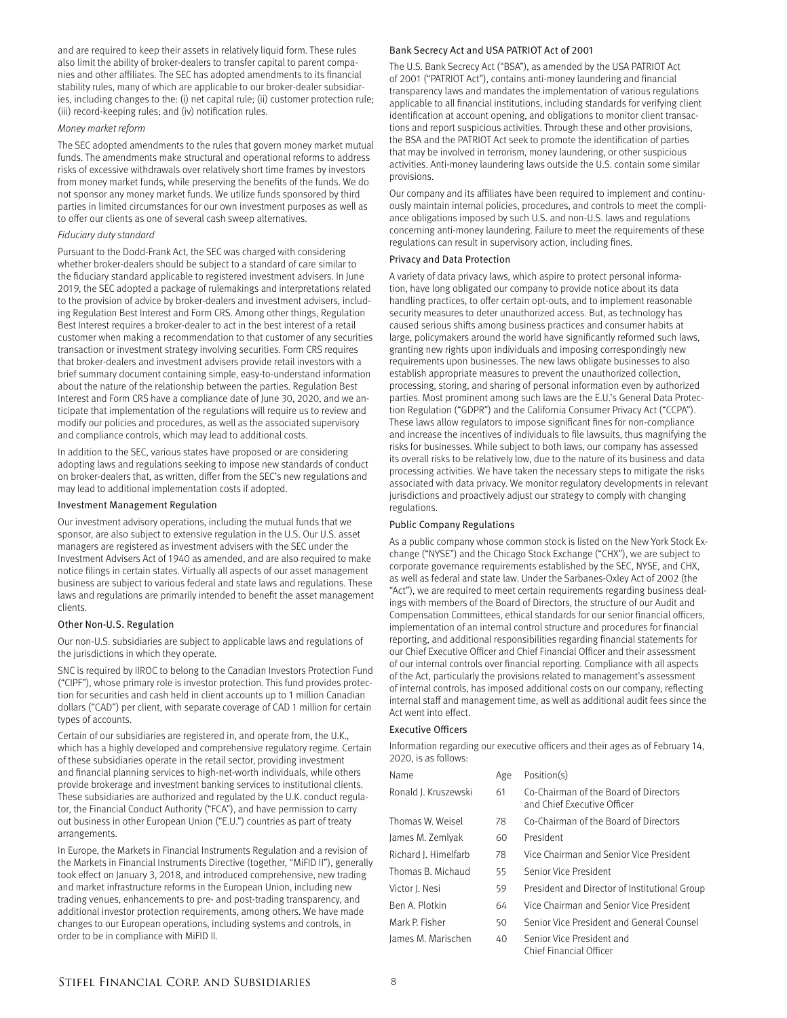and are required to keep their assets in relatively liquid form. These rules also limit the ability of broker-dealers to transfer capital to parent companies and other affiliates. The SEC has adopted amendments to its financial stability rules, many of which are applicable to our broker-dealer subsidiaries, including changes to the: (i) net capital rule; (ii) customer protection rule; (iii) record-keeping rules; and (iv) notification rules.

## Money market reform

The SEC adopted amendments to the rules that govern money market mutual funds. The amendments make structural and operational reforms to address risks of excessive withdrawals over relatively short time frames by investors from money market funds, while preserving the benefits of the funds. We do not sponsor any money market funds. We utilize funds sponsored by third parties in limited circumstances for our own investment purposes as well as to offer our clients as one of several cash sweep alternatives.

## Fiduciary duty standard

Pursuant to the Dodd-Frank Act, the SEC was charged with considering whether broker-dealers should be subject to a standard of care similar to the fiduciary standard applicable to registered investment advisers. In June 2019, the SEC adopted a package of rulemakings and interpretations related to the provision of advice by broker-dealers and investment advisers, including Regulation Best Interest and Form CRS. Among other things, Regulation Best Interest requires a broker-dealer to act in the best interest of a retail customer when making a recommendation to that customer of any securities transaction or investment strategy involving securities. Form CRS requires that broker-dealers and investment advisers provide retail investors with a brief summary document containing simple, easy-to-understand information about the nature of the relationship between the parties. Regulation Best Interest and Form CRS have a compliance date of June 30, 2020, and we anticipate that implementation of the regulations will require us to review and modify our policies and procedures, as well as the associated supervisory and compliance controls, which may lead to additional costs.

In addition to the SEC, various states have proposed or are considering adopting laws and regulations seeking to impose new standards of conduct on broker-dealers that, as written, differ from the SEC's new regulations and may lead to additional implementation costs if adopted.

## Investment Management Regulation

Our investment advisory operations, including the mutual funds that we sponsor, are also subject to extensive regulation in the U.S. Our U.S. asset managers are registered as investment advisers with the SEC under the Investment Advisers Act of 1940 as amended, and are also required to make notice filings in certain states. Virtually all aspects of our asset management business are subject to various federal and state laws and regulations. These laws and regulations are primarily intended to benefit the asset management clients.

## Other Non-U.S. Regulation

Our non-U.S. subsidiaries are subject to applicable laws and regulations of the jurisdictions in which they operate.

SNC is required by IIROC to belong to the Canadian Investors Protection Fund ("CIPF"), whose primary role is investor protection. This fund provides protection for securities and cash held in client accounts up to 1 million Canadian dollars ("CAD") per client, with separate coverage of CAD 1 million for certain types of accounts.

Certain of our subsidiaries are registered in, and operate from, the U.K., which has a highly developed and comprehensive regulatory regime. Certain of these subsidiaries operate in the retail sector, providing investment and financial planning services to high-net-worth individuals, while others provide brokerage and investment banking services to institutional clients. These subsidiaries are authorized and regulated by the U.K. conduct regulator, the Financial Conduct Authority ("FCA"), and have permission to carry out business in other European Union ("E.U.") countries as part of treaty arrangements.

In Europe, the Markets in Financial Instruments Regulation and a revision of the Markets in Financial Instruments Directive (together, "MiFID II"), generally took effect on January 3, 2018, and introduced comprehensive, new trading and market infrastructure reforms in the European Union, including new trading venues, enhancements to pre- and post-trading transparency, and additional investor protection requirements, among others. We have made changes to our European operations, including systems and controls, in order to be in compliance with MiFID II.

## Bank Secrecy Act and USA PATRIOT Act of 2001

The U.S. Bank Secrecy Act ("BSA"), as amended by the USA PATRIOT Act of 2001 ("PATRIOT Act"), contains anti-money laundering and financial transparency laws and mandates the implementation of various regulations applicable to all financial institutions, including standards for verifying client identification at account opening, and obligations to monitor client transactions and report suspicious activities. Through these and other provisions, the BSA and the PATRIOT Act seek to promote the identification of parties that may be involved in terrorism, money laundering, or other suspicious activities. Anti-money laundering laws outside the U.S. contain some similar provisions.

Our company and its affiliates have been required to implement and continuously maintain internal policies, procedures, and controls to meet the compliance obligations imposed by such U.S. and non-U.S. laws and regulations concerning anti-money laundering. Failure to meet the requirements of these regulations can result in supervisory action, including fines.

## Privacy and Data Protection

A variety of data privacy laws, which aspire to protect personal information, have long obligated our company to provide notice about its data handling practices, to offer certain opt-outs, and to implement reasonable security measures to deter unauthorized access. But, as technology has caused serious shifts among business practices and consumer habits at large, policymakers around the world have significantly reformed such laws, granting new rights upon individuals and imposing correspondingly new requirements upon businesses. The new laws obligate businesses to also establish appropriate measures to prevent the unauthorized collection, processing, storing, and sharing of personal information even by authorized parties. Most prominent among such laws are the E.U.'s General Data Protection Regulation ("GDPR") and the California Consumer Privacy Act ("CCPA"). These laws allow regulators to impose significant fines for non-compliance and increase the incentives of individuals to file lawsuits, thus magnifying the risks for businesses. While subject to both laws, our company has assessed its overall risks to be relatively low, due to the nature of its business and data processing activities. We have taken the necessary steps to mitigate the risks associated with data privacy. We monitor regulatory developments in relevant jurisdictions and proactively adjust our strategy to comply with changing regulations.

#### Public Company Regulations

As a public company whose common stock is listed on the New York Stock Exchange ("NYSE") and the Chicago Stock Exchange ("CHX"), we are subject to corporate governance requirements established by the SEC, NYSE, and CHX, as well as federal and state law. Under the Sarbanes-Oxley Act of 2002 (the "Act"), we are required to meet certain requirements regarding business dealings with members of the Board of Directors, the structure of our Audit and Compensation Committees, ethical standards for our senior financial officers, implementation of an internal control structure and procedures for financial reporting, and additional responsibilities regarding financial statements for our Chief Executive Officer and Chief Financial Officer and their assessment of our internal controls over financial reporting. Compliance with all aspects of the Act, particularly the provisions related to management's assessment of internal controls, has imposed additional costs on our company, reflecting internal staff and management time, as well as additional audit fees since the Act went into effect.

## Executive Officers

Information regarding our executive officers and their ages as of February 14, 2020, is as follows:

| Name                 | Age | Position(s)                                                          |
|----------------------|-----|----------------------------------------------------------------------|
| Ronald J. Kruszewski | 61  | Co-Chairman of the Board of Directors<br>and Chief Executive Officer |
| Thomas W. Weisel     | 78  | Co-Chairman of the Board of Directors                                |
| James M. Zemlyak     | 60  | President                                                            |
| Richard J. Himelfarb | 78  | Vice Chairman and Senior Vice President                              |
| Thomas B. Michaud    | 55  | Senior Vice President                                                |
| Victor J. Nesi       | 59  | President and Director of Institutional Group                        |
| Ben A. Plotkin       | 64  | Vice Chairman and Senior Vice President                              |
| Mark P. Fisher       | 50  | Senior Vice President and General Counsel                            |
| Iames M. Marischen   | 40  | Senior Vice President and<br>Chief Financial Officer                 |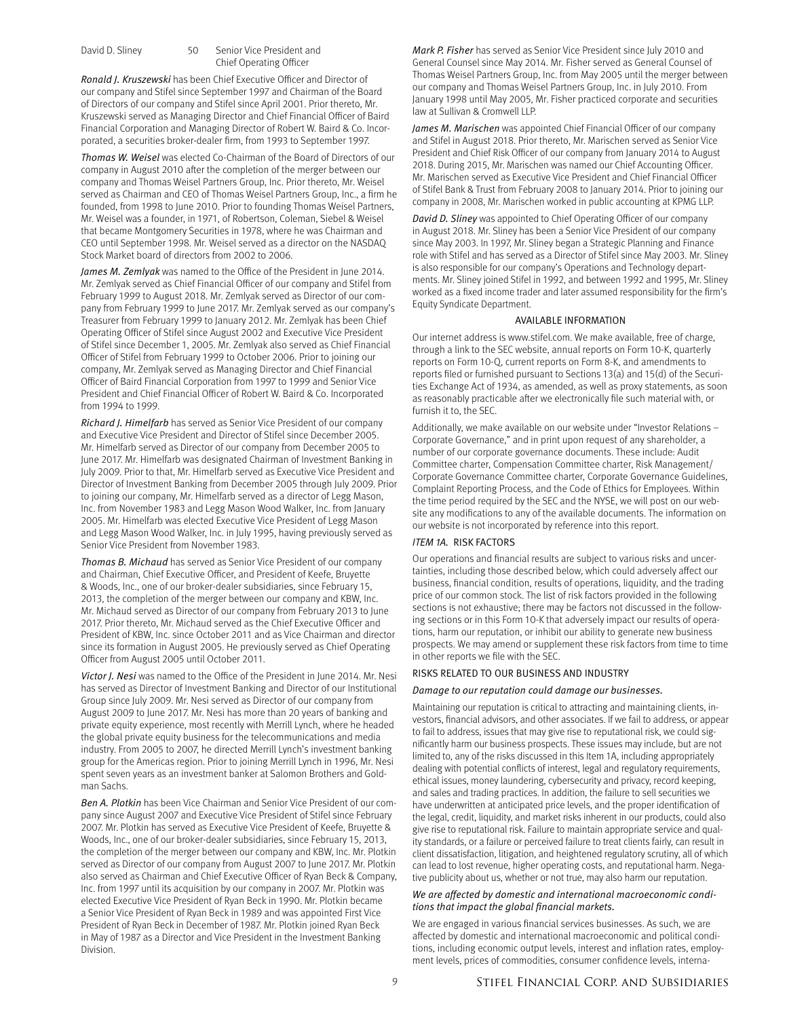## David D. Sliney 50 Senior Vice President and Chief Operating Officer

Ronald J. Kruszewski has been Chief Executive Officer and Director of our company and Stifel since September 1997 and Chairman of the Board of Directors of our company and Stifel since April 2001. Prior thereto, Mr. Kruszewski served as Managing Director and Chief Financial Officer of Baird Financial Corporation and Managing Director of Robert W. Baird & Co. Incorporated, a securities broker-dealer firm, from 1993 to September 1997.

Thomas W. Weisel was elected Co-Chairman of the Board of Directors of our company in August 2010 after the completion of the merger between our company and Thomas Weisel Partners Group, Inc. Prior thereto, Mr. Weisel served as Chairman and CEO of Thomas Weisel Partners Group, Inc., a firm he founded, from 1998 to June 2010. Prior to founding Thomas Weisel Partners, Mr. Weisel was a founder, in 1971, of Robertson, Coleman, Siebel & Weisel that became Montgomery Securities in 1978, where he was Chairman and CEO until September 1998. Mr. Weisel served as a director on the NASDAQ Stock Market board of directors from 2002 to 2006.

James M. Zemlyak was named to the Office of the President in June 2014. Mr. Zemlyak served as Chief Financial Officer of our company and Stifel from February 1999 to August 2018. Mr. Zemlyak served as Director of our company from February 1999 to June 2017. Mr. Zemlyak served as our company's Treasurer from February 1999 to January 2012. Mr. Zemlyak has been Chief Operating Officer of Stifel since August 2002 and Executive Vice President of Stifel since December 1, 2005. Mr. Zemlyak also served as Chief Financial Officer of Stifel from February 1999 to October 2006. Prior to joining our company, Mr. Zemlyak served as Managing Director and Chief Financial Officer of Baird Financial Corporation from 1997 to 1999 and Senior Vice President and Chief Financial Officer of Robert W. Baird & Co. Incorporated from 1994 to 1999.

Richard J. Himelfarb has served as Senior Vice President of our company and Executive Vice President and Director of Stifel since December 2005. Mr. Himelfarb served as Director of our company from December 2005 to June 2017. Mr. Himelfarb was designated Chairman of Investment Banking in July 2009. Prior to that, Mr. Himelfarb served as Executive Vice President and Director of Investment Banking from December 2005 through July 2009. Prior to joining our company, Mr. Himelfarb served as a director of Legg Mason, Inc. from November 1983 and Legg Mason Wood Walker, Inc. from January 2005. Mr. Himelfarb was elected Executive Vice President of Legg Mason and Legg Mason Wood Walker, Inc. in July 1995, having previously served as Senior Vice President from November 1983.

Thomas B. Michaud has served as Senior Vice President of our company and Chairman, Chief Executive Officer, and President of Keefe, Bruyette & Woods, Inc., one of our broker-dealer subsidiaries, since February 15, 2013, the completion of the merger between our company and KBW, Inc. Mr. Michaud served as Director of our company from February 2013 to June 2017. Prior thereto, Mr. Michaud served as the Chief Executive Officer and President of KBW, Inc. since October 2011 and as Vice Chairman and director since its formation in August 2005. He previously served as Chief Operating Officer from August 2005 until October 2011.

Victor I. Nesi was named to the Office of the President in June 2014. Mr. Nesi has served as Director of Investment Banking and Director of our Institutional Group since July 2009. Mr. Nesi served as Director of our company from August 2009 to June 2017. Mr. Nesi has more than 20 years of banking and private equity experience, most recently with Merrill Lynch, where he headed the global private equity business for the telecommunications and media industry. From 2005 to 2007, he directed Merrill Lynch's investment banking group for the Americas region. Prior to joining Merrill Lynch in 1996, Mr. Nesi spent seven years as an investment banker at Salomon Brothers and Goldman Sachs.

Ben A. Plotkin has been Vice Chairman and Senior Vice President of our company since August 2007 and Executive Vice President of Stifel since February 2007. Mr. Plotkin has served as Executive Vice President of Keefe, Bruyette & Woods, Inc., one of our broker-dealer subsidiaries, since February 15, 2013, the completion of the merger between our company and KBW, Inc. Mr. Plotkin served as Director of our company from August 2007 to June 2017. Mr. Plotkin also served as Chairman and Chief Executive Officer of Ryan Beck & Company, Inc. from 1997 until its acquisition by our company in 2007. Mr. Plotkin was elected Executive Vice President of Ryan Beck in 1990. Mr. Plotkin became a Senior Vice President of Ryan Beck in 1989 and was appointed First Vice President of Ryan Beck in December of 1987. Mr. Plotkin joined Ryan Beck in May of 1987 as a Director and Vice President in the Investment Banking Division.

Mark P. Fisher has served as Senior Vice President since July 2010 and General Counsel since May 2014. Mr. Fisher served as General Counsel of Thomas Weisel Partners Group, Inc. from May 2005 until the merger between our company and Thomas Weisel Partners Group, Inc. in July 2010. From January 1998 until May 2005, Mr. Fisher practiced corporate and securities law at Sullivan & Cromwell LLP.

James M. Marischen was appointed Chief Financial Officer of our company and Stifel in August 2018. Prior thereto, Mr. Marischen served as Senior Vice President and Chief Risk Officer of our company from January 2014 to August 2018. During 2015, Mr. Marischen was named our Chief Accounting Officer. Mr. Marischen served as Executive Vice President and Chief Financial Officer of Stifel Bank & Trust from February 2008 to January 2014. Prior to joining our company in 2008, Mr. Marischen worked in public accounting at KPMG LLP.

David D. Sliney was appointed to Chief Operating Officer of our company in August 2018. Mr. Sliney has been a Senior Vice President of our company since May 2003. In 1997, Mr. Sliney began a Strategic Planning and Finance role with Stifel and has served as a Director of Stifel since May 2003. Mr. Sliney is also responsible for our company's Operations and Technology departments. Mr. Sliney joined Stifel in 1992, and between 1992 and 1995, Mr. Sliney worked as a fixed income trader and later assumed responsibility for the firm's Equity Syndicate Department.

## AVAILABLE INFORMATION

Our internet address is www.stifel.com. We make available, free of charge, through a link to the SEC website, annual reports on Form 10-K, quarterly reports on Form 10-Q, current reports on Form 8-K, and amendments to reports filed or furnished pursuant to Sections 13(a) and 15(d) of the Securities Exchange Act of 1934, as amended, as well as proxy statements, as soon as reasonably practicable after we electronically file such material with, or furnish it to, the SEC.

Additionally, we make available on our website under "Investor Relations – Corporate Governance," and in print upon request of any shareholder, a number of our corporate governance documents. These include: Audit Committee charter, Compensation Committee charter, Risk Management/ Corporate Governance Committee charter, Corporate Governance Guidelines, Complaint Reporting Process, and the Code of Ethics for Employees. Within the time period required by the SEC and the NYSE, we will post on our website any modifications to any of the available documents. The information on our website is not incorporated by reference into this report.

## ITEM 1A. RISK FACTORS

Our operations and financial results are subject to various risks and uncertainties, including those described below, which could adversely affect our business, financial condition, results of operations, liquidity, and the trading price of our common stock. The list of risk factors provided in the following sections is not exhaustive; there may be factors not discussed in the following sections or in this Form 10-K that adversely impact our results of operations, harm our reputation, or inhibit our ability to generate new business prospects. We may amend or supplement these risk factors from time to time in other reports we file with the SEC.

## RISKS RELATED TO OUR BUSINESS AND INDUSTRY

#### Damage to our reputation could damage our businesses.

Maintaining our reputation is critical to attracting and maintaining clients, investors, financial advisors, and other associates. If we fail to address, or appear to fail to address, issues that may give rise to reputational risk, we could significantly harm our business prospects. These issues may include, but are not limited to, any of the risks discussed in this Item 1A, including appropriately dealing with potential conflicts of interest, legal and regulatory requirements, ethical issues, money laundering, cybersecurity and privacy, record keeping, and sales and trading practices. In addition, the failure to sell securities we have underwritten at anticipated price levels, and the proper identification of the legal, credit, liquidity, and market risks inherent in our products, could also give rise to reputational risk. Failure to maintain appropriate service and quality standards, or a failure or perceived failure to treat clients fairly, can result in client dissatisfaction, litigation, and heightened regulatory scrutiny, all of which can lead to lost revenue, higher operating costs, and reputational harm. Negative publicity about us, whether or not true, may also harm our reputation.

## We are affected by domestic and international macroeconomic conditions that impact the global financial markets.

We are engaged in various financial services businesses. As such, we are affected by domestic and international macroeconomic and political conditions, including economic output levels, interest and inflation rates, employment levels, prices of commodities, consumer confidence levels, interna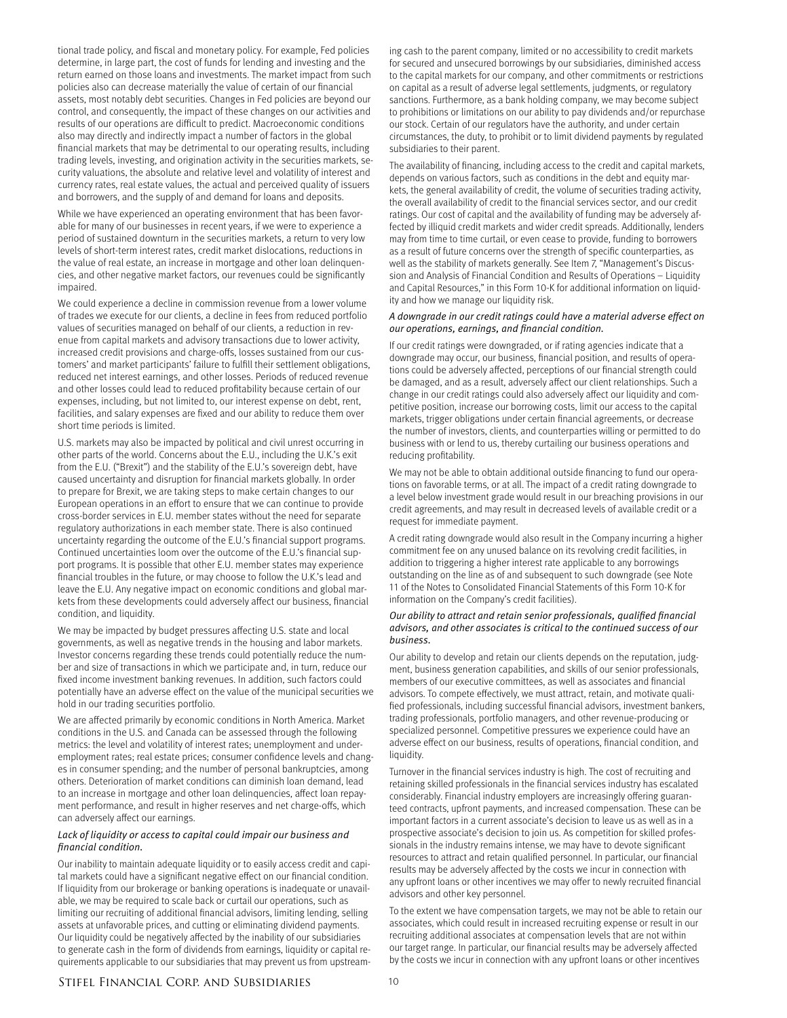tional trade policy, and fiscal and monetary policy. For example, Fed policies determine, in large part, the cost of funds for lending and investing and the return earned on those loans and investments. The market impact from such policies also can decrease materially the value of certain of our financial assets, most notably debt securities. Changes in Fed policies are beyond our control, and consequently, the impact of these changes on our activities and results of our operations are difficult to predict. Macroeconomic conditions also may directly and indirectly impact a number of factors in the global financial markets that may be detrimental to our operating results, including trading levels, investing, and origination activity in the securities markets, security valuations, the absolute and relative level and volatility of interest and currency rates, real estate values, the actual and perceived quality of issuers and borrowers, and the supply of and demand for loans and deposits.

While we have experienced an operating environment that has been favorable for many of our businesses in recent years, if we were to experience a period of sustained downturn in the securities markets, a return to very low levels of short-term interest rates, credit market dislocations, reductions in the value of real estate, an increase in mortgage and other loan delinquencies, and other negative market factors, our revenues could be significantly impaired.

We could experience a decline in commission revenue from a lower volume of trades we execute for our clients, a decline in fees from reduced portfolio values of securities managed on behalf of our clients, a reduction in revenue from capital markets and advisory transactions due to lower activity, increased credit provisions and charge-offs, losses sustained from our customers' and market participants' failure to fulfill their settlement obligations, reduced net interest earnings, and other losses. Periods of reduced revenue and other losses could lead to reduced profitability because certain of our expenses, including, but not limited to, our interest expense on debt, rent, facilities, and salary expenses are fixed and our ability to reduce them over short time periods is limited.

U.S. markets may also be impacted by political and civil unrest occurring in other parts of the world. Concerns about the E.U., including the U.K.'s exit from the E.U. ("Brexit") and the stability of the E.U.'s sovereign debt, have caused uncertainty and disruption for financial markets globally. In order to prepare for Brexit, we are taking steps to make certain changes to our European operations in an effort to ensure that we can continue to provide cross-border services in E.U. member states without the need for separate regulatory authorizations in each member state. There is also continued uncertainty regarding the outcome of the E.U.'s financial support programs. Continued uncertainties loom over the outcome of the E.U.'s financial support programs. It is possible that other E.U. member states may experience financial troubles in the future, or may choose to follow the U.K.'s lead and leave the E.U. Any negative impact on economic conditions and global markets from these developments could adversely affect our business, financial condition, and liquidity.

We may be impacted by budget pressures affecting U.S. state and local governments, as well as negative trends in the housing and labor markets. Investor concerns regarding these trends could potentially reduce the number and size of transactions in which we participate and, in turn, reduce our fixed income investment banking revenues. In addition, such factors could potentially have an adverse effect on the value of the municipal securities we hold in our trading securities portfolio.

We are affected primarily by economic conditions in North America. Market conditions in the U.S. and Canada can be assessed through the following metrics: the level and volatility of interest rates; unemployment and underemployment rates; real estate prices; consumer confidence levels and changes in consumer spending; and the number of personal bankruptcies, among others. Deterioration of market conditions can diminish loan demand, lead to an increase in mortgage and other loan delinquencies, affect loan repayment performance, and result in higher reserves and net charge-offs, which can adversely affect our earnings.

### Lack of liquidity or access to capital could impair our business and financial condition.

Our inability to maintain adequate liquidity or to easily access credit and capital markets could have a significant negative effect on our financial condition. If liquidity from our brokerage or banking operations is inadequate or unavailable, we may be required to scale back or curtail our operations, such as limiting our recruiting of additional financial advisors, limiting lending, selling assets at unfavorable prices, and cutting or eliminating dividend payments. Our liquidity could be negatively affected by the inability of our subsidiaries to generate cash in the form of dividends from earnings, liquidity or capital requirements applicable to our subsidiaries that may prevent us from upstream-

ing cash to the parent company, limited or no accessibility to credit markets for secured and unsecured borrowings by our subsidiaries, diminished access to the capital markets for our company, and other commitments or restrictions on capital as a result of adverse legal settlements, judgments, or regulatory sanctions. Furthermore, as a bank holding company, we may become subject to prohibitions or limitations on our ability to pay dividends and/or repurchase our stock. Certain of our regulators have the authority, and under certain circumstances, the duty, to prohibit or to limit dividend payments by regulated subsidiaries to their parent.

The availability of financing, including access to the credit and capital markets, depends on various factors, such as conditions in the debt and equity markets, the general availability of credit, the volume of securities trading activity, the overall availability of credit to the financial services sector, and our credit ratings. Our cost of capital and the availability of funding may be adversely affected by illiquid credit markets and wider credit spreads. Additionally, lenders may from time to time curtail, or even cease to provide, funding to borrowers as a result of future concerns over the strength of specific counterparties, as well as the stability of markets generally. See Item 7, "Management's Discussion and Analysis of Financial Condition and Results of Operations – Liquidity and Capital Resources," in this Form 10-K for additional information on liquidity and how we manage our liquidity risk.

## A downgrade in our credit ratings could have a material adverse effect on our operations, earnings, and financial condition.

If our credit ratings were downgraded, or if rating agencies indicate that a downgrade may occur, our business, financial position, and results of operations could be adversely affected, perceptions of our financial strength could be damaged, and as a result, adversely affect our client relationships. Such a change in our credit ratings could also adversely affect our liquidity and competitive position, increase our borrowing costs, limit our access to the capital markets, trigger obligations under certain financial agreements, or decrease the number of investors, clients, and counterparties willing or permitted to do business with or lend to us, thereby curtailing our business operations and reducing profitability.

We may not be able to obtain additional outside financing to fund our operations on favorable terms, or at all. The impact of a credit rating downgrade to a level below investment grade would result in our breaching provisions in our credit agreements, and may result in decreased levels of available credit or a request for immediate payment.

A credit rating downgrade would also result in the Company incurring a higher commitment fee on any unused balance on its revolving credit facilities, in addition to triggering a higher interest rate applicable to any borrowings outstanding on the line as of and subsequent to such downgrade (see Note 11 of the Notes to Consolidated Financial Statements of this Form 10-K for information on the Company's credit facilities).

## Our ability to attract and retain senior professionals, qualified financial advisors, and other associates is critical to the continued success of our business.

Our ability to develop and retain our clients depends on the reputation, judgment, business generation capabilities, and skills of our senior professionals, members of our executive committees, as well as associates and financial advisors. To compete effectively, we must attract, retain, and motivate qualified professionals, including successful financial advisors, investment bankers, trading professionals, portfolio managers, and other revenue-producing or specialized personnel. Competitive pressures we experience could have an adverse effect on our business, results of operations, financial condition, and liquidity.

Turnover in the financial services industry is high. The cost of recruiting and retaining skilled professionals in the financial services industry has escalated considerably. Financial industry employers are increasingly offering guaranteed contracts, upfront payments, and increased compensation. These can be important factors in a current associate's decision to leave us as well as in a prospective associate's decision to join us. As competition for skilled professionals in the industry remains intense, we may have to devote significant resources to attract and retain qualified personnel. In particular, our financial results may be adversely affected by the costs we incur in connection with any upfront loans or other incentives we may offer to newly recruited financial advisors and other key personnel.

To the extent we have compensation targets, we may not be able to retain our associates, which could result in increased recruiting expense or result in our recruiting additional associates at compensation levels that are not within our target range. In particular, our financial results may be adversely affected by the costs we incur in connection with any upfront loans or other incentives

## STIFEL FINANCIAL CORP. AND SUBSIDIARIES 10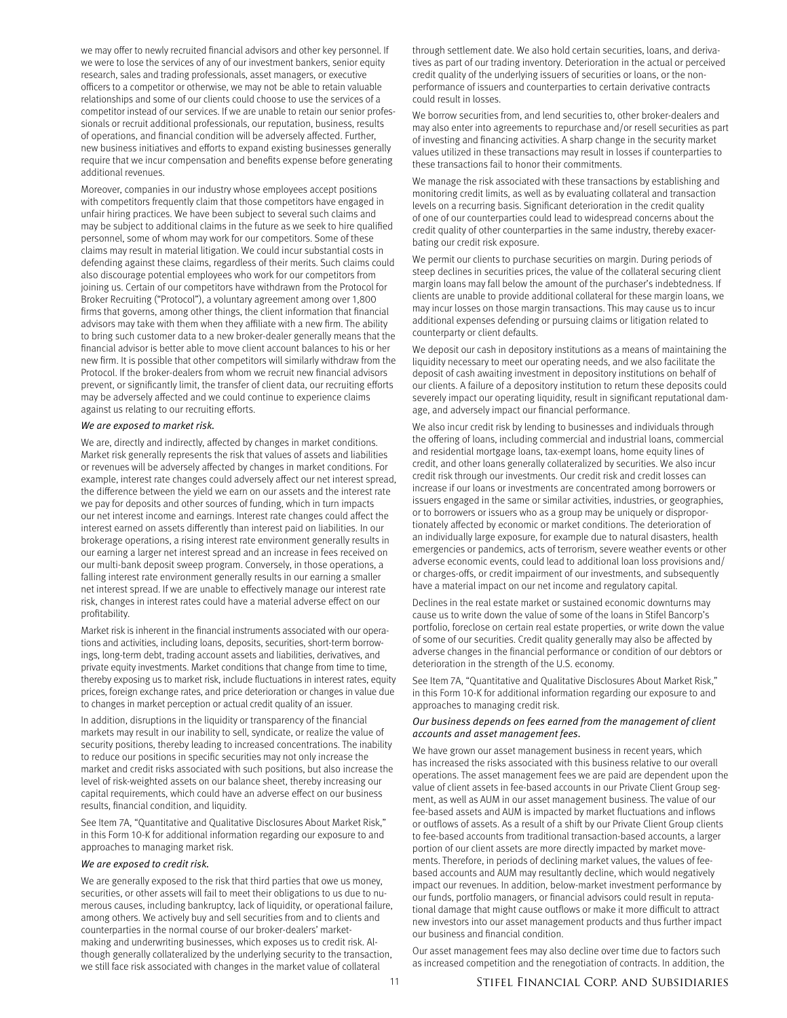we may offer to newly recruited financial advisors and other key personnel. If we were to lose the services of any of our investment bankers, senior equity research, sales and trading professionals, asset managers, or executive officers to a competitor or otherwise, we may not be able to retain valuable relationships and some of our clients could choose to use the services of a competitor instead of our services. If we are unable to retain our senior professionals or recruit additional professionals, our reputation, business, results of operations, and financial condition will be adversely affected. Further, new business initiatives and efforts to expand existing businesses generally require that we incur compensation and benefits expense before generating additional revenues.

Moreover, companies in our industry whose employees accept positions with competitors frequently claim that those competitors have engaged in unfair hiring practices. We have been subject to several such claims and may be subject to additional claims in the future as we seek to hire qualified personnel, some of whom may work for our competitors. Some of these claims may result in material litigation. We could incur substantial costs in defending against these claims, regardless of their merits. Such claims could also discourage potential employees who work for our competitors from joining us. Certain of our competitors have withdrawn from the Protocol for Broker Recruiting ("Protocol"), a voluntary agreement among over 1,800 firms that governs, among other things, the client information that financial advisors may take with them when they affiliate with a new firm. The ability to bring such customer data to a new broker-dealer generally means that the financial advisor is better able to move client account balances to his or her new firm. It is possible that other competitors will similarly withdraw from the Protocol. If the broker-dealers from whom we recruit new financial advisors prevent, or significantly limit, the transfer of client data, our recruiting efforts may be adversely affected and we could continue to experience claims against us relating to our recruiting efforts.

#### We are exposed to market risk.

We are, directly and indirectly, affected by changes in market conditions. Market risk generally represents the risk that values of assets and liabilities or revenues will be adversely affected by changes in market conditions. For example, interest rate changes could adversely affect our net interest spread, the difference between the yield we earn on our assets and the interest rate we pay for deposits and other sources of funding, which in turn impacts our net interest income and earnings. Interest rate changes could affect the interest earned on assets differently than interest paid on liabilities. In our brokerage operations, a rising interest rate environment generally results in our earning a larger net interest spread and an increase in fees received on our multi-bank deposit sweep program. Conversely, in those operations, a falling interest rate environment generally results in our earning a smaller net interest spread. If we are unable to effectively manage our interest rate risk, changes in interest rates could have a material adverse effect on our profitability.

Market risk is inherent in the financial instruments associated with our operations and activities, including loans, deposits, securities, short-term borrowings, long-term debt, trading account assets and liabilities, derivatives, and private equity investments. Market conditions that change from time to time, thereby exposing us to market risk, include fluctuations in interest rates, equity prices, foreign exchange rates, and price deterioration or changes in value due to changes in market perception or actual credit quality of an issuer.

In addition, disruptions in the liquidity or transparency of the financial markets may result in our inability to sell, syndicate, or realize the value of security positions, thereby leading to increased concentrations. The inability to reduce our positions in specific securities may not only increase the market and credit risks associated with such positions, but also increase the level of risk-weighted assets on our balance sheet, thereby increasing our capital requirements, which could have an adverse effect on our business results, financial condition, and liquidity.

See Item 7A, "Quantitative and Qualitative Disclosures About Market Risk," in this Form 10-K for additional information regarding our exposure to and approaches to managing market risk.

#### We are exposed to credit risk.

We are generally exposed to the risk that third parties that owe us money, securities, or other assets will fail to meet their obligations to us due to numerous causes, including bankruptcy, lack of liquidity, or operational failure, among others. We actively buy and sell securities from and to clients and counterparties in the normal course of our broker-dealers' marketmaking and underwriting businesses, which exposes us to credit risk. Although generally collateralized by the underlying security to the transaction, we still face risk associated with changes in the market value of collateral

through settlement date. We also hold certain securities, loans, and derivatives as part of our trading inventory. Deterioration in the actual or perceived credit quality of the underlying issuers of securities or loans, or the nonperformance of issuers and counterparties to certain derivative contracts could result in losses.

We borrow securities from, and lend securities to, other broker-dealers and may also enter into agreements to repurchase and/or resell securities as part of investing and financing activities. A sharp change in the security market values utilized in these transactions may result in losses if counterparties to these transactions fail to honor their commitments.

We manage the risk associated with these transactions by establishing and monitoring credit limits, as well as by evaluating collateral and transaction levels on a recurring basis. Significant deterioration in the credit quality of one of our counterparties could lead to widespread concerns about the credit quality of other counterparties in the same industry, thereby exacerbating our credit risk exposure.

We permit our clients to purchase securities on margin. During periods of steep declines in securities prices, the value of the collateral securing client margin loans may fall below the amount of the purchaser's indebtedness. If clients are unable to provide additional collateral for these margin loans, we may incur losses on those margin transactions. This may cause us to incur additional expenses defending or pursuing claims or litigation related to counterparty or client defaults.

We deposit our cash in depository institutions as a means of maintaining the liquidity necessary to meet our operating needs, and we also facilitate the deposit of cash awaiting investment in depository institutions on behalf of our clients. A failure of a depository institution to return these deposits could severely impact our operating liquidity, result in significant reputational damage, and adversely impact our financial performance.

We also incur credit risk by lending to businesses and individuals through the offering of loans, including commercial and industrial loans, commercial and residential mortgage loans, tax-exempt loans, home equity lines of credit, and other loans generally collateralized by securities. We also incur credit risk through our investments. Our credit risk and credit losses can increase if our loans or investments are concentrated among borrowers or issuers engaged in the same or similar activities, industries, or geographies, or to borrowers or issuers who as a group may be uniquely or disproportionately affected by economic or market conditions. The deterioration of an individually large exposure, for example due to natural disasters, health emergencies or pandemics, acts of terrorism, severe weather events or other adverse economic events, could lead to additional loan loss provisions and/ or charges-offs, or credit impairment of our investments, and subsequently have a material impact on our net income and regulatory capital.

Declines in the real estate market or sustained economic downturns may cause us to write down the value of some of the loans in Stifel Bancorp's portfolio, foreclose on certain real estate properties, or write down the value of some of our securities. Credit quality generally may also be affected by adverse changes in the financial performance or condition of our debtors or deterioration in the strength of the U.S. economy.

See Item 7A, "Quantitative and Qualitative Disclosures About Market Risk," in this Form 10-K for additional information regarding our exposure to and approaches to managing credit risk.

#### Our business depends on fees earned from the management of client accounts and asset management fees.

We have grown our asset management business in recent years, which has increased the risks associated with this business relative to our overall operations. The asset management fees we are paid are dependent upon the value of client assets in fee-based accounts in our Private Client Group segment, as well as AUM in our asset management business. The value of our fee-based assets and AUM is impacted by market fluctuations and inflows or outflows of assets. As a result of a shift by our Private Client Group clients to fee-based accounts from traditional transaction-based accounts, a larger portion of our client assets are more directly impacted by market movements. Therefore, in periods of declining market values, the values of feebased accounts and AUM may resultantly decline, which would negatively impact our revenues. In addition, below-market investment performance by our funds, portfolio managers, or financial advisors could result in reputational damage that might cause outflows or make it more difficult to attract new investors into our asset management products and thus further impact our business and financial condition.

Our asset management fees may also decline over time due to factors such as increased competition and the renegotiation of contracts. In addition, the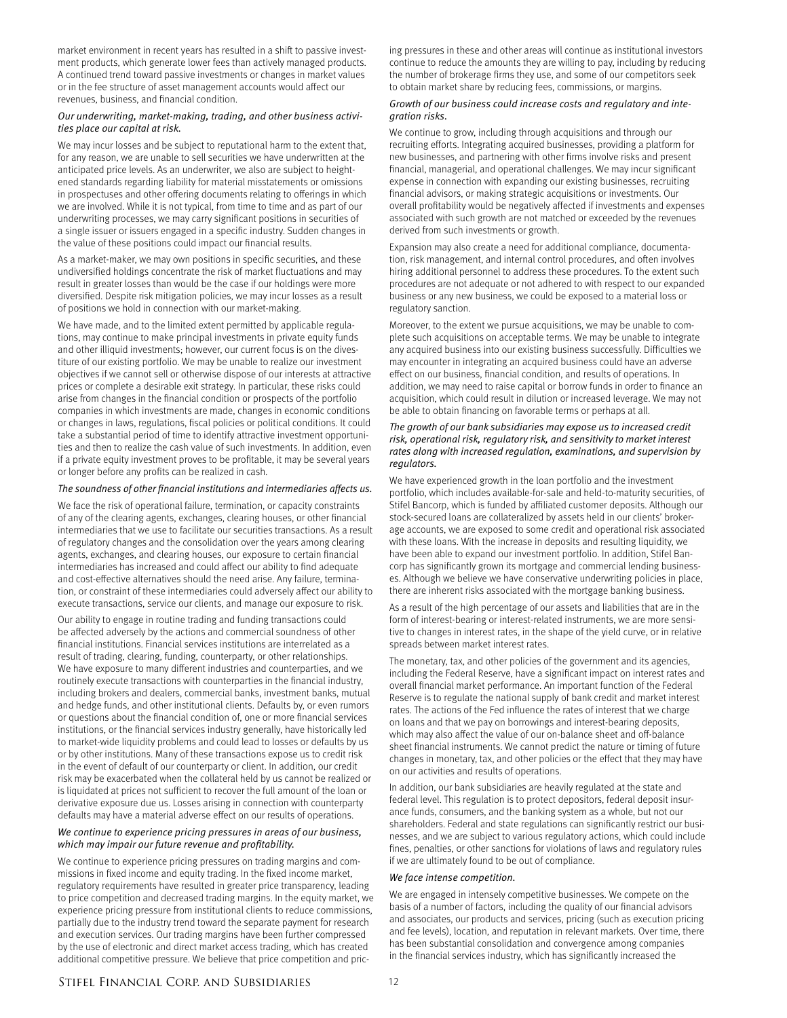market environment in recent years has resulted in a shift to passive investment products, which generate lower fees than actively managed products. A continued trend toward passive investments or changes in market values or in the fee structure of asset management accounts would affect our revenues, business, and financial condition.

## Our underwriting, market-making, trading, and other business activities place our capital at risk.

We may incur losses and be subject to reputational harm to the extent that, for any reason, we are unable to sell securities we have underwritten at the anticipated price levels. As an underwriter, we also are subject to heightened standards regarding liability for material misstatements or omissions in prospectuses and other offering documents relating to offerings in which we are involved. While it is not typical, from time to time and as part of our underwriting processes, we may carry significant positions in securities of a single issuer or issuers engaged in a specific industry. Sudden changes in the value of these positions could impact our financial results.

As a market-maker, we may own positions in specific securities, and these undiversified holdings concentrate the risk of market fluctuations and may result in greater losses than would be the case if our holdings were more diversified. Despite risk mitigation policies, we may incur losses as a result of positions we hold in connection with our market-making.

We have made, and to the limited extent permitted by applicable regulations, may continue to make principal investments in private equity funds and other illiquid investments; however, our current focus is on the divestiture of our existing portfolio. We may be unable to realize our investment objectives if we cannot sell or otherwise dispose of our interests at attractive prices or complete a desirable exit strategy. In particular, these risks could arise from changes in the financial condition or prospects of the portfolio companies in which investments are made, changes in economic conditions or changes in laws, regulations, fiscal policies or political conditions. It could take a substantial period of time to identify attractive investment opportunities and then to realize the cash value of such investments. In addition, even if a private equity investment proves to be profitable, it may be several years or longer before any profits can be realized in cash.

## The soundness of other financial institutions and intermediaries affects us.

We face the risk of operational failure, termination, or capacity constraints of any of the clearing agents, exchanges, clearing houses, or other financial intermediaries that we use to facilitate our securities transactions. As a result of regulatory changes and the consolidation over the years among clearing agents, exchanges, and clearing houses, our exposure to certain financial intermediaries has increased and could affect our ability to find adequate and cost-effective alternatives should the need arise. Any failure, termination, or constraint of these intermediaries could adversely affect our ability to execute transactions, service our clients, and manage our exposure to risk.

Our ability to engage in routine trading and funding transactions could be affected adversely by the actions and commercial soundness of other financial institutions. Financial services institutions are interrelated as a result of trading, clearing, funding, counterparty, or other relationships. We have exposure to many different industries and counterparties, and we routinely execute transactions with counterparties in the financial industry, including brokers and dealers, commercial banks, investment banks, mutual and hedge funds, and other institutional clients. Defaults by, or even rumors or questions about the financial condition of, one or more financial services institutions, or the financial services industry generally, have historically led to market-wide liquidity problems and could lead to losses or defaults by us or by other institutions. Many of these transactions expose us to credit risk in the event of default of our counterparty or client. In addition, our credit risk may be exacerbated when the collateral held by us cannot be realized or is liquidated at prices not sufficient to recover the full amount of the loan or derivative exposure due us. Losses arising in connection with counterparty defaults may have a material adverse effect on our results of operations.

## We continue to experience pricing pressures in areas of our business, which may impair our future revenue and profitability.

We continue to experience pricing pressures on trading margins and commissions in fixed income and equity trading. In the fixed income market, regulatory requirements have resulted in greater price transparency, leading to price competition and decreased trading margins. In the equity market, we experience pricing pressure from institutional clients to reduce commissions, partially due to the industry trend toward the separate payment for research and execution services. Our trading margins have been further compressed by the use of electronic and direct market access trading, which has created additional competitive pressure. We believe that price competition and pricing pressures in these and other areas will continue as institutional investors continue to reduce the amounts they are willing to pay, including by reducing the number of brokerage firms they use, and some of our competitors seek to obtain market share by reducing fees, commissions, or margins.

## Growth of our business could increase costs and regulatory and integration risks.

We continue to grow, including through acquisitions and through our recruiting efforts. Integrating acquired businesses, providing a platform for new businesses, and partnering with other firms involve risks and present financial, managerial, and operational challenges. We may incur significant expense in connection with expanding our existing businesses, recruiting financial advisors, or making strategic acquisitions or investments. Our overall profitability would be negatively affected if investments and expenses associated with such growth are not matched or exceeded by the revenues derived from such investments or growth.

Expansion may also create a need for additional compliance, documentation, risk management, and internal control procedures, and often involves hiring additional personnel to address these procedures. To the extent such procedures are not adequate or not adhered to with respect to our expanded business or any new business, we could be exposed to a material loss or regulatory sanction.

Moreover, to the extent we pursue acquisitions, we may be unable to complete such acquisitions on acceptable terms. We may be unable to integrate any acquired business into our existing business successfully. Difficulties we may encounter in integrating an acquired business could have an adverse effect on our business, financial condition, and results of operations. In addition, we may need to raise capital or borrow funds in order to finance an acquisition, which could result in dilution or increased leverage. We may not be able to obtain financing on favorable terms or perhaps at all.

## The growth of our bank subsidiaries may expose us to increased credit risk, operational risk, regulatory risk, and sensitivity to market interest rates along with increased regulation, examinations, and supervision by regulators.

We have experienced growth in the loan portfolio and the investment portfolio, which includes available-for-sale and held-to-maturity securities, of Stifel Bancorp, which is funded by affiliated customer deposits. Although our stock-secured loans are collateralized by assets held in our clients' brokerage accounts, we are exposed to some credit and operational risk associated with these loans. With the increase in deposits and resulting liquidity, we have been able to expand our investment portfolio. In addition, Stifel Bancorp has significantly grown its mortgage and commercial lending businesses. Although we believe we have conservative underwriting policies in place, there are inherent risks associated with the mortgage banking business.

As a result of the high percentage of our assets and liabilities that are in the form of interest-bearing or interest-related instruments, we are more sensitive to changes in interest rates, in the shape of the yield curve, or in relative spreads between market interest rates.

The monetary, tax, and other policies of the government and its agencies, including the Federal Reserve, have a significant impact on interest rates and overall financial market performance. An important function of the Federal Reserve is to regulate the national supply of bank credit and market interest rates. The actions of the Fed influence the rates of interest that we charge on loans and that we pay on borrowings and interest-bearing deposits, which may also affect the value of our on-balance sheet and off-balance sheet financial instruments. We cannot predict the nature or timing of future changes in monetary, tax, and other policies or the effect that they may have on our activities and results of operations.

In addition, our bank subsidiaries are heavily regulated at the state and federal level. This regulation is to protect depositors, federal deposit insurance funds, consumers, and the banking system as a whole, but not our shareholders. Federal and state regulations can significantly restrict our businesses, and we are subject to various regulatory actions, which could include fines, penalties, or other sanctions for violations of laws and regulatory rules if we are ultimately found to be out of compliance.

#### We face intense competition.

We are engaged in intensely competitive businesses. We compete on the basis of a number of factors, including the quality of our financial advisors and associates, our products and services, pricing (such as execution pricing and fee levels), location, and reputation in relevant markets. Over time, there has been substantial consolidation and convergence among companies in the financial services industry, which has significantly increased the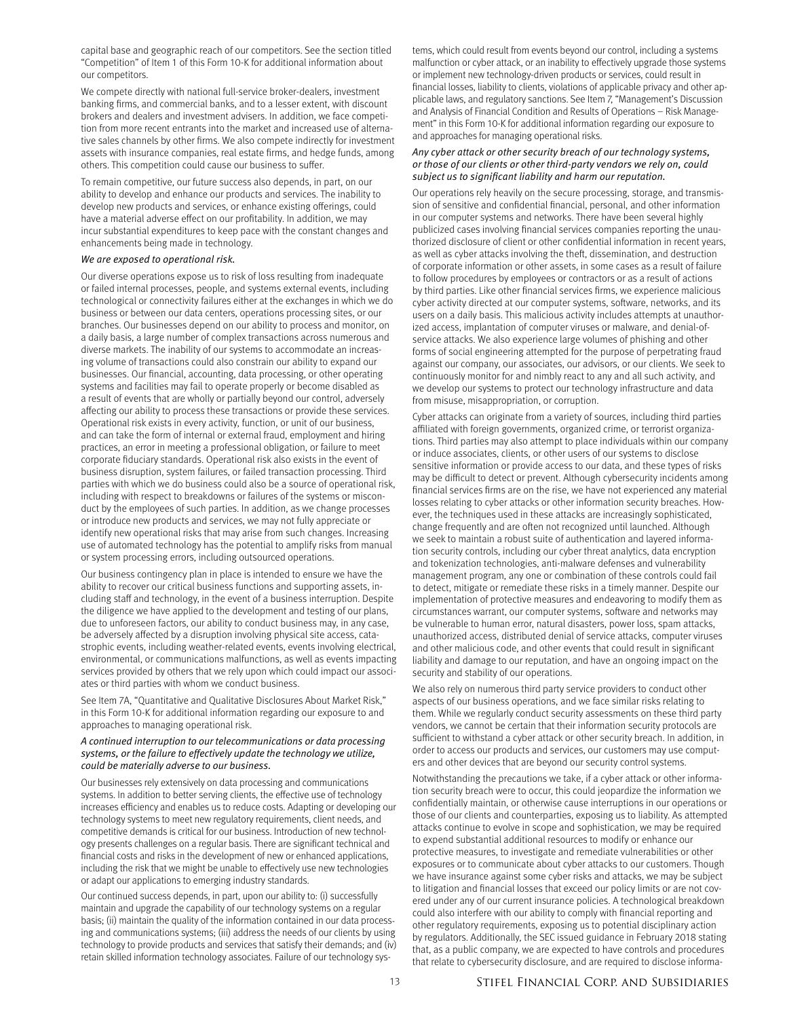capital base and geographic reach of our competitors. See the section titled "Competition" of Item 1 of this Form 10-K for additional information about our competitors.

We compete directly with national full-service broker-dealers, investment banking firms, and commercial banks, and to a lesser extent, with discount brokers and dealers and investment advisers. In addition, we face competition from more recent entrants into the market and increased use of alternative sales channels by other firms. We also compete indirectly for investment assets with insurance companies, real estate firms, and hedge funds, among others. This competition could cause our business to suffer.

To remain competitive, our future success also depends, in part, on our ability to develop and enhance our products and services. The inability to develop new products and services, or enhance existing offerings, could have a material adverse effect on our profitability. In addition, we may incur substantial expenditures to keep pace with the constant changes and enhancements being made in technology.

#### We are exposed to operational risk.

Our diverse operations expose us to risk of loss resulting from inadequate or failed internal processes, people, and systems external events, including technological or connectivity failures either at the exchanges in which we do business or between our data centers, operations processing sites, or our branches. Our businesses depend on our ability to process and monitor, on a daily basis, a large number of complex transactions across numerous and diverse markets. The inability of our systems to accommodate an increasing volume of transactions could also constrain our ability to expand our businesses. Our financial, accounting, data processing, or other operating systems and facilities may fail to operate properly or become disabled as a result of events that are wholly or partially beyond our control, adversely affecting our ability to process these transactions or provide these services. Operational risk exists in every activity, function, or unit of our business, and can take the form of internal or external fraud, employment and hiring practices, an error in meeting a professional obligation, or failure to meet corporate fiduciary standards. Operational risk also exists in the event of business disruption, system failures, or failed transaction processing. Third parties with which we do business could also be a source of operational risk, including with respect to breakdowns or failures of the systems or misconduct by the employees of such parties. In addition, as we change processes or introduce new products and services, we may not fully appreciate or identify new operational risks that may arise from such changes. Increasing use of automated technology has the potential to amplify risks from manual or system processing errors, including outsourced operations.

Our business contingency plan in place is intended to ensure we have the ability to recover our critical business functions and supporting assets, including staff and technology, in the event of a business interruption. Despite the diligence we have applied to the development and testing of our plans, due to unforeseen factors, our ability to conduct business may, in any case, be adversely affected by a disruption involving physical site access, catastrophic events, including weather-related events, events involving electrical, environmental, or communications malfunctions, as well as events impacting services provided by others that we rely upon which could impact our associates or third parties with whom we conduct business.

See Item 7A, "Quantitative and Qualitative Disclosures About Market Risk," in this Form 10-K for additional information regarding our exposure to and approaches to managing operational risk.

#### A continued interruption to our telecommunications or data processing systems, or the failure to effectively update the technology we utilize, could be materially adverse to our business.

Our businesses rely extensively on data processing and communications systems. In addition to better serving clients, the effective use of technology increases efficiency and enables us to reduce costs. Adapting or developing our technology systems to meet new regulatory requirements, client needs, and competitive demands is critical for our business. Introduction of new technology presents challenges on a regular basis. There are significant technical and financial costs and risks in the development of new or enhanced applications, including the risk that we might be unable to effectively use new technologies or adapt our applications to emerging industry standards.

Our continued success depends, in part, upon our ability to: (i) successfully maintain and upgrade the capability of our technology systems on a regular basis; (ii) maintain the quality of the information contained in our data processing and communications systems; (iii) address the needs of our clients by using technology to provide products and services that satisfy their demands; and (iv) retain skilled information technology associates. Failure of our technology systems, which could result from events beyond our control, including a systems malfunction or cyber attack, or an inability to effectively upgrade those systems or implement new technology-driven products or services, could result in financial losses, liability to clients, violations of applicable privacy and other applicable laws, and regulatory sanctions. See Item 7, "Management's Discussion and Analysis of Financial Condition and Results of Operations – Risk Management" in this Form 10-K for additional information regarding our exposure to and approaches for managing operational risks.

#### Any cyber attack or other security breach of our technology systems, or those of our clients or other third-party vendors we rely on, could subject us to significant liability and harm our reputation.

Our operations rely heavily on the secure processing, storage, and transmission of sensitive and confidential financial, personal, and other information in our computer systems and networks. There have been several highly publicized cases involving financial services companies reporting the unauthorized disclosure of client or other confidential information in recent years, as well as cyber attacks involving the theft, dissemination, and destruction of corporate information or other assets, in some cases as a result of failure to follow procedures by employees or contractors or as a result of actions by third parties. Like other financial services firms, we experience malicious cyber activity directed at our computer systems, software, networks, and its users on a daily basis. This malicious activity includes attempts at unauthorized access, implantation of computer viruses or malware, and denial-ofservice attacks. We also experience large volumes of phishing and other forms of social engineering attempted for the purpose of perpetrating fraud against our company, our associates, our advisors, or our clients. We seek to continuously monitor for and nimbly react to any and all such activity, and we develop our systems to protect our technology infrastructure and data from misuse, misappropriation, or corruption.

Cyber attacks can originate from a variety of sources, including third parties affiliated with foreign governments, organized crime, or terrorist organizations. Third parties may also attempt to place individuals within our company or induce associates, clients, or other users of our systems to disclose sensitive information or provide access to our data, and these types of risks may be difficult to detect or prevent. Although cybersecurity incidents among financial services firms are on the rise, we have not experienced any material losses relating to cyber attacks or other information security breaches. However, the techniques used in these attacks are increasingly sophisticated, change frequently and are often not recognized until launched. Although we seek to maintain a robust suite of authentication and layered information security controls, including our cyber threat analytics, data encryption and tokenization technologies, anti-malware defenses and vulnerability management program, any one or combination of these controls could fail to detect, mitigate or remediate these risks in a timely manner. Despite our implementation of protective measures and endeavoring to modify them as circumstances warrant, our computer systems, software and networks may be vulnerable to human error, natural disasters, power loss, spam attacks, unauthorized access, distributed denial of service attacks, computer viruses and other malicious code, and other events that could result in significant liability and damage to our reputation, and have an ongoing impact on the security and stability of our operations.

We also rely on numerous third party service providers to conduct other aspects of our business operations, and we face similar risks relating to them. While we regularly conduct security assessments on these third party vendors, we cannot be certain that their information security protocols are sufficient to withstand a cyber attack or other security breach. In addition, in order to access our products and services, our customers may use computers and other devices that are beyond our security control systems.

Notwithstanding the precautions we take, if a cyber attack or other information security breach were to occur, this could jeopardize the information we confidentially maintain, or otherwise cause interruptions in our operations or those of our clients and counterparties, exposing us to liability. As attempted attacks continue to evolve in scope and sophistication, we may be required to expend substantial additional resources to modify or enhance our protective measures, to investigate and remediate vulnerabilities or other exposures or to communicate about cyber attacks to our customers. Though we have insurance against some cyber risks and attacks, we may be subject to litigation and financial losses that exceed our policy limits or are not covered under any of our current insurance policies. A technological breakdown could also interfere with our ability to comply with financial reporting and other regulatory requirements, exposing us to potential disciplinary action by regulators. Additionally, the SEC issued guidance in February 2018 stating that, as a public company, we are expected to have controls and procedures that relate to cybersecurity disclosure, and are required to disclose informa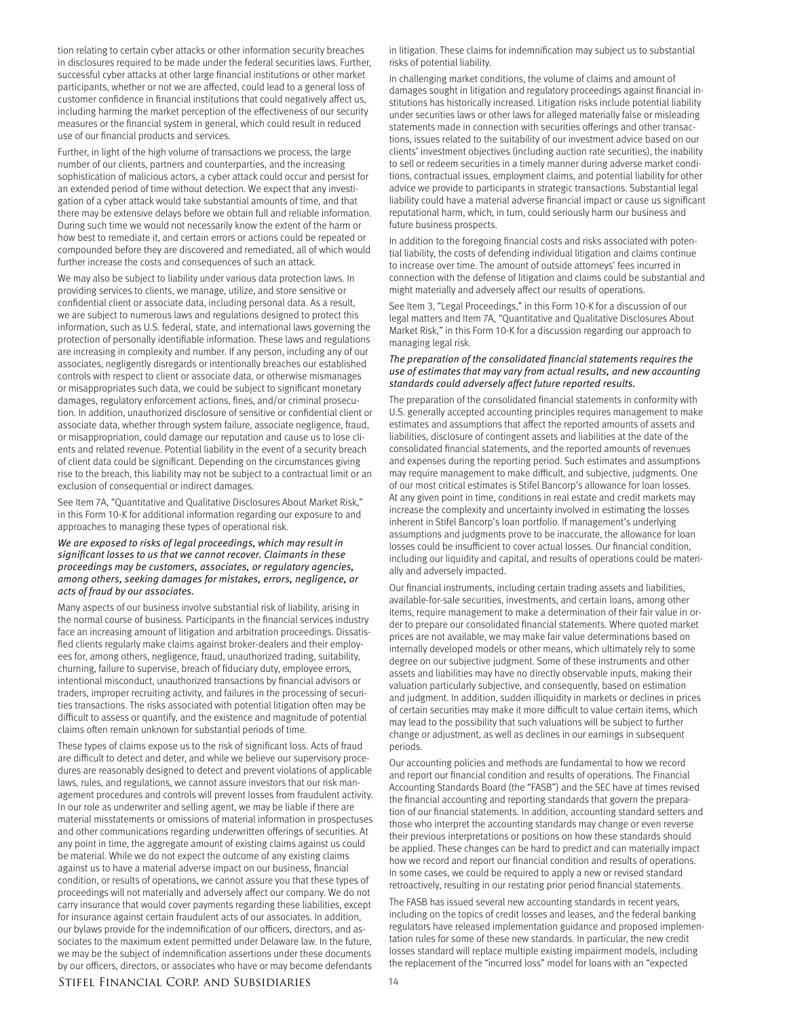tion relating to certain cyber attacks or other information security breaches in disclosures required to be made under the federal securities laws. Further, successful cyber attacks at other large financial institutions or other market participants, whether or not we are affected, could lead to a general loss of customer confidence in financial institutions that could negatively affect us, including harming the market perception of the effectiveness of our security measures or the financial system in general, which could result in reduced use of our financial products and services.

Further, in light of the high volume of transactions we process, the large number of our clients, partners and counterparties, and the increasing sophistication of malicious actors, a cyber attack could occur and persist for an extended period of time without detection. We expect that any investigation of a cyber attack would take substantial amounts of time, and that there may be extensive delays before we obtain full and reliable information. During such time we would not necessarily know the extent of the harm or how best to remediate it, and certain errors or actions could be repeated or compounded before they are discovered and remediated, all of which would further increase the costs and consequences of such an attack.

We may also be subject to liability under various data protection laws. In providing services to clients, we manage, utilize, and store sensitive or confidential client or associate data, including personal data. As a result, we are subject to numerous laws and regulations designed to protect this information, such as U.S. federal, state, and international laws governing the protection of personally identifiable information. These laws and regulations are increasing in complexity and number. If any person, including any of our associates, negligently disregards or intentionally breaches our established controls with respect to client or associate data, or otherwise mismanages or misappropriates such data, we could be subject to significant monetary damages, regulatory enforcement actions, fines, and/or criminal prosecution. In addition, unauthorized disclosure of sensitive or confidential client or associate data, whether through system failure, associate negligence, fraud, or misappropriation, could damage our reputation and cause us to lose clients and related revenue. Potential liability in the event of a security breach of client data could be significant. Depending on the circumstances giving rise to the breach, this liability may not be subject to a contractual limit or an exclusion of consequential or indirect damages.

See Item 7A, "Quantitative and Qualitative Disclosures About Market Risk," in this Form 10-K for additional information regarding our exposure to and approaches to managing these types of operational risk.

### We are exposed to risks of legal proceedings, which may result in significant losses to us that we cannot recover. Claimants in these proceedings may be customers, associates, or regulatory agencies, among others, seeking damages for mistakes, errors, negligence, or acts of fraud by our associates.

Many aspects of our business involve substantial risk of liability, arising in the normal course of business. Participants in the financial services industry face an increasing amount of litigation and arbitration proceedings. Dissatisfied clients regularly make claims against broker-dealers and their employees for, among others, negligence, fraud, unauthorized trading, suitability, churning, failure to supervise, breach of fiduciary duty, employee errors, intentional misconduct, unauthorized transactions by financial advisors or traders, improper recruiting activity, and failures in the processing of securities transactions. The risks associated with potential litigation often may be difficult to assess or quantify, and the existence and magnitude of potential claims often remain unknown for substantial periods of time.

These types of claims expose us to the risk of significant loss. Acts of fraud are difficult to detect and deter, and while we believe our supervisory procedures are reasonably designed to detect and prevent violations of applicable laws, rules, and regulations, we cannot assure investors that our risk management procedures and controls will prevent losses from fraudulent activity. In our role as underwriter and selling agent, we may be liable if there are material misstatements or omissions of material information in prospectuses and other communications regarding underwritten offerings of securities. At any point in time, the aggregate amount of existing claims against us could be material. While we do not expect the outcome of any existing claims against us to have a material adverse impact on our business, financial condition, or results of operations, we cannot assure you that these types of proceedings will not materially and adversely affect our company. We do not carry insurance that would cover payments regarding these liabilities, except for insurance against certain fraudulent acts of our associates. In addition, our bylaws provide for the indemnification of our officers, directors, and associates to the maximum extent permitted under Delaware law. In the future, we may be the subject of indemnification assertions under these documents by our officers, directors, or associates who have or may become defendants

in litigation. These claims for indemnification may subject us to substantial risks of potential liability.

In challenging market conditions, the volume of claims and amount of damages sought in litigation and regulatory proceedings against financial institutions has historically increased. Litigation risks include potential liability under securities laws or other laws for alleged materially false or misleading statements made in connection with securities offerings and other transactions, issues related to the suitability of our investment advice based on our clients' investment objectives (including auction rate securities), the inability to sell or redeem securities in a timely manner during adverse market conditions, contractual issues, employment claims, and potential liability for other advice we provide to participants in strategic transactions. Substantial legal liability could have a material adverse financial impact or cause us significant reputational harm, which, in turn, could seriously harm our business and future business prospects.

In addition to the foregoing financial costs and risks associated with potential liability, the costs of defending individual litigation and claims continue to increase over time. The amount of outside attorneys' fees incurred in connection with the defense of litigation and claims could be substantial and might materially and adversely affect our results of operations.

See Item 3, "Legal Proceedings," in this Form 10-K for a discussion of our legal matters and Item 7A, "Quantitative and Qualitative Disclosures About Market Risk," in this Form 10-K for a discussion regarding our approach to managing legal risk.

## The preparation of the consolidated financial statements requires the use of estimates that may vary from actual results, and new accounting standards could adversely affect future reported results.

The preparation of the consolidated financial statements in conformity with U.S. generally accepted accounting principles requires management to make estimates and assumptions that affect the reported amounts of assets and liabilities, disclosure of contingent assets and liabilities at the date of the consolidated financial statements, and the reported amounts of revenues and expenses during the reporting period. Such estimates and assumptions may require management to make difficult, and subjective, judgments. One of our most critical estimates is Stifel Bancorp's allowance for loan losses. At any given point in time, conditions in real estate and credit markets may increase the complexity and uncertainty involved in estimating the losses inherent in Stifel Bancorp's loan portfolio. If management's underlying assumptions and judgments prove to be inaccurate, the allowance for loan losses could be insufficient to cover actual losses. Our financial condition, including our liquidity and capital, and results of operations could be materially and adversely impacted.

Our financial instruments, including certain trading assets and liabilities, available-for-sale securities, investments, and certain loans, among other items, require management to make a determination of their fair value in order to prepare our consolidated financial statements. Where quoted market prices are not available, we may make fair value determinations based on internally developed models or other means, which ultimately rely to some degree on our subjective judgment. Some of these instruments and other assets and liabilities may have no directly observable inputs, making their valuation particularly subjective, and consequently, based on estimation and judgment. In addition, sudden illiquidity in markets or declines in prices of certain securities may make it more difficult to value certain items, which may lead to the possibility that such valuations will be subject to further change or adjustment, as well as declines in our earnings in subsequent periods.

Our accounting policies and methods are fundamental to how we record and report our financial condition and results of operations. The Financial Accounting Standards Board (the "FASB") and the SEC have at times revised the financial accounting and reporting standards that govern the preparation of our financial statements. In addition, accounting standard setters and those who interpret the accounting standards may change or even reverse their previous interpretations or positions on how these standards should be applied. These changes can be hard to predict and can materially impact how we record and report our financial condition and results of operations. In some cases, we could be required to apply a new or revised standard retroactively, resulting in our restating prior period financial statements.

The FASB has issued several new accounting standards in recent years, including on the topics of credit losses and leases, and the federal banking regulators have released implementation guidance and proposed implementation rules for some of these new standards. In particular, the new credit losses standard will replace multiple existing impairment models, including the replacement of the "incurred loss" model for loans with an "expected

## Stifel Financial Corp. and Subsidiaries 14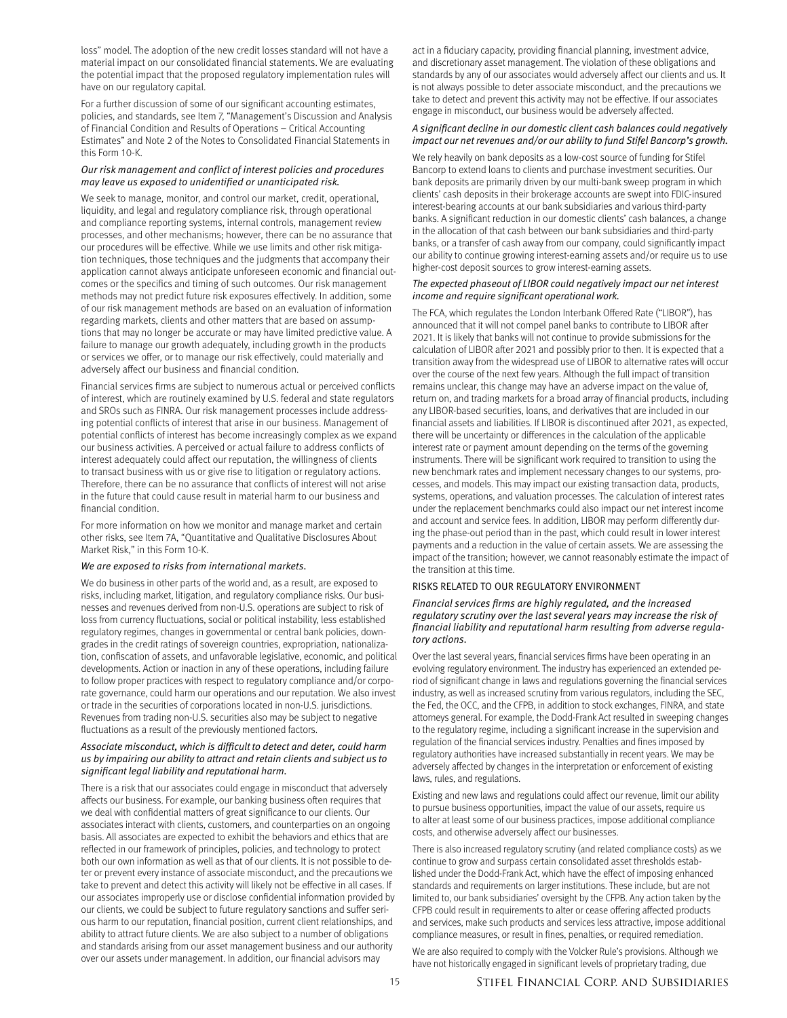loss" model. The adoption of the new credit losses standard will not have a material impact on our consolidated financial statements. We are evaluating the potential impact that the proposed regulatory implementation rules will have on our regulatory capital.

For a further discussion of some of our significant accounting estimates, policies, and standards, see Item 7, "Management's Discussion and Analysis of Financial Condition and Results of Operations – Critical Accounting Estimates" and Note 2 of the Notes to Consolidated Financial Statements in this Form 10-K.

#### Our risk management and conflict of interest policies and procedures may leave us exposed to unidentified or unanticipated risk.

We seek to manage, monitor, and control our market, credit, operational, liquidity, and legal and regulatory compliance risk, through operational and compliance reporting systems, internal controls, management review processes, and other mechanisms; however, there can be no assurance that our procedures will be effective. While we use limits and other risk mitigation techniques, those techniques and the judgments that accompany their application cannot always anticipate unforeseen economic and financial outcomes or the specifics and timing of such outcomes. Our risk management methods may not predict future risk exposures effectively. In addition, some of our risk management methods are based on an evaluation of information regarding markets, clients and other matters that are based on assumptions that may no longer be accurate or may have limited predictive value. A failure to manage our growth adequately, including growth in the products or services we offer, or to manage our risk effectively, could materially and adversely affect our business and financial condition.

Financial services firms are subject to numerous actual or perceived conflicts of interest, which are routinely examined by U.S. federal and state regulators and SROs such as FINRA. Our risk management processes include addressing potential conflicts of interest that arise in our business. Management of potential conflicts of interest has become increasingly complex as we expand our business activities. A perceived or actual failure to address conflicts of interest adequately could affect our reputation, the willingness of clients to transact business with us or give rise to litigation or regulatory actions. Therefore, there can be no assurance that conflicts of interest will not arise in the future that could cause result in material harm to our business and financial condition.

For more information on how we monitor and manage market and certain other risks, see Item 7A, "Quantitative and Qualitative Disclosures About Market Risk," in this Form 10-K.

#### We are exposed to risks from international markets.

We do business in other parts of the world and, as a result, are exposed to risks, including market, litigation, and regulatory compliance risks. Our businesses and revenues derived from non-U.S. operations are subject to risk of loss from currency fluctuations, social or political instability, less established regulatory regimes, changes in governmental or central bank policies, downgrades in the credit ratings of sovereign countries, expropriation, nationalization, confiscation of assets, and unfavorable legislative, economic, and political developments. Action or inaction in any of these operations, including failure to follow proper practices with respect to regulatory compliance and/or corporate governance, could harm our operations and our reputation. We also invest or trade in the securities of corporations located in non-U.S. jurisdictions. Revenues from trading non-U.S. securities also may be subject to negative fluctuations as a result of the previously mentioned factors.

#### Associate misconduct, which is difficult to detect and deter, could harm us by impairing our ability to attract and retain clients and subject us to significant legal liability and reputational harm.

There is a risk that our associates could engage in misconduct that adversely affects our business. For example, our banking business often requires that we deal with confidential matters of great significance to our clients. Our associates interact with clients, customers, and counterparties on an ongoing basis. All associates are expected to exhibit the behaviors and ethics that are reflected in our framework of principles, policies, and technology to protect both our own information as well as that of our clients. It is not possible to deter or prevent every instance of associate misconduct, and the precautions we take to prevent and detect this activity will likely not be effective in all cases. If our associates improperly use or disclose confidential information provided by our clients, we could be subject to future regulatory sanctions and suffer serious harm to our reputation, financial position, current client relationships, and ability to attract future clients. We are also subject to a number of obligations and standards arising from our asset management business and our authority over our assets under management. In addition, our financial advisors may

act in a fiduciary capacity, providing financial planning, investment advice, and discretionary asset management. The violation of these obligations and standards by any of our associates would adversely affect our clients and us. It is not always possible to deter associate misconduct, and the precautions we take to detect and prevent this activity may not be effective. If our associates engage in misconduct, our business would be adversely affected.

### A significant decline in our domestic client cash balances could negatively impact our net revenues and/or our ability to fund Stifel Bancorp's growth.

We rely heavily on bank deposits as a low-cost source of funding for Stifel Bancorp to extend loans to clients and purchase investment securities. Our bank deposits are primarily driven by our multi-bank sweep program in which clients' cash deposits in their brokerage accounts are swept into FDIC-insured interest-bearing accounts at our bank subsidiaries and various third-party banks. A significant reduction in our domestic clients' cash balances, a change in the allocation of that cash between our bank subsidiaries and third-party banks, or a transfer of cash away from our company, could significantly impact our ability to continue growing interest-earning assets and/or require us to use higher-cost deposit sources to grow interest-earning assets.

#### The expected phaseout of LIBOR could negatively impact our net interest income and require significant operational work.

The FCA, which regulates the London Interbank Offered Rate ("LIBOR"), has announced that it will not compel panel banks to contribute to LIBOR after 2021. It is likely that banks will not continue to provide submissions for the calculation of LIBOR after 2021 and possibly prior to then. It is expected that a transition away from the widespread use of LIBOR to alternative rates will occur over the course of the next few years. Although the full impact of transition remains unclear, this change may have an adverse impact on the value of, return on, and trading markets for a broad array of financial products, including any LIBOR-based securities, loans, and derivatives that are included in our financial assets and liabilities. If LIBOR is discontinued after 2021, as expected, there will be uncertainty or differences in the calculation of the applicable interest rate or payment amount depending on the terms of the governing instruments. There will be significant work required to transition to using the new benchmark rates and implement necessary changes to our systems, processes, and models. This may impact our existing transaction data, products, systems, operations, and valuation processes. The calculation of interest rates under the replacement benchmarks could also impact our net interest income and account and service fees. In addition, LIBOR may perform differently during the phase-out period than in the past, which could result in lower interest payments and a reduction in the value of certain assets. We are assessing the impact of the transition; however, we cannot reasonably estimate the impact of the transition at this time.

#### RISKS RELATED TO OUR REGULATORY ENVIRONMENT

#### Financial services firms are highly regulated, and the increased regulatory scrutiny over the last several years may increase the risk of financial liability and reputational harm resulting from adverse regulatory actions.

Over the last several years, financial services firms have been operating in an evolving regulatory environment. The industry has experienced an extended period of significant change in laws and regulations governing the financial services industry, as well as increased scrutiny from various regulators, including the SEC, the Fed, the OCC, and the CFPB, in addition to stock exchanges, FINRA, and state attorneys general. For example, the Dodd-Frank Act resulted in sweeping changes to the regulatory regime, including a significant increase in the supervision and regulation of the financial services industry. Penalties and fines imposed by regulatory authorities have increased substantially in recent years. We may be adversely affected by changes in the interpretation or enforcement of existing laws, rules, and regulations.

Existing and new laws and regulations could affect our revenue, limit our ability to pursue business opportunities, impact the value of our assets, require us to alter at least some of our business practices, impose additional compliance costs, and otherwise adversely affect our businesses.

There is also increased regulatory scrutiny (and related compliance costs) as we continue to grow and surpass certain consolidated asset thresholds established under the Dodd-Frank Act, which have the effect of imposing enhanced standards and requirements on larger institutions. These include, but are not limited to, our bank subsidiaries' oversight by the CFPB. Any action taken by the CFPB could result in requirements to alter or cease offering affected products and services, make such products and services less attractive, impose additional compliance measures, or result in fines, penalties, or required remediation.

We are also required to comply with the Volcker Rule's provisions. Although we have not historically engaged in significant levels of proprietary trading, due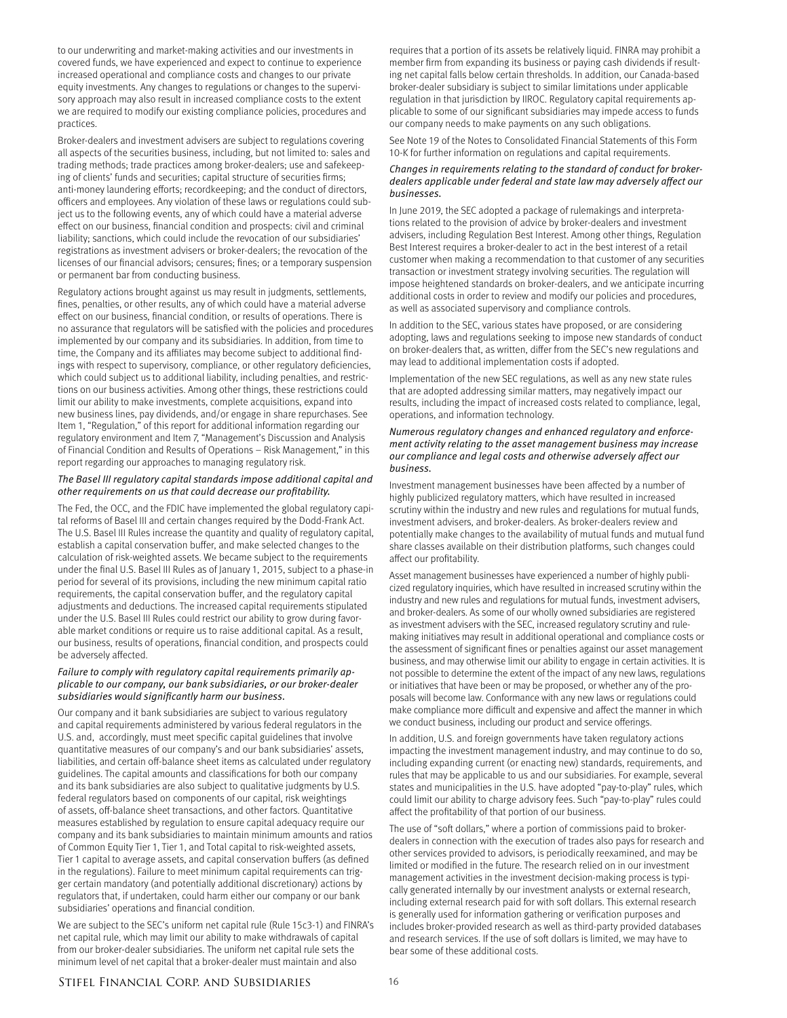to our underwriting and market-making activities and our investments in covered funds, we have experienced and expect to continue to experience increased operational and compliance costs and changes to our private equity investments. Any changes to regulations or changes to the supervisory approach may also result in increased compliance costs to the extent we are required to modify our existing compliance policies, procedures and practices.

Broker-dealers and investment advisers are subject to regulations covering all aspects of the securities business, including, but not limited to: sales and trading methods; trade practices among broker-dealers; use and safekeeping of clients' funds and securities; capital structure of securities firms; anti-money laundering efforts; recordkeeping; and the conduct of directors, officers and employees. Any violation of these laws or regulations could subject us to the following events, any of which could have a material adverse effect on our business, financial condition and prospects: civil and criminal liability; sanctions, which could include the revocation of our subsidiaries' registrations as investment advisers or broker-dealers; the revocation of the licenses of our financial advisors; censures; fines; or a temporary suspension or permanent bar from conducting business.

Regulatory actions brought against us may result in judgments, settlements, fines, penalties, or other results, any of which could have a material adverse effect on our business, financial condition, or results of operations. There is no assurance that regulators will be satisfied with the policies and procedures implemented by our company and its subsidiaries. In addition, from time to time, the Company and its affiliates may become subject to additional findings with respect to supervisory, compliance, or other regulatory deficiencies, which could subject us to additional liability, including penalties, and restrictions on our business activities. Among other things, these restrictions could limit our ability to make investments, complete acquisitions, expand into new business lines, pay dividends, and/or engage in share repurchases. See Item 1, "Regulation," of this report for additional information regarding our regulatory environment and Item 7, "Management's Discussion and Analysis of Financial Condition and Results of Operations – Risk Management," in this report regarding our approaches to managing regulatory risk.

## The Basel III regulatory capital standards impose additional capital and other requirements on us that could decrease our profitability.

The Fed, the OCC, and the FDIC have implemented the global regulatory capital reforms of Basel III and certain changes required by the Dodd-Frank Act. The U.S. Basel III Rules increase the quantity and quality of regulatory capital, establish a capital conservation buffer, and make selected changes to the calculation of risk-weighted assets. We became subject to the requirements under the final U.S. Basel III Rules as of January 1, 2015, subject to a phase-in period for several of its provisions, including the new minimum capital ratio requirements, the capital conservation buffer, and the regulatory capital adjustments and deductions. The increased capital requirements stipulated under the U.S. Basel III Rules could restrict our ability to grow during favorable market conditions or require us to raise additional capital. As a result, our business, results of operations, financial condition, and prospects could be adversely affected.

## Failure to comply with regulatory capital requirements primarily applicable to our company, our bank subsidiaries, or our broker-dealer subsidiaries would significantly harm our business.

Our company and it bank subsidiaries are subject to various regulatory and capital requirements administered by various federal regulators in the U.S. and, accordingly, must meet specific capital guidelines that involve quantitative measures of our company's and our bank subsidiaries' assets, liabilities, and certain off-balance sheet items as calculated under regulatory guidelines. The capital amounts and classifications for both our company and its bank subsidiaries are also subject to qualitative judgments by U.S. federal regulators based on components of our capital, risk weightings of assets, off-balance sheet transactions, and other factors. Quantitative measures established by regulation to ensure capital adequacy require our company and its bank subsidiaries to maintain minimum amounts and ratios of Common Equity Tier 1, Tier 1, and Total capital to risk-weighted assets, Tier 1 capital to average assets, and capital conservation buffers (as defined in the regulations). Failure to meet minimum capital requirements can trigger certain mandatory (and potentially additional discretionary) actions by regulators that, if undertaken, could harm either our company or our bank subsidiaries' operations and financial condition.

We are subject to the SEC's uniform net capital rule (Rule 15c3-1) and FINRA's net capital rule, which may limit our ability to make withdrawals of capital from our broker-dealer subsidiaries. The uniform net capital rule sets the minimum level of net capital that a broker-dealer must maintain and also

requires that a portion of its assets be relatively liquid. FINRA may prohibit a member firm from expanding its business or paying cash dividends if resulting net capital falls below certain thresholds. In addition, our Canada-based broker-dealer subsidiary is subject to similar limitations under applicable regulation in that jurisdiction by IIROC. Regulatory capital requirements applicable to some of our significant subsidiaries may impede access to funds our company needs to make payments on any such obligations.

See Note 19 of the Notes to Consolidated Financial Statements of this Form 10-K for further information on regulations and capital requirements.

## Changes in requirements relating to the standard of conduct for brokerdealers applicable under federal and state law may adversely affect our businesses.

In June 2019, the SEC adopted a package of rulemakings and interpretations related to the provision of advice by broker-dealers and investment advisers, including Regulation Best Interest. Among other things, Regulation Best Interest requires a broker-dealer to act in the best interest of a retail customer when making a recommendation to that customer of any securities transaction or investment strategy involving securities. The regulation will impose heightened standards on broker-dealers, and we anticipate incurring additional costs in order to review and modify our policies and procedures, as well as associated supervisory and compliance controls.

In addition to the SEC, various states have proposed, or are considering adopting, laws and regulations seeking to impose new standards of conduct on broker-dealers that, as written, differ from the SEC's new regulations and may lead to additional implementation costs if adopted.

Implementation of the new SEC regulations, as well as any new state rules that are adopted addressing similar matters, may negatively impact our results, including the impact of increased costs related to compliance, legal, operations, and information technology.

### Numerous regulatory changes and enhanced regulatory and enforcement activity relating to the asset management business may increase our compliance and legal costs and otherwise adversely affect our business.

Investment management businesses have been affected by a number of highly publicized regulatory matters, which have resulted in increased scrutiny within the industry and new rules and regulations for mutual funds, investment advisers, and broker-dealers. As broker-dealers review and potentially make changes to the availability of mutual funds and mutual fund share classes available on their distribution platforms, such changes could affect our profitability.

Asset management businesses have experienced a number of highly publicized regulatory inquiries, which have resulted in increased scrutiny within the industry and new rules and regulations for mutual funds, investment advisers, and broker-dealers. As some of our wholly owned subsidiaries are registered as investment advisers with the SEC, increased regulatory scrutiny and rulemaking initiatives may result in additional operational and compliance costs or the assessment of significant fines or penalties against our asset management business, and may otherwise limit our ability to engage in certain activities. It is not possible to determine the extent of the impact of any new laws, regulations or initiatives that have been or may be proposed, or whether any of the proposals will become law. Conformance with any new laws or regulations could make compliance more difficult and expensive and affect the manner in which we conduct business, including our product and service offerings.

In addition, U.S. and foreign governments have taken regulatory actions impacting the investment management industry, and may continue to do so, including expanding current (or enacting new) standards, requirements, and rules that may be applicable to us and our subsidiaries. For example, several states and municipalities in the U.S. have adopted "pay-to-play" rules, which could limit our ability to charge advisory fees. Such "pay-to-play" rules could affect the profitability of that portion of our business.

The use of "soft dollars," where a portion of commissions paid to brokerdealers in connection with the execution of trades also pays for research and other services provided to advisors, is periodically reexamined, and may be limited or modified in the future. The research relied on in our investment management activities in the investment decision-making process is typically generated internally by our investment analysts or external research, including external research paid for with soft dollars. This external research is generally used for information gathering or verification purposes and includes broker-provided research as well as third-party provided databases and research services. If the use of soft dollars is limited, we may have to bear some of these additional costs.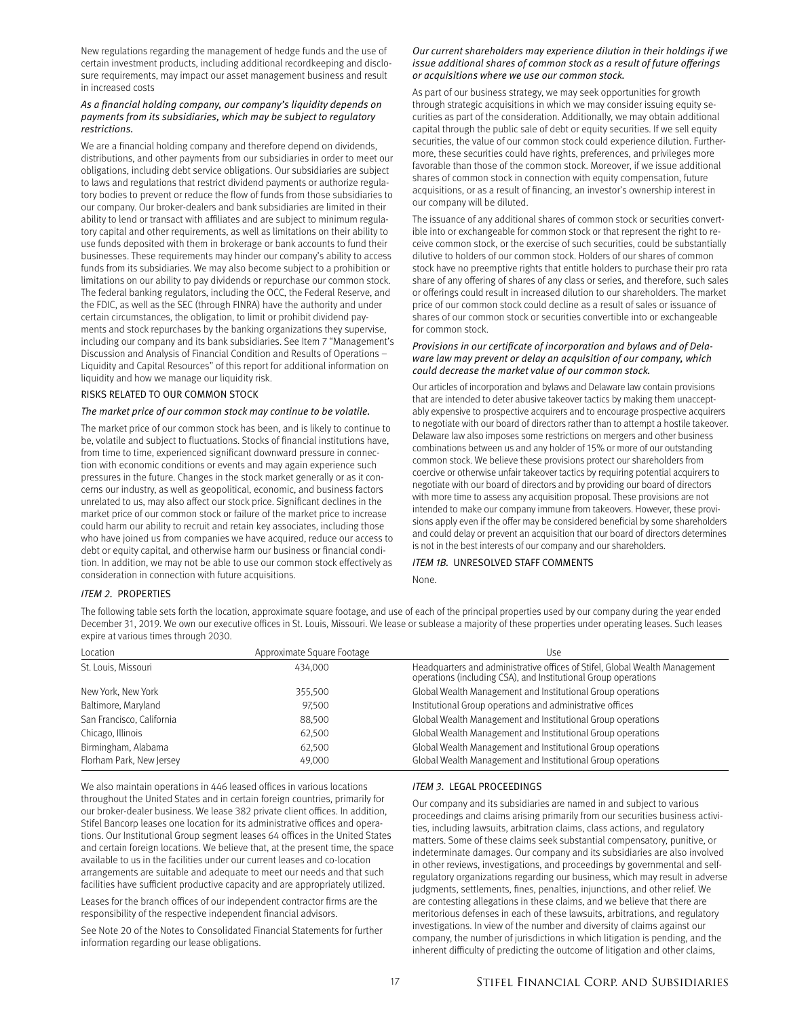New regulations regarding the management of hedge funds and the use of certain investment products, including additional recordkeeping and disclosure requirements, may impact our asset management business and result in increased costs

## As a financial holding company, our company's liquidity depends on payments from its subsidiaries, which may be subject to regulatory restrictions.

We are a financial holding company and therefore depend on dividends, distributions, and other payments from our subsidiaries in order to meet our obligations, including debt service obligations. Our subsidiaries are subject to laws and regulations that restrict dividend payments or authorize regulatory bodies to prevent or reduce the flow of funds from those subsidiaries to our company. Our broker-dealers and bank subsidiaries are limited in their ability to lend or transact with affiliates and are subject to minimum regulatory capital and other requirements, as well as limitations on their ability to use funds deposited with them in brokerage or bank accounts to fund their businesses. These requirements may hinder our company's ability to access funds from its subsidiaries. We may also become subject to a prohibition or limitations on our ability to pay dividends or repurchase our common stock. The federal banking regulators, including the OCC, the Federal Reserve, and the FDIC, as well as the SEC (through FINRA) have the authority and under certain circumstances, the obligation, to limit or prohibit dividend payments and stock repurchases by the banking organizations they supervise, including our company and its bank subsidiaries. See Item 7 "Management's Discussion and Analysis of Financial Condition and Results of Operations – Liquidity and Capital Resources" of this report for additional information on liquidity and how we manage our liquidity risk.

## RISKS RELATED TO OUR COMMON STOCK

#### The market price of our common stock may continue to be volatile.

The market price of our common stock has been, and is likely to continue to be, volatile and subject to fluctuations. Stocks of financial institutions have, from time to time, experienced significant downward pressure in connection with economic conditions or events and may again experience such pressures in the future. Changes in the stock market generally or as it concerns our industry, as well as geopolitical, economic, and business factors unrelated to us, may also affect our stock price. Significant declines in the market price of our common stock or failure of the market price to increase could harm our ability to recruit and retain key associates, including those who have joined us from companies we have acquired, reduce our access to debt or equity capital, and otherwise harm our business or financial condition. In addition, we may not be able to use our common stock effectively as consideration in connection with future acquisitions.

#### Our current shareholders may experience dilution in their holdings if we issue additional shares of common stock as a result of future offerings or acquisitions where we use our common stock.

As part of our business strategy, we may seek opportunities for growth through strategic acquisitions in which we may consider issuing equity securities as part of the consideration. Additionally, we may obtain additional capital through the public sale of debt or equity securities. If we sell equity securities, the value of our common stock could experience dilution. Furthermore, these securities could have rights, preferences, and privileges more favorable than those of the common stock. Moreover, if we issue additional shares of common stock in connection with equity compensation, future acquisitions, or as a result of financing, an investor's ownership interest in our company will be diluted.

The issuance of any additional shares of common stock or securities convertible into or exchangeable for common stock or that represent the right to receive common stock, or the exercise of such securities, could be substantially dilutive to holders of our common stock. Holders of our shares of common stock have no preemptive rights that entitle holders to purchase their pro rata share of any offering of shares of any class or series, and therefore, such sales or offerings could result in increased dilution to our shareholders. The market price of our common stock could decline as a result of sales or issuance of shares of our common stock or securities convertible into or exchangeable for common stock.

#### Provisions in our certificate of incorporation and bylaws and of Delaware law may prevent or delay an acquisition of our company, which could decrease the market value of our common stock.

Our articles of incorporation and bylaws and Delaware law contain provisions that are intended to deter abusive takeover tactics by making them unacceptably expensive to prospective acquirers and to encourage prospective acquirers to negotiate with our board of directors rather than to attempt a hostile takeover. Delaware law also imposes some restrictions on mergers and other business combinations between us and any holder of 15% or more of our outstanding common stock. We believe these provisions protect our shareholders from coercive or otherwise unfair takeover tactics by requiring potential acquirers to negotiate with our board of directors and by providing our board of directors with more time to assess any acquisition proposal. These provisions are not intended to make our company immune from takeovers. However, these provisions apply even if the offer may be considered beneficial by some shareholders and could delay or prevent an acquisition that our board of directors determines is not in the best interests of our company and our shareholders.

## ITEM 1B. UNRESOLVED STAFF COMMENTS

#### None.

#### **ITEM 2. PROPERTIES**

The following table sets forth the location, approximate square footage, and use of each of the principal properties used by our company during the year ended December 31, 2019. We own our executive offices in St. Louis, Missouri. We lease or sublease a majority of these properties under operating leases. Such leases expire at various times through 2030.

| Location                  | Approximate Square Footage | Use                                                                                                                                           |
|---------------------------|----------------------------|-----------------------------------------------------------------------------------------------------------------------------------------------|
| St. Louis, Missouri       | 434,000                    | Headquarters and administrative offices of Stifel, Global Wealth Management<br>operations (including CSA), and Institutional Group operations |
| New York, New York        | 355,500                    | Global Wealth Management and Institutional Group operations                                                                                   |
| Baltimore, Maryland       | 97.500                     | Institutional Group operations and administrative offices                                                                                     |
| San Francisco, California | 88,500                     | Global Wealth Management and Institutional Group operations                                                                                   |
| Chicago, Illinois         | 62,500                     | Global Wealth Management and Institutional Group operations                                                                                   |
| Birmingham, Alabama       | 62,500                     | Global Wealth Management and Institutional Group operations                                                                                   |
| Florham Park, New Jersey  | 49,000                     | Global Wealth Management and Institutional Group operations                                                                                   |

We also maintain operations in 446 leased offices in various locations throughout the United States and in certain foreign countries, primarily for our broker-dealer business. We lease 382 private client offices. In addition, Stifel Bancorp leases one location for its administrative offices and operations. Our Institutional Group segment leases 64 offices in the United States and certain foreign locations. We believe that, at the present time, the space available to us in the facilities under our current leases and co-location arrangements are suitable and adequate to meet our needs and that such facilities have sufficient productive capacity and are appropriately utilized.

Leases for the branch offices of our independent contractor firms are the responsibility of the respective independent financial advisors.

See Note 20 of the Notes to Consolidated Financial Statements for further information regarding our lease obligations.

## **ITEM 3. LEGAL PROCEEDINGS**

Our company and its subsidiaries are named in and subject to various proceedings and claims arising primarily from our securities business activities, including lawsuits, arbitration claims, class actions, and regulatory matters. Some of these claims seek substantial compensatory, punitive, or indeterminate damages. Our company and its subsidiaries are also involved in other reviews, investigations, and proceedings by governmental and selfregulatory organizations regarding our business, which may result in adverse judgments, settlements, fines, penalties, injunctions, and other relief. We are contesting allegations in these claims, and we believe that there are meritorious defenses in each of these lawsuits, arbitrations, and regulatory investigations. In view of the number and diversity of claims against our company, the number of jurisdictions in which litigation is pending, and the inherent difficulty of predicting the outcome of litigation and other claims,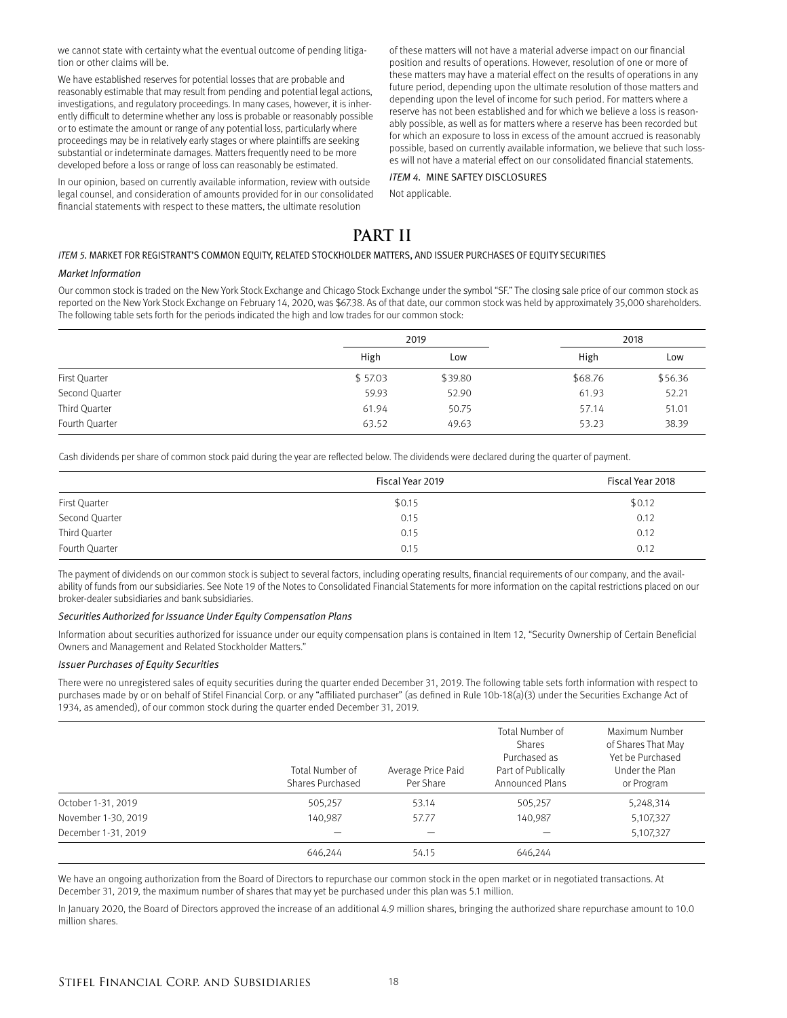we cannot state with certainty what the eventual outcome of pending litigation or other claims will be.

We have established reserves for potential losses that are probable and reasonably estimable that may result from pending and potential legal actions, investigations, and regulatory proceedings. In many cases, however, it is inherently difficult to determine whether any loss is probable or reasonably possible or to estimate the amount or range of any potential loss, particularly where proceedings may be in relatively early stages or where plaintiffs are seeking substantial or indeterminate damages. Matters frequently need to be more developed before a loss or range of loss can reasonably be estimated.

In our opinion, based on currently available information, review with outside legal counsel, and consideration of amounts provided for in our consolidated financial statements with respect to these matters, the ultimate resolution

of these matters will not have a material adverse impact on our financial position and results of operations. However, resolution of one or more of these matters may have a material effect on the results of operations in any future period, depending upon the ultimate resolution of those matters and depending upon the level of income for such period. For matters where a reserve has not been established and for which we believe a loss is reasonably possible, as well as for matters where a reserve has been recorded but for which an exposure to loss in excess of the amount accrued is reasonably possible, based on currently available information, we believe that such losses will not have a material effect on our consolidated financial statements.

### ITEM 4. MINE SAFTEY DISCLOSURES

Not applicable.

# **PART II**

## ITEM 5. MARKET FOR REGISTRANT'S COMMON EQUITY, RELATED STOCKHOLDER MATTERS, AND ISSUER PURCHASES OF EQUITY SECURITIES

## Market Information

Our common stock is traded on the New York Stock Exchange and Chicago Stock Exchange under the symbol "SF." The closing sale price of our common stock as reported on the New York Stock Exchange on February 14, 2020, was \$67.38. As of that date, our common stock was held by approximately 35,000 shareholders. The following table sets forth for the periods indicated the high and low trades for our common stock:

|                |         | 2019    |         | 2018    |
|----------------|---------|---------|---------|---------|
|                | High    | Low     | High    | Low     |
| First Quarter  | \$57.03 | \$39.80 | \$68.76 | \$56.36 |
| Second Quarter | 59.93   | 52.90   | 61.93   | 52.21   |
| Third Quarter  | 61.94   | 50.75   | 57.14   | 51.01   |
| Fourth Quarter | 63.52   | 49.63   | 53.23   | 38.39   |

Cash dividends per share of common stock paid during the year are reflected below. The dividends were declared during the quarter of payment.

|                | Fiscal Year 2019 | Fiscal Year 2018 |  |  |
|----------------|------------------|------------------|--|--|
| First Quarter  | \$0.15           | \$0.12           |  |  |
| Second Quarter | 0.15             | 0.12             |  |  |
| Third Quarter  | 0.15             | 0.12             |  |  |
| Fourth Quarter | 0.15             | 0.12             |  |  |

The payment of dividends on our common stock is subject to several factors, including operating results, financial requirements of our company, and the availability of funds from our subsidiaries. See Note 19 of the Notes to Consolidated Financial Statements for more information on the capital restrictions placed on our broker-dealer subsidiaries and bank subsidiaries.

#### Securities Authorized for Issuance Under Equity Compensation Plans

Information about securities authorized for issuance under our equity compensation plans is contained in Item 12, "Security Ownership of Certain Beneficial Owners and Management and Related Stockholder Matters."

#### Issuer Purchases of Equity Securities

There were no unregistered sales of equity securities during the quarter ended December 31, 2019. The following table sets forth information with respect to purchases made by or on behalf of Stifel Financial Corp. or any "affiliated purchaser" (as defined in Rule 10b-18(a)(3) under the Securities Exchange Act of 1934, as amended), of our common stock during the quarter ended December 31, 2019.

|                     | Total Number of<br>Shares Purchased | Average Price Paid<br>Per Share | Total Number of<br><b>Shares</b><br>Purchased as<br>Part of Publically<br><b>Announced Plans</b> | Maximum Number<br>of Shares That May<br>Yet be Purchased<br>Under the Plan<br>or Program |
|---------------------|-------------------------------------|---------------------------------|--------------------------------------------------------------------------------------------------|------------------------------------------------------------------------------------------|
| October 1-31, 2019  | 505,257                             | 53.14                           | 505,257                                                                                          | 5,248,314                                                                                |
| November 1-30, 2019 | 140.987                             | 57.77                           | 140.987                                                                                          | 5,107,327                                                                                |
| December 1-31, 2019 |                                     |                                 |                                                                                                  | 5,107,327                                                                                |
|                     | 646.244                             | 54.15                           | 646.244                                                                                          |                                                                                          |

We have an ongoing authorization from the Board of Directors to repurchase our common stock in the open market or in negotiated transactions. At December 31, 2019, the maximum number of shares that may yet be purchased under this plan was 5.1 million.

In January 2020, the Board of Directors approved the increase of an additional 4.9 million shares, bringing the authorized share repurchase amount to 10.0 million shares.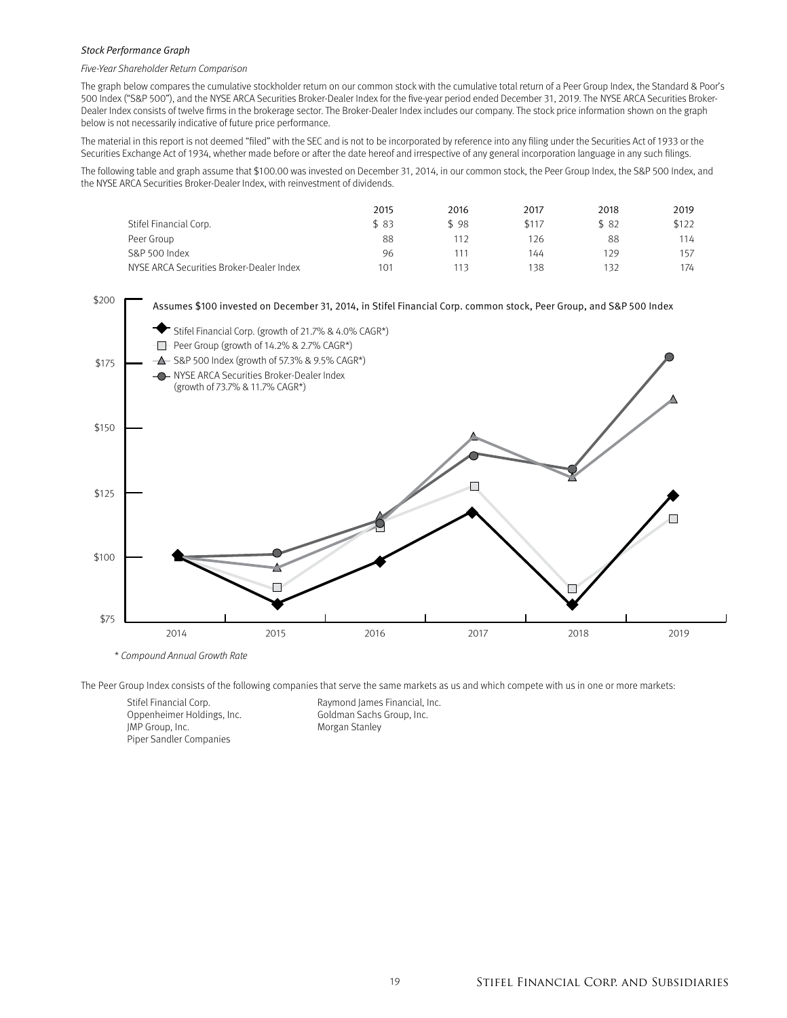### Stock Performance Graph

#### Five-Year Shareholder Return Comparison

The graph below compares the cumulative stockholder return on our common stock with the cumulative total return of a Peer Group Index, the Standard & Poor's 500 Index ("S&P 500"), and the NYSE ARCA Securities Broker-Dealer Index for the five-year period ended December 31, 2019. The NYSE ARCA Securities Broker-Dealer Index consists of twelve firms in the brokerage sector. The Broker-Dealer Index includes our company. The stock price information shown on the graph below is not necessarily indicative of future price performance.

The material in this report is not deemed "filed" with the SEC and is not to be incorporated by reference into any filing under the Securities Act of 1933 or the Securities Exchange Act of 1934, whether made before or after the date hereof and irrespective of any general incorporation language in any such filings.

The following table and graph assume that \$100.00 was invested on December 31, 2014, in our common stock, the Peer Group Index, the S&P 500 Index, and the NYSE ARCA Securities Broker-Dealer Index, with reinvestment of dividends.

|                                          | 2015  | 2016 | 2017  | 2018 | 2019  |
|------------------------------------------|-------|------|-------|------|-------|
| Stifel Financial Corp.                   | \$ 83 | \$98 | \$117 | \$82 | \$122 |
| Peer Group                               | 88    | 112  | 126   | 88   | 114   |
| S&P 500 Index                            | 96    | 111  | 144   | 129  | 157   |
| NYSE ARCA Securities Broker-Dealer Index | 101   | 113  | 38    | 132  | 174   |



The Peer Group Index consists of the following companies that serve the same markets as us and which compete with us in one or more markets:

Stifel Financial Corp.<br>
Oppenheimer Holdings, Inc.<br>
Goldman Sachs Group, Inc. Oppenheimer Holdings, Inc.<br>JMP Group, Inc. Piper Sandler Companies

Morgan Stanley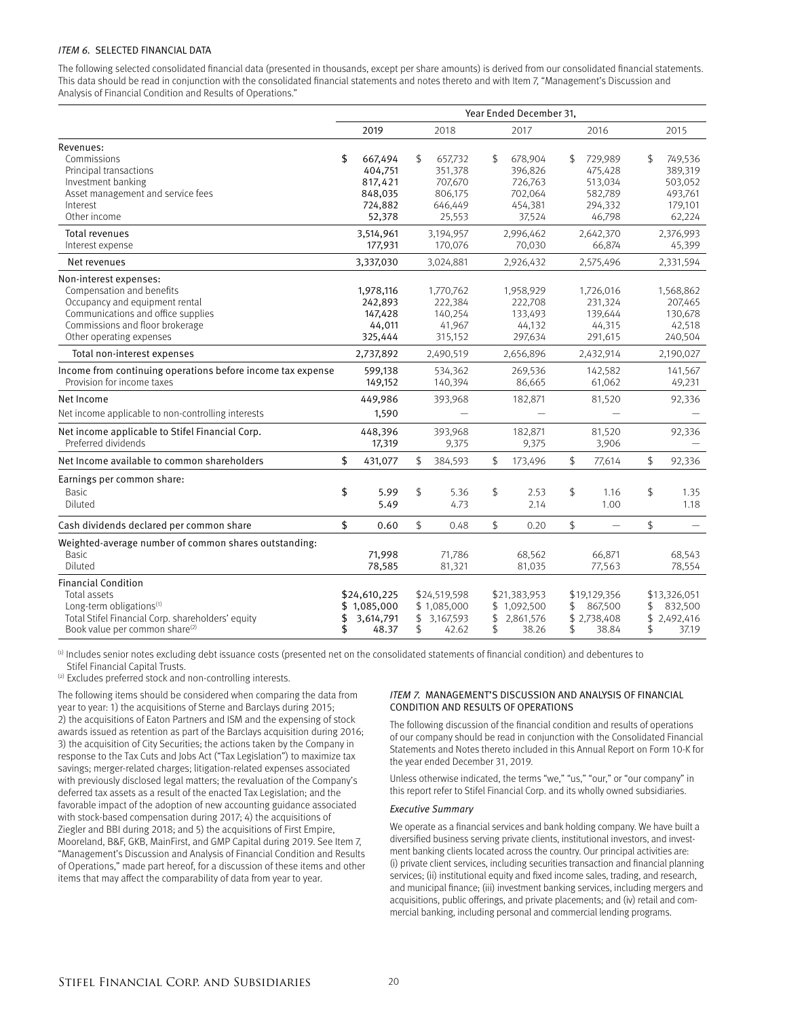## ITEM 6. SELECTED FINANCIAL DATA

The following selected consolidated financial data (presented in thousands, except per share amounts) is derived from our consolidated financial statements. This data should be read in conjunction with the consolidated financial statements and notes thereto and with Item 7, "Management's Discussion and Analysis of Financial Condition and Results of Operations."

|                                                                                           | Year Ended December 31, |                    |    |                    |    |                    |    |                          |    |                    |
|-------------------------------------------------------------------------------------------|-------------------------|--------------------|----|--------------------|----|--------------------|----|--------------------------|----|--------------------|
|                                                                                           |                         | 2019               |    | 2018               |    | 2017               |    | 2016                     |    | 2015               |
| Revenues:                                                                                 |                         |                    |    |                    |    |                    |    |                          |    |                    |
| Commissions                                                                               | \$                      | 667,494            | \$ | 657,732            | \$ | 678.904            | \$ | 729,989                  | \$ | 749,536            |
| Principal transactions                                                                    |                         | 404,751<br>817,421 |    | 351,378<br>707.670 |    | 396,826<br>726.763 |    | 475,428<br>513,034       |    | 389,319<br>503,052 |
| Investment banking<br>Asset management and service fees                                   |                         | 848,035            |    | 806,175            |    | 702,064            |    | 582,789                  |    | 493,761            |
| Interest                                                                                  |                         | 724,882            |    | 646,449            |    | 454,381            |    | 294,332                  |    | 179,101            |
| Other income                                                                              |                         | 52,378             |    | 25,553             |    | 37,524             |    | 46,798                   |    | 62,224             |
| Total revenues                                                                            |                         | 3,514,961          |    | 3,194,957          |    | 2,996,462          |    | 2,642,370                |    | 2,376,993          |
| Interest expense                                                                          |                         | 177,931            |    | 170,076            |    | 70,030             |    | 66,874                   |    | 45,399             |
| Net revenues                                                                              |                         | 3,337,030          |    | 3,024,881          |    | 2,926,432          |    | 2,575,496                |    | 2,331,594          |
| Non-interest expenses:                                                                    |                         |                    |    |                    |    |                    |    |                          |    |                    |
| Compensation and benefits                                                                 |                         | 1,978,116          |    | 1,770,762          |    | 1,958,929          |    | 1,726,016                |    | 1,568,862          |
| Occupancy and equipment rental                                                            |                         | 242,893            |    | 222,384            |    | 222,708            |    | 231.324                  |    | 207,465            |
| Communications and office supplies                                                        |                         | 147,428            |    | 140,254            |    | 133,493            |    | 139,644                  |    | 130,678            |
| Commissions and floor brokerage<br>Other operating expenses                               |                         | 44,011<br>325,444  |    | 41,967<br>315,152  |    | 44,132<br>297,634  |    | 44,315<br>291,615        |    | 42,518<br>240,504  |
|                                                                                           |                         | 2,737,892          |    |                    |    | 2,656,896          |    |                          |    | 2,190,027          |
| Total non-interest expenses                                                               |                         |                    |    | 2,490,519          |    |                    |    | 2,432,914                |    |                    |
| Income from continuing operations before income tax expense<br>Provision for income taxes |                         | 599,138<br>149,152 |    | 534,362<br>140,394 |    | 269,536<br>86,665  |    | 142,582<br>61,062        |    | 141,567<br>49,231  |
| Net Income                                                                                |                         | 449,986            |    | 393,968            |    | 182,871            |    | 81,520                   |    | 92,336             |
| Net income applicable to non-controlling interests                                        |                         | 1,590              |    |                    |    |                    |    |                          |    |                    |
|                                                                                           |                         |                    |    |                    |    |                    |    |                          |    |                    |
| Net income applicable to Stifel Financial Corp.                                           |                         | 448,396            |    | 393,968            |    | 182,871            |    | 81,520                   |    | 92,336             |
| Preferred dividends                                                                       |                         | 17,319             |    | 9,375              |    | 9,375              |    | 3,906                    |    |                    |
| Net Income available to common shareholders                                               | \$                      | 431,077            | \$ | 384,593            | \$ | 173,496            | \$ | 77,614                   | \$ | 92,336             |
| Earnings per common share:                                                                |                         |                    |    |                    |    |                    |    |                          |    |                    |
| <b>Basic</b>                                                                              | \$                      | 5.99               | \$ | 5.36               | \$ | 2.53               | \$ | 1.16                     | \$ | 1.35               |
| Diluted                                                                                   |                         | 5.49               |    | 4.73               |    | 2.14               |    | 1.00                     |    | 1.18               |
| Cash dividends declared per common share                                                  | \$                      | 0.60               | \$ | 0.48               | \$ | 0.20               | \$ | $\overline{\phantom{0}}$ | \$ |                    |
| Weighted-average number of common shares outstanding:                                     |                         |                    |    |                    |    |                    |    |                          |    |                    |
| <b>Basic</b>                                                                              |                         | 71,998             |    | 71,786             |    | 68,562             |    | 66,871                   |    | 68,543             |
| Diluted                                                                                   |                         | 78,585             |    | 81,321             |    | 81,035             |    | 77,563                   |    | 78,554             |
| <b>Financial Condition</b>                                                                |                         |                    |    |                    |    |                    |    |                          |    |                    |
| Total assets                                                                              |                         | \$24,610,225       |    | \$24,519,598       |    | \$21,383,953       |    | \$19,129,356             |    | \$13,326,051       |
| Long-term obligations <sup>(1)</sup>                                                      |                         | \$1,085,000        |    | \$1,085,000        |    | \$1,092,500        | \$ | 867,500                  | \$ | 832,500            |
| Total Stifel Financial Corp. shareholders' equity                                         | \$                      | 3,614,791          | \$ | 3,167,593          | \$ | 2,861,576          |    | \$2,738,408              |    | 2,492,416          |
| Book value per common share <sup>(2)</sup>                                                | \$                      | 48.37              | \$ | 42.62              | \$ | 38.26              | \$ | 38.84                    | \$ | 37.19              |

 $<sup>(t)</sup>$  Includes senior notes excluding debt issuance costs (presented net on the consolidated statements of financial condition) and debentures to</sup> Stifel Financial Capital Trusts.

(2) Excludes preferred stock and non-controlling interests.

The following items should be considered when comparing the data from year to year: 1) the acquisitions of Sterne and Barclays during 2015; 2) the acquisitions of Eaton Partners and ISM and the expensing of stock awards issued as retention as part of the Barclays acquisition during 2016; 3) the acquisition of City Securities; the actions taken by the Company in response to the Tax Cuts and Jobs Act ("Tax Legislation") to maximize tax savings; merger-related charges; litigation-related expenses associated with previously disclosed legal matters; the revaluation of the Company's deferred tax assets as a result of the enacted Tax Legislation; and the favorable impact of the adoption of new accounting guidance associated with stock-based compensation during 2017; 4) the acquisitions of Ziegler and BBI during 2018; and 5) the acquisitions of First Empire, Mooreland, B&F, GKB, MainFirst, and GMP Capital during 2019. See Item 7, "Management's Discussion and Analysis of Financial Condition and Results of Operations," made part hereof, for a discussion of these items and other items that may affect the comparability of data from year to year.

## ITEM 7. MANAGEMENT'S DISCUSSION AND ANALYSIS OF FINANCIAL CONDITION AND RESULTS OF OPERATIONS

The following discussion of the financial condition and results of operations of our company should be read in conjunction with the Consolidated Financial Statements and Notes thereto included in this Annual Report on Form 10-K for the year ended December 31, 2019.

Unless otherwise indicated, the terms "we," "us," "our," or "our company" in this report refer to Stifel Financial Corp. and its wholly owned subsidiaries.

#### Executive Summary

We operate as a financial services and bank holding company. We have built a diversified business serving private clients, institutional investors, and investment banking clients located across the country. Our principal activities are: (i) private client services, including securities transaction and financial planning services; (ii) institutional equity and fixed income sales, trading, and research, and municipal finance; (iii) investment banking services, including mergers and acquisitions, public offerings, and private placements; and (iv) retail and commercial banking, including personal and commercial lending programs.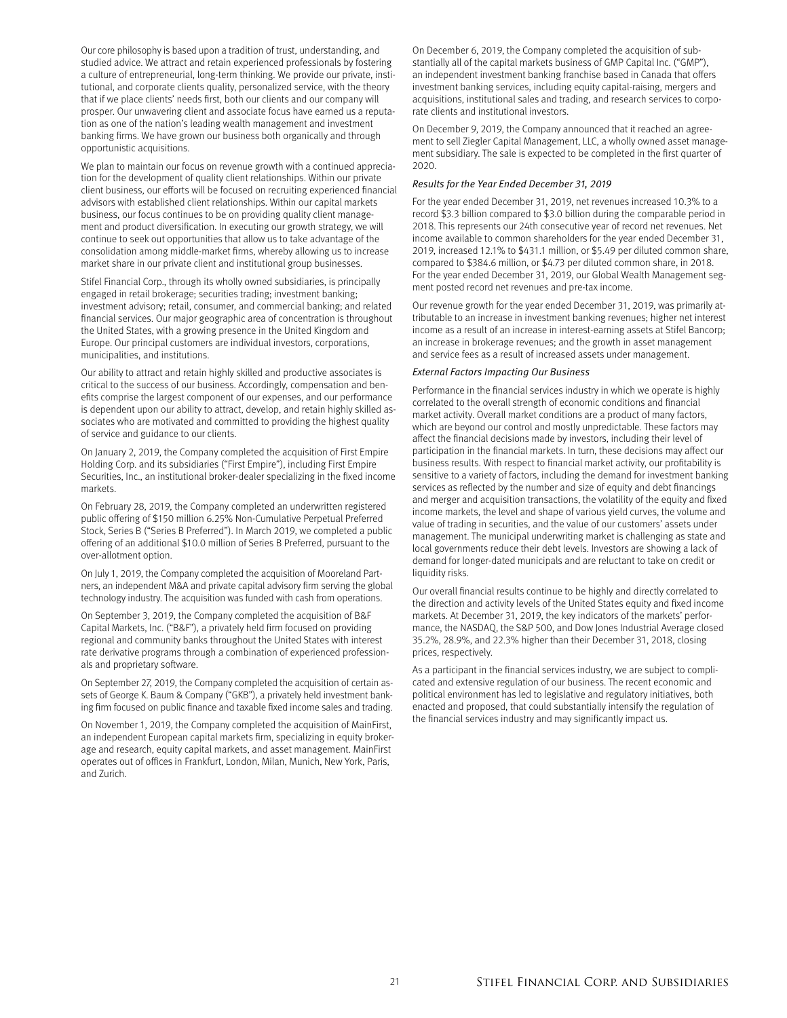Our core philosophy is based upon a tradition of trust, understanding, and studied advice. We attract and retain experienced professionals by fostering a culture of entrepreneurial, long-term thinking. We provide our private, institutional, and corporate clients quality, personalized service, with the theory that if we place clients' needs first, both our clients and our company will prosper. Our unwavering client and associate focus have earned us a reputation as one of the nation's leading wealth management and investment banking firms. We have grown our business both organically and through opportunistic acquisitions.

We plan to maintain our focus on revenue growth with a continued appreciation for the development of quality client relationships. Within our private client business, our efforts will be focused on recruiting experienced financial advisors with established client relationships. Within our capital markets business, our focus continues to be on providing quality client management and product diversification. In executing our growth strategy, we will continue to seek out opportunities that allow us to take advantage of the consolidation among middle-market firms, whereby allowing us to increase market share in our private client and institutional group businesses.

Stifel Financial Corp., through its wholly owned subsidiaries, is principally engaged in retail brokerage; securities trading; investment banking; investment advisory; retail, consumer, and commercial banking; and related financial services. Our major geographic area of concentration is throughout the United States, with a growing presence in the United Kingdom and Europe. Our principal customers are individual investors, corporations, municipalities, and institutions.

Our ability to attract and retain highly skilled and productive associates is critical to the success of our business. Accordingly, compensation and benefits comprise the largest component of our expenses, and our performance is dependent upon our ability to attract, develop, and retain highly skilled associates who are motivated and committed to providing the highest quality of service and guidance to our clients.

On January 2, 2019, the Company completed the acquisition of First Empire Holding Corp. and its subsidiaries ("First Empire"), including First Empire Securities, Inc., an institutional broker-dealer specializing in the fixed income markets.

On February 28, 2019, the Company completed an underwritten registered public offering of \$150 million 6.25% Non-Cumulative Perpetual Preferred Stock, Series B ("Series B Preferred"). In March 2019, we completed a public offering of an additional \$10.0 million of Series B Preferred, pursuant to the over-allotment option.

On July 1, 2019, the Company completed the acquisition of Mooreland Partners, an independent M&A and private capital advisory firm serving the global technology industry. The acquisition was funded with cash from operations.

On September 3, 2019, the Company completed the acquisition of B&F Capital Markets, Inc. ("B&F"), a privately held firm focused on providing regional and community banks throughout the United States with interest rate derivative programs through a combination of experienced professionals and proprietary software.

On September 27, 2019, the Company completed the acquisition of certain assets of George K. Baum & Company ("GKB"), a privately held investment banking firm focused on public finance and taxable fixed income sales and trading.

On November 1, 2019, the Company completed the acquisition of MainFirst, an independent European capital markets firm, specializing in equity brokerage and research, equity capital markets, and asset management. MainFirst operates out of offices in Frankfurt, London, Milan, Munich, New York, Paris, and Zurich.

On December 6, 2019, the Company completed the acquisition of substantially all of the capital markets business of GMP Capital Inc. ("GMP"), an independent investment banking franchise based in Canada that offers investment banking services, including equity capital-raising, mergers and acquisitions, institutional sales and trading, and research services to corporate clients and institutional investors.

On December 9, 2019, the Company announced that it reached an agreement to sell Ziegler Capital Management, LLC, a wholly owned asset management subsidiary. The sale is expected to be completed in the first quarter of 2020.

#### Results for the Year Ended December 31, 2019

For the year ended December 31, 2019, net revenues increased 10.3% to a record \$3.3 billion compared to \$3.0 billion during the comparable period in 2018. This represents our 24th consecutive year of record net revenues. Net income available to common shareholders for the year ended December 31, 2019, increased 12.1% to \$431.1 million, or \$5.49 per diluted common share, compared to \$384.6 million, or \$4.73 per diluted common share, in 2018. For the year ended December 31, 2019, our Global Wealth Management segment posted record net revenues and pre-tax income.

Our revenue growth for the year ended December 31, 2019, was primarily attributable to an increase in investment banking revenues; higher net interest income as a result of an increase in interest-earning assets at Stifel Bancorp; an increase in brokerage revenues; and the growth in asset management and service fees as a result of increased assets under management.

### External Factors Impacting Our Business

Performance in the financial services industry in which we operate is highly correlated to the overall strength of economic conditions and financial market activity. Overall market conditions are a product of many factors, which are beyond our control and mostly unpredictable. These factors may affect the financial decisions made by investors, including their level of participation in the financial markets. In turn, these decisions may affect our business results. With respect to financial market activity, our profitability is sensitive to a variety of factors, including the demand for investment banking services as reflected by the number and size of equity and debt financings and merger and acquisition transactions, the volatility of the equity and fixed income markets, the level and shape of various yield curves, the volume and value of trading in securities, and the value of our customers' assets under management. The municipal underwriting market is challenging as state and local governments reduce their debt levels. Investors are showing a lack of demand for longer-dated municipals and are reluctant to take on credit or liquidity risks.

Our overall financial results continue to be highly and directly correlated to the direction and activity levels of the United States equity and fixed income markets. At December 31, 2019, the key indicators of the markets' performance, the NASDAQ, the S&P 500, and Dow Jones Industrial Average closed 35.2%, 28.9%, and 22.3% higher than their December 31, 2018, closing prices, respectively.

As a participant in the financial services industry, we are subject to complicated and extensive regulation of our business. The recent economic and political environment has led to legislative and regulatory initiatives, both enacted and proposed, that could substantially intensify the regulation of the financial services industry and may significantly impact us.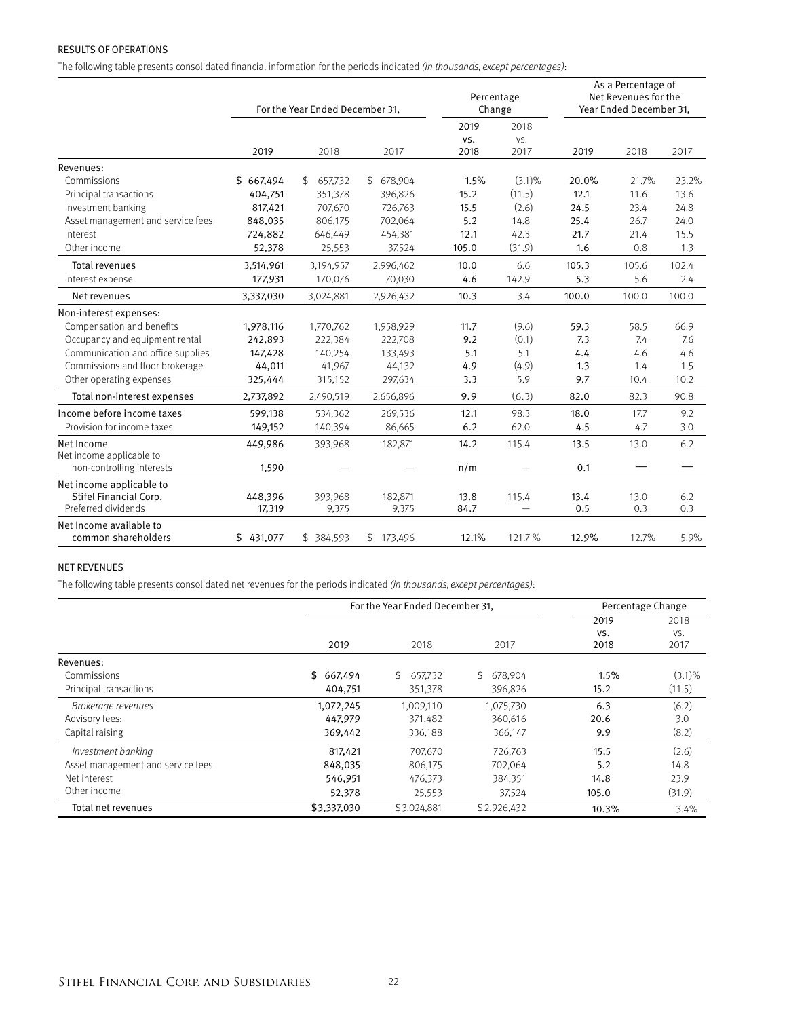## RESULTS OF OPERATIONS

The following table presents consolidated financial information for the periods indicated (in thousands, except percentages):

|                                               |                   | For the Year Ended December 31, |                  | Percentage<br>Change |                     | As a Percentage of<br>Net Revenues for the<br>Year Ended December 31, |             |            |  |
|-----------------------------------------------|-------------------|---------------------------------|------------------|----------------------|---------------------|-----------------------------------------------------------------------|-------------|------------|--|
|                                               | 2019              | 2018                            | 2017             | 2019<br>VS.<br>2018  | 2018<br>VS.<br>2017 | 2019                                                                  | 2018        | 2017       |  |
| Revenues:                                     |                   |                                 |                  |                      |                     |                                                                       |             |            |  |
| Commissions                                   | \$667,494         | 657,732<br>\$                   | \$678,904        | 1.5%                 | $(3.1)\%$           | 20.0%                                                                 | 21.7%       | 23.2%      |  |
| Principal transactions                        | 404,751           | 351,378                         | 396,826          | 15.2                 | (11.5)              | 12.1                                                                  | 11.6        | 13.6       |  |
| Investment banking                            | 817,421           | 707,670                         | 726,763          | 15.5                 | (2.6)               | 24.5                                                                  | 23.4        | 24.8       |  |
| Asset management and service fees             | 848,035           | 806.175                         | 702,064          | 5.2                  | 14.8                | 25.4                                                                  | 26.7        | 24.0       |  |
| Interest                                      | 724,882           | 646,449                         | 454,381          | 12.1                 | 42.3                | 21.7                                                                  | 21.4        | 15.5       |  |
| Other income                                  | 52,378            | 25,553                          | 37,524           | 105.0                | (31.9)              | 1.6                                                                   | 0.8         | 1.3        |  |
| Total revenues                                | 3,514,961         | 3,194,957                       | 2,996,462        | 10.0                 | 6.6                 | 105.3                                                                 | 105.6       | 102.4      |  |
| Interest expense                              | 177,931           | 170,076                         | 70,030           | 4.6                  | 142.9               | 5.3                                                                   | 5.6         | 2.4        |  |
| Net revenues                                  | 3,337,030         | 3,024,881                       | 2,926,432        | 10.3                 | 3.4                 | 100.0                                                                 | 100.0       | 100.0      |  |
| Non-interest expenses:                        |                   |                                 |                  |                      |                     |                                                                       |             |            |  |
| Compensation and benefits                     | 1,978,116         | 1,770,762                       | 1,958,929        | 11.7                 | (9.6)               | 59.3                                                                  | 58.5        | 66.9       |  |
| Occupancy and equipment rental                | 242,893           | 222,384                         | 222,708          | 9.2                  | (0.1)               | 7.3                                                                   | 7.4         | 7.6        |  |
| Communication and office supplies             | 147,428           | 140,254                         | 133,493          | 5.1                  | 5.1                 | 4.4                                                                   | 4.6         | 4.6        |  |
| Commissions and floor brokerage               | 44,011            | 41,967                          | 44,132           | 4.9                  | (4.9)               | 1.3                                                                   | 1.4         | 1.5        |  |
| Other operating expenses                      | 325,444           | 315,152                         | 297,634          | 3.3                  | 5.9                 | 9.7                                                                   | 10.4        | 10.2       |  |
| Total non-interest expenses                   | 2,737,892         | 2,490,519                       | 2,656,896        | 9.9                  | (6.3)               | 82.0                                                                  | 82.3        | 90.8       |  |
| Income before income taxes                    | 599,138           | 534,362                         | 269,536          | 12.1                 | 98.3                | 18.0                                                                  | 17.7        | 9.2        |  |
| Provision for income taxes                    | 149,152           | 140,394                         | 86,665           | 6.2                  | 62.0                | 4.5                                                                   | 4.7         | 3.0        |  |
| Net Income<br>Net income applicable to        | 449,986           | 393,968                         | 182,871          | 14.2                 | 115.4               | 13.5                                                                  | 13.0        | 6.2        |  |
| non-controlling interests                     | 1,590             |                                 |                  | n/m                  |                     | 0.1                                                                   |             |            |  |
| Net income applicable to                      |                   |                                 |                  |                      |                     |                                                                       |             |            |  |
| Stifel Financial Corp.<br>Preferred dividends | 448,396<br>17,319 | 393,968<br>9,375                | 182,871<br>9,375 | 13.8<br>84.7         | 115.4               | 13.4<br>0.5                                                           | 13.0<br>0.3 | 6.2<br>0.3 |  |
| Net Income available to                       |                   |                                 |                  |                      |                     |                                                                       |             |            |  |
| common shareholders                           | \$431,077         | \$ 384,593                      | \$173,496        | 12.1%                | 121.7%              | 12.9%                                                                 | 12.7%       | 5.9%       |  |

## NET REVENUES

The following table presents consolidated net revenues for the periods indicated (in thousands, except percentages):

|                                   | For the Year Ended December 31, | Percentage Change |               |       |           |
|-----------------------------------|---------------------------------|-------------------|---------------|-------|-----------|
|                                   |                                 |                   |               | 2019  | 2018      |
|                                   |                                 |                   |               | VS.   | VS.       |
|                                   | 2019                            | 2018              | 2017          | 2018  | 2017      |
| Revenues:                         |                                 |                   |               |       |           |
| Commissions                       | \$<br>667.494                   | \$.<br>657.732    | \$<br>678,904 | 1.5%  | $(3.1)\%$ |
| Principal transactions            | 404,751                         | 351,378           | 396,826       | 15.2  | (11.5)    |
| Brokerage revenues                | 1,072,245                       | 1,009,110         | 1,075,730     | 6.3   | (6.2)     |
| Advisory fees:                    | 447,979                         | 371,482           | 360,616       | 20.6  | 3.0       |
| Capital raising                   | 369,442                         | 336,188           | 366,147       | 9.9   | (8.2)     |
| Investment banking                | 817,421                         | 707,670           | 726,763       | 15.5  | (2.6)     |
| Asset management and service fees | 848,035                         | 806,175           | 702,064       | 5.2   | 14.8      |
| Net interest                      | 546,951                         | 476,373           | 384,351       | 14.8  | 23.9      |
| Other income                      | 52,378                          | 25,553            | 37,524        | 105.0 | (31.9)    |
| Total net revenues                | \$3,337,030                     | \$3,024,881       | \$2,926,432   | 10.3% | 3.4%      |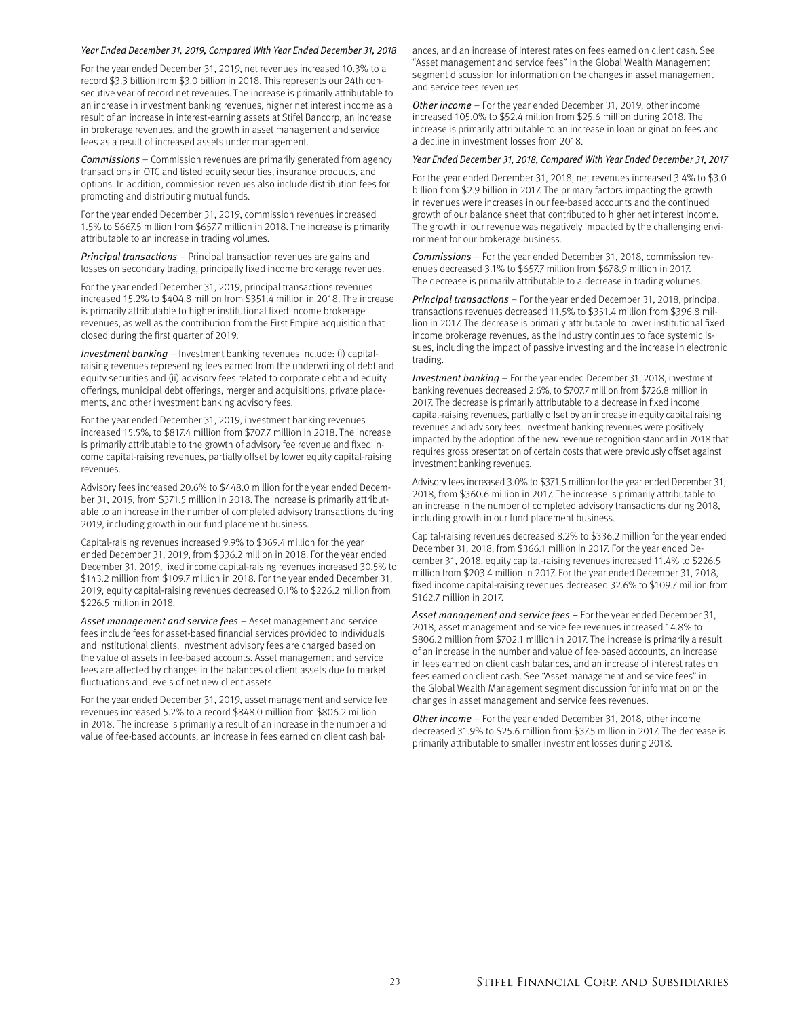#### Year Ended December 31, 2019, Compared With Year Ended December 31, 2018

For the year ended December 31, 2019, net revenues increased 10.3% to a record \$3.3 billion from \$3.0 billion in 2018. This represents our 24th consecutive year of record net revenues. The increase is primarily attributable to an increase in investment banking revenues, higher net interest income as a result of an increase in interest-earning assets at Stifel Bancorp, an increase in brokerage revenues, and the growth in asset management and service fees as a result of increased assets under management.

Commissions – Commission revenues are primarily generated from agency transactions in OTC and listed equity securities, insurance products, and options. In addition, commission revenues also include distribution fees for promoting and distributing mutual funds.

For the year ended December 31, 2019, commission revenues increased 1.5% to \$667.5 million from \$657.7 million in 2018. The increase is primarily attributable to an increase in trading volumes.

**Principal transactions** – Principal transaction revenues are gains and losses on secondary trading, principally fixed income brokerage revenues.

For the year ended December 31, 2019, principal transactions revenues increased 15.2% to \$404.8 million from \$351.4 million in 2018. The increase is primarily attributable to higher institutional fixed income brokerage revenues, as well as the contribution from the First Empire acquisition that closed during the first quarter of 2019.

Investment banking – Investment banking revenues include: (i) capitalraising revenues representing fees earned from the underwriting of debt and equity securities and (ii) advisory fees related to corporate debt and equity offerings, municipal debt offerings, merger and acquisitions, private placements, and other investment banking advisory fees.

For the year ended December 31, 2019, investment banking revenues increased 15.5%, to \$817.4 million from \$707.7 million in 2018. The increase is primarily attributable to the growth of advisory fee revenue and fixed income capital-raising revenues, partially offset by lower equity capital-raising revenues.

Advisory fees increased 20.6% to \$448.0 million for the year ended December 31, 2019, from \$371.5 million in 2018. The increase is primarily attributable to an increase in the number of completed advisory transactions during 2019, including growth in our fund placement business.

Capital-raising revenues increased 9.9% to \$369.4 million for the year ended December 31, 2019, from \$336.2 million in 2018. For the year ended December 31, 2019, fixed income capital-raising revenues increased 30.5% to \$143.2 million from \$109.7 million in 2018. For the year ended December 31, 2019, equity capital-raising revenues decreased 0.1% to \$226.2 million from \$226.5 million in 2018.

Asset management and service fees - Asset management and service fees include fees for asset-based financial services provided to individuals and institutional clients. Investment advisory fees are charged based on the value of assets in fee-based accounts. Asset management and service fees are affected by changes in the balances of client assets due to market fluctuations and levels of net new client assets.

For the year ended December 31, 2019, asset management and service fee revenues increased 5.2% to a record \$848.0 million from \$806.2 million in 2018. The increase is primarily a result of an increase in the number and value of fee-based accounts, an increase in fees earned on client cash balances, and an increase of interest rates on fees earned on client cash. See "Asset management and service fees" in the Global Wealth Management segment discussion for information on the changes in asset management and service fees revenues.

Other income - For the year ended December 31, 2019, other income increased 105.0% to \$52.4 million from \$25.6 million during 2018. The increase is primarily attributable to an increase in loan origination fees and a decline in investment losses from 2018.

#### Year Ended December 31, 2018, Compared With Year Ended December 31, 2017

For the year ended December 31, 2018, net revenues increased 3.4% to \$3.0 billion from \$2.9 billion in 2017. The primary factors impacting the growth in revenues were increases in our fee-based accounts and the continued growth of our balance sheet that contributed to higher net interest income. The growth in our revenue was negatively impacted by the challenging environment for our brokerage business.

Commissions – For the year ended December 31, 2018, commission revenues decreased 3.1% to \$657.7 million from \$678.9 million in 2017. The decrease is primarily attributable to a decrease in trading volumes.

Principal transactions – For the year ended December 31, 2018, principal transactions revenues decreased 11.5% to \$351.4 million from \$396.8 million in 2017. The decrease is primarily attributable to lower institutional fixed income brokerage revenues, as the industry continues to face systemic issues, including the impact of passive investing and the increase in electronic trading.

Investment banking – For the year ended December 31, 2018, investment banking revenues decreased 2.6%, to \$707.7 million from \$726.8 million in 2017. The decrease is primarily attributable to a decrease in fixed income capital-raising revenues, partially offset by an increase in equity capital raising revenues and advisory fees. Investment banking revenues were positively impacted by the adoption of the new revenue recognition standard in 2018 that requires gross presentation of certain costs that were previously offset against investment banking revenues.

Advisory fees increased 3.0% to \$371.5 million for the year ended December 31, 2018, from \$360.6 million in 2017. The increase is primarily attributable to an increase in the number of completed advisory transactions during 2018, including growth in our fund placement business.

Capital-raising revenues decreased 8.2% to \$336.2 million for the year ended December 31, 2018, from \$366.1 million in 2017. For the year ended December 31, 2018, equity capital-raising revenues increased 11.4% to \$226.5 million from \$203.4 million in 2017. For the year ended December 31, 2018, fixed income capital-raising revenues decreased 32.6% to \$109.7 million from \$162.7 million in 2017.

Asset management and service fees - For the year ended December 31, 2018, asset management and service fee revenues increased 14.8% to \$806.2 million from \$702.1 million in 2017. The increase is primarily a result of an increase in the number and value of fee-based accounts, an increase in fees earned on client cash balances, and an increase of interest rates on fees earned on client cash. See "Asset management and service fees" in the Global Wealth Management segment discussion for information on the changes in asset management and service fees revenues.

Other income - For the year ended December 31, 2018, other income decreased 31.9% to \$25.6 million from \$37.5 million in 2017. The decrease is primarily attributable to smaller investment losses during 2018.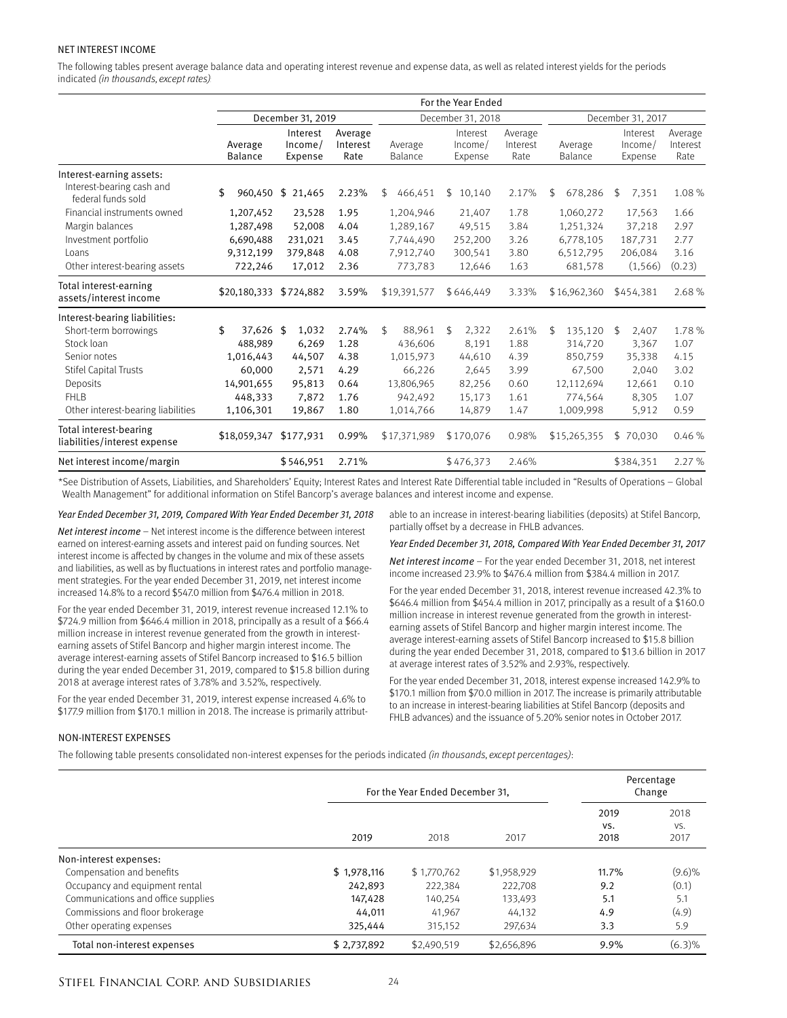### NET INTEREST INCOME

The following tables present average balance data and operating interest revenue and expense data, as well as related interest yields for the periods indicated (in thousands, except rates):

|                                                                             |                           |                                |                             |                    | For the Year Ended             |                             |                           |                                |                             |
|-----------------------------------------------------------------------------|---------------------------|--------------------------------|-----------------------------|--------------------|--------------------------------|-----------------------------|---------------------------|--------------------------------|-----------------------------|
|                                                                             |                           | December 31, 2019              |                             |                    | December 31, 2018              |                             |                           | December 31, 2017              |                             |
|                                                                             | Average<br><b>Balance</b> | Interest<br>Income/<br>Expense | Average<br>Interest<br>Rate | Average<br>Balance | Interest<br>Income/<br>Expense | Average<br>Interest<br>Rate | Average<br>Balance        | Interest<br>Income/<br>Expense | Average<br>Interest<br>Rate |
| Interest-earning assets:<br>Interest-bearing cash and<br>federal funds sold | 960.450 \$<br>\$          | 21,465                         | 2.23%                       | \$<br>466.451      | 10.140<br>$\mathcal{S}$        | 2.17%                       | \$<br>678.286             | \$<br>7,351                    | 1.08%                       |
| Financial instruments owned                                                 | 1,207,452                 | 23,528                         | 1.95                        | 1,204,946          | 21,407                         | 1.78                        | 1,060,272                 | 17.563                         | 1.66                        |
| Margin balances                                                             | 1,287,498                 | 52,008                         | 4.04                        | 1,289,167          | 49,515                         | 3.84                        | 1,251,324                 | 37.218                         | 2.97                        |
| Investment portfolio                                                        | 6,690,488                 | 231,021                        | 3.45                        | 7,744,490          | 252,200                        | 3.26                        | 6,778,105                 | 187,731                        | 2.77                        |
| Loans                                                                       | 9,312,199                 | 379,848                        | 4.08                        | 7,912,740          | 300,541                        | 3.80                        | 6,512,795                 | 206,084                        | 3.16                        |
| Other interest-bearing assets                                               | 722,246                   | 17,012                         | 2.36                        | 773,783            | 12,646                         | 1.63                        | 681,578                   | (1, 566)                       | (0.23)                      |
| Total interest-earning<br>assets/interest income                            | \$20,180,333              | \$724,882                      | 3.59%                       | \$19,391,577       | \$646,449                      | 3.33%                       | \$16,962,360              | \$454.381                      | 2.68%                       |
| Interest-bearing liabilities:                                               |                           |                                |                             |                    |                                |                             |                           |                                |                             |
| Short-term borrowings                                                       | 37,626 \$<br>\$           | 1,032                          | 2.74%                       | 88,961<br>\$       | 2,322<br>\$                    | 2.61%                       | $\mathfrak{F}$<br>135,120 | $\mathfrak{F}$<br>2,407        | 1.78%                       |
| Stock loan                                                                  | 488,989                   | 6,269                          | 1.28                        | 436,606            | 8.191                          | 1.88                        | 314,720                   | 3,367                          | 1.07                        |
| Senior notes                                                                | 1,016,443                 | 44,507                         | 4.38                        | 1,015,973          | 44,610                         | 4.39                        | 850,759                   | 35,338                         | 4.15                        |
| <b>Stifel Capital Trusts</b>                                                | 60,000                    | 2,571                          | 4.29                        | 66,226             | 2,645                          | 3.99                        | 67,500                    | 2,040                          | 3.02                        |
| Deposits                                                                    | 14,901,655                | 95,813                         | 0.64                        | 13,806,965         | 82,256                         | 0.60                        | 12,112,694                | 12,661                         | 0.10                        |
| FHI <sub>B</sub>                                                            | 448,333                   | 7,872                          | 1.76                        | 942,492            | 15,173                         | 1.61                        | 774,564                   | 8,305                          | 1.07                        |
| Other interest-bearing liabilities                                          | 1,106,301                 | 19,867                         | 1.80                        | 1,014,766          | 14,879                         | 1.47                        | 1,009,998                 | 5,912                          | 0.59                        |
| Total interest-bearing<br>liabilities/interest expense                      | \$18,059,347              | \$177,931                      | 0.99%                       | \$17,371,989       | \$170,076                      | 0.98%                       | \$15,265,355              | \$70,030                       | 0.46%                       |
| Net interest income/margin                                                  |                           | \$546,951                      | 2.71%                       |                    | \$476,373                      | 2.46%                       |                           | \$384,351                      | 2.27 %                      |

\*See Distribution of Assets, Liabilities, and Shareholders' Equity; Interest Rates and Interest Rate Differential table included in "Results of Operations – Global Wealth Management" for additional information on Stifel Bancorp's average balances and interest income and expense.

## Year Ended December 31, 2019, Compared With Year Ended December 31, 2018

Net interest income - Net interest income is the difference between interest earned on interest-earning assets and interest paid on funding sources. Net interest income is affected by changes in the volume and mix of these assets and liabilities, as well as by fluctuations in interest rates and portfolio management strategies. For the year ended December 31, 2019, net interest income increased 14.8% to a record \$547.0 million from \$476.4 million in 2018.

For the year ended December 31, 2019, interest revenue increased 12.1% to \$724.9 million from \$646.4 million in 2018, principally as a result of a \$66.4 million increase in interest revenue generated from the growth in interestearning assets of Stifel Bancorp and higher margin interest income. The average interest-earning assets of Stifel Bancorp increased to \$16.5 billion during the year ended December 31, 2019, compared to \$15.8 billion during 2018 at average interest rates of 3.78% and 3.52%, respectively.

For the year ended December 31, 2019, interest expense increased 4.6% to \$177.9 million from \$170.1 million in 2018. The increase is primarily attributable to an increase in interest-bearing liabilities (deposits) at Stifel Bancorp, partially offset by a decrease in FHLB advances.

### Year Ended December 31, 2018, Compared With Year Ended December 31, 2017

Net interest income – For the year ended December 31, 2018, net interest income increased 23.9% to \$476.4 million from \$384.4 million in 2017.

For the year ended December 31, 2018, interest revenue increased 42.3% to \$646.4 million from \$454.4 million in 2017, principally as a result of a \$160.0 million increase in interest revenue generated from the growth in interestearning assets of Stifel Bancorp and higher margin interest income. The average interest-earning assets of Stifel Bancorp increased to \$15.8 billion during the year ended December 31, 2018, compared to \$13.6 billion in 2017 at average interest rates of 3.52% and 2.93%, respectively.

For the year ended December 31, 2018, interest expense increased 142.9% to \$170.1 million from \$70.0 million in 2017. The increase is primarily attributable to an increase in interest-bearing liabilities at Stifel Bancorp (deposits and FHLB advances) and the issuance of 5.20% senior notes in October 2017.

#### NON-INTEREST EXPENSES

The following table presents consolidated non-interest expenses for the periods indicated (in thousands, except percentages):

|                                    | For the Year Ended December 31, |             |             | Percentage<br>Change |                     |
|------------------------------------|---------------------------------|-------------|-------------|----------------------|---------------------|
|                                    | 2019                            | 2018        | 2017        | 2019<br>VS.<br>2018  | 2018<br>VS.<br>2017 |
| Non-interest expenses:             |                                 |             |             |                      |                     |
| Compensation and benefits          | \$1,978,116                     | \$1,770,762 | \$1,958,929 | 11.7%                | $(9.6)\%$           |
| Occupancy and equipment rental     | 242,893                         | 222,384     | 222,708     | 9.2                  | (0.1)               |
| Communications and office supplies | 147,428                         | 140,254     | 133,493     | 5.1                  | 5.1                 |
| Commissions and floor brokerage    | 44.011                          | 41.967      | 44,132      | 4.9                  | (4.9)               |
| Other operating expenses           | 325.444                         | 315,152     | 297.634     | 3.3                  | 5.9                 |
| Total non-interest expenses        | \$2,737,892                     | \$2.490.519 | \$2,656,896 | 9.9%                 | (6.3)%              |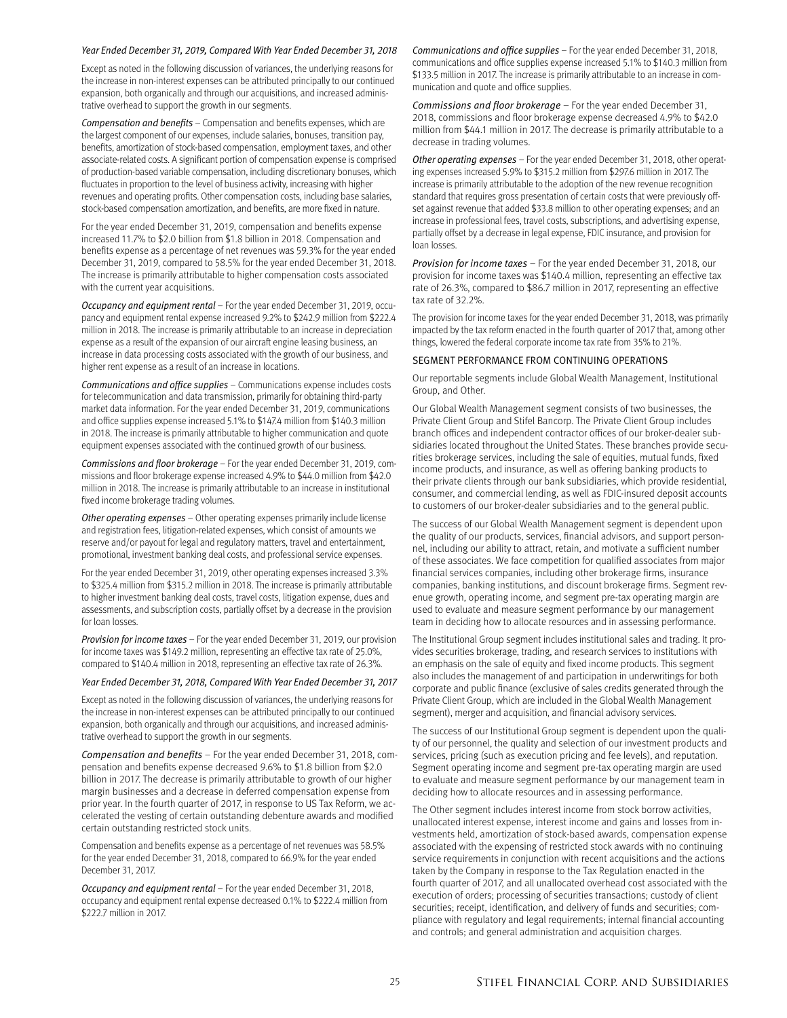#### Year Ended December 31, 2019, Compared With Year Ended December 31, 2018

Except as noted in the following discussion of variances, the underlying reasons for the increase in non-interest expenses can be attributed principally to our continued expansion, both organically and through our acquisitions, and increased administrative overhead to support the growth in our segments.

Compensation and benefits – Compensation and benefits expenses, which are the largest component of our expenses, include salaries, bonuses, transition pay, benefits, amortization of stock-based compensation, employment taxes, and other associate-related costs. A significant portion of compensation expense is comprised of production-based variable compensation, including discretionary bonuses, which fluctuates in proportion to the level of business activity, increasing with higher revenues and operating profits. Other compensation costs, including base salaries, stock-based compensation amortization, and benefits, are more fixed in nature.

For the year ended December 31, 2019, compensation and benefits expense increased 11.7% to \$2.0 billion from \$1.8 billion in 2018. Compensation and benefits expense as a percentage of net revenues was 59.3% for the year ended December 31, 2019, compared to 58.5% for the year ended December 31, 2018. The increase is primarily attributable to higher compensation costs associated with the current year acquisitions.

Occupancy and equipment rental – For the year ended December 31, 2019, occupancy and equipment rental expense increased 9.2% to \$242.9 million from \$222.4 million in 2018. The increase is primarily attributable to an increase in depreciation expense as a result of the expansion of our aircraft engine leasing business, an increase in data processing costs associated with the growth of our business, and higher rent expense as a result of an increase in locations.

Communications and office supplies – Communications expense includes costs for telecommunication and data transmission, primarily for obtaining third-party market data information. For the year ended December 31, 2019, communications and office supplies expense increased 5.1% to \$147.4 million from \$140.3 million in 2018. The increase is primarily attributable to higher communication and quote equipment expenses associated with the continued growth of our business.

Commissions and floor brokerage – For the year ended December 31, 2019, commissions and floor brokerage expense increased 4.9% to \$44.0 million from \$42.0 million in 2018. The increase is primarily attributable to an increase in institutional fixed income brokerage trading volumes.

Other operating expenses - Other operating expenses primarily include license and registration fees, litigation-related expenses, which consist of amounts we reserve and/or payout for legal and regulatory matters, travel and entertainment, promotional, investment banking deal costs, and professional service expenses.

For the year ended December 31, 2019, other operating expenses increased 3.3% to \$325.4 million from \$315.2 million in 2018. The increase is primarily attributable to higher investment banking deal costs, travel costs, litigation expense, dues and assessments, and subscription costs, partially offset by a decrease in the provision for loan losses.

Provision for income taxes - For the year ended December 31, 2019, our provision for income taxes was \$149.2 million, representing an effective tax rate of 25.0%, compared to \$140.4 million in 2018, representing an effective tax rate of 26.3%.

#### Year Ended December 31, 2018, Compared With Year Ended December 31, 2017

Except as noted in the following discussion of variances, the underlying reasons for the increase in non-interest expenses can be attributed principally to our continued expansion, both organically and through our acquisitions, and increased administrative overhead to support the growth in our segments.

Compensation and benefits – For the year ended December 31, 2018, compensation and benefits expense decreased 9.6% to \$1.8 billion from \$2.0 billion in 2017. The decrease is primarily attributable to growth of our higher margin businesses and a decrease in deferred compensation expense from prior year. In the fourth quarter of 2017, in response to US Tax Reform, we accelerated the vesting of certain outstanding debenture awards and modified certain outstanding restricted stock units.

Compensation and benefits expense as a percentage of net revenues was 58.5% for the year ended December 31, 2018, compared to 66.9% for the year ended December 31, 2017.

Occupancy and equipment rental – For the year ended December 31, 2018, occupancy and equipment rental expense decreased 0.1% to \$222.4 million from \$222.7 million in 2017.

Communications and office supplies – For the year ended December 31, 2018, communications and office supplies expense increased 5.1% to \$140.3 million from \$133.5 million in 2017. The increase is primarily attributable to an increase in communication and quote and office supplies.

Commissions and floor brokerage – For the year ended December 31, 2018, commissions and floor brokerage expense decreased 4.9% to \$42.0 million from \$44.1 million in 2017. The decrease is primarily attributable to a decrease in trading volumes.

Other operating expenses – For the year ended December 31, 2018, other operating expenses increased 5.9% to \$315.2 million from \$297.6 million in 2017. The increase is primarily attributable to the adoption of the new revenue recognition standard that requires gross presentation of certain costs that were previously offset against revenue that added \$33.8 million to other operating expenses; and an increase in professional fees, travel costs, subscriptions, and advertising expense, partially offset by a decrease in legal expense, FDIC insurance, and provision for loan losses.

Provision for income taxes – For the year ended December 31, 2018, our provision for income taxes was \$140.4 million, representing an effective tax rate of 26.3%, compared to \$86.7 million in 2017, representing an effective tax rate of 32.2%.

The provision for income taxes for the year ended December 31, 2018, was primarily impacted by the tax reform enacted in the fourth quarter of 2017 that, among other things, lowered the federal corporate income tax rate from 35% to 21%.

#### SEGMENT PERFORMANCE FROM CONTINUING OPERATIONS

Our reportable segments include Global Wealth Management, Institutional Group, and Other.

Our Global Wealth Management segment consists of two businesses, the Private Client Group and Stifel Bancorp. The Private Client Group includes branch offices and independent contractor offices of our broker-dealer subsidiaries located throughout the United States. These branches provide securities brokerage services, including the sale of equities, mutual funds, fixed income products, and insurance, as well as offering banking products to their private clients through our bank subsidiaries, which provide residential, consumer, and commercial lending, as well as FDIC-insured deposit accounts to customers of our broker-dealer subsidiaries and to the general public.

The success of our Global Wealth Management segment is dependent upon the quality of our products, services, financial advisors, and support personnel, including our ability to attract, retain, and motivate a sufficient number of these associates. We face competition for qualified associates from major financial services companies, including other brokerage firms, insurance companies, banking institutions, and discount brokerage firms. Segment revenue growth, operating income, and segment pre-tax operating margin are used to evaluate and measure segment performance by our management team in deciding how to allocate resources and in assessing performance.

The Institutional Group segment includes institutional sales and trading. It provides securities brokerage, trading, and research services to institutions with an emphasis on the sale of equity and fixed income products. This segment also includes the management of and participation in underwritings for both corporate and public finance (exclusive of sales credits generated through the Private Client Group, which are included in the Global Wealth Management segment), merger and acquisition, and financial advisory services.

The success of our Institutional Group segment is dependent upon the quality of our personnel, the quality and selection of our investment products and services, pricing (such as execution pricing and fee levels), and reputation. Segment operating income and segment pre-tax operating margin are used to evaluate and measure segment performance by our management team in deciding how to allocate resources and in assessing performance.

The Other segment includes interest income from stock borrow activities, unallocated interest expense, interest income and gains and losses from investments held, amortization of stock-based awards, compensation expense associated with the expensing of restricted stock awards with no continuing service requirements in conjunction with recent acquisitions and the actions taken by the Company in response to the Tax Regulation enacted in the fourth quarter of 2017, and all unallocated overhead cost associated with the execution of orders; processing of securities transactions; custody of client securities; receipt, identification, and delivery of funds and securities; compliance with regulatory and legal requirements; internal financial accounting and controls; and general administration and acquisition charges.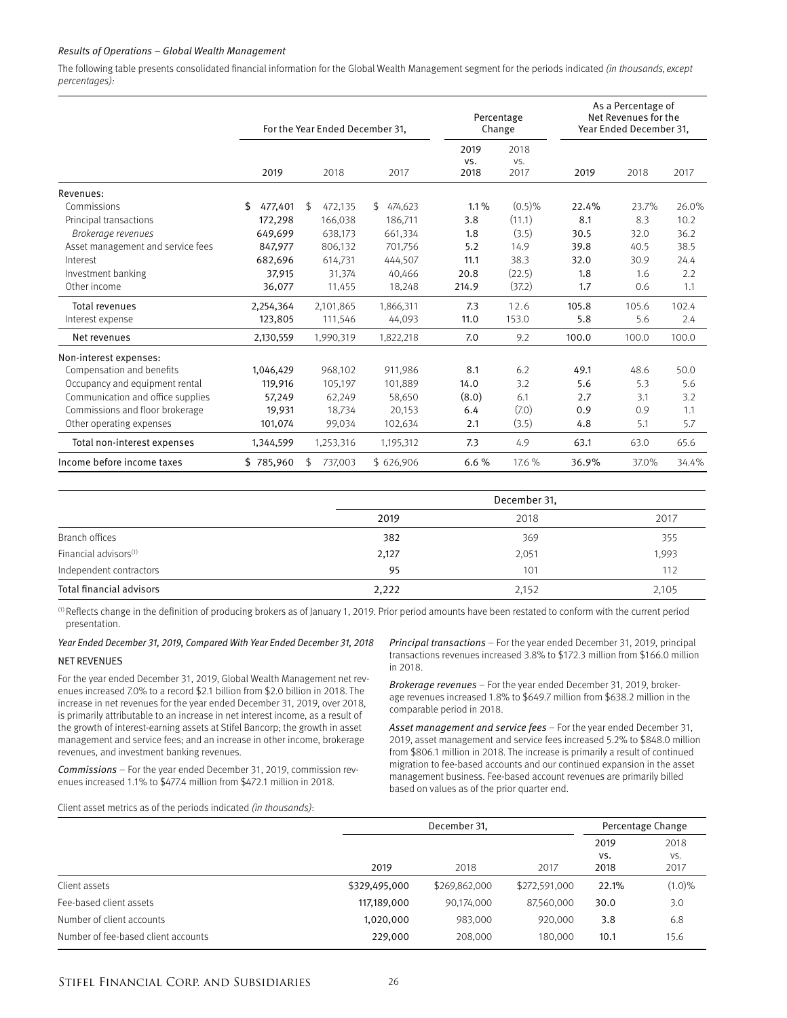#### Results of Operations – Global Wealth Management

The following table presents consolidated financial information for the Global Wealth Management segment for the periods indicated (in thousands, except percentages):

|                                   |               | For the Year Ended December 31. |                           | Percentage<br>Change |                     | As a Percentage of<br>Net Revenues for the<br>Year Ended December 31, |       |       |
|-----------------------------------|---------------|---------------------------------|---------------------------|----------------------|---------------------|-----------------------------------------------------------------------|-------|-------|
|                                   | 2019          | 2018                            | 2017                      | 2019<br>VS.<br>2018  | 2018<br>VS.<br>2017 | 2019                                                                  | 2018  | 2017  |
| Revenues:                         |               |                                 |                           |                      |                     |                                                                       |       |       |
| Commissions                       | \$<br>477,401 | \$<br>472,135                   | 474,623<br>$\mathfrak{F}$ | 1.1%                 | $(0.5)\%$           | 22.4%                                                                 | 23.7% | 26.0% |
| Principal transactions            | 172,298       | 166,038                         | 186,711                   | 3.8                  | (11.1)              | 8.1                                                                   | 8.3   | 10.2  |
| Brokerage revenues                | 649.699       | 638.173                         | 661,334                   | 1.8                  | (3.5)               | 30.5                                                                  | 32.0  | 36.2  |
| Asset management and service fees | 847,977       | 806,132                         | 701,756                   | 5.2                  | 14.9                | 39.8                                                                  | 40.5  | 38.5  |
| Interest                          | 682,696       | 614,731                         | 444,507                   | 11.1                 | 38.3                | 32.0                                                                  | 30.9  | 24.4  |
| Investment banking                | 37,915        | 31,374                          | 40,466                    | 20.8                 | (22.5)              | 1.8                                                                   | 1.6   | 2.2   |
| Other income                      | 36,077        | 11,455                          | 18,248                    | 214.9                | (37.2)              | 1.7                                                                   | 0.6   | 1.1   |
| Total revenues                    | 2,254,364     | 2,101,865                       | 1,866,311                 | 7.3                  | 12.6                | 105.8                                                                 | 105.6 | 102.4 |
| Interest expense                  | 123,805       | 111,546                         | 44.093                    | 11.0                 | 153.0               | 5.8                                                                   | 5.6   | 2.4   |
| Net revenues                      | 2,130,559     | 1,990,319                       | 1,822,218                 | 7.0                  | 9.2                 | 100.0                                                                 | 100.0 | 100.0 |
| Non-interest expenses:            |               |                                 |                           |                      |                     |                                                                       |       |       |
| Compensation and benefits         | 1,046,429     | 968,102                         | 911.986                   | 8.1                  | 6.2                 | 49.1                                                                  | 48.6  | 50.0  |
| Occupancy and equipment rental    | 119,916       | 105,197                         | 101,889                   | 14.0                 | 3.2                 | 5.6                                                                   | 5.3   | 5.6   |
| Communication and office supplies | 57,249        | 62,249                          | 58,650                    | (8.0)                | 6.1                 | 2.7                                                                   | 3.1   | 3.2   |
| Commissions and floor brokerage   | 19,931        | 18,734                          | 20,153                    | 6.4                  | (7.0)               | 0.9                                                                   | 0.9   | 1.1   |
| Other operating expenses          | 101,074       | 99,034                          | 102,634                   | 2.1                  | (3.5)               | 4.8                                                                   | 5.1   | 5.7   |
| Total non-interest expenses       | 1,344,599     | 1,253,316                       | 1,195,312                 | 7.3                  | 4.9                 | 63.1                                                                  | 63.0  | 65.6  |
| Income before income taxes        | \$785,960     | 737,003                         | \$626,906                 | 6.6%                 | 17.6 %              | 36.9%                                                                 | 37.0% | 34.4% |

|                                   |       | December 31. |       |  |  |
|-----------------------------------|-------|--------------|-------|--|--|
|                                   | 2019  | 2018         | 2017  |  |  |
| Branch offices                    | 382   | 369          | 355   |  |  |
| Financial advisors <sup>(1)</sup> | 2,127 | 2,051        | 1,993 |  |  |
| Independent contractors           | 95    | 101          | 112   |  |  |
| Total financial advisors          | 2,222 | 2,152        | 2,105 |  |  |

 $^{(1)}$ Reflects change in the definition of producing brokers as of January 1, 2019. Prior period amounts have been restated to conform with the current period presentation.

## Year Ended December 31, 2019, Compared With Year Ended December 31, 2018 NET REVENUES

For the year ended December 31, 2019, Global Wealth Management net revenues increased 7.0% to a record \$2.1 billion from \$2.0 billion in 2018. The increase in net revenues for the year ended December 31, 2019, over 2018, is primarily attributable to an increase in net interest income, as a result of the growth of interest-earning assets at Stifel Bancorp; the growth in asset management and service fees; and an increase in other income, brokerage revenues, and investment banking revenues.

Commissions – For the year ended December 31, 2019, commission revenues increased 1.1% to \$477.4 million from \$472.1 million in 2018.

Principal transactions – For the year ended December 31, 2019, principal transactions revenues increased 3.8% to \$172.3 million from \$166.0 million in 2018.

Brokerage revenues – For the year ended December 31, 2019, brokerage revenues increased 1.8% to \$649.7 million from \$638.2 million in the comparable period in 2018.

Asset management and service fees - For the year ended December 31, 2019, asset management and service fees increased 5.2% to \$848.0 million from \$806.1 million in 2018. The increase is primarily a result of continued migration to fee-based accounts and our continued expansion in the asset management business. Fee-based account revenues are primarily billed based on values as of the prior quarter end.

Client asset metrics as of the periods indicated (in thousands):

|                                     |               | December 31.  |               |             | Percentage Change |
|-------------------------------------|---------------|---------------|---------------|-------------|-------------------|
|                                     |               |               |               | 2019        | 2018              |
|                                     | 2019          | 2018          | 2017          | VS.<br>2018 | VS.<br>2017       |
| Client assets                       | \$329,495,000 | \$269,862,000 | \$272,591,000 | 22.1%       | $(1.0)\%$         |
| Fee-based client assets             | 117,189,000   | 90.174.000    | 87,560,000    | 30.0        | 3.0               |
| Number of client accounts           | 1,020,000     | 983,000       | 920,000       | 3.8         | 6.8               |
| Number of fee-based client accounts | 229,000       | 208,000       | 180,000       | 10.1        | 15.6              |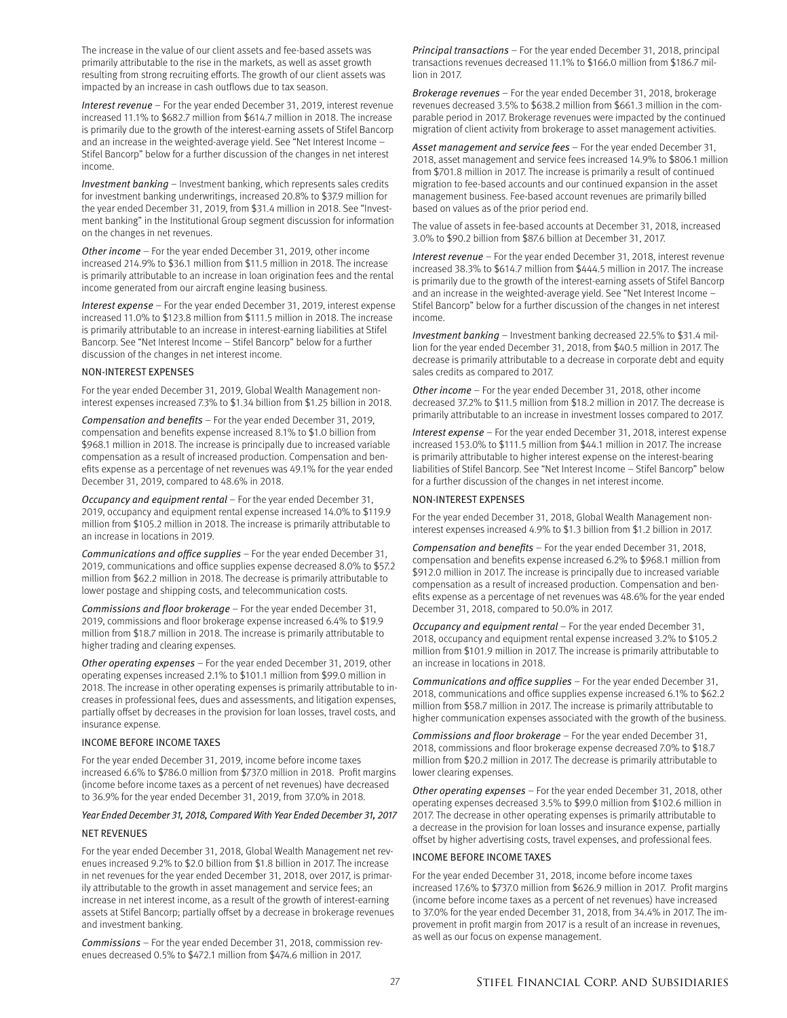The increase in the value of our client assets and fee-based assets was primarily attributable to the rise in the markets, as well as asset growth resulting from strong recruiting efforts. The growth of our client assets was impacted by an increase in cash outflows due to tax season.

Interest revenue – For the year ended December 31, 2019, interest revenue increased 11.1% to \$682.7 million from \$614.7 million in 2018. The increase is primarily due to the growth of the interest-earning assets of Stifel Bancorp and an increase in the weighted-average yield. See "Net Interest Income – Stifel Bancorp" below for a further discussion of the changes in net interest income.

Investment banking – Investment banking, which represents sales credits for investment banking underwritings, increased 20.8% to \$37.9 million for the year ended December 31, 2019, from \$31.4 million in 2018. See "Investment banking" in the Institutional Group segment discussion for information on the changes in net revenues.

Other income – For the year ended December 31, 2019, other income increased 214.9% to \$36.1 million from \$11.5 million in 2018. The increase is primarily attributable to an increase in loan origination fees and the rental income generated from our aircraft engine leasing business.

Interest expense – For the year ended December 31, 2019, interest expense increased 11.0% to \$123.8 million from \$111.5 million in 2018. The increase is primarily attributable to an increase in interest-earning liabilities at Stifel Bancorp. See "Net Interest Income – Stifel Bancorp" below for a further discussion of the changes in net interest income.

#### NON-INTEREST EXPENSES

For the year ended December 31, 2019, Global Wealth Management noninterest expenses increased 7.3% to \$1.34 billion from \$1.25 billion in 2018.

Compensation and benefits – For the year ended December 31, 2019, compensation and benefits expense increased 8.1% to \$1.0 billion from \$968.1 million in 2018. The increase is principally due to increased variable compensation as a result of increased production. Compensation and benefits expense as a percentage of net revenues was 49.1% for the year ended December 31, 2019, compared to 48.6% in 2018.

Occupancy and equipment rental – For the year ended December 31, 2019, occupancy and equipment rental expense increased 14.0% to \$119.9 million from \$105.2 million in 2018. The increase is primarily attributable to an increase in locations in 2019.

Communications and office supplies – For the year ended December 31, 2019, communications and office supplies expense decreased 8.0% to \$57.2 million from \$62.2 million in 2018. The decrease is primarily attributable to lower postage and shipping costs, and telecommunication costs.

Commissions and floor brokerage – For the year ended December 31, 2019, commissions and floor brokerage expense increased 6.4% to \$19.9 million from \$18.7 million in 2018. The increase is primarily attributable to higher trading and clearing expenses.

Other operating expenses - For the year ended December 31, 2019, other operating expenses increased 2.1% to \$101.1 million from \$99.0 million in 2018. The increase in other operating expenses is primarily attributable to increases in professional fees, dues and assessments, and litigation expenses, partially offset by decreases in the provision for loan losses, travel costs, and insurance expense.

#### INCOME BEFORE INCOME TAXES

For the year ended December 31, 2019, income before income taxes increased 6.6% to \$786.0 million from \$737.0 million in 2018. Profit margins (income before income taxes as a percent of net revenues) have decreased to 36.9% for the year ended December 31, 2019, from 37.0% in 2018.

## Year Ended December 31, 2018, Compared With Year Ended December 31, 2017

#### NET REVENUES

For the year ended December 31, 2018, Global Wealth Management net revenues increased 9.2% to \$2.0 billion from \$1.8 billion in 2017. The increase in net revenues for the year ended December 31, 2018, over 2017, is primarily attributable to the growth in asset management and service fees; an increase in net interest income, as a result of the growth of interest-earning assets at Stifel Bancorp; partially offset by a decrease in brokerage revenues and investment banking.

Commissions – For the year ended December 31, 2018, commission revenues decreased 0.5% to \$472.1 million from \$474.6 million in 2017.

Principal transactions - For the year ended December 31, 2018, principal transactions revenues decreased 11.1% to \$166.0 million from \$186.7 million in 2017.

Brokerage revenues – For the year ended December 31, 2018, brokerage revenues decreased 3.5% to \$638.2 million from \$661.3 million in the comparable period in 2017. Brokerage revenues were impacted by the continued migration of client activity from brokerage to asset management activities.

Asset management and service fees - For the year ended December 31, 2018, asset management and service fees increased 14.9% to \$806.1 million from \$701.8 million in 2017. The increase is primarily a result of continued migration to fee-based accounts and our continued expansion in the asset management business. Fee-based account revenues are primarily billed based on values as of the prior period end.

The value of assets in fee-based accounts at December 31, 2018, increased 3.0% to \$90.2 billion from \$87.6 billion at December 31, 2017.

Interest revenue – For the year ended December 31, 2018, interest revenue increased 38.3% to \$614.7 million from \$444.5 million in 2017. The increase is primarily due to the growth of the interest-earning assets of Stifel Bancorp and an increase in the weighted-average yield. See "Net Interest Income – Stifel Bancorp" below for a further discussion of the changes in net interest income.

Investment banking – Investment banking decreased 22.5% to \$31.4 million for the year ended December 31, 2018, from \$40.5 million in 2017. The decrease is primarily attributable to a decrease in corporate debt and equity sales credits as compared to 2017.

Other income – For the year ended December 31, 2018, other income decreased 37.2% to \$11.5 million from \$18.2 million in 2017. The decrease is primarily attributable to an increase in investment losses compared to 2017.

Interest expense – For the year ended December 31, 2018, interest expense increased 153.0% to \$111.5 million from \$44.1 million in 2017. The increase is primarily attributable to higher interest expense on the interest-bearing liabilities of Stifel Bancorp. See "Net Interest Income – Stifel Bancorp" below for a further discussion of the changes in net interest income.

#### NON-INTEREST EXPENSES

For the year ended December 31, 2018, Global Wealth Management noninterest expenses increased 4.9% to \$1.3 billion from \$1.2 billion in 2017.

Compensation and benefits – For the year ended December 31, 2018, compensation and benefits expense increased 6.2% to \$968.1 million from \$912.0 million in 2017. The increase is principally due to increased variable compensation as a result of increased production. Compensation and benefits expense as a percentage of net revenues was 48.6% for the year ended December 31, 2018, compared to 50.0% in 2017.

Occupancy and equipment rental – For the year ended December 31, 2018, occupancy and equipment rental expense increased 3.2% to \$105.2 million from \$101.9 million in 2017. The increase is primarily attributable to an increase in locations in 2018.

Communications and office supplies – For the year ended December 31, 2018, communications and office supplies expense increased 6.1% to \$62.2 million from \$58.7 million in 2017. The increase is primarily attributable to higher communication expenses associated with the growth of the business.

Commissions and floor brokerage – For the year ended December 31, 2018, commissions and floor brokerage expense decreased 7.0% to \$18.7 million from \$20.2 million in 2017. The decrease is primarily attributable to lower clearing expenses.

Other operating expenses – For the year ended December 31, 2018, other operating expenses decreased 3.5% to \$99.0 million from \$102.6 million in 2017. The decrease in other operating expenses is primarily attributable to a decrease in the provision for loan losses and insurance expense, partially offset by higher advertising costs, travel expenses, and professional fees.

#### INCOME BEFORE INCOME TAXES

For the year ended December 31, 2018, income before income taxes increased 17.6% to \$737.0 million from \$626.9 million in 2017. Profit margins (income before income taxes as a percent of net revenues) have increased to 37.0% for the year ended December 31, 2018, from 34.4% in 2017. The improvement in profit margin from 2017 is a result of an increase in revenues, as well as our focus on expense management.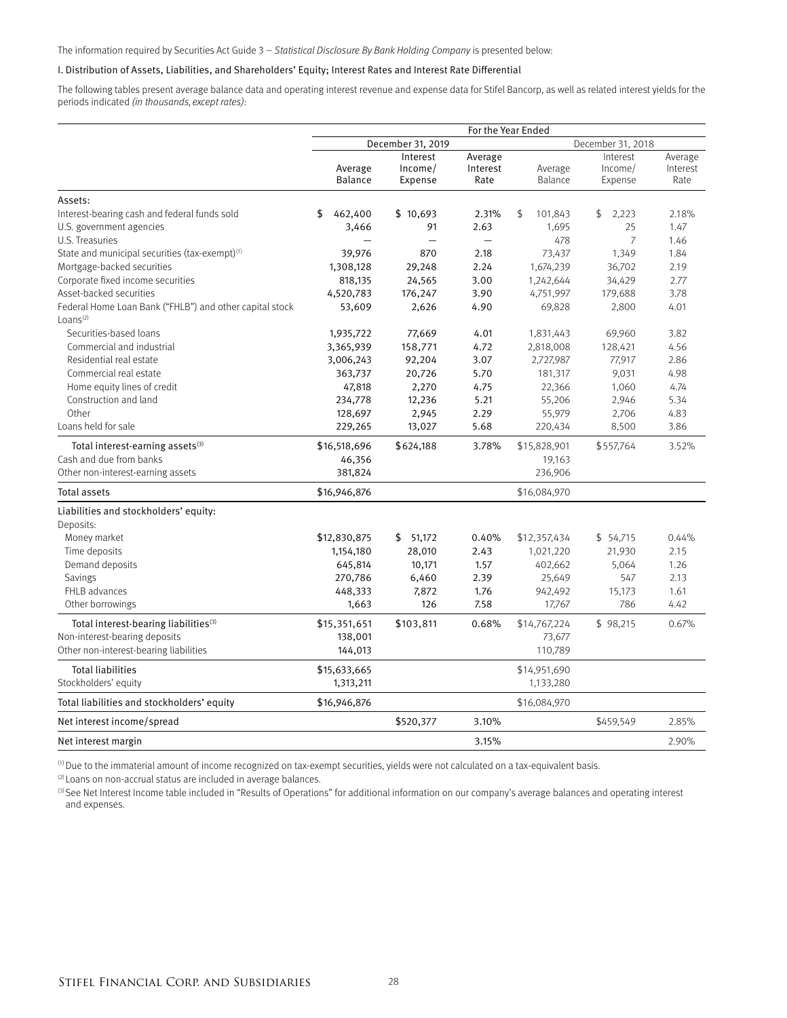## I. Distribution of Assets, Liabilities, and Shareholders' Equity; Interest Rates and Interest Rate Differential

The following tables present average balance data and operating interest revenue and expense data for Stifel Bancorp, as well as related interest yields for the periods indicated (in thousands, except rates):

|                                                            |                |                   | For the Year Ended       |               |                   |          |
|------------------------------------------------------------|----------------|-------------------|--------------------------|---------------|-------------------|----------|
|                                                            |                | December 31, 2019 |                          |               | December 31, 2018 |          |
|                                                            |                | Interest          | Average                  |               | Interest          | Average  |
|                                                            | Average        | Income/           | Interest                 | Average       | Income/           | Interest |
|                                                            | <b>Balance</b> | Expense           | Rate                     | Balance       | Expense           | Rate     |
| Assets:                                                    |                |                   |                          |               |                   |          |
| Interest-bearing cash and federal funds sold               | \$<br>462,400  | \$10,693          | 2.31%                    | \$<br>101,843 | \$<br>2.223       | 2.18%    |
| U.S. government agencies                                   | 3,466          | 91                | 2.63                     | 1,695         | 25                | 1.47     |
| U.S. Treasuries                                            |                |                   | $\overline{\phantom{0}}$ | 478           | 7                 | 1.46     |
| State and municipal securities (tax-exempt) <sup>(1)</sup> | 39,976         | 870               | 2.18                     | 73,437        | 1,349             | 1.84     |
| Mortgage-backed securities                                 | 1,308,128      | 29,248            | 2.24                     | 1,674,239     | 36,702            | 2.19     |
| Corporate fixed income securities                          | 818,135        | 24,565            | 3.00                     | 1,242,644     | 34,429            | 2.77     |
| Asset-backed securities                                    | 4,520,783      | 176,247           | 3.90                     | 4,751,997     | 179,688           | 3.78     |
| Federal Home Loan Bank ("FHLB") and other capital stock    | 53,609         | 2,626             | 4.90                     | 69,828        | 2,800             | 4.01     |
| L <sub>0</sub> ans <sup>(2)</sup>                          |                |                   |                          |               |                   |          |
| Securities-based loans                                     | 1,935,722      | 77,669            | 4.01                     | 1,831,443     | 69.960            | 3.82     |
| Commercial and industrial                                  | 3,365,939      | 158,771           | 4.72                     | 2,818,008     | 128,421           | 4.56     |
| Residential real estate                                    | 3,006,243      | 92,204            | 3.07                     | 2,727,987     | 77,917            | 2.86     |
| Commercial real estate                                     | 363,737        | 20,726            | 5.70                     | 181,317       | 9,031             | 4.98     |
| Home equity lines of credit                                | 47,818         | 2,270             | 4.75                     | 22,366        | 1,060             | 4.74     |
| Construction and land                                      | 234,778        | 12,236            | 5.21                     | 55,206        | 2,946             | 5.34     |
| Other                                                      | 128,697        | 2,945             | 2.29                     | 55,979        | 2,706             | 4.83     |
| Loans held for sale                                        | 229,265        | 13,027            | 5.68                     | 220,434       | 8,500             | 3.86     |
| Total interest-earning assets $(3)$                        | \$16,518,696   | \$624,188         | 3.78%                    | \$15,828,901  | \$557,764         | 3.52%    |
| Cash and due from banks                                    | 46,356         |                   |                          | 19,163        |                   |          |
| Other non-interest-earning assets                          | 381,824        |                   |                          | 236,906       |                   |          |
| Total assets                                               | \$16,946,876   |                   |                          | \$16,084,970  |                   |          |
| Liabilities and stockholders' equity:                      |                |                   |                          |               |                   |          |
| Deposits:                                                  |                |                   |                          |               |                   |          |
| Money market                                               | \$12,830,875   | \$ 51,172         | 0.40%                    | \$12,357,434  | \$54,715          | 0.44%    |
| Time deposits                                              | 1,154,180      | 28,010            | 2.43                     | 1,021,220     | 21,930            | 2.15     |
| Demand deposits                                            | 645,814        | 10,171            | 1.57                     | 402,662       | 5,064             | 1.26     |
| Savings                                                    | 270,786        | 6,460             | 2.39                     | 25,649        | 547               | 2.13     |
| FHLB advances                                              | 448,333        | 7,872             | 1.76                     | 942,492       | 15,173            | 1.61     |
| Other borrowings                                           | 1,663          | 126               | 7.58                     | 17,767        | 786               | 4.42     |
| Total interest-bearing liabilities <sup>(3)</sup>          | \$15,351,651   | \$103,811         | 0.68%                    | \$14,767,224  | \$98,215          | 0.67%    |
| Non-interest-bearing deposits                              | 138,001        |                   |                          | 73,677        |                   |          |
| Other non-interest-bearing liabilities                     | 144,013        |                   |                          | 110,789       |                   |          |
|                                                            |                |                   |                          |               |                   |          |
| <b>Total liabilities</b>                                   | \$15,633,665   |                   |                          | \$14,951,690  |                   |          |
| Stockholders' equity                                       | 1,313,211      |                   |                          | 1,133,280     |                   |          |
| Total liabilities and stockholders' equity                 | \$16,946,876   |                   |                          | \$16,084,970  |                   |          |
| Net interest income/spread                                 |                | \$520,377         | 3.10%                    |               | \$459,549         | 2.85%    |
| Net interest margin                                        |                |                   | 3.15%                    |               |                   | 2.90%    |

<sup>(1)</sup> Due to the immaterial amount of income recognized on tax-exempt securities, yields were not calculated on a tax-equivalent basis.

 $(2)$  Loans on non-accrual status are included in average balances.

(3)See Net Interest Income table included in "Results of Operations" for additional information on our company's average balances and operating interest and expenses.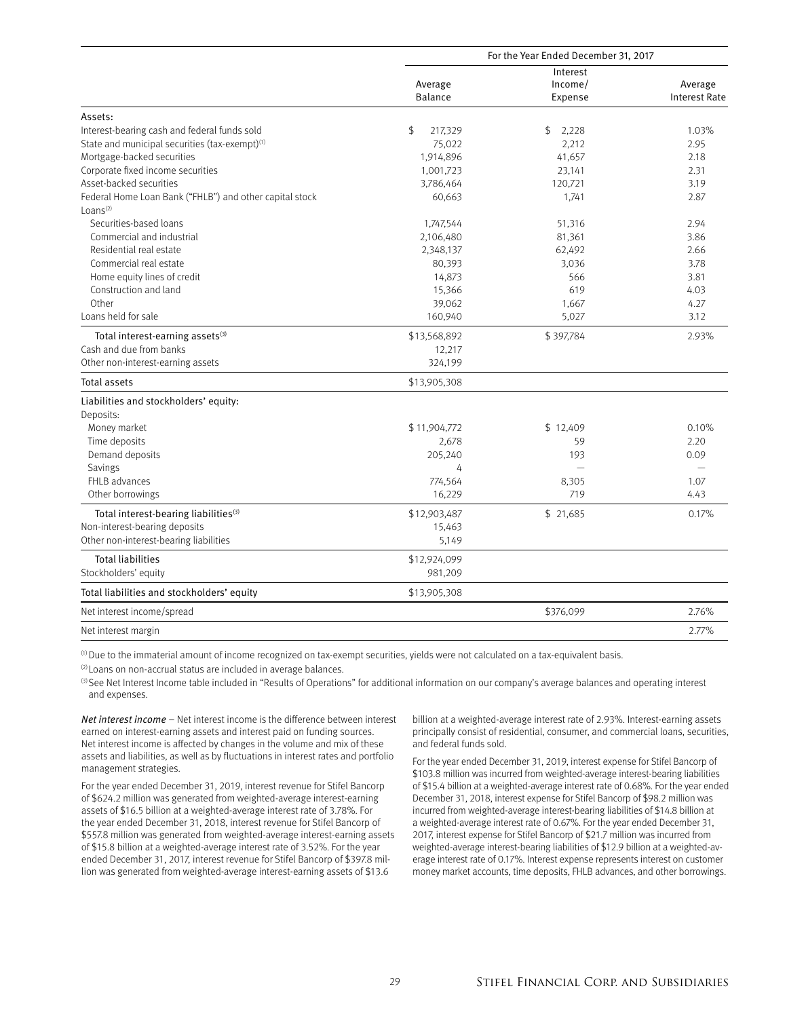|                                                                                 | For the Year Ended December 31, 2017 |                    |                                 |  |
|---------------------------------------------------------------------------------|--------------------------------------|--------------------|---------------------------------|--|
|                                                                                 |                                      | Interest           |                                 |  |
|                                                                                 | Average<br><b>Balance</b>            | Income/<br>Expense | Average<br><b>Interest Rate</b> |  |
| Assets:                                                                         |                                      |                    |                                 |  |
| Interest-bearing cash and federal funds sold                                    | \$<br>217,329                        | \$<br>2,228        | 1.03%                           |  |
| State and municipal securities (tax-exempt) <sup>(1)</sup>                      | 75,022                               | 2,212              | 2.95                            |  |
| Mortgage-backed securities                                                      | 1,914,896                            | 41,657             | 2.18                            |  |
| Corporate fixed income securities                                               | 1,001,723                            | 23,141             | 2.31                            |  |
| Asset-backed securities                                                         | 3,786,464                            | 120,721            | 3.19                            |  |
| Federal Home Loan Bank ("FHLB") and other capital stock<br>Loans <sup>(2)</sup> | 60,663                               | 1,741              | 2.87                            |  |
| Securities-based loans                                                          | 1,747,544                            | 51,316             | 2.94                            |  |
| Commercial and industrial                                                       | 2,106,480                            | 81,361             | 3.86                            |  |
| Residential real estate                                                         | 2,348,137                            | 62,492             | 2.66                            |  |
| Commercial real estate                                                          | 80,393                               | 3,036              | 3.78                            |  |
| Home equity lines of credit                                                     | 14,873                               | 566                | 3.81                            |  |
| Construction and land                                                           | 15,366                               | 619                | 4.03                            |  |
| Other                                                                           | 39,062                               | 1,667              | 4.27                            |  |
| Loans held for sale                                                             | 160,940                              | 5,027              | 3.12                            |  |
| Total interest-earning assets <sup>(3)</sup>                                    | \$13,568,892                         | \$397,784          | 2.93%                           |  |
| Cash and due from banks                                                         | 12,217                               |                    |                                 |  |
| Other non-interest-earning assets                                               | 324,199                              |                    |                                 |  |
| Total assets                                                                    | \$13,905,308                         |                    |                                 |  |
| Liabilities and stockholders' equity:                                           |                                      |                    |                                 |  |
| Deposits:                                                                       |                                      |                    |                                 |  |
| Money market                                                                    | \$11,904,772                         | \$12,409           | 0.10%                           |  |
| Time deposits                                                                   | 2,678                                | 59                 | 2.20                            |  |
| Demand deposits                                                                 | 205,240                              | 193                | 0.09                            |  |
| Savings                                                                         | 4                                    |                    |                                 |  |
| FHLB advances                                                                   | 774,564                              | 8,305              | 1.07                            |  |
| Other borrowings                                                                | 16,229                               | 719                | 4.43                            |  |
| Total interest-bearing liabilities <sup>(3)</sup>                               | \$12,903,487                         | \$21,685           | 0.17%                           |  |
| Non-interest-bearing deposits                                                   | 15,463                               |                    |                                 |  |
| Other non-interest-bearing liabilities                                          | 5,149                                |                    |                                 |  |
| <b>Total liabilities</b>                                                        | \$12,924,099                         |                    |                                 |  |
| Stockholders' equity                                                            | 981,209                              |                    |                                 |  |
| Total liabilities and stockholders' equity                                      | \$13,905,308                         |                    |                                 |  |
| Net interest income/spread                                                      |                                      | \$376,099          | 2.76%                           |  |
| Net interest margin                                                             |                                      |                    | 2.77%                           |  |

(1)Due to the immaterial amount of income recognized on tax-exempt securities, yields were not calculated on a tax-equivalent basis.

(2)Loans on non-accrual status are included in average balances.

(3)See Net Interest Income table included in "Results of Operations" for additional information on our company's average balances and operating interest and expenses.

Net interest income - Net interest income is the difference between interest earned on interest-earning assets and interest paid on funding sources. Net interest income is affected by changes in the volume and mix of these assets and liabilities, as well as by fluctuations in interest rates and portfolio management strategies.

For the year ended December 31, 2019, interest revenue for Stifel Bancorp of \$624.2 million was generated from weighted-average interest-earning assets of \$16.5 billion at a weighted-average interest rate of 3.78%. For the year ended December 31, 2018, interest revenue for Stifel Bancorp of \$557.8 million was generated from weighted-average interest-earning assets of \$15.8 billion at a weighted-average interest rate of 3.52%. For the year ended December 31, 2017, interest revenue for Stifel Bancorp of \$397.8 million was generated from weighted-average interest-earning assets of \$13.6

billion at a weighted-average interest rate of 2.93%. Interest-earning assets principally consist of residential, consumer, and commercial loans, securities, and federal funds sold.

For the year ended December 31, 2019, interest expense for Stifel Bancorp of \$103.8 million was incurred from weighted-average interest-bearing liabilities of \$15.4 billion at a weighted-average interest rate of 0.68%. For the year ended December 31, 2018, interest expense for Stifel Bancorp of \$98.2 million was incurred from weighted-average interest-bearing liabilities of \$14.8 billion at a weighted-average interest rate of 0.67%. For the year ended December 31, 2017, interest expense for Stifel Bancorp of \$21.7 million was incurred from weighted-average interest-bearing liabilities of \$12.9 billion at a weighted-average interest rate of 0.17%. Interest expense represents interest on customer money market accounts, time deposits, FHLB advances, and other borrowings.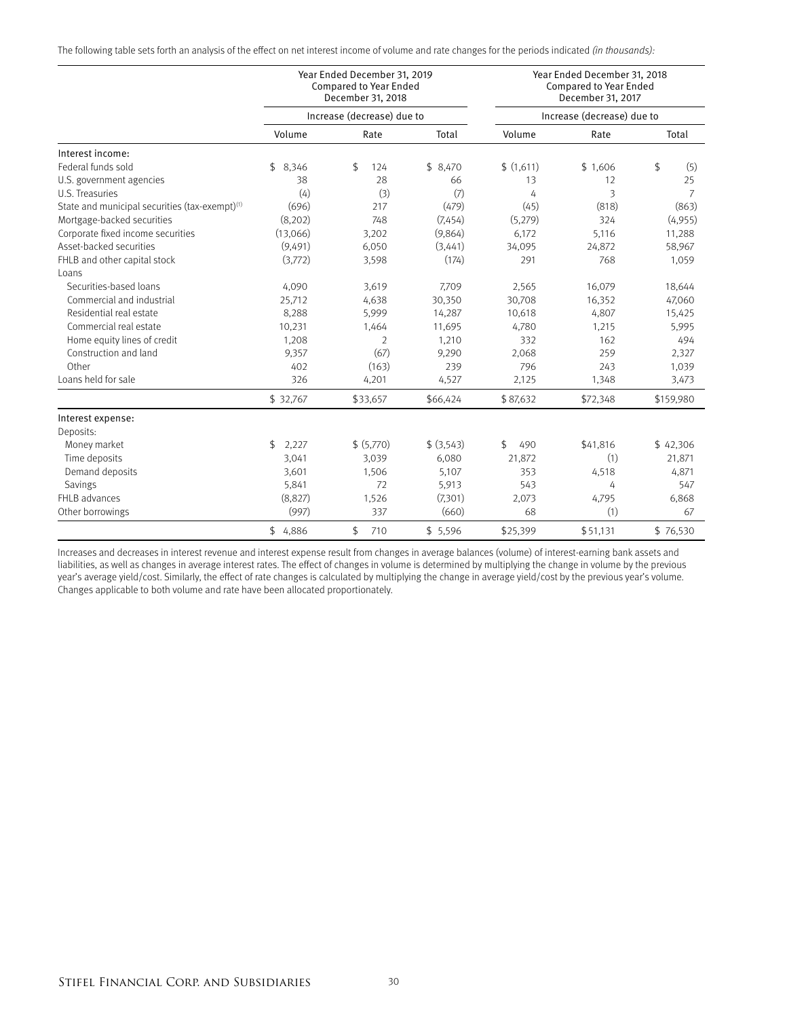The following table sets forth an analysis of the effect on net interest income of volume and rate changes for the periods indicated (in thousands):

|                                                            | Year Ended December 31, 2019<br><b>Compared to Year Ended</b><br>December 31, 2018 |                            |            | Year Ended December 31, 2018<br><b>Compared to Year Ended</b><br>December 31, 2017 |          |                |  |
|------------------------------------------------------------|------------------------------------------------------------------------------------|----------------------------|------------|------------------------------------------------------------------------------------|----------|----------------|--|
|                                                            |                                                                                    | Increase (decrease) due to |            | Increase (decrease) due to                                                         |          |                |  |
|                                                            | Volume                                                                             | Rate                       | Total      | Volume                                                                             | Rate     | Total          |  |
| Interest income:                                           |                                                                                    |                            |            |                                                                                    |          |                |  |
| Federal funds sold                                         | \$<br>8,346                                                                        | \$<br>124                  | \$8,470    | \$(1,611)                                                                          | \$1,606  | \$<br>(5)      |  |
| U.S. government agencies                                   | 38                                                                                 | 28                         | 66         | 13                                                                                 | 12       | 25             |  |
| U.S. Treasuries                                            | (4)                                                                                | (3)                        | (7)        | 4                                                                                  | 3        | $\overline{7}$ |  |
| State and municipal securities (tax-exempt) <sup>(1)</sup> | (696)                                                                              | 217                        | (479)      | (45)                                                                               | (818)    | (863)          |  |
| Mortgage-backed securities                                 | (8,202)                                                                            | 748                        | (7,454)    | (5,279)                                                                            | 324      | (4,955)        |  |
| Corporate fixed income securities                          | (13,066)                                                                           | 3,202                      | (9,864)    | 6,172                                                                              | 5,116    | 11,288         |  |
| Asset-backed securities                                    | (9,491)                                                                            | 6,050                      | (3,441)    | 34,095                                                                             | 24,872   | 58,967         |  |
| FHLB and other capital stock                               | (3,772)                                                                            | 3,598                      | (174)      | 291                                                                                | 768      | 1,059          |  |
| Loans                                                      |                                                                                    |                            |            |                                                                                    |          |                |  |
| Securities-based loans                                     | 4,090                                                                              | 3,619                      | 7,709      | 2,565                                                                              | 16,079   | 18,644         |  |
| Commercial and industrial                                  | 25,712                                                                             | 4,638                      | 30,350     | 30,708                                                                             | 16,352   | 47,060         |  |
| Residential real estate                                    | 8,288                                                                              | 5,999                      | 14,287     | 10,618                                                                             | 4,807    | 15,425         |  |
| Commercial real estate                                     | 10,231                                                                             | 1,464                      | 11,695     | 4,780                                                                              | 1,215    | 5,995          |  |
| Home equity lines of credit                                | 1,208                                                                              | 2                          | 1,210      | 332                                                                                | 162      | 494            |  |
| Construction and land                                      | 9,357                                                                              | (67)                       | 9,290      | 2,068                                                                              | 259      | 2,327          |  |
| Other                                                      | 402                                                                                | (163)                      | 239        | 796                                                                                | 243      | 1,039          |  |
| Loans held for sale                                        | 326                                                                                | 4,201                      | 4,527      | 2,125                                                                              | 1,348    | 3,473          |  |
|                                                            | \$32,767                                                                           | \$33,657                   | \$66,424   | \$87,632                                                                           | \$72,348 | \$159,980      |  |
| Interest expense:                                          |                                                                                    |                            |            |                                                                                    |          |                |  |
| Deposits:                                                  |                                                                                    |                            |            |                                                                                    |          |                |  |
| Money market                                               | 2,227<br>\$                                                                        | \$ (5,770)                 | \$ (3,543) | \$<br>490                                                                          | \$41,816 | \$42,306       |  |
| Time deposits                                              | 3,041                                                                              | 3,039                      | 6,080      | 21,872                                                                             | (1)      | 21,871         |  |
| Demand deposits                                            | 3,601                                                                              | 1,506                      | 5,107      | 353                                                                                | 4,518    | 4,871          |  |
| Savings                                                    | 5,841                                                                              | 72                         | 5,913      | 543                                                                                | 4        | 547            |  |
| FHLB advances                                              | (8,827)                                                                            | 1,526                      | (7,301)    | 2,073                                                                              | 4,795    | 6,868          |  |
| Other borrowings                                           | (997)                                                                              | 337                        | (660)      | 68                                                                                 | (1)      | 67             |  |
|                                                            | \$4,886                                                                            | \$<br>710                  | \$5,596    | \$25,399                                                                           | \$51,131 | \$76,530       |  |

Increases and decreases in interest revenue and interest expense result from changes in average balances (volume) of interest-earning bank assets and liabilities, as well as changes in average interest rates. The effect of changes in volume is determined by multiplying the change in volume by the previous year's average yield/cost. Similarly, the effect of rate changes is calculated by multiplying the change in average yield/cost by the previous year's volume. Changes applicable to both volume and rate have been allocated proportionately.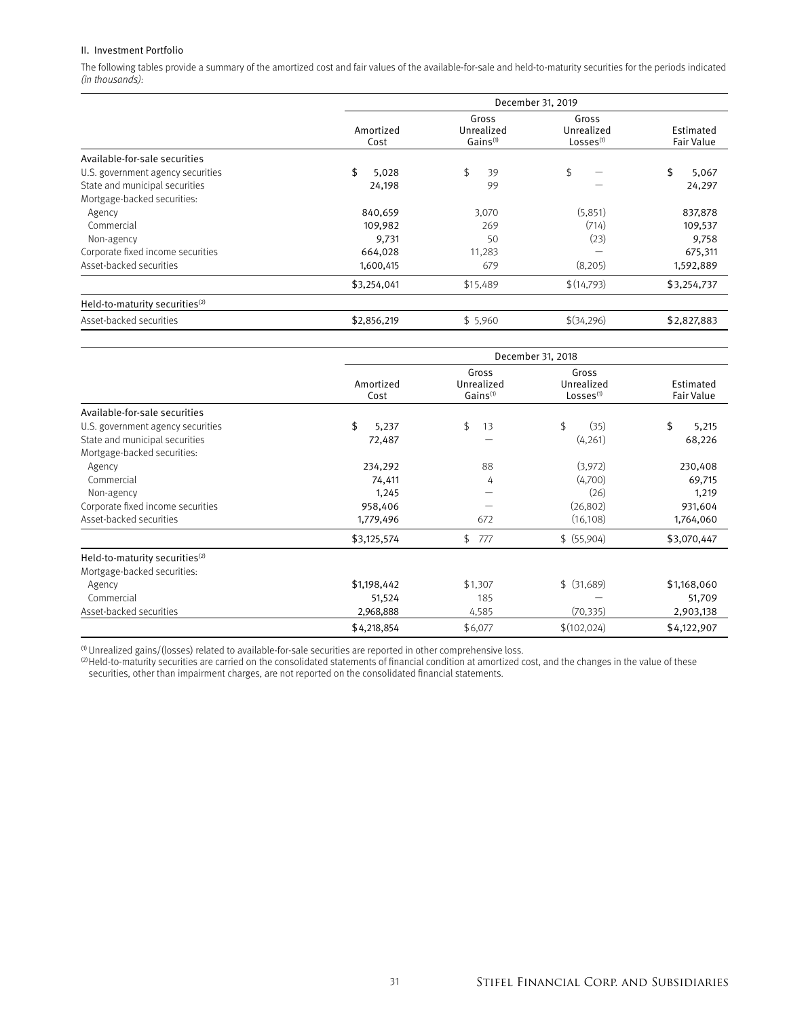## II. Investment Portfolio

The following tables provide a summary of the amortized cost and fair values of the available-for-sale and held-to-maturity securities for the periods indicated (in thousands):

|                                            | December 31, 2019 |                                      |                                       |                         |  |
|--------------------------------------------|-------------------|--------------------------------------|---------------------------------------|-------------------------|--|
|                                            | Amortized<br>Cost | Gross<br>Unrealized<br>$GainS^{(1)}$ | Gross<br>Unrealized<br>$Losses^{(1)}$ | Estimated<br>Fair Value |  |
| Available-for-sale securities              |                   |                                      |                                       |                         |  |
| U.S. government agency securities          | \$<br>5,028       | \$<br>39                             | \$                                    | \$<br>5,067             |  |
| State and municipal securities             | 24,198            | 99                                   |                                       | 24,297                  |  |
| Mortgage-backed securities:                |                   |                                      |                                       |                         |  |
| Agency                                     | 840,659           | 3,070                                | (5,851)                               | 837,878                 |  |
| Commercial                                 | 109,982           | 269                                  | (714)                                 | 109,537                 |  |
| Non-agency                                 | 9,731             | 50                                   | (23)                                  | 9,758                   |  |
| Corporate fixed income securities          | 664,028           | 11,283                               |                                       | 675,311                 |  |
| Asset-backed securities                    | 1,600,415         | 679                                  | (8,205)                               | 1,592,889               |  |
|                                            | \$3,254,041       | \$15,489                             | \$(14,793)                            | \$3,254,737             |  |
| Held-to-maturity securities <sup>(2)</sup> |                   |                                      |                                       |                         |  |
| Asset-backed securities                    | \$2,856,219       | \$5,960                              | \$(34,296)                            | \$2,827,883             |  |

|                                            |                   |                                      | December 31, 2018                     |                         |
|--------------------------------------------|-------------------|--------------------------------------|---------------------------------------|-------------------------|
|                                            | Amortized<br>Cost | Gross<br>Unrealized<br>$GainS^{(1)}$ | Gross<br>Unrealized<br>$Losses^{(1)}$ | Estimated<br>Fair Value |
| Available-for-sale securities              |                   |                                      |                                       |                         |
| U.S. government agency securities          | \$<br>5,237       | \$<br>13                             | \$<br>(35)                            | \$<br>5,215             |
| State and municipal securities             | 72,487            |                                      | (4,261)                               | 68,226                  |
| Mortgage-backed securities:                |                   |                                      |                                       |                         |
| Agency                                     | 234,292           | 88                                   | (3,972)                               | 230,408                 |
| Commercial                                 | 74,411            | 4                                    | (4,700)                               | 69,715                  |
| Non-agency                                 | 1,245             |                                      | (26)                                  | 1,219                   |
| Corporate fixed income securities          | 958,406           |                                      | (26, 802)                             | 931,604                 |
| Asset-backed securities                    | 1,779,496         | 672                                  | (16, 108)                             | 1,764,060               |
|                                            | \$3,125,574       | \$<br>777                            | \$ (55,904)                           | \$3,070,447             |
| Held-to-maturity securities <sup>(2)</sup> |                   |                                      |                                       |                         |
| Mortgage-backed securities:                |                   |                                      |                                       |                         |
| Agency                                     | \$1,198,442       | \$1,307                              | \$ (31,689)                           | \$1,168,060             |
| Commercial                                 | 51,524            | 185                                  |                                       | 51,709                  |
| Asset-backed securities                    | 2,968,888         | 4,585                                | (70, 335)                             | 2,903,138               |
|                                            | \$4,218,854       | \$6,077                              | \$(102,024)                           | \$4,122,907             |

(1)Unrealized gains/(losses) related to available-for-sale securities are reported in other comprehensive loss.

 $^{(2)}$ Held-to-maturity securities are carried on the consolidated statements of financial condition at amortized cost, and the changes in the value of these securities, other than impairment charges, are not reported on the consolidated financial statements.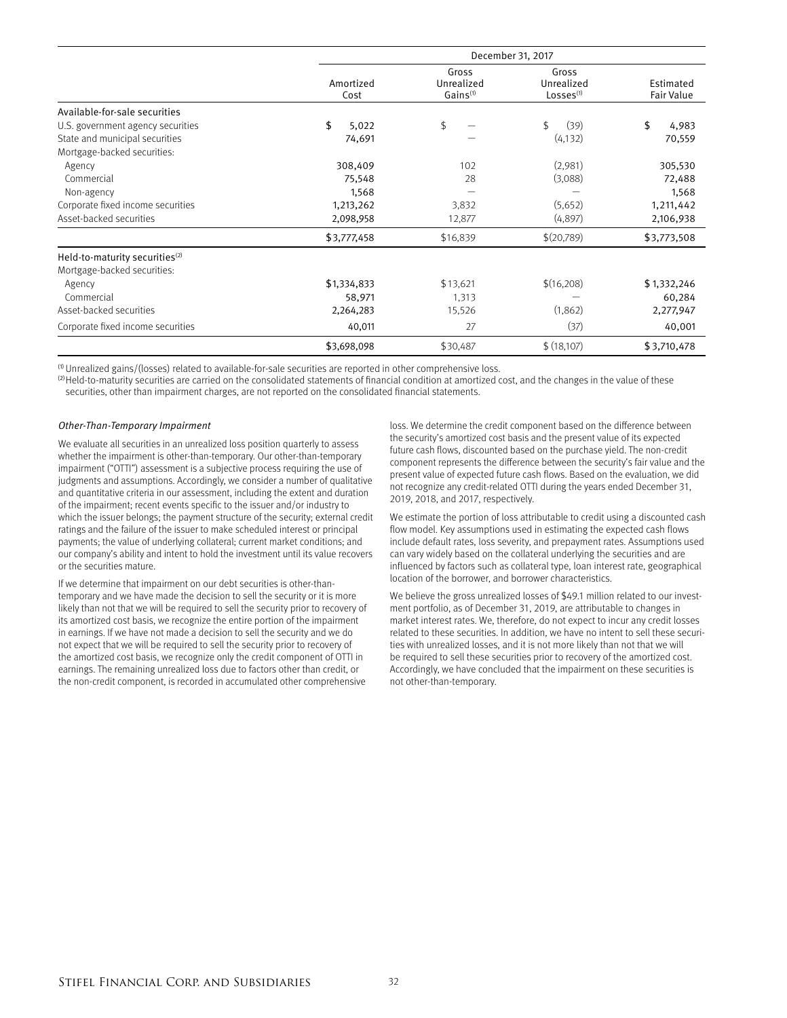|                                      |             |                                      | December 31, 2017                            |                         |
|--------------------------------------|-------------|--------------------------------------|----------------------------------------------|-------------------------|
| Amortized<br>Cost                    |             | Gross<br>Unrealized<br>$GainS^{(1)}$ | Gross<br>Unrealized<br>Losses <sup>(1)</sup> | Estimated<br>Fair Value |
| Available-for-sale securities        |             |                                      |                                              |                         |
| U.S. government agency securities    | \$<br>5,022 | \$                                   | (39)<br>\$                                   | \$<br>4,983             |
| State and municipal securities       | 74,691      |                                      | (4, 132)                                     | 70,559                  |
| Mortgage-backed securities:          |             |                                      |                                              |                         |
| Agency                               | 308,409     | 102                                  | (2,981)                                      | 305,530                 |
| Commercial                           | 75,548      | 28                                   | (3,088)                                      | 72,488                  |
| Non-agency                           | 1,568       |                                      |                                              | 1,568                   |
| Corporate fixed income securities    | 1,213,262   | 3,832                                | (5,652)                                      | 1,211,442               |
| Asset-backed securities              | 2,098,958   | 12,877                               | (4,897)                                      | 2,106,938               |
|                                      | \$3,777,458 | \$16,839                             | \$(20,789)                                   | \$3,773,508             |
| Held-to-maturity securities $^{(2)}$ |             |                                      |                                              |                         |
| Mortgage-backed securities:          |             |                                      |                                              |                         |
| Agency                               | \$1,334,833 | \$13,621                             | \$(16,208)                                   | \$1,332,246             |
| Commercial                           | 58,971      | 1,313                                |                                              | 60,284                  |
| Asset-backed securities              | 2,264,283   | 15,526                               | (1,862)                                      | 2,277,947               |
| Corporate fixed income securities    | 40,011      | 27                                   | (37)                                         | 40,001                  |
|                                      | \$3,698,098 | \$30,487                             | \$(18,107)                                   | \$3,710,478             |

 $(10)$  Unrealized gains/(losses) related to available-for-sale securities are reported in other comprehensive loss.

 $^{(2)}$ Held-to-maturity securities are carried on the consolidated statements of financial condition at amortized cost, and the changes in the value of these securities, other than impairment charges, are not reported on the consolidated financial statements.

## Other-Than-Temporary Impairment

We evaluate all securities in an unrealized loss position quarterly to assess whether the impairment is other-than-temporary. Our other-than-temporary impairment ("OTTI") assessment is a subjective process requiring the use of judgments and assumptions. Accordingly, we consider a number of qualitative and quantitative criteria in our assessment, including the extent and duration of the impairment; recent events specific to the issuer and/or industry to which the issuer belongs; the payment structure of the security; external credit ratings and the failure of the issuer to make scheduled interest or principal payments; the value of underlying collateral; current market conditions; and our company's ability and intent to hold the investment until its value recovers or the securities mature.

If we determine that impairment on our debt securities is other-thantemporary and we have made the decision to sell the security or it is more likely than not that we will be required to sell the security prior to recovery of its amortized cost basis, we recognize the entire portion of the impairment in earnings. If we have not made a decision to sell the security and we do not expect that we will be required to sell the security prior to recovery of the amortized cost basis, we recognize only the credit component of OTTI in earnings. The remaining unrealized loss due to factors other than credit, or the non-credit component, is recorded in accumulated other comprehensive

loss. We determine the credit component based on the difference between the security's amortized cost basis and the present value of its expected future cash flows, discounted based on the purchase yield. The non-credit component represents the difference between the security's fair value and the present value of expected future cash flows. Based on the evaluation, we did not recognize any credit-related OTTI during the years ended December 31, 2019, 2018, and 2017, respectively.

We estimate the portion of loss attributable to credit using a discounted cash flow model. Key assumptions used in estimating the expected cash flows include default rates, loss severity, and prepayment rates. Assumptions used can vary widely based on the collateral underlying the securities and are influenced by factors such as collateral type, loan interest rate, geographical location of the borrower, and borrower characteristics.

We believe the gross unrealized losses of \$49.1 million related to our investment portfolio, as of December 31, 2019, are attributable to changes in market interest rates. We, therefore, do not expect to incur any credit losses related to these securities. In addition, we have no intent to sell these securities with unrealized losses, and it is not more likely than not that we will be required to sell these securities prior to recovery of the amortized cost. Accordingly, we have concluded that the impairment on these securities is not other-than-temporary.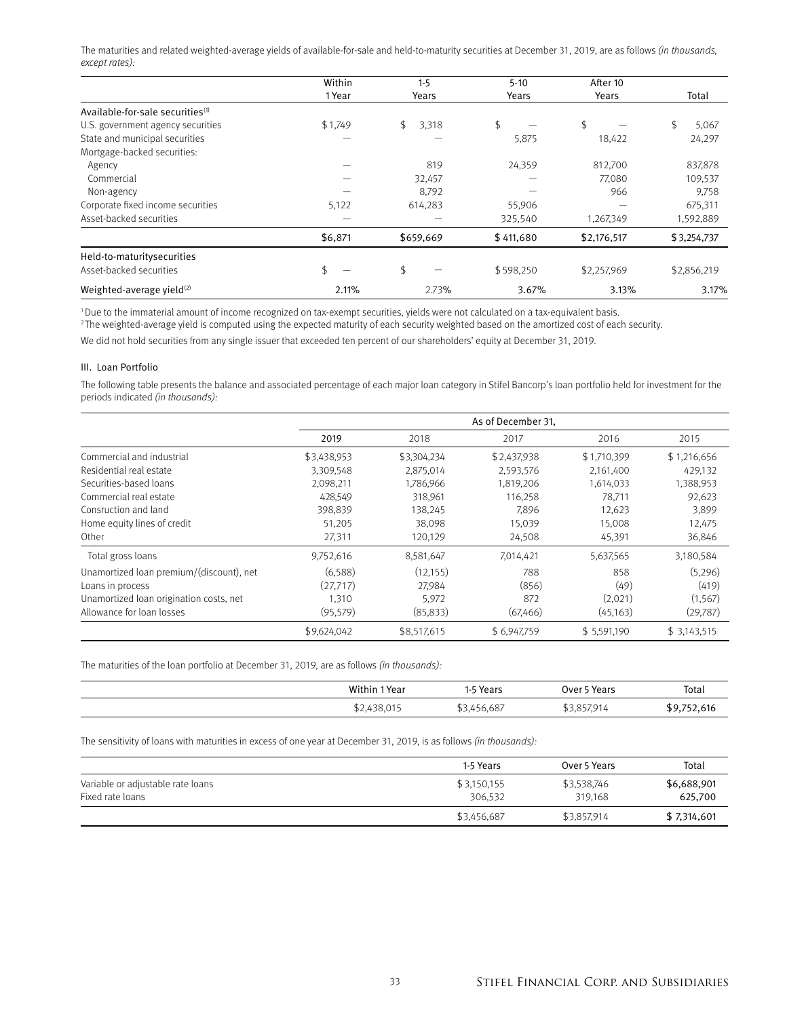The maturities and related weighted-average yields of available-for-sale and held-to-maturity securities at December 31, 2019, are as follows (in thousands, except rates):

|                                              | Within  | $1 - 5$     | $5-10$    | After 10    |             |
|----------------------------------------------|---------|-------------|-----------|-------------|-------------|
|                                              | 1 Year  | Years       | Years     | Years       | Total       |
| Available-for-sale securities <sup>(1)</sup> |         |             |           |             |             |
| U.S. government agency securities            | \$1,749 | \$<br>3,318 | \$        | \$          | \$<br>5,067 |
| State and municipal securities               |         |             | 5,875     | 18,422      | 24,297      |
| Mortgage-backed securities:                  |         |             |           |             |             |
| Agency                                       |         | 819         | 24,359    | 812,700     | 837,878     |
| Commercial                                   |         | 32,457      |           | 77,080      | 109,537     |
| Non-agency                                   |         | 8,792       |           | 966         | 9,758       |
| Corporate fixed income securities            | 5,122   | 614,283     | 55,906    |             | 675,311     |
| Asset-backed securities                      |         |             | 325,540   | 1,267,349   | 1,592,889   |
|                                              | \$6,871 | \$659,669   | \$411,680 | \$2,176,517 | \$3,254,737 |
| Held-to-maturitysecurities                   |         |             |           |             |             |
| Asset-backed securities                      | \$      | \$          | \$598,250 | \$2,257,969 | \$2,856,219 |
| Weighted-average yield $^{(2)}$              | 2.11%   | 2.73%       | 3.67%     | 3.13%       | 3.17%       |

1Due to the immaterial amount of income recognized on tax-exempt securities, yields were not calculated on a tax-equivalent basis.

<sup>2</sup>The weighted-average yield is computed using the expected maturity of each security weighted based on the amortized cost of each security.

We did not hold securities from any single issuer that exceeded ten percent of our shareholders' equity at December 31, 2019.

## III. Loan Portfolio

The following table presents the balance and associated percentage of each major loan category in Stifel Bancorp's loan portfolio held for investment for the periods indicated (in thousands):

|                                          |             |             | As of December 31, |             |             |
|------------------------------------------|-------------|-------------|--------------------|-------------|-------------|
|                                          | 2019        | 2018        | 2017               | 2016        | 2015        |
| Commercial and industrial                | \$3,438,953 | \$3,304,234 | \$2,437,938        | \$1,710,399 | \$1,216,656 |
| Residential real estate                  | 3,309,548   | 2,875,014   | 2,593,576          | 2,161,400   | 429,132     |
| Securities-based loans                   | 2,098,211   | 1,786,966   | 1,819,206          | 1,614,033   | 1,388,953   |
| Commercial real estate                   | 428,549     | 318,961     | 116,258            | 78.711      | 92,623      |
| Consruction and land                     | 398,839     | 138,245     | 7,896              | 12,623      | 3,899       |
| Home equity lines of credit              | 51,205      | 38.098      | 15,039             | 15,008      | 12,475      |
| Other                                    | 27,311      | 120,129     | 24,508             | 45,391      | 36,846      |
| Total gross loans                        | 9,752,616   | 8,581,647   | 7,014,421          | 5,637,565   | 3,180,584   |
| Unamortized loan premium/(discount), net | (6, 588)    | (12, 155)   | 788                | 858         | (5,296)     |
| Loans in process                         | (27,717)    | 27,984      | (856)              | (49)        | (419)       |
| Unamortized loan origination costs, net  | 1,310       | 5,972       | 872                | (2,021)     | (1, 567)    |
| Allowance for loan losses                | (95, 579)   | (85, 833)   | (67, 466)          | (45, 163)   | (29,787)    |
|                                          | \$9,624,042 | \$8,517,615 | \$6,947,759        | \$5,591,190 | \$3.143.515 |

The maturities of the loan portfolio at December 31, 2019, are as follows (in thousands):

| Within 1 Year      | 5 Years   | Over 5 Years        | Total       |
|--------------------|-----------|---------------------|-------------|
| .438,015<br>−، ← ب | 456,687,، | 3,857,91<br>' Y I L | \$9,752,616 |

The sensitivity of loans with maturities in excess of one year at December 31, 2019, is as follows (in thousands):

|                                   | 1-5 Years   | Over 5 Years | Total       |
|-----------------------------------|-------------|--------------|-------------|
| Variable or adjustable rate loans | \$3,150,155 | \$3,538,746  | \$6,688,901 |
| Fixed rate loans                  | 306.532     | 319,168      | 625,700     |
|                                   | \$3,456,687 | \$3,857,914  | \$7,314,601 |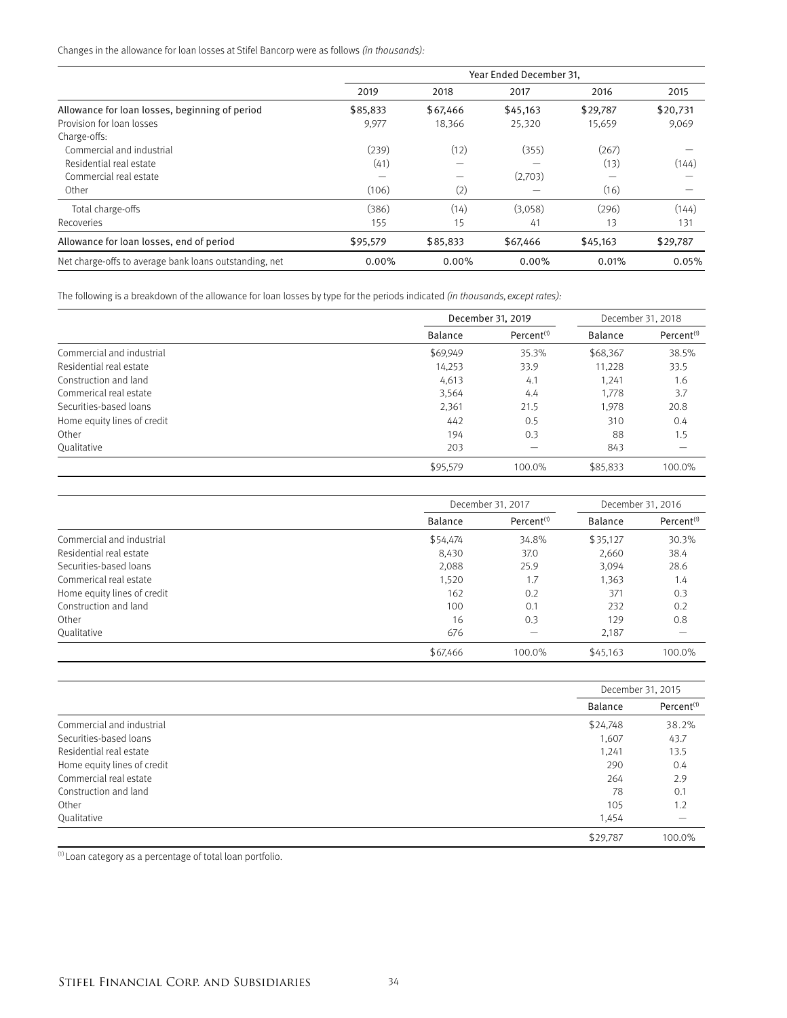Changes in the allowance for loan losses at Stifel Bancorp were as follows (in thousands):

|                                                        | Year Ended December 31. |          |          |          |          |  |  |
|--------------------------------------------------------|-------------------------|----------|----------|----------|----------|--|--|
|                                                        | 2019                    | 2018     | 2017     | 2016     | 2015     |  |  |
| Allowance for loan losses, beginning of period         | \$85,833                | \$67,466 | \$45,163 | \$29,787 | \$20,731 |  |  |
| Provision for loan losses                              | 9,977                   | 18,366   | 25,320   | 15,659   | 9,069    |  |  |
| Charge-offs:                                           |                         |          |          |          |          |  |  |
| Commercial and industrial                              | (239)                   | (12)     | (355)    | (267)    |          |  |  |
| Residential real estate                                | (41)                    |          |          | (13)     | (144)    |  |  |
| Commercial real estate                                 |                         |          | (2,703)  |          |          |  |  |
| Other                                                  | (106)                   | (2)      |          | (16)     |          |  |  |
| Total charge-offs                                      | (386)                   | (14)     | (3,058)  | (296)    | (144)    |  |  |
| Recoveries                                             | 155                     | 15       | 41       | 13       | 131      |  |  |
| Allowance for loan losses, end of period               | \$95,579                | \$85,833 | \$67,466 | \$45,163 | \$29,787 |  |  |
| Net charge-offs to average bank loans outstanding, net | $0.00\%$                | $0.00\%$ | $0.00\%$ | 0.01%    | 0.05%    |  |  |

The following is a breakdown of the allowance for loan losses by type for the periods indicated (in thousands, except rates):

|                             | December 31, 2019 |               |          | December 31, 2018      |
|-----------------------------|-------------------|---------------|----------|------------------------|
|                             | Balance           | Percent $(1)$ | Balance  | Percent <sup>(1)</sup> |
| Commercial and industrial   | \$69,949          | 35.3%         | \$68,367 | 38.5%                  |
| Residential real estate     | 14,253            | 33.9          | 11,228   | 33.5                   |
| Construction and land       | 4,613             | 4.1           | 1.241    | 1.6                    |
| Commerical real estate      | 3,564             | 4.4           | 1,778    | 3.7                    |
| Securities-based loans      | 2,361             | 21.5          | 1,978    | 20.8                   |
| Home equity lines of credit | 442               | 0.5           | 310      | 0.4                    |
| Other                       | 194               | 0.3           | 88       | 1.5                    |
| Qualitative                 | 203               |               | 843      |                        |
|                             | \$95,579          | 100.0%        | \$85,833 | 100.0%                 |

|                             |          | December 31, 2017      |          | December 31, 2016 |
|-----------------------------|----------|------------------------|----------|-------------------|
|                             | Balance  | Percent <sup>(1)</sup> | Balance  | Percent $(1)$     |
| Commercial and industrial   | \$54,474 | 34.8%                  | \$35,127 | 30.3%             |
| Residential real estate     | 8,430    | 37.0                   | 2.660    | 38.4              |
| Securities-based loans      | 2,088    | 25.9                   | 3,094    | 28.6              |
| Commerical real estate      | 1,520    | 1.7                    | 1,363    | 1.4               |
| Home equity lines of credit | 162      | 0.2                    | 371      | 0.3               |
| Construction and land       | 100      | 0.1                    | 232      | 0.2               |
| Other                       | 16       | 0.3                    | 129      | 0.8               |
| Qualitative                 | 676      |                        | 2,187    |                   |
|                             | \$67,466 | 100.0%                 | \$45,163 | 100.0%            |

|                             | December 31, 2015 |                        |
|-----------------------------|-------------------|------------------------|
|                             | Balance           | Percent <sup>(1)</sup> |
| Commercial and industrial   | \$24,748          | 38.2%                  |
| Securities-based loans      | 1,607             | 43.7                   |
| Residential real estate     | 1,241             | 13.5                   |
| Home equity lines of credit | 290               | 0.4                    |
| Commercial real estate      | 264               | 2.9                    |
| Construction and land       | 78                | 0.1                    |
| Other                       | 105               | 1.2                    |
| Qualitative                 | 1,454             | –                      |
|                             | \$29,787          | 100.0%                 |

 $(1)$  Loan category as a percentage of total loan portfolio.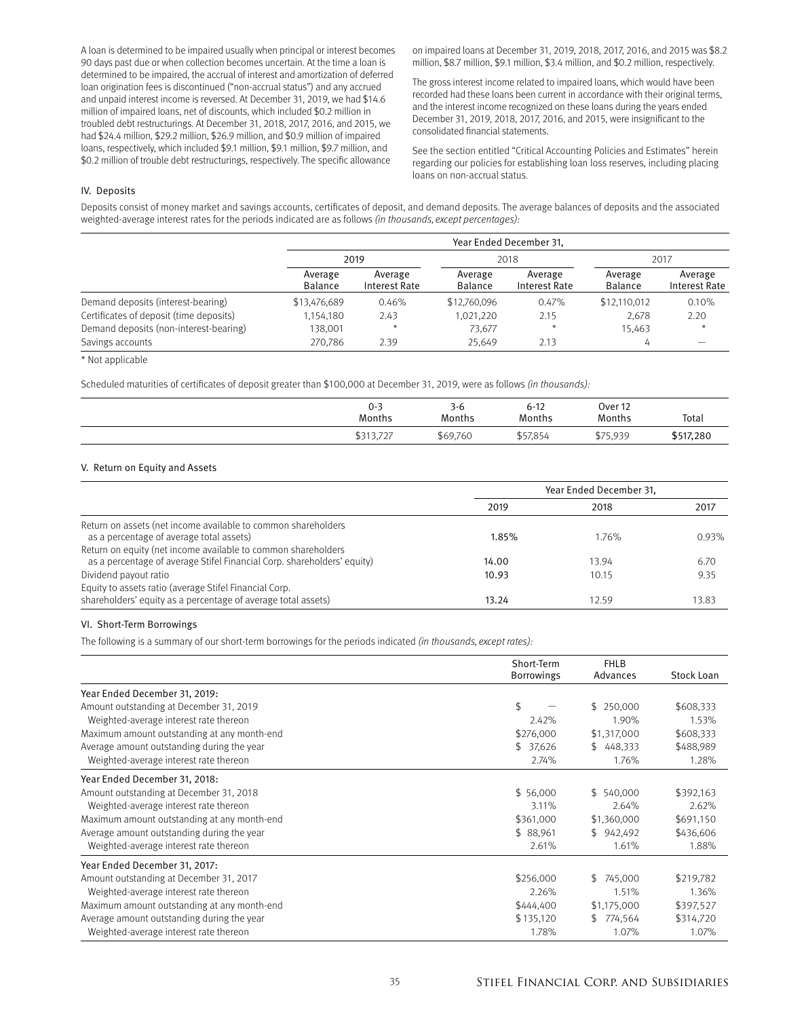A loan is determined to be impaired usually when principal or interest becomes 90 days past due or when collection becomes uncertain. At the time a loan is determined to be impaired, the accrual of interest and amortization of deferred loan origination fees is discontinued ("non-accrual status") and any accrued and unpaid interest income is reversed. At December 31, 2019, we had \$14.6 million of impaired loans, net of discounts, which included \$0.2 million in troubled debt restructurings. At December 31, 2018, 2017, 2016, and 2015, we had \$24.4 million, \$29.2 million, \$26.9 million, and \$0.9 million of impaired loans, respectively, which included \$9.1 million, \$9.1 million, \$9.7 million, and \$0.2 million of trouble debt restructurings, respectively. The specific allowance

on impaired loans at December 31, 2019, 2018, 2017, 2016, and 2015 was \$8.2 million, \$8.7 million, \$9.1 million, \$3.4 million, and \$0.2 million, respectively.

The gross interest income related to impaired loans, which would have been recorded had these loans been current in accordance with their original terms, and the interest income recognized on these loans during the years ended December 31, 2019, 2018, 2017, 2016, and 2015, were insignificant to the consolidated financial statements.

See the section entitled "Critical Accounting Policies and Estimates" herein regarding our policies for establishing loan loss reserves, including placing loans on non-accrual status.

## IV. Deposits

Deposits consist of money market and savings accounts, certificates of deposit, and demand deposits. The average balances of deposits and the associated weighted-average interest rates for the periods indicated are as follows (in thousands, except percentages):

|                                         | Year Ended December 31. |                          |                    |                          |                    |                          |  |  |
|-----------------------------------------|-------------------------|--------------------------|--------------------|--------------------------|--------------------|--------------------------|--|--|
|                                         |                         | 2019                     |                    | 2018                     | 2017               |                          |  |  |
|                                         | Average<br>Balance      | Average<br>Interest Rate | Average<br>Balance | Average<br>Interest Rate | Average<br>Balance | Average<br>Interest Rate |  |  |
| Demand deposits (interest-bearing)      | \$13,476,689            | 0.46%                    | \$12,760,096       | 0.47%                    | \$12,110,012       | 0.10%                    |  |  |
| Certificates of deposit (time deposits) | 1,154,180               | 2.43                     | 1.021.220          | 2.15                     | 2,678              | 2.20                     |  |  |
| Demand deposits (non-interest-bearing)  | 138,001                 | $\star$                  | 73,677             | $\star$                  | 15,463             | $\star$                  |  |  |
| Savings accounts                        | 270,786                 | 2.39                     | 25.649             | 2.13                     |                    |                          |  |  |

\* Not applicable

Scheduled maturities of certificates of deposit greater than \$100,000 at December 31, 2019, were as follows (in thousands):

| $\ddot{\phantom{1}}$<br>U-3<br>Months | ס-ר<br>Months       | $6 - 12$<br>Months | Over <sub>12</sub><br>Months | Total    |
|---------------------------------------|---------------------|--------------------|------------------------------|----------|
| $+ - - -$<br>7212,/Z1                 | \$69,760<br>$- - -$ | \$57,854           | \$75,939                     | 5517,280 |

## V. Return on Equity and Assets

|                                                                                                                                          | Year Ended December 31, |       |          |
|------------------------------------------------------------------------------------------------------------------------------------------|-------------------------|-------|----------|
|                                                                                                                                          | 2019                    | 2018  | 2017     |
| Return on assets (net income available to common shareholders<br>as a percentage of average total assets)                                | 1.85%                   | 1.76% | $0.93\%$ |
| Return on equity (net income available to common shareholders<br>as a percentage of average Stifel Financial Corp. shareholders' equity) | 14.00                   | 13.94 | 6.70     |
| Dividend payout ratio                                                                                                                    | 10.93                   | 10.15 | 9.35     |
| Equity to assets ratio (average Stifel Financial Corp.<br>shareholders' equity as a percentage of average total assets)                  | 13.24                   | 12.59 | 13.83    |

#### VI. Short-Term Borrowings

The following is a summary of our short-term borrowings for the periods indicated (in thousands, except rates):

|                                             | Short-Term<br><b>Borrowings</b> | <b>FHLB</b><br>Advances | Stock Loan |
|---------------------------------------------|---------------------------------|-------------------------|------------|
| Year Ended December 31, 2019:               |                                 |                         |            |
| Amount outstanding at December 31, 2019     | \$                              | \$<br>250,000           | \$608,333  |
| Weighted-average interest rate thereon      | 2.42%                           | 1.90%                   | 1.53%      |
| Maximum amount outstanding at any month-end | \$276,000                       | \$1,317,000             | \$608,333  |
| Average amount outstanding during the year  | \$37,626                        | \$448,333               | \$488,989  |
| Weighted-average interest rate thereon      | 2.74%                           | 1.76%                   | 1.28%      |
| Year Ended December 31, 2018:               |                                 |                         |            |
| Amount outstanding at December 31, 2018     | \$56,000                        | 540,000<br>\$.          | \$392.163  |
| Weighted-average interest rate thereon      | 3.11%                           | 2.64%                   | 2.62%      |
| Maximum amount outstanding at any month-end | \$361,000                       | \$1,360,000             | \$691,150  |
| Average amount outstanding during the year  | \$ 88,961                       | \$942.492               | \$436,606  |
| Weighted-average interest rate thereon      | 2.61%                           | 1.61%                   | 1.88%      |
| Year Ended December 31, 2017:               |                                 |                         |            |
| Amount outstanding at December 31, 2017     | \$256,000                       | \$.<br>745.000          | \$219,782  |
| Weighted-average interest rate thereon      | 2.26%                           | 1.51%                   | 1.36%      |
| Maximum amount outstanding at any month-end | \$444,400                       | \$1,175,000             | \$397,527  |
| Average amount outstanding during the year  | \$135,120                       | 774,564<br>S.           | \$314,720  |
| Weighted-average interest rate thereon      | 1.78%                           | 1.07%                   | 1.07%      |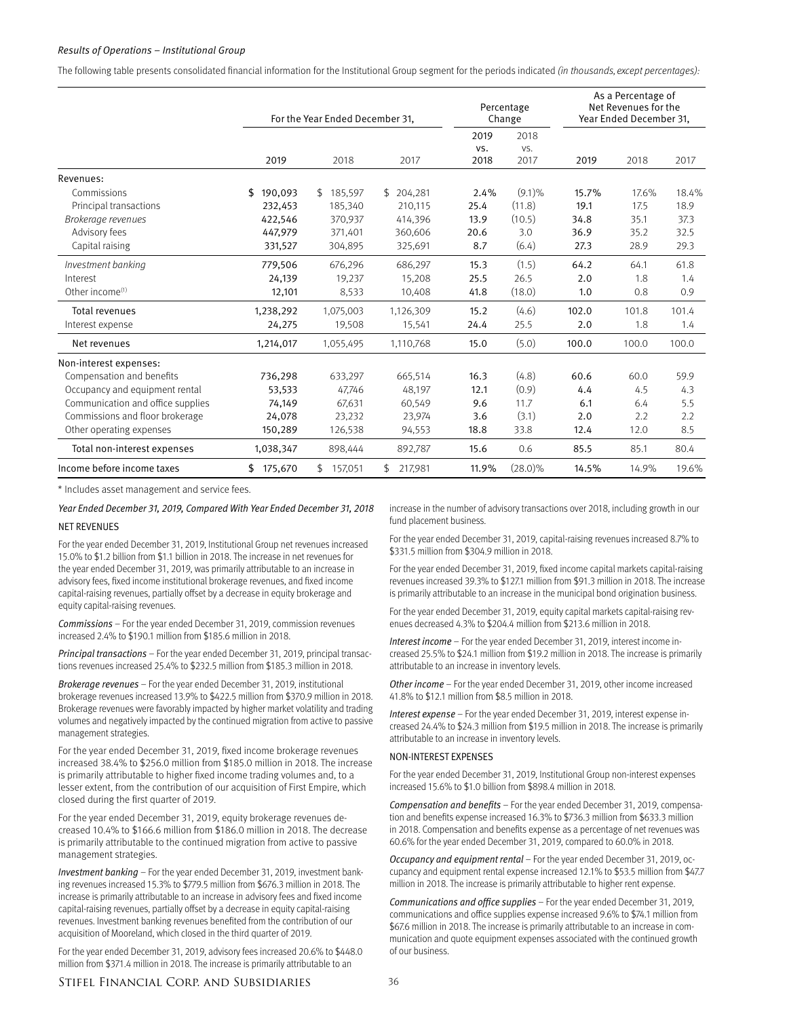The following table presents consolidated financial information for the Institutional Group segment for the periods indicated (in thousands, except percentages):

|                                   |               | For the Year Ended December 31. |               | Percentage<br>Change |             | As a Percentage of<br>Net Revenues for the<br>Year Ended December 31, |       |       |
|-----------------------------------|---------------|---------------------------------|---------------|----------------------|-------------|-----------------------------------------------------------------------|-------|-------|
|                                   |               |                                 |               | 2019<br>VS.          | 2018<br>VS. |                                                                       |       |       |
|                                   | 2019          | 2018                            | 2017          | 2018                 | 2017        | 2019                                                                  | 2018  | 2017  |
| Revenues:                         |               |                                 |               |                      |             |                                                                       |       |       |
| Commissions                       | \$<br>190,093 | \$185,597                       | \$204,281     | 2.4%                 | $(9.1)\%$   | 15.7%                                                                 | 17.6% | 18.4% |
| Principal transactions            | 232,453       | 185,340                         | 210,115       | 25.4                 | (11.8)      | 19.1                                                                  | 17.5  | 18.9  |
| Brokerage revenues                | 422,546       | 370,937                         | 414,396       | 13.9                 | (10.5)      | 34.8                                                                  | 35.1  | 37.3  |
| Advisory fees                     | 447,979       | 371,401                         | 360,606       | 20.6                 | 3.0         | 36.9                                                                  | 35.2  | 32.5  |
| Capital raising                   | 331,527       | 304,895                         | 325,691       | 8.7                  | (6.4)       | 27.3                                                                  | 28.9  | 29.3  |
| Investment banking                | 779,506       | 676,296                         | 686,297       | 15.3                 | (1.5)       | 64.2                                                                  | 64.1  | 61.8  |
| Interest                          | 24,139        | 19,237                          | 15,208        | 25.5                 | 26.5        | 2.0                                                                   | 1.8   | 1.4   |
| Other income $(1)$                | 12,101        | 8,533                           | 10,408        | 41.8                 | (18.0)      | 1.0                                                                   | 0.8   | 0.9   |
| Total revenues                    | 1,238,292     | 1,075,003                       | 1,126,309     | 15.2                 | (4.6)       | 102.0                                                                 | 101.8 | 101.4 |
| Interest expense                  | 24,275        | 19,508                          | 15,541        | 24.4                 | 25.5        | 2.0                                                                   | 1.8   | 1.4   |
| Net revenues                      | 1,214,017     | 1,055,495                       | 1,110,768     | 15.0                 | (5.0)       | 100.0                                                                 | 100.0 | 100.0 |
| Non-interest expenses:            |               |                                 |               |                      |             |                                                                       |       |       |
| Compensation and benefits         | 736,298       | 633,297                         | 665,514       | 16.3                 | (4.8)       | 60.6                                                                  | 60.0  | 59.9  |
| Occupancy and equipment rental    | 53,533        | 47.746                          | 48,197        | 12.1                 | (0.9)       | 4.4                                                                   | 4.5   | 4.3   |
| Communication and office supplies | 74,149        | 67,631                          | 60,549        | 9.6                  | 11.7        | 6.1                                                                   | 6.4   | 5.5   |
| Commissions and floor brokerage   | 24,078        | 23,232                          | 23,974        | 3.6                  | (3.1)       | 2.0                                                                   | 2.2   | 2.2   |
| Other operating expenses          | 150,289       | 126,538                         | 94,553        | 18.8                 | 33.8        | 12.4                                                                  | 12.0  | 8.5   |
| Total non-interest expenses       | 1,038,347     | 898,444                         | 892,787       | 15.6                 | 0.6         | 85.5                                                                  | 85.1  | 80.4  |
| Income before income taxes        | \$<br>175,670 | \$<br>157,051                   | \$<br>217,981 | 11.9%                | $(28.0)\%$  | 14.5%                                                                 | 14.9% | 19.6% |

\* Includes asset management and service fees.

## Year Ended December 31, 2019, Compared With Year Ended December 31, 2018

## NET REVENUES

For the year ended December 31, 2019, Institutional Group net revenues increased 15.0% to \$1.2 billion from \$1.1 billion in 2018. The increase in net revenues for the year ended December 31, 2019, was primarily attributable to an increase in advisory fees, fixed income institutional brokerage revenues, and fixed income capital-raising revenues, partially offset by a decrease in equity brokerage and equity capital-raising revenues.

Commissions – For the year ended December 31, 2019, commission revenues increased 2.4% to \$190.1 million from \$185.6 million in 2018.

Principal transactions – For the year ended December 31, 2019, principal transactions revenues increased 25.4% to \$232.5 million from \$185.3 million in 2018.

Brokerage revenues – For the year ended December 31, 2019, institutional brokerage revenues increased 13.9% to \$422.5 million from \$370.9 million in 2018. Brokerage revenues were favorably impacted by higher market volatility and trading volumes and negatively impacted by the continued migration from active to passive management strategies.

For the year ended December 31, 2019, fixed income brokerage revenues increased 38.4% to \$256.0 million from \$185.0 million in 2018. The increase is primarily attributable to higher fixed income trading volumes and, to a lesser extent, from the contribution of our acquisition of First Empire, which closed during the first quarter of 2019.

For the year ended December 31, 2019, equity brokerage revenues decreased 10.4% to \$166.6 million from \$186.0 million in 2018. The decrease is primarily attributable to the continued migration from active to passive management strategies.

Investment banking – For the year ended December 31, 2019, investment banking revenues increased 15.3% to \$779.5 million from \$676.3 million in 2018. The increase is primarily attributable to an increase in advisory fees and fixed income capital-raising revenues, partially offset by a decrease in equity capital-raising revenues. Investment banking revenues benefited from the contribution of our acquisition of Mooreland, which closed in the third quarter of 2019.

For the year ended December 31, 2019, advisory fees increased 20.6% to \$448.0 million from \$371.4 million in 2018. The increase is primarily attributable to an

increase in the number of advisory transactions over 2018, including growth in our fund placement business.

For the year ended December 31, 2019, capital-raising revenues increased 8.7% to \$331.5 million from \$304.9 million in 2018.

For the year ended December 31, 2019, fixed income capital markets capital-raising revenues increased 39.3% to \$127.1 million from \$91.3 million in 2018. The increase is primarily attributable to an increase in the municipal bond origination business.

For the year ended December 31, 2019, equity capital markets capital-raising revenues decreased 4.3% to \$204.4 million from \$213.6 million in 2018.

Interest income – For the year ended December 31, 2019, interest income increased 25.5% to \$24.1 million from \$19.2 million in 2018. The increase is primarily attributable to an increase in inventory levels.

Other income - For the year ended December 31, 2019, other income increased 41.8% to \$12.1 million from \$8.5 million in 2018.

Interest expense – For the year ended December 31, 2019, interest expense increased 24.4% to \$24.3 million from \$19.5 million in 2018. The increase is primarily attributable to an increase in inventory levels.

#### NON-INTEREST EXPENSES

For the year ended December 31, 2019, Institutional Group non-interest expenses increased 15.6% to \$1.0 billion from \$898.4 million in 2018.

Compensation and benefits – For the year ended December 31, 2019, compensation and benefits expense increased 16.3% to \$736.3 million from \$633.3 million in 2018. Compensation and benefits expense as a percentage of net revenues was 60.6% for the year ended December 31, 2019, compared to 60.0% in 2018.

Occupancy and equipment rental – For the year ended December 31, 2019, occupancy and equipment rental expense increased 12.1% to \$53.5 million from \$47.7 million in 2018. The increase is primarily attributable to higher rent expense.

Communications and office supplies – For the year ended December 31, 2019, communications and office supplies expense increased 9.6% to \$74.1 million from \$67.6 million in 2018. The increase is primarily attributable to an increase in communication and quote equipment expenses associated with the continued growth of our business.

Stifel Financial Corp. and Subsidiaries 36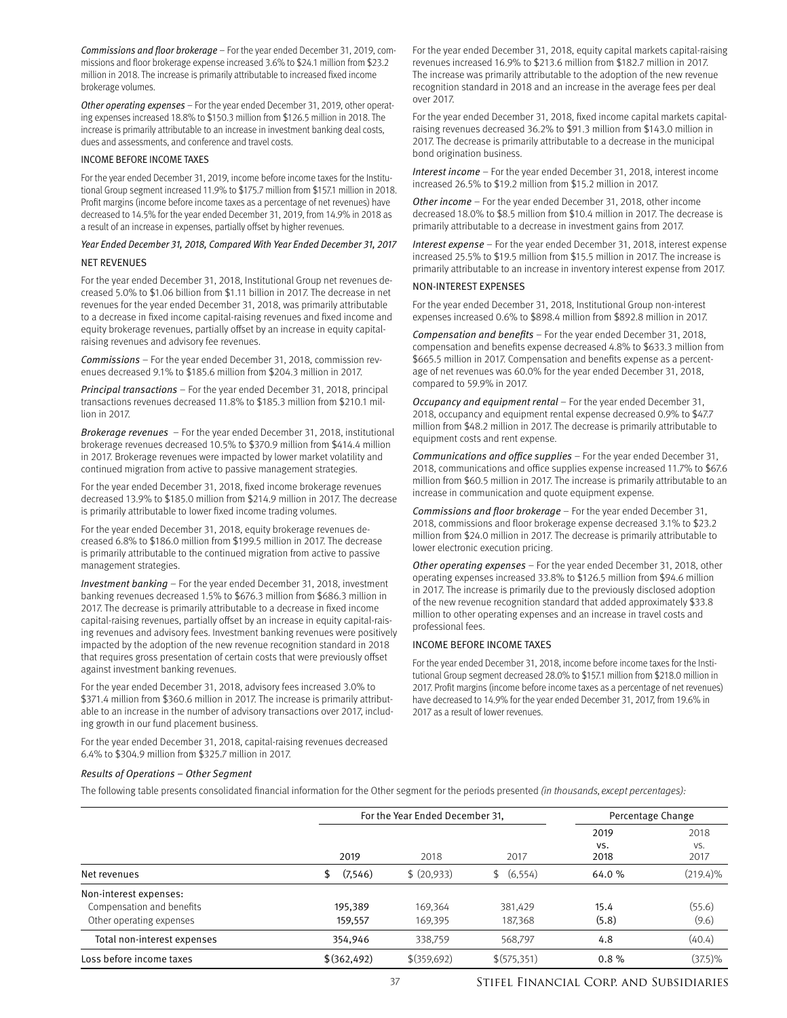Commissions and floor brokerage – For the year ended December 31, 2019, commissions and floor brokerage expense increased 3.6% to \$24.1 million from \$23.2 million in 2018. The increase is primarily attributable to increased fixed income brokerage volumes.

Other operating expenses - For the year ended December 31, 2019, other operating expenses increased 18.8% to \$150.3 million from \$126.5 million in 2018. The increase is primarily attributable to an increase in investment banking deal costs, dues and assessments, and conference and travel costs.

### INCOME BEFORE INCOME TAXES

For the year ended December 31, 2019, income before income taxes for the Institutional Group segment increased 11.9% to \$175.7 million from \$157.1 million in 2018. Profit margins (income before income taxes as a percentage of net revenues) have decreased to 14.5% for the year ended December 31, 2019, from 14.9% in 2018 as a result of an increase in expenses, partially offset by higher revenues.

#### Year Ended December 31, 2018, Compared With Year Ended December 31, 2017

## NET REVENUES

For the year ended December 31, 2018, Institutional Group net revenues decreased 5.0% to \$1.06 billion from \$1.11 billion in 2017. The decrease in net revenues for the year ended December 31, 2018, was primarily attributable to a decrease in fixed income capital-raising revenues and fixed income and equity brokerage revenues, partially offset by an increase in equity capitalraising revenues and advisory fee revenues.

Commissions – For the year ended December 31, 2018, commission revenues decreased 9.1% to \$185.6 million from \$204.3 million in 2017.

Principal transactions - For the year ended December 31, 2018, principal transactions revenues decreased 11.8% to \$185.3 million from \$210.1 million in 2017.

Brokerage revenues - For the year ended December 31, 2018, institutional brokerage revenues decreased 10.5% to \$370.9 million from \$414.4 million in 2017. Brokerage revenues were impacted by lower market volatility and continued migration from active to passive management strategies.

For the year ended December 31, 2018, fixed income brokerage revenues decreased 13.9% to \$185.0 million from \$214.9 million in 2017. The decrease is primarily attributable to lower fixed income trading volumes.

For the year ended December 31, 2018, equity brokerage revenues decreased 6.8% to \$186.0 million from \$199.5 million in 2017. The decrease is primarily attributable to the continued migration from active to passive management strategies.

Investment banking – For the year ended December 31, 2018, investment banking revenues decreased 1.5% to \$676.3 million from \$686.3 million in 2017. The decrease is primarily attributable to a decrease in fixed income capital-raising revenues, partially offset by an increase in equity capital-raising revenues and advisory fees. Investment banking revenues were positively impacted by the adoption of the new revenue recognition standard in 2018 that requires gross presentation of certain costs that were previously offset against investment banking revenues.

For the year ended December 31, 2018, advisory fees increased 3.0% to \$371.4 million from \$360.6 million in 2017. The increase is primarily attributable to an increase in the number of advisory transactions over 2017, including growth in our fund placement business.

For the year ended December 31, 2018, capital-raising revenues decreased 6.4% to \$304.9 million from \$325.7 million in 2017.

## Results of Operations – Other Segment

For the year ended December 31, 2018, equity capital markets capital-raising revenues increased 16.9% to \$213.6 million from \$182.7 million in 2017. The increase was primarily attributable to the adoption of the new revenue recognition standard in 2018 and an increase in the average fees per deal over 2017.

For the year ended December 31, 2018, fixed income capital markets capitalraising revenues decreased 36.2% to \$91.3 million from \$143.0 million in 2017. The decrease is primarily attributable to a decrease in the municipal bond origination business.

Interest income – For the year ended December 31, 2018, interest income increased 26.5% to \$19.2 million from \$15.2 million in 2017.

Other income – For the year ended December 31, 2018, other income decreased 18.0% to \$8.5 million from \$10.4 million in 2017. The decrease is primarily attributable to a decrease in investment gains from 2017.

Interest expense – For the year ended December 31, 2018, interest expense increased 25.5% to \$19.5 million from \$15.5 million in 2017. The increase is primarily attributable to an increase in inventory interest expense from 2017.

# NON-INTEREST EXPENSES

For the year ended December 31, 2018, Institutional Group non-interest expenses increased 0.6% to \$898.4 million from \$892.8 million in 2017.

Compensation and benefits – For the year ended December 31, 2018, compensation and benefits expense decreased 4.8% to \$633.3 million from \$665.5 million in 2017. Compensation and benefits expense as a percentage of net revenues was 60.0% for the year ended December 31, 2018, compared to 59.9% in 2017.

Occupancy and equipment rental – For the year ended December 31, 2018, occupancy and equipment rental expense decreased 0.9% to \$47.7 million from \$48.2 million in 2017. The decrease is primarily attributable to equipment costs and rent expense.

Communications and office supplies – For the year ended December 31, 2018, communications and office supplies expense increased 11.7% to \$67.6 million from \$60.5 million in 2017. The increase is primarily attributable to an increase in communication and quote equipment expense.

Commissions and floor brokerage – For the year ended December 31, 2018, commissions and floor brokerage expense decreased 3.1% to \$23.2 million from \$24.0 million in 2017. The decrease is primarily attributable to lower electronic execution pricing.

Other operating expenses – For the year ended December 31, 2018, other operating expenses increased 33.8% to \$126.5 million from \$94.6 million in 2017. The increase is primarily due to the previously disclosed adoption of the new revenue recognition standard that added approximately \$33.8 million to other operating expenses and an increase in travel costs and professional fees.

# INCOME BEFORE INCOME TAXES

For the year ended December 31, 2018, income before income taxes for the Institutional Group segment decreased 28.0% to \$157.1 million from \$218.0 million in 2017. Profit margins (income before income taxes as a percentage of net revenues) have decreased to 14.9% for the year ended December 31, 2017, from 19.6% in 2017 as a result of lower revenues.

The following table presents consolidated financial information for the Other segment for the periods presented (in thousands, except percentages):

|                             | For the Year Ended December 31, |                |              | Percentage Change   |                     |
|-----------------------------|---------------------------------|----------------|--------------|---------------------|---------------------|
|                             | 2019                            | 2018           | 2017         | 2019<br>VS.<br>2018 | 2018<br>VS.<br>2017 |
| Net revenues                | (7, 546)<br>\$                  | $$^{(20,933)}$ | \$ (6,554)   | 64.0%               | $(219.4)\%$         |
| Non-interest expenses:      |                                 |                |              |                     |                     |
| Compensation and benefits   | 195.389                         | 169.364        | 381.429      | 15.4                | (55.6)              |
| Other operating expenses    | 159,557                         | 169,395        | 187,368      | (5.8)               | (9.6)               |
| Total non-interest expenses | 354.946                         | 338,759        | 568,797      | 4.8                 | (40.4)              |
| Loss before income taxes    | \$ (362, 492)                   | $$$ (359,692)  | \$(575, 351) | 0.8%                | $(37.5)\%$          |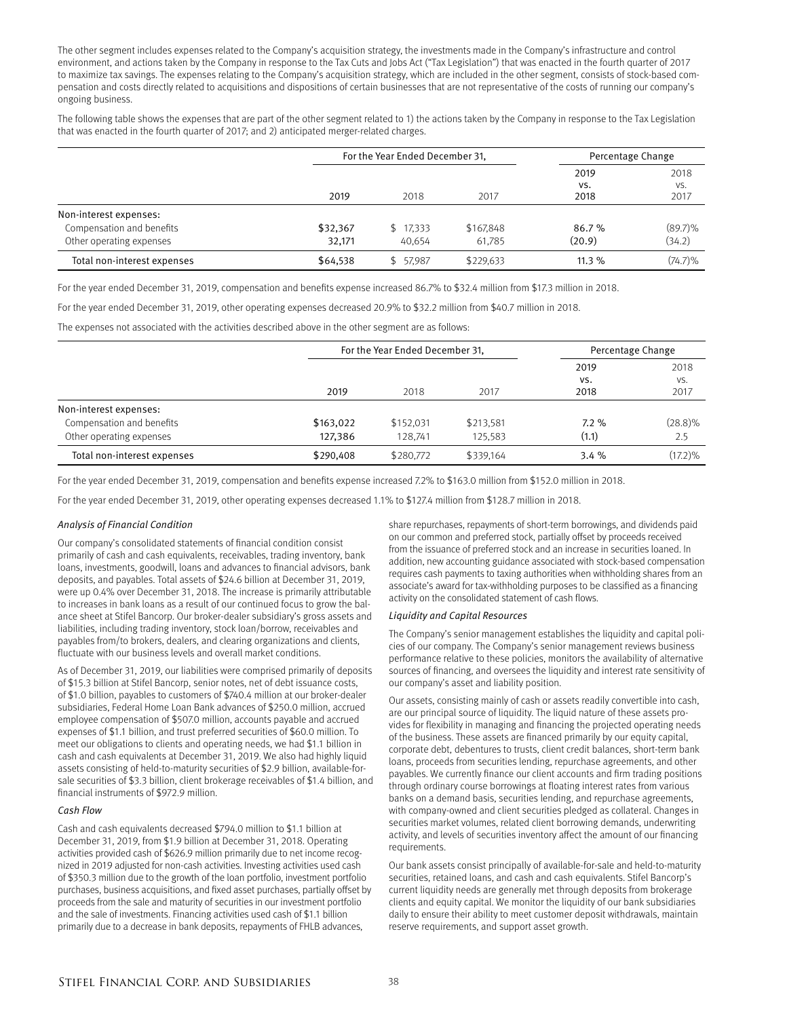The other segment includes expenses related to the Company's acquisition strategy, the investments made in the Company's infrastructure and control environment, and actions taken by the Company in response to the Tax Cuts and Jobs Act ("Tax Legislation") that was enacted in the fourth quarter of 2017 to maximize tax savings. The expenses relating to the Company's acquisition strategy, which are included in the other segment, consists of stock-based compensation and costs directly related to acquisitions and dispositions of certain businesses that are not representative of the costs of running our company's ongoing business.

The following table shows the expenses that are part of the other segment related to 1) the actions taken by the Company in response to the Tax Legislation that was enacted in the fourth quarter of 2017; and 2) anticipated merger-related charges.

|                             | For the Year Ended December 31, |          |           | Percentage Change   |                     |
|-----------------------------|---------------------------------|----------|-----------|---------------------|---------------------|
|                             | 2019                            | 2018     | 2017      | 2019<br>VS.<br>2018 | 2018<br>VS.<br>2017 |
| Non-interest expenses:      |                                 |          |           |                     |                     |
| Compensation and benefits   | \$32,367                        | \$17,333 | \$167,848 | 86.7%               | $(89.7)\%$          |
| Other operating expenses    | 32,171                          | 40.654   | 61,785    | (20.9)              | (34.2)              |
| Total non-interest expenses | \$64,538                        | \$57,987 | \$229,633 | 11.3%               | $(74.7)\%$          |

For the year ended December 31, 2019, compensation and benefits expense increased 86.7% to \$32.4 million from \$17.3 million in 2018.

For the year ended December 31, 2019, other operating expenses decreased 20.9% to \$32.2 million from \$40.7 million in 2018.

The expenses not associated with the activities described above in the other segment are as follows:

|                             | For the Year Ended December 31, |           |           | Percentage Change |            |
|-----------------------------|---------------------------------|-----------|-----------|-------------------|------------|
|                             |                                 |           |           | 2019              | 2018       |
|                             |                                 |           |           | VS.               | VS.        |
|                             | 2019                            | 2018      | 2017      | 2018              | 2017       |
| Non-interest expenses:      |                                 |           |           |                   |            |
| Compensation and benefits   | \$163,022                       | \$152,031 | \$213,581 | 7.2%              | $(28.8)\%$ |
| Other operating expenses    | 127,386                         | 128.741   | 125.583   | (1.1)             | 2.5        |
| Total non-interest expenses | \$290,408                       | \$280,772 | \$339,164 | 3.4%              | $(17.2)\%$ |

For the year ended December 31, 2019, compensation and benefits expense increased 7.2% to \$163.0 million from \$152.0 million in 2018.

For the year ended December 31, 2019, other operating expenses decreased 1.1% to \$127.4 million from \$128.7 million in 2018.

## Analysis of Financial Condition

Our company's consolidated statements of financial condition consist primarily of cash and cash equivalents, receivables, trading inventory, bank loans, investments, goodwill, loans and advances to financial advisors, bank deposits, and payables. Total assets of \$24.6 billion at December 31, 2019, were up 0.4% over December 31, 2018. The increase is primarily attributable to increases in bank loans as a result of our continued focus to grow the balance sheet at Stifel Bancorp. Our broker-dealer subsidiary's gross assets and liabilities, including trading inventory, stock loan/borrow, receivables and payables from/to brokers, dealers, and clearing organizations and clients, fluctuate with our business levels and overall market conditions.

As of December 31, 2019, our liabilities were comprised primarily of deposits of \$15.3 billion at Stifel Bancorp, senior notes, net of debt issuance costs, of \$1.0 billion, payables to customers of \$740.4 million at our broker-dealer subsidiaries, Federal Home Loan Bank advances of \$250.0 million, accrued employee compensation of \$507.0 million, accounts payable and accrued expenses of \$1.1 billion, and trust preferred securities of \$60.0 million. To meet our obligations to clients and operating needs, we had \$1.1 billion in cash and cash equivalents at December 31, 2019. We also had highly liquid assets consisting of held-to-maturity securities of \$2.9 billion, available-forsale securities of \$3.3 billion, client brokerage receivables of \$1.4 billion, and financial instruments of \$972.9 million.

# Cash Flow

Cash and cash equivalents decreased \$794.0 million to \$1.1 billion at December 31, 2019, from \$1.9 billion at December 31, 2018. Operating activities provided cash of \$626.9 million primarily due to net income recognized in 2019 adjusted for non-cash activities. Investing activities used cash of \$350.3 million due to the growth of the loan portfolio, investment portfolio purchases, business acquisitions, and fixed asset purchases, partially offset by proceeds from the sale and maturity of securities in our investment portfolio and the sale of investments. Financing activities used cash of \$1.1 billion primarily due to a decrease in bank deposits, repayments of FHLB advances,

share repurchases, repayments of short-term borrowings, and dividends paid on our common and preferred stock, partially offset by proceeds received from the issuance of preferred stock and an increase in securities loaned. In addition, new accounting guidance associated with stock-based compensation requires cash payments to taxing authorities when withholding shares from an associate's award for tax-withholding purposes to be classified as a financing activity on the consolidated statement of cash flows.

## Liquidity and Capital Resources

The Company's senior management establishes the liquidity and capital policies of our company. The Company's senior management reviews business performance relative to these policies, monitors the availability of alternative sources of financing, and oversees the liquidity and interest rate sensitivity of our company's asset and liability position.

Our assets, consisting mainly of cash or assets readily convertible into cash, are our principal source of liquidity. The liquid nature of these assets provides for flexibility in managing and financing the projected operating needs of the business. These assets are financed primarily by our equity capital, corporate debt, debentures to trusts, client credit balances, short-term bank loans, proceeds from securities lending, repurchase agreements, and other payables. We currently finance our client accounts and firm trading positions through ordinary course borrowings at floating interest rates from various banks on a demand basis, securities lending, and repurchase agreements, with company-owned and client securities pledged as collateral. Changes in securities market volumes, related client borrowing demands, underwriting activity, and levels of securities inventory affect the amount of our financing requirements.

Our bank assets consist principally of available-for-sale and held-to-maturity securities, retained loans, and cash and cash equivalents. Stifel Bancorp's current liquidity needs are generally met through deposits from brokerage clients and equity capital. We monitor the liquidity of our bank subsidiaries daily to ensure their ability to meet customer deposit withdrawals, maintain reserve requirements, and support asset growth.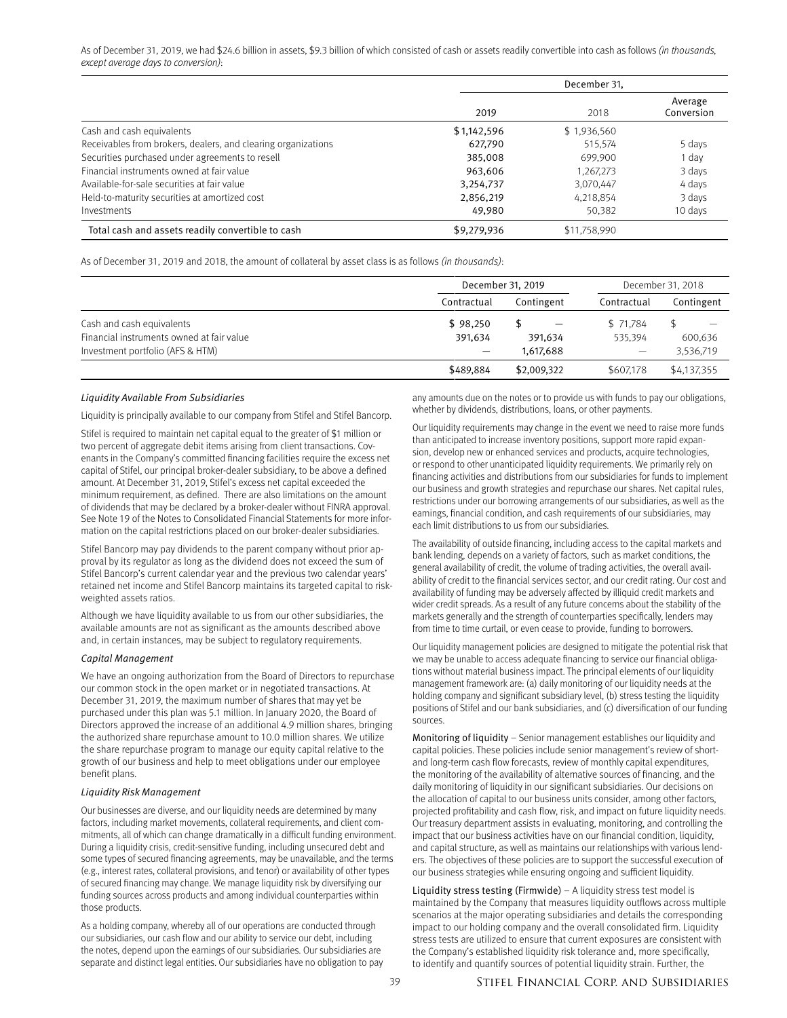As of December 31, 2019, we had \$24.6 billion in assets, \$9.3 billion of which consisted of cash or assets readily convertible into cash as follows (in thousands, except average days to conversion):

|                                                               | December 31, |              |                       |  |
|---------------------------------------------------------------|--------------|--------------|-----------------------|--|
|                                                               | 2019         | 2018         | Average<br>Conversion |  |
| Cash and cash equivalents                                     | \$1,142,596  | \$1,936,560  |                       |  |
| Receivables from brokers, dealers, and clearing organizations | 627,790      | 515,574      | 5 days                |  |
| Securities purchased under agreements to resell               | 385,008      | 699.900      | 1 day                 |  |
| Financial instruments owned at fair value                     | 963,606      | 1,267,273    | 3 days                |  |
| Available-for-sale securities at fair value                   | 3,254,737    | 3.070.447    | 4 days                |  |
| Held-to-maturity securities at amortized cost                 | 2,856,219    | 4,218,854    | 3 days                |  |
| Investments                                                   | 49.980       | 50,382       | 10 days               |  |
| Total cash and assets readily convertible to cash             | \$9,279,936  | \$11,758,990 |                       |  |

As of December 31, 2019 and 2018, the amount of collateral by asset class is as follows (in thousands):

|                                           |             | December 31, 2019 |                          | December 31, 2018 |
|-------------------------------------------|-------------|-------------------|--------------------------|-------------------|
|                                           | Contractual | Contingent        | Contractual              | Contingent        |
| Cash and cash equivalents                 | \$98,250    |                   | \$71.784                 |                   |
| Financial instruments owned at fair value | 391,634     | 391,634           | 535,394                  | 600,636           |
| Investment portfolio (AFS & HTM)          |             | 1,617,688         | $\overline{\phantom{0}}$ | 3,536,719         |
|                                           | \$489.884   | \$2,009,322       | \$607,178                | \$4,137,355       |

# Liquidity Available From Subsidiaries

Liquidity is principally available to our company from Stifel and Stifel Bancorp.

Stifel is required to maintain net capital equal to the greater of \$1 million or two percent of aggregate debit items arising from client transactions. Covenants in the Company's committed financing facilities require the excess net capital of Stifel, our principal broker-dealer subsidiary, to be above a defined amount. At December 31, 2019, Stifel's excess net capital exceeded the minimum requirement, as defined. There are also limitations on the amount of dividends that may be declared by a broker-dealer without FINRA approval. See Note 19 of the Notes to Consolidated Financial Statements for more information on the capital restrictions placed on our broker-dealer subsidiaries.

Stifel Bancorp may pay dividends to the parent company without prior approval by its regulator as long as the dividend does not exceed the sum of Stifel Bancorp's current calendar year and the previous two calendar years' retained net income and Stifel Bancorp maintains its targeted capital to riskweighted assets ratios.

Although we have liquidity available to us from our other subsidiaries, the available amounts are not as significant as the amounts described above and, in certain instances, may be subject to regulatory requirements.

## Capital Management

We have an ongoing authorization from the Board of Directors to repurchase our common stock in the open market or in negotiated transactions. At December 31, 2019, the maximum number of shares that may yet be purchased under this plan was 5.1 million. In January 2020, the Board of Directors approved the increase of an additional 4.9 million shares, bringing the authorized share repurchase amount to 10.0 million shares. We utilize the share repurchase program to manage our equity capital relative to the growth of our business and help to meet obligations under our employee benefit plans.

### Liquidity Risk Management

Our businesses are diverse, and our liquidity needs are determined by many factors, including market movements, collateral requirements, and client commitments, all of which can change dramatically in a difficult funding environment. During a liquidity crisis, credit-sensitive funding, including unsecured debt and some types of secured financing agreements, may be unavailable, and the terms (e.g., interest rates, collateral provisions, and tenor) or availability of other types of secured financing may change. We manage liquidity risk by diversifying our funding sources across products and among individual counterparties within those products.

As a holding company, whereby all of our operations are conducted through our subsidiaries, our cash flow and our ability to service our debt, including the notes, depend upon the earnings of our subsidiaries. Our subsidiaries are separate and distinct legal entities. Our subsidiaries have no obligation to pay any amounts due on the notes or to provide us with funds to pay our obligations, whether by dividends, distributions, loans, or other payments.

Our liquidity requirements may change in the event we need to raise more funds than anticipated to increase inventory positions, support more rapid expansion, develop new or enhanced services and products, acquire technologies, or respond to other unanticipated liquidity requirements. We primarily rely on financing activities and distributions from our subsidiaries for funds to implement our business and growth strategies and repurchase our shares. Net capital rules, restrictions under our borrowing arrangements of our subsidiaries, as well as the earnings, financial condition, and cash requirements of our subsidiaries, may each limit distributions to us from our subsidiaries.

The availability of outside financing, including access to the capital markets and bank lending, depends on a variety of factors, such as market conditions, the general availability of credit, the volume of trading activities, the overall availability of credit to the financial services sector, and our credit rating. Our cost and availability of funding may be adversely affected by illiquid credit markets and wider credit spreads. As a result of any future concerns about the stability of the markets generally and the strength of counterparties specifically, lenders may from time to time curtail, or even cease to provide, funding to borrowers.

Our liquidity management policies are designed to mitigate the potential risk that we may be unable to access adequate financing to service our financial obligations without material business impact. The principal elements of our liquidity management framework are: (a) daily monitoring of our liquidity needs at the holding company and significant subsidiary level, (b) stress testing the liquidity positions of Stifel and our bank subsidiaries, and (c) diversification of our funding sources.

Monitoring of liquidity – Senior management establishes our liquidity and capital policies. These policies include senior management's review of shortand long-term cash flow forecasts, review of monthly capital expenditures, the monitoring of the availability of alternative sources of financing, and the daily monitoring of liquidity in our significant subsidiaries. Our decisions on the allocation of capital to our business units consider, among other factors, projected profitability and cash flow, risk, and impact on future liquidity needs. Our treasury department assists in evaluating, monitoring, and controlling the impact that our business activities have on our financial condition, liquidity, and capital structure, as well as maintains our relationships with various lenders. The objectives of these policies are to support the successful execution of our business strategies while ensuring ongoing and sufficient liquidity.

Liquidity stress testing (Firmwide) – A liquidity stress test model is maintained by the Company that measures liquidity outflows across multiple scenarios at the major operating subsidiaries and details the corresponding impact to our holding company and the overall consolidated firm. Liquidity stress tests are utilized to ensure that current exposures are consistent with the Company's established liquidity risk tolerance and, more specifically, to identify and quantify sources of potential liquidity strain. Further, the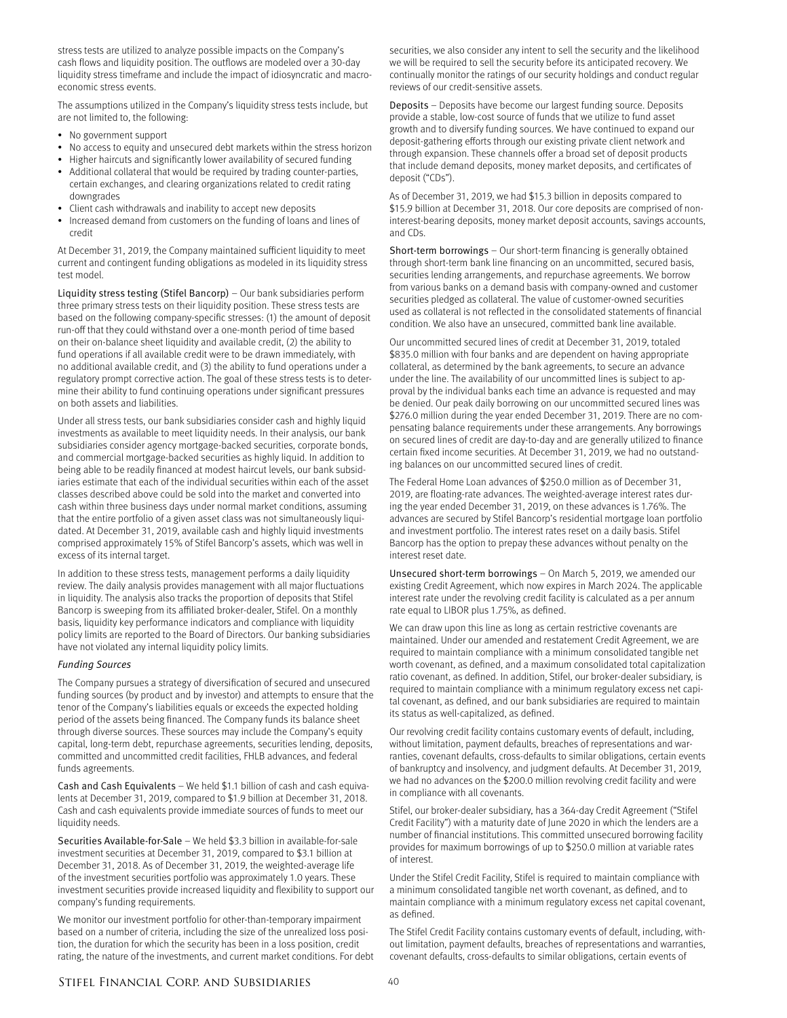stress tests are utilized to analyze possible impacts on the Company's cash flows and liquidity position. The outflows are modeled over a 30-day liquidity stress timeframe and include the impact of idiosyncratic and macroeconomic stress events.

The assumptions utilized in the Company's liquidity stress tests include, but are not limited to, the following:

- No government support
- No access to equity and unsecured debt markets within the stress horizon
- Higher haircuts and significantly lower availability of secured funding
- Additional collateral that would be required by trading counter-parties, certain exchanges, and clearing organizations related to credit rating downgrades
- Client cash withdrawals and inability to accept new deposits
- Increased demand from customers on the funding of loans and lines of credit

At December 31, 2019, the Company maintained sufficient liquidity to meet current and contingent funding obligations as modeled in its liquidity stress test model.

Liquidity stress testing (Stifel Bancorp) – Our bank subsidiaries perform three primary stress tests on their liquidity position. These stress tests are based on the following company-specific stresses: (1) the amount of deposit run-off that they could withstand over a one-month period of time based on their on-balance sheet liquidity and available credit, (2) the ability to fund operations if all available credit were to be drawn immediately, with no additional available credit, and (3) the ability to fund operations under a regulatory prompt corrective action. The goal of these stress tests is to determine their ability to fund continuing operations under significant pressures on both assets and liabilities.

Under all stress tests, our bank subsidiaries consider cash and highly liquid investments as available to meet liquidity needs. In their analysis, our bank subsidiaries consider agency mortgage-backed securities, corporate bonds, and commercial mortgage-backed securities as highly liquid. In addition to being able to be readily financed at modest haircut levels, our bank subsidiaries estimate that each of the individual securities within each of the asset classes described above could be sold into the market and converted into cash within three business days under normal market conditions, assuming that the entire portfolio of a given asset class was not simultaneously liquidated. At December 31, 2019, available cash and highly liquid investments comprised approximately 15% of Stifel Bancorp's assets, which was well in excess of its internal target.

In addition to these stress tests, management performs a daily liquidity review. The daily analysis provides management with all major fluctuations in liquidity. The analysis also tracks the proportion of deposits that Stifel Bancorp is sweeping from its affiliated broker-dealer, Stifel. On a monthly basis, liquidity key performance indicators and compliance with liquidity policy limits are reported to the Board of Directors. Our banking subsidiaries have not violated any internal liquidity policy limits.

## Funding Sources

The Company pursues a strategy of diversification of secured and unsecured funding sources (by product and by investor) and attempts to ensure that the tenor of the Company's liabilities equals or exceeds the expected holding period of the assets being financed. The Company funds its balance sheet through diverse sources. These sources may include the Company's equity capital, long-term debt, repurchase agreements, securities lending, deposits, committed and uncommitted credit facilities, FHLB advances, and federal funds agreements.

Cash and Cash Equivalents – We held \$1.1 billion of cash and cash equivalents at December 31, 2019, compared to \$1.9 billion at December 31, 2018. Cash and cash equivalents provide immediate sources of funds to meet our liquidity needs.

Securities Available-for-Sale – We held \$3.3 billion in available-for-sale investment securities at December 31, 2019, compared to \$3.1 billion at December 31, 2018. As of December 31, 2019, the weighted-average life of the investment securities portfolio was approximately 1.0 years. These investment securities provide increased liquidity and flexibility to support our company's funding requirements.

We monitor our investment portfolio for other-than-temporary impairment based on a number of criteria, including the size of the unrealized loss position, the duration for which the security has been in a loss position, credit rating, the nature of the investments, and current market conditions. For debt

securities, we also consider any intent to sell the security and the likelihood we will be required to sell the security before its anticipated recovery. We continually monitor the ratings of our security holdings and conduct regular reviews of our credit-sensitive assets.

Deposits – Deposits have become our largest funding source. Deposits provide a stable, low-cost source of funds that we utilize to fund asset growth and to diversify funding sources. We have continued to expand our deposit-gathering efforts through our existing private client network and through expansion. These channels offer a broad set of deposit products that include demand deposits, money market deposits, and certificates of deposit ("CDs").

As of December 31, 2019, we had \$15.3 billion in deposits compared to \$15.9 billion at December 31, 2018. Our core deposits are comprised of noninterest-bearing deposits, money market deposit accounts, savings accounts, and CDs.

Short-term borrowings – Our short-term financing is generally obtained through short-term bank line financing on an uncommitted, secured basis, securities lending arrangements, and repurchase agreements. We borrow from various banks on a demand basis with company-owned and customer securities pledged as collateral. The value of customer-owned securities used as collateral is not reflected in the consolidated statements of financial condition. We also have an unsecured, committed bank line available.

Our uncommitted secured lines of credit at December 31, 2019, totaled \$835.0 million with four banks and are dependent on having appropriate collateral, as determined by the bank agreements, to secure an advance under the line. The availability of our uncommitted lines is subject to approval by the individual banks each time an advance is requested and may be denied. Our peak daily borrowing on our uncommitted secured lines was \$276.0 million during the year ended December 31, 2019. There are no compensating balance requirements under these arrangements. Any borrowings on secured lines of credit are day-to-day and are generally utilized to finance certain fixed income securities. At December 31, 2019, we had no outstanding balances on our uncommitted secured lines of credit.

The Federal Home Loan advances of \$250.0 million as of December 31, 2019, are floating-rate advances. The weighted-average interest rates during the year ended December 31, 2019, on these advances is 1.76%. The advances are secured by Stifel Bancorp's residential mortgage loan portfolio and investment portfolio. The interest rates reset on a daily basis. Stifel Bancorp has the option to prepay these advances without penalty on the interest reset date.

Unsecured short-term borrowings – On March 5, 2019, we amended our existing Credit Agreement, which now expires in March 2024. The applicable interest rate under the revolving credit facility is calculated as a per annum rate equal to LIBOR plus 1.75%, as defined.

We can draw upon this line as long as certain restrictive covenants are maintained. Under our amended and restatement Credit Agreement, we are required to maintain compliance with a minimum consolidated tangible net worth covenant, as defined, and a maximum consolidated total capitalization ratio covenant, as defined. In addition, Stifel, our broker-dealer subsidiary, is required to maintain compliance with a minimum regulatory excess net capital covenant, as defined, and our bank subsidiaries are required to maintain its status as well-capitalized, as defined.

Our revolving credit facility contains customary events of default, including, without limitation, payment defaults, breaches of representations and warranties, covenant defaults, cross-defaults to similar obligations, certain events of bankruptcy and insolvency, and judgment defaults. At December 31, 2019, we had no advances on the \$200.0 million revolving credit facility and were in compliance with all covenants.

Stifel, our broker-dealer subsidiary, has a 364-day Credit Agreement ("Stifel Credit Facility") with a maturity date of June 2020 in which the lenders are a number of financial institutions. This committed unsecured borrowing facility provides for maximum borrowings of up to \$250.0 million at variable rates of interest.

Under the Stifel Credit Facility, Stifel is required to maintain compliance with a minimum consolidated tangible net worth covenant, as defined, and to maintain compliance with a minimum regulatory excess net capital covenant, as defined.

The Stifel Credit Facility contains customary events of default, including, without limitation, payment defaults, breaches of representations and warranties, covenant defaults, cross-defaults to similar obligations, certain events of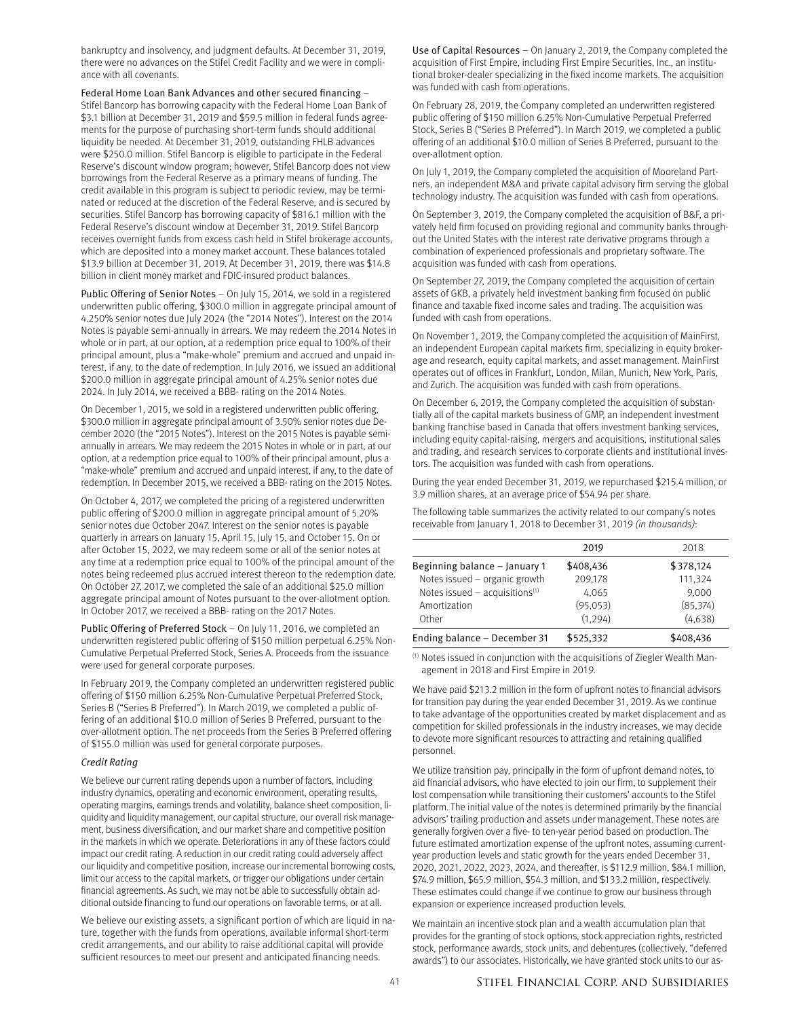bankruptcy and insolvency, and judgment defaults. At December 31, 2019, there were no advances on the Stifel Credit Facility and we were in compliance with all covenants.

Federal Home Loan Bank Advances and other secured financing –

Stifel Bancorp has borrowing capacity with the Federal Home Loan Bank of \$3.1 billion at December 31, 2019 and \$59.5 million in federal funds agreements for the purpose of purchasing short-term funds should additional liquidity be needed. At December 31, 2019, outstanding FHLB advances were \$250.0 million. Stifel Bancorp is eligible to participate in the Federal Reserve's discount window program; however, Stifel Bancorp does not view borrowings from the Federal Reserve as a primary means of funding. The credit available in this program is subject to periodic review, may be terminated or reduced at the discretion of the Federal Reserve, and is secured by securities. Stifel Bancorp has borrowing capacity of \$816.1 million with the Federal Reserve's discount window at December 31, 2019. Stifel Bancorp receives overnight funds from excess cash held in Stifel brokerage accounts, which are deposited into a money market account. These balances totaled \$13.9 billion at December 31, 2019. At December 31, 2019, there was \$14.8 billion in client money market and FDIC-insured product balances.

Public Offering of Senior Notes - On July 15, 2014, we sold in a registered underwritten public offering, \$300.0 million in aggregate principal amount of 4.250% senior notes due July 2024 (the "2014 Notes"). Interest on the 2014 Notes is payable semi-annually in arrears. We may redeem the 2014 Notes in whole or in part, at our option, at a redemption price equal to 100% of their principal amount, plus a "make-whole" premium and accrued and unpaid interest, if any, to the date of redemption. In July 2016, we issued an additional \$200.0 million in aggregate principal amount of 4.25% senior notes due 2024. In July 2014, we received a BBB- rating on the 2014 Notes.

On December 1, 2015, we sold in a registered underwritten public offering, \$300.0 million in aggregate principal amount of 3.50% senior notes due December 2020 (the "2015 Notes"). Interest on the 2015 Notes is payable semiannually in arrears. We may redeem the 2015 Notes in whole or in part, at our option, at a redemption price equal to 100% of their principal amount, plus a "make-whole" premium and accrued and unpaid interest, if any, to the date of redemption. In December 2015, we received a BBB- rating on the 2015 Notes.

On October 4, 2017, we completed the pricing of a registered underwritten public offering of \$200.0 million in aggregate principal amount of 5.20% senior notes due October 2047. Interest on the senior notes is payable quarterly in arrears on January 15, April 15, July 15, and October 15. On or after October 15, 2022, we may redeem some or all of the senior notes at any time at a redemption price equal to 100% of the principal amount of the notes being redeemed plus accrued interest thereon to the redemption date. On October 27, 2017, we completed the sale of an additional \$25.0 million aggregate principal amount of Notes pursuant to the over-allotment option. In October 2017, we received a BBB- rating on the 2017 Notes.

Public Offering of Preferred Stock - On July 11, 2016, we completed an underwritten registered public offering of \$150 million perpetual 6.25% Non-Cumulative Perpetual Preferred Stock, Series A. Proceeds from the issuance were used for general corporate purposes.

In February 2019, the Company completed an underwritten registered public offering of \$150 million 6.25% Non-Cumulative Perpetual Preferred Stock, Series B ("Series B Preferred"). In March 2019, we completed a public offering of an additional \$10.0 million of Series B Preferred, pursuant to the over-allotment option. The net proceeds from the Series B Preferred offering of \$155.0 million was used for general corporate purposes.

# Credit Rating

We believe our current rating depends upon a number of factors, including industry dynamics, operating and economic environment, operating results, operating margins, earnings trends and volatility, balance sheet composition, liquidity and liquidity management, our capital structure, our overall risk management, business diversification, and our market share and competitive position in the markets in which we operate. Deteriorations in any of these factors could impact our credit rating. A reduction in our credit rating could adversely affect our liquidity and competitive position, increase our incremental borrowing costs, limit our access to the capital markets, or trigger our obligations under certain financial agreements. As such, we may not be able to successfully obtain additional outside financing to fund our operations on favorable terms, or at all.

We believe our existing assets, a significant portion of which are liquid in nature, together with the funds from operations, available informal short-term credit arrangements, and our ability to raise additional capital will provide sufficient resources to meet our present and anticipated financing needs.

Use of Capital Resources – On January 2, 2019, the Company completed the acquisition of First Empire, including First Empire Securities, Inc., an institutional broker-dealer specializing in the fixed income markets. The acquisition was funded with cash from operations.

On February 28, 2019, the Company completed an underwritten registered public offering of \$150 million 6.25% Non-Cumulative Perpetual Preferred Stock, Series B ("Series B Preferred"). In March 2019, we completed a public offering of an additional \$10.0 million of Series B Preferred, pursuant to the over-allotment option.

On July 1, 2019, the Company completed the acquisition of Mooreland Partners, an independent M&A and private capital advisory firm serving the global technology industry. The acquisition was funded with cash from operations.

On September 3, 2019, the Company completed the acquisition of B&F, a privately held firm focused on providing regional and community banks throughout the United States with the interest rate derivative programs through a combination of experienced professionals and proprietary software. The acquisition was funded with cash from operations.

On September 27, 2019, the Company completed the acquisition of certain assets of GKB, a privately held investment banking firm focused on public finance and taxable fixed income sales and trading. The acquisition was funded with cash from operations.

On November 1, 2019, the Company completed the acquisition of MainFirst, an independent European capital markets firm, specializing in equity brokerage and research, equity capital markets, and asset management. MainFirst operates out of offices in Frankfurt, London, Milan, Munich, New York, Paris, and Zurich. The acquisition was funded with cash from operations.

On December 6, 2019, the Company completed the acquisition of substantially all of the capital markets business of GMP, an independent investment banking franchise based in Canada that offers investment banking services, including equity capital-raising, mergers and acquisitions, institutional sales and trading, and research services to corporate clients and institutional investors. The acquisition was funded with cash from operations.

During the year ended December 31, 2019, we repurchased \$215.4 million, or 3.9 million shares, at an average price of \$54.94 per share.

The following table summarizes the activity related to our company's notes receivable from January 1, 2018 to December 31, 2019 (in thousands):

|                                              | 2019      | 2018      |
|----------------------------------------------|-----------|-----------|
| Beginning balance - January 1                | \$408,436 | \$378,124 |
| Notes issued - organic growth                | 209,178   | 111,324   |
| Notes issued $-$ acquisitions <sup>(1)</sup> | 4.065     | 9,000     |
| Amortization                                 | (95,053)  | (85, 374) |
| Other                                        | (1.294)   | (4,638)   |
| Ending balance - December 31                 | \$525,332 | \$408,436 |

(1) Notes issued in conjunction with the acquisitions of Ziegler Wealth Management in 2018 and First Empire in 2019.

We have paid \$213.2 million in the form of upfront notes to financial advisors for transition pay during the year ended December 31, 2019. As we continue to take advantage of the opportunities created by market displacement and as competition for skilled professionals in the industry increases, we may decide to devote more significant resources to attracting and retaining qualified personnel.

We utilize transition pay, principally in the form of upfront demand notes, to aid financial advisors, who have elected to join our firm, to supplement their lost compensation while transitioning their customers' accounts to the Stifel platform. The initial value of the notes is determined primarily by the financial advisors' trailing production and assets under management. These notes are generally forgiven over a five- to ten-year period based on production. The future estimated amortization expense of the upfront notes, assuming currentyear production levels and static growth for the years ended December 31, 2020, 2021, 2022, 2023, 2024, and thereafter, is \$112.9 million, \$84.1 million, \$74.9 million, \$65.9 million, \$54.3 million, and \$133.2 million, respectively. These estimates could change if we continue to grow our business through expansion or experience increased production levels.

We maintain an incentive stock plan and a wealth accumulation plan that provides for the granting of stock options, stock appreciation rights, restricted stock, performance awards, stock units, and debentures (collectively, "deferred awards") to our associates. Historically, we have granted stock units to our as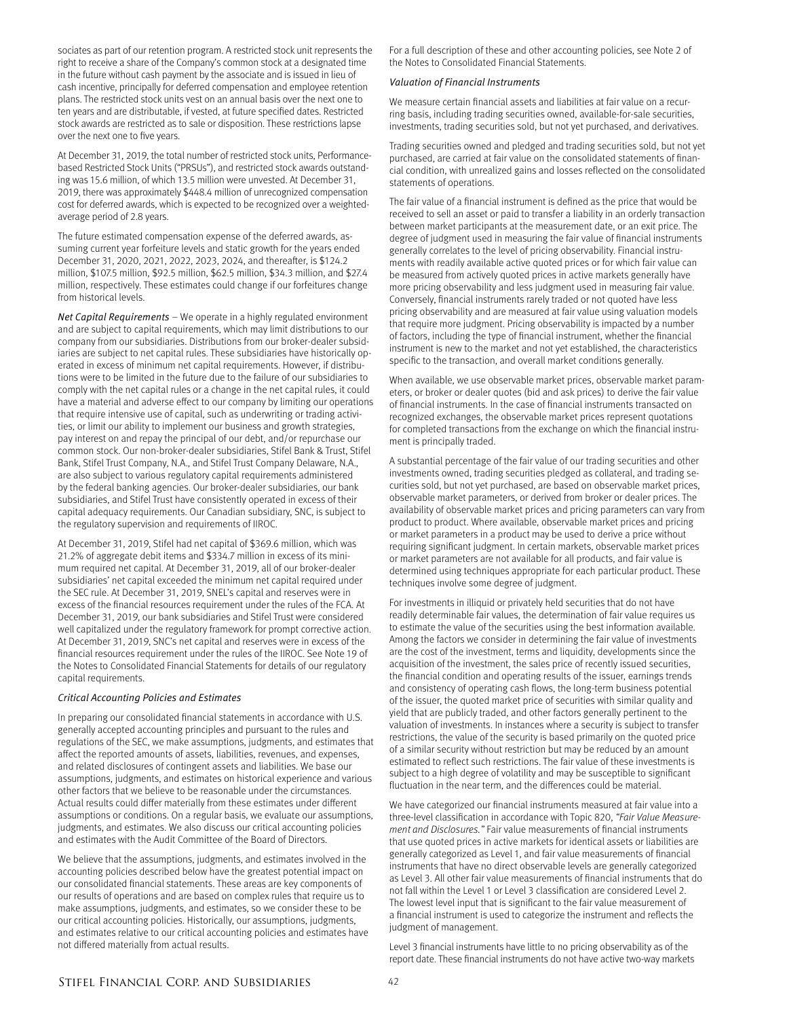sociates as part of our retention program. A restricted stock unit represents the right to receive a share of the Company's common stock at a designated time in the future without cash payment by the associate and is issued in lieu of cash incentive, principally for deferred compensation and employee retention plans. The restricted stock units vest on an annual basis over the next one to ten years and are distributable, if vested, at future specified dates. Restricted stock awards are restricted as to sale or disposition. These restrictions lapse over the next one to five years.

At December 31, 2019, the total number of restricted stock units, Performancebased Restricted Stock Units ("PRSUs"), and restricted stock awards outstanding was 15.6 million, of which 13.5 million were unvested. At December 31, 2019, there was approximately \$448.4 million of unrecognized compensation cost for deferred awards, which is expected to be recognized over a weightedaverage period of 2.8 years.

The future estimated compensation expense of the deferred awards, assuming current year forfeiture levels and static growth for the years ended December 31, 2020, 2021, 2022, 2023, 2024, and thereafter, is \$124.2 million, \$107.5 million, \$92.5 million, \$62.5 million, \$34.3 million, and \$27.4 million, respectively. These estimates could change if our forfeitures change from historical levels.

Net Capital Requirements - We operate in a highly regulated environment and are subject to capital requirements, which may limit distributions to our company from our subsidiaries. Distributions from our broker-dealer subsidiaries are subject to net capital rules. These subsidiaries have historically operated in excess of minimum net capital requirements. However, if distributions were to be limited in the future due to the failure of our subsidiaries to comply with the net capital rules or a change in the net capital rules, it could have a material and adverse effect to our company by limiting our operations that require intensive use of capital, such as underwriting or trading activities, or limit our ability to implement our business and growth strategies, pay interest on and repay the principal of our debt, and/or repurchase our common stock. Our non-broker-dealer subsidiaries, Stifel Bank & Trust, Stifel Bank, Stifel Trust Company, N.A., and Stifel Trust Company Delaware, N.A., are also subject to various regulatory capital requirements administered by the federal banking agencies. Our broker-dealer subsidiaries, our bank subsidiaries, and Stifel Trust have consistently operated in excess of their capital adequacy requirements. Our Canadian subsidiary, SNC, is subject to the regulatory supervision and requirements of IIROC.

At December 31, 2019, Stifel had net capital of \$369.6 million, which was 21.2% of aggregate debit items and \$334.7 million in excess of its minimum required net capital. At December 31, 2019, all of our broker-dealer subsidiaries' net capital exceeded the minimum net capital required under the SEC rule. At December 31, 2019, SNEL's capital and reserves were in excess of the financial resources requirement under the rules of the FCA. At December 31, 2019, our bank subsidiaries and Stifel Trust were considered well capitalized under the regulatory framework for prompt corrective action. At December 31, 2019, SNC's net capital and reserves were in excess of the financial resources requirement under the rules of the IIROC. See Note 19 of the Notes to Consolidated Financial Statements for details of our regulatory capital requirements.

# Critical Accounting Policies and Estimates

In preparing our consolidated financial statements in accordance with U.S. generally accepted accounting principles and pursuant to the rules and regulations of the SEC, we make assumptions, judgments, and estimates that affect the reported amounts of assets, liabilities, revenues, and expenses, and related disclosures of contingent assets and liabilities. We base our assumptions, judgments, and estimates on historical experience and various other factors that we believe to be reasonable under the circumstances. Actual results could differ materially from these estimates under different assumptions or conditions. On a regular basis, we evaluate our assumptions, judgments, and estimates. We also discuss our critical accounting policies and estimates with the Audit Committee of the Board of Directors.

We believe that the assumptions, judgments, and estimates involved in the accounting policies described below have the greatest potential impact on our consolidated financial statements. These areas are key components of our results of operations and are based on complex rules that require us to make assumptions, judgments, and estimates, so we consider these to be our critical accounting policies. Historically, our assumptions, judgments, and estimates relative to our critical accounting policies and estimates have not differed materially from actual results.

For a full description of these and other accounting policies, see Note 2 of the Notes to Consolidated Financial Statements.

# Valuation of Financial Instruments

We measure certain financial assets and liabilities at fair value on a recurring basis, including trading securities owned, available-for-sale securities, investments, trading securities sold, but not yet purchased, and derivatives.

Trading securities owned and pledged and trading securities sold, but not yet purchased, are carried at fair value on the consolidated statements of financial condition, with unrealized gains and losses reflected on the consolidated statements of operations.

The fair value of a financial instrument is defined as the price that would be received to sell an asset or paid to transfer a liability in an orderly transaction between market participants at the measurement date, or an exit price. The degree of judgment used in measuring the fair value of financial instruments generally correlates to the level of pricing observability. Financial instruments with readily available active quoted prices or for which fair value can be measured from actively quoted prices in active markets generally have more pricing observability and less judgment used in measuring fair value. Conversely, financial instruments rarely traded or not quoted have less pricing observability and are measured at fair value using valuation models that require more judgment. Pricing observability is impacted by a number of factors, including the type of financial instrument, whether the financial instrument is new to the market and not yet established, the characteristics specific to the transaction, and overall market conditions generally.

When available, we use observable market prices, observable market parameters, or broker or dealer quotes (bid and ask prices) to derive the fair value of financial instruments. In the case of financial instruments transacted on recognized exchanges, the observable market prices represent quotations for completed transactions from the exchange on which the financial instrument is principally traded.

A substantial percentage of the fair value of our trading securities and other investments owned, trading securities pledged as collateral, and trading securities sold, but not yet purchased, are based on observable market prices, observable market parameters, or derived from broker or dealer prices. The availability of observable market prices and pricing parameters can vary from product to product. Where available, observable market prices and pricing or market parameters in a product may be used to derive a price without requiring significant judgment. In certain markets, observable market prices or market parameters are not available for all products, and fair value is determined using techniques appropriate for each particular product. These techniques involve some degree of judgment.

For investments in illiquid or privately held securities that do not have readily determinable fair values, the determination of fair value requires us to estimate the value of the securities using the best information available. Among the factors we consider in determining the fair value of investments are the cost of the investment, terms and liquidity, developments since the acquisition of the investment, the sales price of recently issued securities, the financial condition and operating results of the issuer, earnings trends and consistency of operating cash flows, the long-term business potential of the issuer, the quoted market price of securities with similar quality and yield that are publicly traded, and other factors generally pertinent to the valuation of investments. In instances where a security is subject to transfer restrictions, the value of the security is based primarily on the quoted price of a similar security without restriction but may be reduced by an amount estimated to reflect such restrictions. The fair value of these investments is subject to a high degree of volatility and may be susceptible to significant fluctuation in the near term, and the differences could be material.

We have categorized our financial instruments measured at fair value into a three-level classification in accordance with Topic 820, "Fair Value Measurement and Disclosures." Fair value measurements of financial instruments that use quoted prices in active markets for identical assets or liabilities are generally categorized as Level 1, and fair value measurements of financial instruments that have no direct observable levels are generally categorized as Level 3. All other fair value measurements of financial instruments that do not fall within the Level 1 or Level 3 classification are considered Level 2. The lowest level input that is significant to the fair value measurement of a financial instrument is used to categorize the instrument and reflects the judgment of management.

Level 3 financial instruments have little to no pricing observability as of the report date. These financial instruments do not have active two-way markets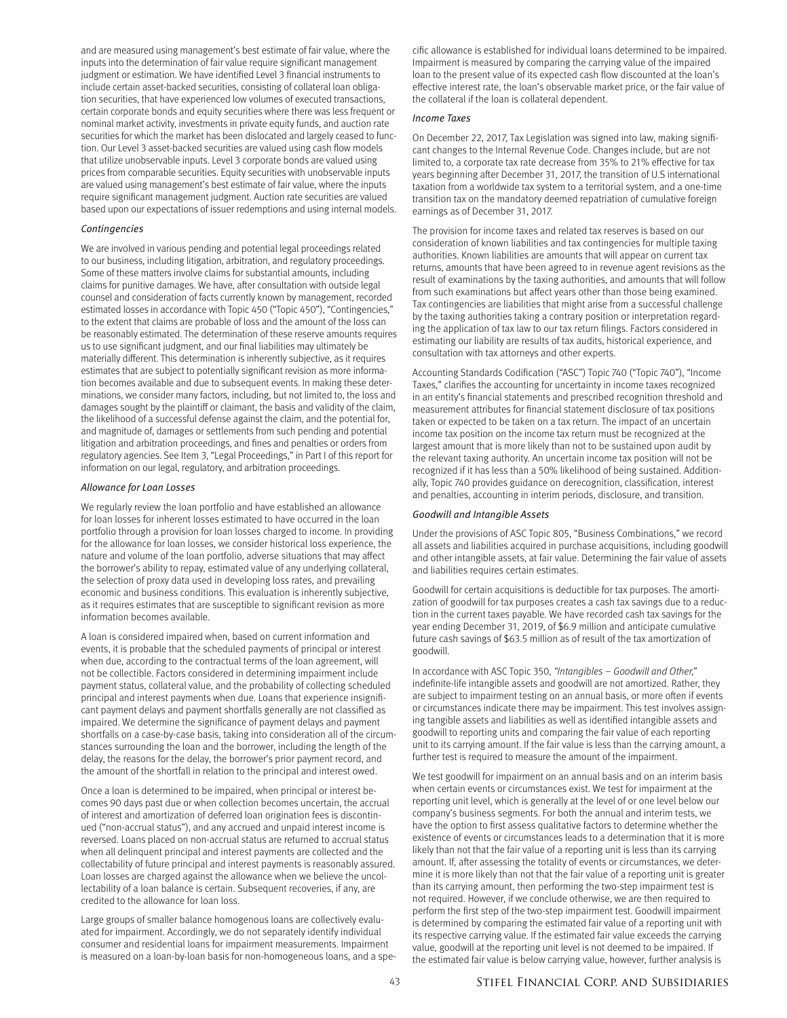and are measured using management's best estimate of fair value, where the inputs into the determination of fair value require significant management judgment or estimation. We have identified Level 3 financial instruments to include certain asset-backed securities, consisting of collateral loan obligation securities, that have experienced low volumes of executed transactions, certain corporate bonds and equity securities where there was less frequent or nominal market activity, investments in private equity funds, and auction rate securities for which the market has been dislocated and largely ceased to function. Our Level 3 asset-backed securities are valued using cash flow models that utilize unobservable inputs. Level 3 corporate bonds are valued using prices from comparable securities. Equity securities with unobservable inputs are valued using management's best estimate of fair value, where the inputs require significant management judgment. Auction rate securities are valued based upon our expectations of issuer redemptions and using internal models.

## **Contingencies**

We are involved in various pending and potential legal proceedings related to our business, including litigation, arbitration, and regulatory proceedings. Some of these matters involve claims for substantial amounts, including claims for punitive damages. We have, after consultation with outside legal counsel and consideration of facts currently known by management, recorded estimated losses in accordance with Topic 450 ("Topic 450"), "Contingencies," to the extent that claims are probable of loss and the amount of the loss can be reasonably estimated. The determination of these reserve amounts requires us to use significant judgment, and our final liabilities may ultimately be materially different. This determination is inherently subjective, as it requires estimates that are subject to potentially significant revision as more information becomes available and due to subsequent events. In making these determinations, we consider many factors, including, but not limited to, the loss and damages sought by the plaintiff or claimant, the basis and validity of the claim, the likelihood of a successful defense against the claim, and the potential for, and magnitude of, damages or settlements from such pending and potential litigation and arbitration proceedings, and fines and penalties or orders from regulatory agencies. See Item 3, "Legal Proceedings," in Part I of this report for information on our legal, regulatory, and arbitration proceedings.

# Allowance for Loan Losses

We regularly review the loan portfolio and have established an allowance for loan losses for inherent losses estimated to have occurred in the loan portfolio through a provision for loan losses charged to income. In providing for the allowance for loan losses, we consider historical loss experience, the nature and volume of the loan portfolio, adverse situations that may affect the borrower's ability to repay, estimated value of any underlying collateral, the selection of proxy data used in developing loss rates, and prevailing economic and business conditions. This evaluation is inherently subjective, as it requires estimates that are susceptible to significant revision as more information becomes available.

A loan is considered impaired when, based on current information and events, it is probable that the scheduled payments of principal or interest when due, according to the contractual terms of the loan agreement, will not be collectible. Factors considered in determining impairment include payment status, collateral value, and the probability of collecting scheduled principal and interest payments when due. Loans that experience insignificant payment delays and payment shortfalls generally are not classified as impaired. We determine the significance of payment delays and payment shortfalls on a case-by-case basis, taking into consideration all of the circumstances surrounding the loan and the borrower, including the length of the delay, the reasons for the delay, the borrower's prior payment record, and the amount of the shortfall in relation to the principal and interest owed.

Once a loan is determined to be impaired, when principal or interest becomes 90 days past due or when collection becomes uncertain, the accrual of interest and amortization of deferred loan origination fees is discontinued ("non-accrual status"), and any accrued and unpaid interest income is reversed. Loans placed on non-accrual status are returned to accrual status when all delinquent principal and interest payments are collected and the collectability of future principal and interest payments is reasonably assured. Loan losses are charged against the allowance when we believe the uncollectability of a loan balance is certain. Subsequent recoveries, if any, are credited to the allowance for loan loss.

Large groups of smaller balance homogenous loans are collectively evaluated for impairment. Accordingly, we do not separately identify individual consumer and residential loans for impairment measurements. Impairment is measured on a loan-by-loan basis for non-homogeneous loans, and a specific allowance is established for individual loans determined to be impaired. Impairment is measured by comparing the carrying value of the impaired loan to the present value of its expected cash flow discounted at the loan's effective interest rate, the loan's observable market price, or the fair value of the collateral if the loan is collateral dependent.

# Income Taxes

On December 22, 2017, Tax Legislation was signed into law, making significant changes to the Internal Revenue Code. Changes include, but are not limited to, a corporate tax rate decrease from 35% to 21% effective for tax years beginning after December 31, 2017, the transition of U.S international taxation from a worldwide tax system to a territorial system, and a one-time transition tax on the mandatory deemed repatriation of cumulative foreign earnings as of December 31, 2017.

The provision for income taxes and related tax reserves is based on our consideration of known liabilities and tax contingencies for multiple taxing authorities. Known liabilities are amounts that will appear on current tax returns, amounts that have been agreed to in revenue agent revisions as the result of examinations by the taxing authorities, and amounts that will follow from such examinations but affect years other than those being examined. Tax contingencies are liabilities that might arise from a successful challenge by the taxing authorities taking a contrary position or interpretation regarding the application of tax law to our tax return filings. Factors considered in estimating our liability are results of tax audits, historical experience, and consultation with tax attorneys and other experts.

Accounting Standards Codification ("ASC") Topic 740 ("Topic 740"), "Income Taxes," clarifies the accounting for uncertainty in income taxes recognized in an entity's financial statements and prescribed recognition threshold and measurement attributes for financial statement disclosure of tax positions taken or expected to be taken on a tax return. The impact of an uncertain income tax position on the income tax return must be recognized at the largest amount that is more likely than not to be sustained upon audit by the relevant taxing authority. An uncertain income tax position will not be recognized if it has less than a 50% likelihood of being sustained. Additionally, Topic 740 provides guidance on derecognition, classification, interest and penalties, accounting in interim periods, disclosure, and transition.

# Goodwill and Intangible Assets

Under the provisions of ASC Topic 805, "Business Combinations," we record all assets and liabilities acquired in purchase acquisitions, including goodwill and other intangible assets, at fair value. Determining the fair value of assets and liabilities requires certain estimates.

Goodwill for certain acquisitions is deductible for tax purposes. The amortization of goodwill for tax purposes creates a cash tax savings due to a reduction in the current taxes payable. We have recorded cash tax savings for the year ending December 31, 2019, of \$6.9 million and anticipate cumulative future cash savings of \$63.5 million as of result of the tax amortization of goodwill.

In accordance with ASC Topic 350, "Intangibles – Goodwill and Other," indefinite-life intangible assets and goodwill are not amortized. Rather, they are subject to impairment testing on an annual basis, or more often if events or circumstances indicate there may be impairment. This test involves assigning tangible assets and liabilities as well as identified intangible assets and goodwill to reporting units and comparing the fair value of each reporting unit to its carrying amount. If the fair value is less than the carrying amount, a further test is required to measure the amount of the impairment.

We test goodwill for impairment on an annual basis and on an interim basis when certain events or circumstances exist. We test for impairment at the reporting unit level, which is generally at the level of or one level below our company's business segments. For both the annual and interim tests, we have the option to first assess qualitative factors to determine whether the existence of events or circumstances leads to a determination that it is more likely than not that the fair value of a reporting unit is less than its carrying amount. If, after assessing the totality of events or circumstances, we determine it is more likely than not that the fair value of a reporting unit is greater than its carrying amount, then performing the two-step impairment test is not required. However, if we conclude otherwise, we are then required to perform the first step of the two-step impairment test. Goodwill impairment is determined by comparing the estimated fair value of a reporting unit with its respective carrying value. If the estimated fair value exceeds the carrying value, goodwill at the reporting unit level is not deemed to be impaired. If the estimated fair value is below carrying value, however, further analysis is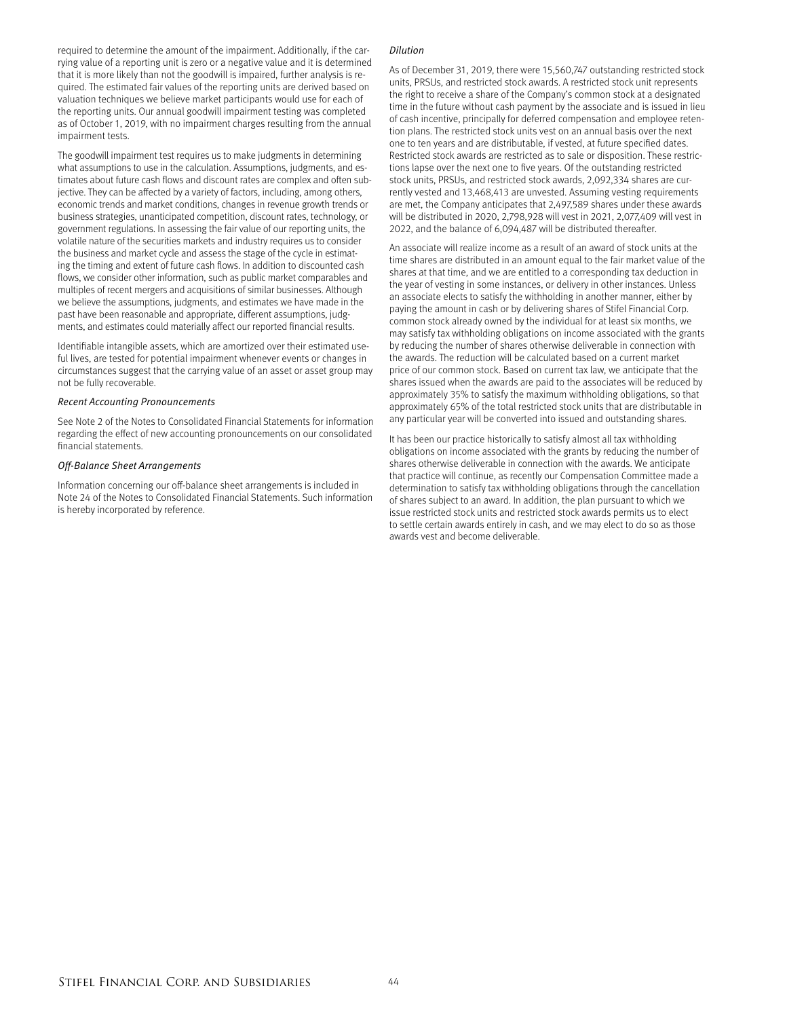required to determine the amount of the impairment. Additionally, if the carrying value of a reporting unit is zero or a negative value and it is determined that it is more likely than not the goodwill is impaired, further analysis is required. The estimated fair values of the reporting units are derived based on valuation techniques we believe market participants would use for each of the reporting units. Our annual goodwill impairment testing was completed as of October 1, 2019, with no impairment charges resulting from the annual impairment tests.

The goodwill impairment test requires us to make judgments in determining what assumptions to use in the calculation. Assumptions, judgments, and estimates about future cash flows and discount rates are complex and often subjective. They can be affected by a variety of factors, including, among others, economic trends and market conditions, changes in revenue growth trends or business strategies, unanticipated competition, discount rates, technology, or government regulations. In assessing the fair value of our reporting units, the volatile nature of the securities markets and industry requires us to consider the business and market cycle and assess the stage of the cycle in estimating the timing and extent of future cash flows. In addition to discounted cash flows, we consider other information, such as public market comparables and multiples of recent mergers and acquisitions of similar businesses. Although we believe the assumptions, judgments, and estimates we have made in the past have been reasonable and appropriate, different assumptions, judgments, and estimates could materially affect our reported financial results.

Identifiable intangible assets, which are amortized over their estimated useful lives, are tested for potential impairment whenever events or changes in circumstances suggest that the carrying value of an asset or asset group may not be fully recoverable.

## Recent Accounting Pronouncements

See Note 2 of the Notes to Consolidated Financial Statements for information regarding the effect of new accounting pronouncements on our consolidated financial statements.

### Off-Balance Sheet Arrangements

Information concerning our off-balance sheet arrangements is included in Note 24 of the Notes to Consolidated Financial Statements. Such information is hereby incorporated by reference.

## Dilution

As of December 31, 2019, there were 15,560,747 outstanding restricted stock units, PRSUs, and restricted stock awards. A restricted stock unit represents the right to receive a share of the Company's common stock at a designated time in the future without cash payment by the associate and is issued in lieu of cash incentive, principally for deferred compensation and employee retention plans. The restricted stock units vest on an annual basis over the next one to ten years and are distributable, if vested, at future specified dates. Restricted stock awards are restricted as to sale or disposition. These restrictions lapse over the next one to five years. Of the outstanding restricted stock units, PRSUs, and restricted stock awards, 2,092,334 shares are currently vested and 13,468,413 are unvested. Assuming vesting requirements are met, the Company anticipates that 2,497,589 shares under these awards will be distributed in 2020, 2,798,928 will vest in 2021, 2,077,409 will vest in 2022, and the balance of 6,094,487 will be distributed thereafter.

An associate will realize income as a result of an award of stock units at the time shares are distributed in an amount equal to the fair market value of the shares at that time, and we are entitled to a corresponding tax deduction in the year of vesting in some instances, or delivery in other instances. Unless an associate elects to satisfy the withholding in another manner, either by paying the amount in cash or by delivering shares of Stifel Financial Corp. common stock already owned by the individual for at least six months, we may satisfy tax withholding obligations on income associated with the grants by reducing the number of shares otherwise deliverable in connection with the awards. The reduction will be calculated based on a current market price of our common stock. Based on current tax law, we anticipate that the shares issued when the awards are paid to the associates will be reduced by approximately 35% to satisfy the maximum withholding obligations, so that approximately 65% of the total restricted stock units that are distributable in any particular year will be converted into issued and outstanding shares.

It has been our practice historically to satisfy almost all tax withholding obligations on income associated with the grants by reducing the number of shares otherwise deliverable in connection with the awards. We anticipate that practice will continue, as recently our Compensation Committee made a determination to satisfy tax withholding obligations through the cancellation of shares subject to an award. In addition, the plan pursuant to which we issue restricted stock units and restricted stock awards permits us to elect to settle certain awards entirely in cash, and we may elect to do so as those awards vest and become deliverable.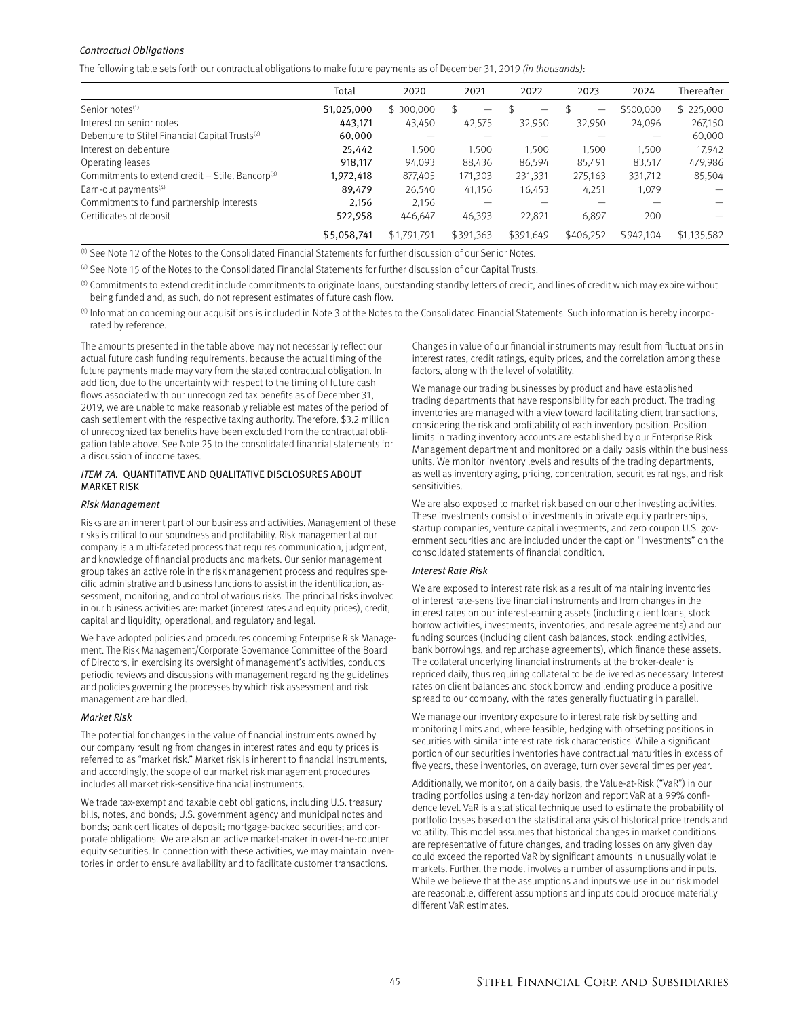# Contractual Obligations

The following table sets forth our contractual obligations to make future payments as of December 31, 2019 (in thousands):

|                                                              | Total       | 2020        | 2021      | 2022      | 2023                     | 2024      | Thereafter  |
|--------------------------------------------------------------|-------------|-------------|-----------|-----------|--------------------------|-----------|-------------|
| Senior notes <sup>(1)</sup>                                  | \$1,025,000 | \$300,000   | \$<br>-   | -         | $\overline{\phantom{0}}$ | \$500,000 | \$225,000   |
| Interest on senior notes                                     | 443,171     | 43,450      | 42,575    | 32,950    | 32,950                   | 24,096    | 267,150     |
| Debenture to Stifel Financial Capital Trusts <sup>(2)</sup>  | 60,000      |             |           |           |                          |           | 60,000      |
| Interest on debenture                                        | 25,442      | 1.500       | 1.500     | 1,500     | 1.500                    | 1.500     | 17,942      |
| Operating leases                                             | 918,117     | 94,093      | 88,436    | 86,594    | 85,491                   | 83,517    | 479,986     |
| Commitments to extend credit – Stifel Bancorp <sup>(3)</sup> | 1,972,418   | 877,405     | 171,303   | 231,331   | 275,163                  | 331,712   | 85,504      |
| Earn-out payments <sup>(4)</sup>                             | 89,479      | 26,540      | 41,156    | 16,453    | 4,251                    | 1,079     |             |
| Commitments to fund partnership interests                    | 2,156       | 2,156       |           |           |                          |           |             |
| Certificates of deposit                                      | 522,958     | 446,647     | 46,393    | 22,821    | 6,897                    | 200       |             |
|                                                              | \$5,058,741 | \$1,791,791 | \$391,363 | \$391,649 | \$406.252                | \$942,104 | \$1,135,582 |

(1) See Note 12 of the Notes to the Consolidated Financial Statements for further discussion of our Senior Notes.

 $(2)$  See Note 15 of the Notes to the Consolidated Financial Statements for further discussion of our Capital Trusts.

(3) Commitments to extend credit include commitments to originate loans, outstanding standby letters of credit, and lines of credit which may expire without being funded and, as such, do not represent estimates of future cash flow.

(4) Information concerning our acquisitions is included in Note 3 of the Notes to the Consolidated Financial Statements. Such information is hereby incorporated by reference.

The amounts presented in the table above may not necessarily reflect our actual future cash funding requirements, because the actual timing of the future payments made may vary from the stated contractual obligation. In addition, due to the uncertainty with respect to the timing of future cash flows associated with our unrecognized tax benefits as of December 31, 2019, we are unable to make reasonably reliable estimates of the period of cash settlement with the respective taxing authority. Therefore, \$3.2 million of unrecognized tax benefits have been excluded from the contractual obligation table above. See Note 25 to the consolidated financial statements for a discussion of income taxes.

## ITEM 7A. QUANTITATIVE AND QUALITATIVE DISCLOSURES ABOUT MARKET RISK

### Risk Management

Risks are an inherent part of our business and activities. Management of these risks is critical to our soundness and profitability. Risk management at our company is a multi-faceted process that requires communication, judgment, and knowledge of financial products and markets. Our senior management group takes an active role in the risk management process and requires specific administrative and business functions to assist in the identification, assessment, monitoring, and control of various risks. The principal risks involved in our business activities are: market (interest rates and equity prices), credit, capital and liquidity, operational, and regulatory and legal.

We have adopted policies and procedures concerning Enterprise Risk Management. The Risk Management/Corporate Governance Committee of the Board of Directors, in exercising its oversight of management's activities, conducts periodic reviews and discussions with management regarding the guidelines and policies governing the processes by which risk assessment and risk management are handled.

# Market Risk

The potential for changes in the value of financial instruments owned by our company resulting from changes in interest rates and equity prices is referred to as "market risk." Market risk is inherent to financial instruments, and accordingly, the scope of our market risk management procedures includes all market risk-sensitive financial instruments.

We trade tax-exempt and taxable debt obligations, including U.S. treasury bills, notes, and bonds; U.S. government agency and municipal notes and bonds; bank certificates of deposit; mortgage-backed securities; and corporate obligations. We are also an active market-maker in over-the-counter equity securities. In connection with these activities, we may maintain inventories in order to ensure availability and to facilitate customer transactions.

Changes in value of our financial instruments may result from fluctuations in interest rates, credit ratings, equity prices, and the correlation among these factors, along with the level of volatility.

We manage our trading businesses by product and have established trading departments that have responsibility for each product. The trading inventories are managed with a view toward facilitating client transactions, considering the risk and profitability of each inventory position. Position limits in trading inventory accounts are established by our Enterprise Risk Management department and monitored on a daily basis within the business units. We monitor inventory levels and results of the trading departments, as well as inventory aging, pricing, concentration, securities ratings, and risk sensitivities.

We are also exposed to market risk based on our other investing activities. These investments consist of investments in private equity partnerships, startup companies, venture capital investments, and zero coupon U.S. government securities and are included under the caption "Investments" on the consolidated statements of financial condition.

# Interest Rate Risk

We are exposed to interest rate risk as a result of maintaining inventories of interest rate-sensitive financial instruments and from changes in the interest rates on our interest-earning assets (including client loans, stock borrow activities, investments, inventories, and resale agreements) and our funding sources (including client cash balances, stock lending activities, bank borrowings, and repurchase agreements), which finance these assets. The collateral underlying financial instruments at the broker-dealer is repriced daily, thus requiring collateral to be delivered as necessary. Interest rates on client balances and stock borrow and lending produce a positive spread to our company, with the rates generally fluctuating in parallel.

We manage our inventory exposure to interest rate risk by setting and monitoring limits and, where feasible, hedging with offsetting positions in securities with similar interest rate risk characteristics. While a significant portion of our securities inventories have contractual maturities in excess of five years, these inventories, on average, turn over several times per year.

Additionally, we monitor, on a daily basis, the Value-at-Risk ("VaR") in our trading portfolios using a ten-day horizon and report VaR at a 99% confidence level. VaR is a statistical technique used to estimate the probability of portfolio losses based on the statistical analysis of historical price trends and volatility. This model assumes that historical changes in market conditions are representative of future changes, and trading losses on any given day could exceed the reported VaR by significant amounts in unusually volatile markets. Further, the model involves a number of assumptions and inputs. While we believe that the assumptions and inputs we use in our risk model are reasonable, different assumptions and inputs could produce materially different VaR estimates.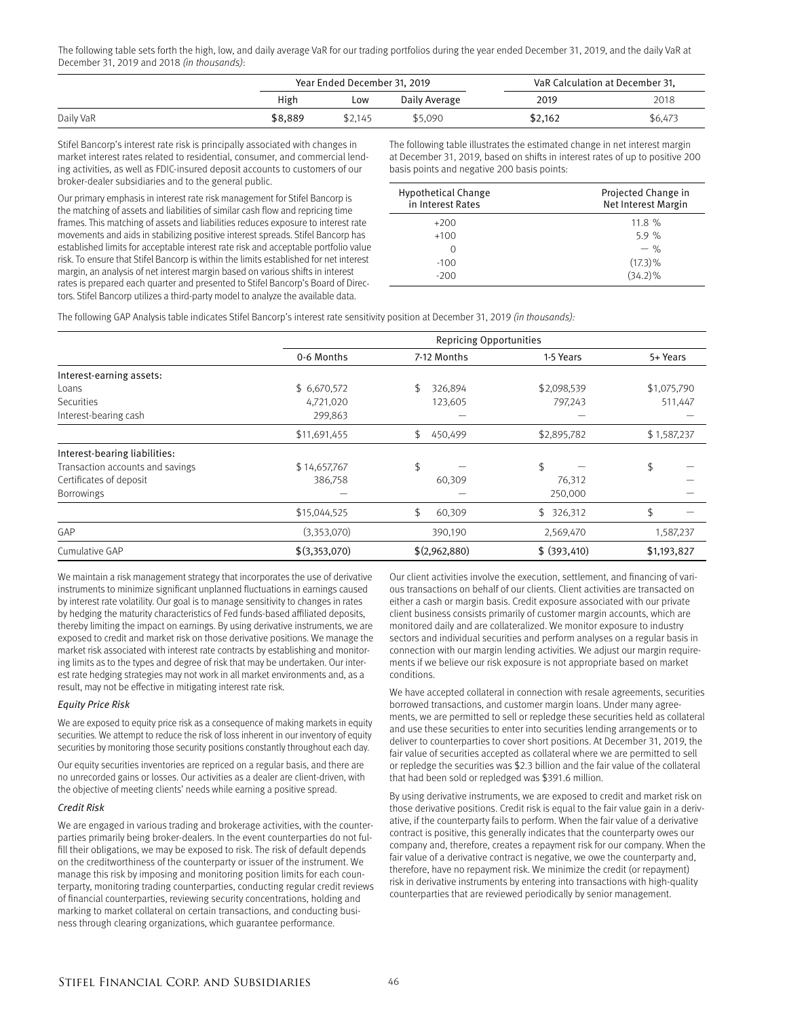The following table sets forth the high, low, and daily average VaR for our trading portfolios during the year ended December 31, 2019, and the daily VaR at December 31, 2019 and 2018 (in thousands):

|           | Year Ended December 31, 2019 |         |               |         | VaR Calculation at December 31, |
|-----------|------------------------------|---------|---------------|---------|---------------------------------|
|           | High                         | Low     | Daily Average | 2019    | 2018                            |
| Daily VaR | \$8,889                      | \$2.145 | \$5,090       | \$2,162 | \$6,473                         |

Stifel Bancorp's interest rate risk is principally associated with changes in market interest rates related to residential, consumer, and commercial lending activities, as well as FDIC-insured deposit accounts to customers of our broker-dealer subsidiaries and to the general public.

Our primary emphasis in interest rate risk management for Stifel Bancorp is the matching of assets and liabilities of similar cash flow and repricing time frames. This matching of assets and liabilities reduces exposure to interest rate movements and aids in stabilizing positive interest spreads. Stifel Bancorp has established limits for acceptable interest rate risk and acceptable portfolio value risk. To ensure that Stifel Bancorp is within the limits established for net interest margin, an analysis of net interest margin based on various shifts in interest rates is prepared each quarter and presented to Stifel Bancorp's Board of Directors. Stifel Bancorp utilizes a third-party model to analyze the available data.

The following table illustrates the estimated change in net interest margin at December 31, 2019, based on shifts in interest rates of up to positive 200 basis points and negative 200 basis points:

| <b>Hypothetical Change</b><br>in Interest Rates | Projected Change in<br>Net Interest Margin |
|-------------------------------------------------|--------------------------------------------|
| $+200$                                          | 11.8%                                      |
| $+100$                                          | 5.9%                                       |
| Ω                                               | $-$ %                                      |
| $-100$                                          | $(17.3)\%$                                 |
| $-200$                                          | $(34.2)\%$                                 |

The following GAP Analysis table indicates Stifel Bancorp's interest rate sensitivity position at December 31, 2019 (in thousands):

|                                  | <b>Repricing Opportunities</b> |               |               |             |  |  |
|----------------------------------|--------------------------------|---------------|---------------|-------------|--|--|
|                                  | 0-6 Months                     | 7-12 Months   | 1-5 Years     | 5+ Years    |  |  |
| Interest-earning assets:         |                                |               |               |             |  |  |
| Loans                            | \$6,670,572                    | \$<br>326,894 | \$2,098,539   | \$1,075,790 |  |  |
| Securities                       | 4,721,020                      | 123,605       | 797,243       | 511,447     |  |  |
| Interest-bearing cash            | 299,863                        |               |               |             |  |  |
|                                  | \$11,691,455                   | \$<br>450,499 | \$2,895,782   | \$1,587,237 |  |  |
| Interest-bearing liabilities:    |                                |               |               |             |  |  |
| Transaction accounts and savings | \$14,657,767                   | \$            | \$            | \$          |  |  |
| Certificates of deposit          | 386,758                        | 60,309        | 76,312        |             |  |  |
| <b>Borrowings</b>                |                                |               | 250,000       |             |  |  |
|                                  | \$15,044,525                   | \$<br>60,309  | \$326,312     | \$          |  |  |
| GAP                              | (3,353,070)                    | 390,190       | 2,569,470     | 1,587,237   |  |  |
| Cumulative GAP                   | $$$ (3,353,070)                | \$(2,962,880) | $$$ (393,410) | \$1,193,827 |  |  |

We maintain a risk management strategy that incorporates the use of derivative instruments to minimize significant unplanned fluctuations in earnings caused by interest rate volatility. Our goal is to manage sensitivity to changes in rates by hedging the maturity characteristics of Fed funds-based affiliated deposits, thereby limiting the impact on earnings. By using derivative instruments, we are exposed to credit and market risk on those derivative positions. We manage the market risk associated with interest rate contracts by establishing and monitoring limits as to the types and degree of risk that may be undertaken. Our interest rate hedging strategies may not work in all market environments and, as a result, may not be effective in mitigating interest rate risk.

# Equity Price Risk

We are exposed to equity price risk as a consequence of making markets in equity securities. We attempt to reduce the risk of loss inherent in our inventory of equity securities by monitoring those security positions constantly throughout each day.

Our equity securities inventories are repriced on a regular basis, and there are no unrecorded gains or losses. Our activities as a dealer are client-driven, with the objective of meeting clients' needs while earning a positive spread.

## Credit Risk

We are engaged in various trading and brokerage activities, with the counterparties primarily being broker-dealers. In the event counterparties do not fulfill their obligations, we may be exposed to risk. The risk of default depends on the creditworthiness of the counterparty or issuer of the instrument. We manage this risk by imposing and monitoring position limits for each counterparty, monitoring trading counterparties, conducting regular credit reviews of financial counterparties, reviewing security concentrations, holding and marking to market collateral on certain transactions, and conducting business through clearing organizations, which guarantee performance.

Our client activities involve the execution, settlement, and financing of various transactions on behalf of our clients. Client activities are transacted on either a cash or margin basis. Credit exposure associated with our private client business consists primarily of customer margin accounts, which are monitored daily and are collateralized. We monitor exposure to industry sectors and individual securities and perform analyses on a regular basis in connection with our margin lending activities. We adjust our margin requirements if we believe our risk exposure is not appropriate based on market conditions.

We have accepted collateral in connection with resale agreements, securities borrowed transactions, and customer margin loans. Under many agreements, we are permitted to sell or repledge these securities held as collateral and use these securities to enter into securities lending arrangements or to deliver to counterparties to cover short positions. At December 31, 2019, the fair value of securities accepted as collateral where we are permitted to sell or repledge the securities was \$2.3 billion and the fair value of the collateral that had been sold or repledged was \$391.6 million.

By using derivative instruments, we are exposed to credit and market risk on those derivative positions. Credit risk is equal to the fair value gain in a derivative, if the counterparty fails to perform. When the fair value of a derivative contract is positive, this generally indicates that the counterparty owes our company and, therefore, creates a repayment risk for our company. When the fair value of a derivative contract is negative, we owe the counterparty and, therefore, have no repayment risk. We minimize the credit (or repayment) risk in derivative instruments by entering into transactions with high-quality counterparties that are reviewed periodically by senior management.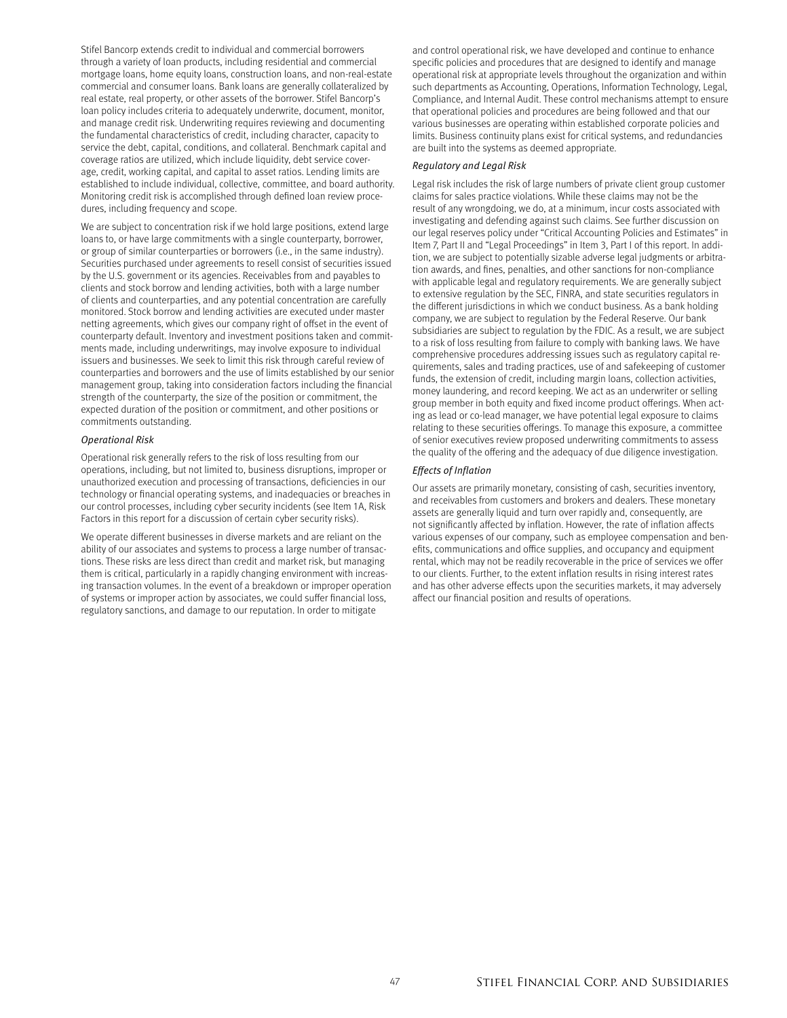Stifel Bancorp extends credit to individual and commercial borrowers through a variety of loan products, including residential and commercial mortgage loans, home equity loans, construction loans, and non-real-estate commercial and consumer loans. Bank loans are generally collateralized by real estate, real property, or other assets of the borrower. Stifel Bancorp's loan policy includes criteria to adequately underwrite, document, monitor, and manage credit risk. Underwriting requires reviewing and documenting the fundamental characteristics of credit, including character, capacity to service the debt, capital, conditions, and collateral. Benchmark capital and coverage ratios are utilized, which include liquidity, debt service coverage, credit, working capital, and capital to asset ratios. Lending limits are established to include individual, collective, committee, and board authority. Monitoring credit risk is accomplished through defined loan review procedures, including frequency and scope.

We are subject to concentration risk if we hold large positions, extend large loans to, or have large commitments with a single counterparty, borrower, or group of similar counterparties or borrowers (i.e., in the same industry). Securities purchased under agreements to resell consist of securities issued by the U.S. government or its agencies. Receivables from and payables to clients and stock borrow and lending activities, both with a large number of clients and counterparties, and any potential concentration are carefully monitored. Stock borrow and lending activities are executed under master netting agreements, which gives our company right of offset in the event of counterparty default. Inventory and investment positions taken and commitments made, including underwritings, may involve exposure to individual issuers and businesses. We seek to limit this risk through careful review of counterparties and borrowers and the use of limits established by our senior management group, taking into consideration factors including the financial strength of the counterparty, the size of the position or commitment, the expected duration of the position or commitment, and other positions or commitments outstanding.

#### Operational Risk

Operational risk generally refers to the risk of loss resulting from our operations, including, but not limited to, business disruptions, improper or unauthorized execution and processing of transactions, deficiencies in our technology or financial operating systems, and inadequacies or breaches in our control processes, including cyber security incidents (see Item 1A, Risk Factors in this report for a discussion of certain cyber security risks).

We operate different businesses in diverse markets and are reliant on the ability of our associates and systems to process a large number of transactions. These risks are less direct than credit and market risk, but managing them is critical, particularly in a rapidly changing environment with increasing transaction volumes. In the event of a breakdown or improper operation of systems or improper action by associates, we could suffer financial loss, regulatory sanctions, and damage to our reputation. In order to mitigate

and control operational risk, we have developed and continue to enhance specific policies and procedures that are designed to identify and manage operational risk at appropriate levels throughout the organization and within such departments as Accounting, Operations, Information Technology, Legal, Compliance, and Internal Audit. These control mechanisms attempt to ensure that operational policies and procedures are being followed and that our various businesses are operating within established corporate policies and limits. Business continuity plans exist for critical systems, and redundancies are built into the systems as deemed appropriate.

#### Regulatory and Legal Risk

Legal risk includes the risk of large numbers of private client group customer claims for sales practice violations. While these claims may not be the result of any wrongdoing, we do, at a minimum, incur costs associated with investigating and defending against such claims. See further discussion on our legal reserves policy under "Critical Accounting Policies and Estimates" in Item 7, Part II and "Legal Proceedings" in Item 3, Part I of this report. In addition, we are subject to potentially sizable adverse legal judgments or arbitration awards, and fines, penalties, and other sanctions for non-compliance with applicable legal and regulatory requirements. We are generally subject to extensive regulation by the SEC, FINRA, and state securities regulators in the different jurisdictions in which we conduct business. As a bank holding company, we are subject to regulation by the Federal Reserve. Our bank subsidiaries are subject to regulation by the FDIC. As a result, we are subject to a risk of loss resulting from failure to comply with banking laws. We have comprehensive procedures addressing issues such as regulatory capital requirements, sales and trading practices, use of and safekeeping of customer funds, the extension of credit, including margin loans, collection activities, money laundering, and record keeping. We act as an underwriter or selling group member in both equity and fixed income product offerings. When acting as lead or co-lead manager, we have potential legal exposure to claims relating to these securities offerings. To manage this exposure, a committee of senior executives review proposed underwriting commitments to assess the quality of the offering and the adequacy of due diligence investigation.

### Effects of Inflation

Our assets are primarily monetary, consisting of cash, securities inventory, and receivables from customers and brokers and dealers. These monetary assets are generally liquid and turn over rapidly and, consequently, are not significantly affected by inflation. However, the rate of inflation affects various expenses of our company, such as employee compensation and benefits, communications and office supplies, and occupancy and equipment rental, which may not be readily recoverable in the price of services we offer to our clients. Further, to the extent inflation results in rising interest rates and has other adverse effects upon the securities markets, it may adversely affect our financial position and results of operations.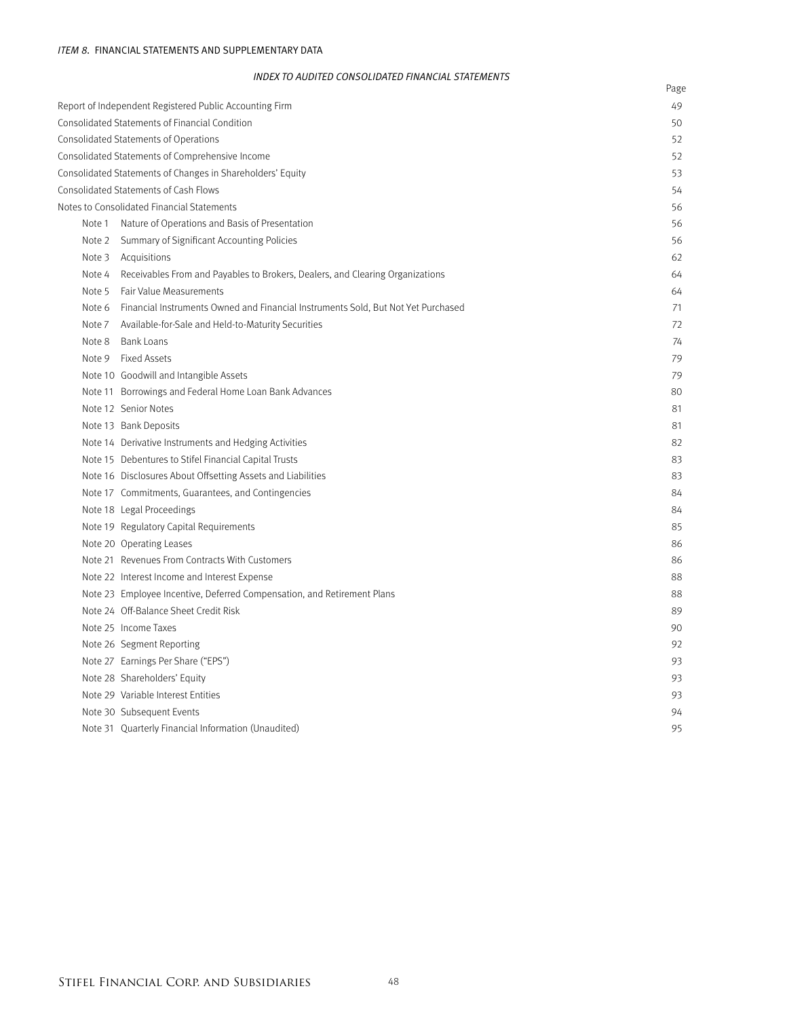# INDEX TO AUDITED CONSOLIDATED FINANCIAL STATEMENTS

|        |                                                                                      | Page |
|--------|--------------------------------------------------------------------------------------|------|
|        | Report of Independent Registered Public Accounting Firm                              | 49   |
|        | Consolidated Statements of Financial Condition                                       | 50   |
|        | Consolidated Statements of Operations                                                | 52   |
|        | Consolidated Statements of Comprehensive Income                                      | 52   |
|        | Consolidated Statements of Changes in Shareholders' Equity                           | 53   |
|        | <b>Consolidated Statements of Cash Flows</b>                                         | 54   |
|        | Notes to Consolidated Financial Statements                                           | 56   |
|        | Note 1 Nature of Operations and Basis of Presentation                                | 56   |
|        | Note 2 Summary of Significant Accounting Policies                                    | 56   |
|        | Note 3 Acquisitions                                                                  | 62   |
|        | Note 4 Receivables From and Payables to Brokers, Dealers, and Clearing Organizations | 64   |
|        | Note 5 Fair Value Measurements                                                       | 64   |
| Note 6 | Financial Instruments Owned and Financial Instruments Sold, But Not Yet Purchased    | 71   |
|        | Note 7 Available-for-Sale and Held-to-Maturity Securities                            | 72   |
|        | Note 8 Bank Loans                                                                    | 74   |
|        | Note 9 Fixed Assets                                                                  | 79   |
|        | Note 10 Goodwill and Intangible Assets                                               | 79   |
|        | Note 11 Borrowings and Federal Home Loan Bank Advances                               | 80   |
|        | Note 12 Senior Notes                                                                 | 81   |
|        | Note 13 Bank Deposits                                                                | 81   |
|        | Note 14 Derivative Instruments and Hedging Activities                                | 82   |
|        | Note 15 Debentures to Stifel Financial Capital Trusts                                | 83   |
|        | Note 16 Disclosures About Offsetting Assets and Liabilities                          | 83   |
|        | Note 17 Commitments, Guarantees, and Contingencies                                   | 84   |
|        | Note 18 Legal Proceedings                                                            | 84   |
|        | Note 19 Regulatory Capital Requirements                                              | 85   |
|        | Note 20 Operating Leases                                                             | 86   |
|        | Note 21 Revenues From Contracts With Customers                                       | 86   |
|        | Note 22 Interest Income and Interest Expense                                         | 88   |
|        | Note 23 Employee Incentive, Deferred Compensation, and Retirement Plans              | 88   |
|        | Note 24 Off-Balance Sheet Credit Risk                                                | 89   |
|        | Note 25 Income Taxes                                                                 | 90   |
|        | Note 26 Segment Reporting                                                            | 92   |
|        | Note 27 Earnings Per Share ("EPS")                                                   | 93   |
|        | Note 28 Shareholders' Equity                                                         | 93   |
|        | Note 29 Variable Interest Entities                                                   | 93   |
|        | Note 30 Subsequent Events                                                            | 94   |
|        | Note 31 Quarterly Financial Information (Unaudited)                                  | 95   |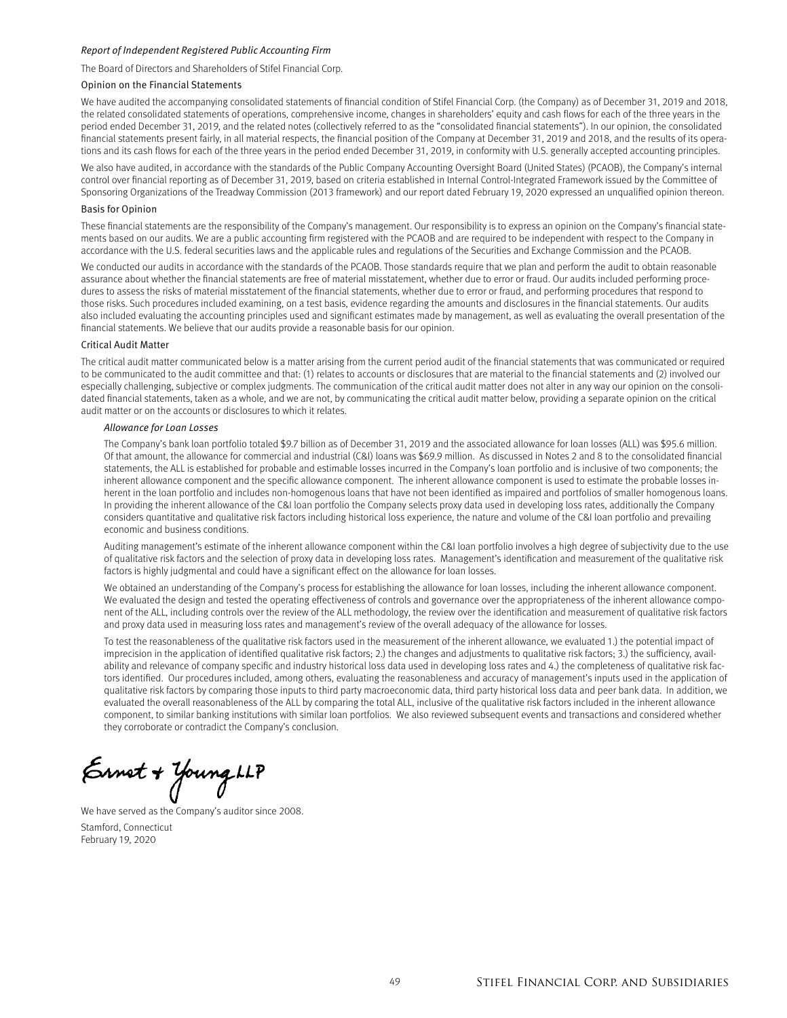# Report of Independent Registered Public Accounting Firm

The Board of Directors and Shareholders of Stifel Financial Corp.

### Opinion on the Financial Statements

We have audited the accompanying consolidated statements of financial condition of Stifel Financial Corp. (the Company) as of December 31, 2019 and 2018, the related consolidated statements of operations, comprehensive income, changes in shareholders' equity and cash flows for each of the three years in the period ended December 31, 2019, and the related notes (collectively referred to as the "consolidated financial statements"). In our opinion, the consolidated financial statements present fairly, in all material respects, the financial position of the Company at December 31, 2019 and 2018, and the results of its operations and its cash flows for each of the three years in the period ended December 31, 2019, in conformity with U.S. generally accepted accounting principles.

We also have audited, in accordance with the standards of the Public Company Accounting Oversight Board (United States) (PCAOB), the Company's internal control over financial reporting as of December 31, 2019, based on criteria established in Internal Control-Integrated Framework issued by the Committee of Sponsoring Organizations of the Treadway Commission (2013 framework) and our report dated February 19, 2020 expressed an unqualified opinion thereon.

## Basis for Opinion

These financial statements are the responsibility of the Company's management. Our responsibility is to express an opinion on the Company's financial statements based on our audits. We are a public accounting firm registered with the PCAOB and are required to be independent with respect to the Company in accordance with the U.S. federal securities laws and the applicable rules and regulations of the Securities and Exchange Commission and the PCAOB.

We conducted our audits in accordance with the standards of the PCAOB. Those standards require that we plan and perform the audit to obtain reasonable assurance about whether the financial statements are free of material misstatement, whether due to error or fraud. Our audits included performing procedures to assess the risks of material misstatement of the financial statements, whether due to error or fraud, and performing procedures that respond to those risks. Such procedures included examining, on a test basis, evidence regarding the amounts and disclosures in the financial statements. Our audits also included evaluating the accounting principles used and significant estimates made by management, as well as evaluating the overall presentation of the financial statements. We believe that our audits provide a reasonable basis for our opinion.

#### Critical Audit Matter

The critical audit matter communicated below is a matter arising from the current period audit of the financial statements that was communicated or required to be communicated to the audit committee and that: (1) relates to accounts or disclosures that are material to the financial statements and (2) involved our especially challenging, subjective or complex judgments. The communication of the critical audit matter does not alter in any way our opinion on the consolidated financial statements, taken as a whole, and we are not, by communicating the critical audit matter below, providing a separate opinion on the critical audit matter or on the accounts or disclosures to which it relates.

#### Allowance for Loan Losses

The Company's bank loan portfolio totaled \$9.7 billion as of December 31, 2019 and the associated allowance for loan losses (ALL) was \$95.6 million. Of that amount, the allowance for commercial and industrial (C&I) loans was \$69.9 million. As discussed in Notes 2 and 8 to the consolidated financial statements, the ALL is established for probable and estimable losses incurred in the Company's loan portfolio and is inclusive of two components; the inherent allowance component and the specific allowance component. The inherent allowance component is used to estimate the probable losses inherent in the loan portfolio and includes non-homogenous loans that have not been identified as impaired and portfolios of smaller homogenous loans. In providing the inherent allowance of the C&I loan portfolio the Company selects proxy data used in developing loss rates, additionally the Company considers quantitative and qualitative risk factors including historical loss experience, the nature and volume of the C&I loan portfolio and prevailing economic and business conditions.

Auditing management's estimate of the inherent allowance component within the C&I loan portfolio involves a high degree of subjectivity due to the use of qualitative risk factors and the selection of proxy data in developing loss rates. Management's identification and measurement of the qualitative risk factors is highly judgmental and could have a significant effect on the allowance for loan losses.

We obtained an understanding of the Company's process for establishing the allowance for loan losses, including the inherent allowance component. We evaluated the design and tested the operating effectiveness of controls and governance over the appropriateness of the inherent allowance component of the ALL, including controls over the review of the ALL methodology, the review over the identification and measurement of qualitative risk factors and proxy data used in measuring loss rates and management's review of the overall adequacy of the allowance for losses.

To test the reasonableness of the qualitative risk factors used in the measurement of the inherent allowance, we evaluated 1.) the potential impact of imprecision in the application of identified qualitative risk factors; 2.) the changes and adjustments to qualitative risk factors; 3.) the sufficiency, availability and relevance of company specific and industry historical loss data used in developing loss rates and 4.) the completeness of qualitative risk factors identified. Our procedures included, among others, evaluating the reasonableness and accuracy of management's inputs used in the application of qualitative risk factors by comparing those inputs to third party macroeconomic data, third party historical loss data and peer bank data. In addition, we evaluated the overall reasonableness of the ALL by comparing the total ALL, inclusive of the qualitative risk factors included in the inherent allowance component, to similar banking institutions with similar loan portfolios. We also reviewed subsequent events and transactions and considered whether they corroborate or contradict the Company's conclusion.

Ernet + Young LLP

We have served as the Company's auditor since 2008. Stamford, Connecticut February 19, 2020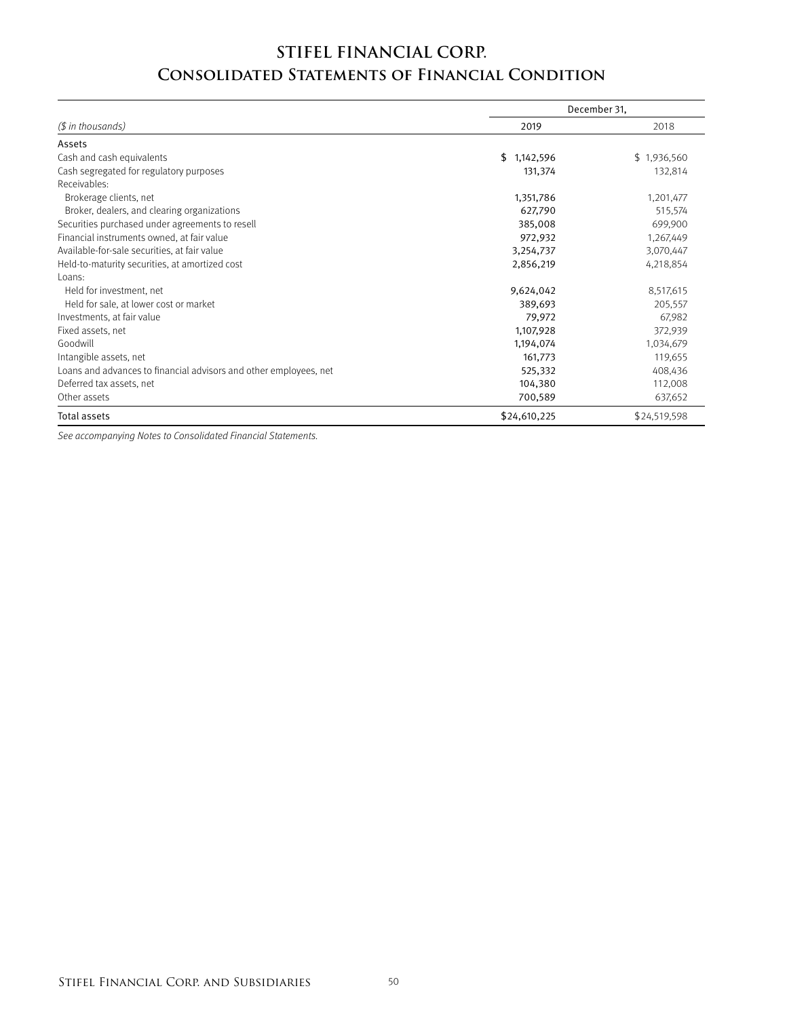# **STIFEL FINANCIAL CORP. Consolidated Statements of Financial Condition**

|                                                                   |                 | December 31, |
|-------------------------------------------------------------------|-----------------|--------------|
| (\$ in thousands)                                                 | 2019            | 2018         |
| Assets                                                            |                 |              |
| Cash and cash equivalents                                         | \$<br>1,142,596 | \$1,936,560  |
| Cash segregated for regulatory purposes                           | 131,374         | 132,814      |
| Receivables:                                                      |                 |              |
| Brokerage clients, net                                            | 1,351,786       | 1,201,477    |
| Broker, dealers, and clearing organizations                       | 627,790         | 515,574      |
| Securities purchased under agreements to resell                   | 385,008         | 699,900      |
| Financial instruments owned, at fair value                        | 972,932         | 1,267,449    |
| Available-for-sale securities, at fair value                      | 3,254,737       | 3,070,447    |
| Held-to-maturity securities, at amortized cost                    | 2,856,219       | 4,218,854    |
| Loans:                                                            |                 |              |
| Held for investment, net                                          | 9,624,042       | 8,517,615    |
| Held for sale, at lower cost or market                            | 389,693         | 205,557      |
| Investments, at fair value                                        | 79,972          | 67,982       |
| Fixed assets, net                                                 | 1,107,928       | 372,939      |
| Goodwill                                                          | 1,194,074       | 1,034,679    |
| Intangible assets, net                                            | 161,773         | 119,655      |
| Loans and advances to financial advisors and other employees, net | 525,332         | 408,436      |
| Deferred tax assets, net                                          | 104,380         | 112,008      |
| Other assets                                                      | 700,589         | 637,652      |
| Total assets                                                      | \$24,610,225    | \$24,519,598 |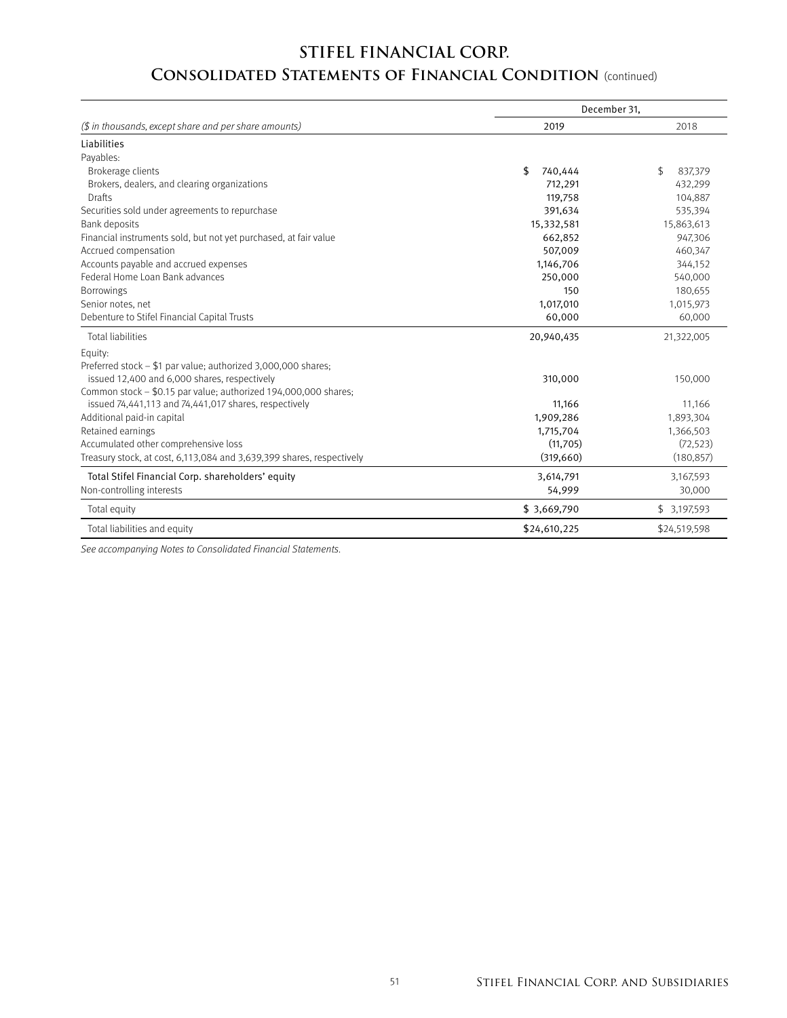# **STIFEL FINANCIAL CORP. Consolidated Statements of Financial Condition** (continued)

|                                                                       | December 31,  |               |  |
|-----------------------------------------------------------------------|---------------|---------------|--|
| (\$ in thousands, except share and per share amounts)                 | 2019          | 2018          |  |
| Liabilities                                                           |               |               |  |
| Payables:                                                             |               |               |  |
| Brokerage clients                                                     | \$<br>740,444 | \$<br>837,379 |  |
| Brokers, dealers, and clearing organizations                          | 712,291       | 432,299       |  |
| Drafts                                                                | 119,758       | 104,887       |  |
| Securities sold under agreements to repurchase                        | 391,634       | 535,394       |  |
| Bank deposits                                                         | 15,332,581    | 15,863,613    |  |
| Financial instruments sold, but not yet purchased, at fair value      | 662,852       | 947,306       |  |
| Accrued compensation                                                  | 507,009       | 460.347       |  |
| Accounts payable and accrued expenses                                 | 1,146,706     | 344,152       |  |
| Federal Home Loan Bank advances                                       | 250,000       | 540,000       |  |
| <b>Borrowings</b>                                                     | 150           | 180,655       |  |
| Senior notes, net                                                     | 1,017,010     | 1,015,973     |  |
| Debenture to Stifel Financial Capital Trusts                          | 60,000        | 60,000        |  |
| <b>Total liabilities</b>                                              | 20,940,435    | 21,322,005    |  |
| Equity:                                                               |               |               |  |
| Preferred stock - \$1 par value; authorized 3,000,000 shares;         |               |               |  |
| issued 12,400 and 6,000 shares, respectively                          | 310,000       | 150,000       |  |
| Common stock - \$0.15 par value; authorized 194,000,000 shares;       |               |               |  |
| issued 74,441,113 and 74,441,017 shares, respectively                 | 11,166        | 11,166        |  |
| Additional paid-in capital                                            | 1,909,286     | 1,893,304     |  |
| Retained earnings                                                     | 1,715,704     | 1,366,503     |  |
| Accumulated other comprehensive loss                                  | (11,705)      | (72, 523)     |  |
| Treasury stock, at cost, 6,113,084 and 3,639,399 shares, respectively | (319,660)     | (180, 857)    |  |
| Total Stifel Financial Corp. shareholders' equity                     | 3,614,791     | 3,167,593     |  |
| Non-controlling interests                                             | 54,999        | 30,000        |  |
| Total equity                                                          | \$3,669,790   | \$3,197,593   |  |
| Total liabilities and equity                                          | \$24,610,225  | \$24,519,598  |  |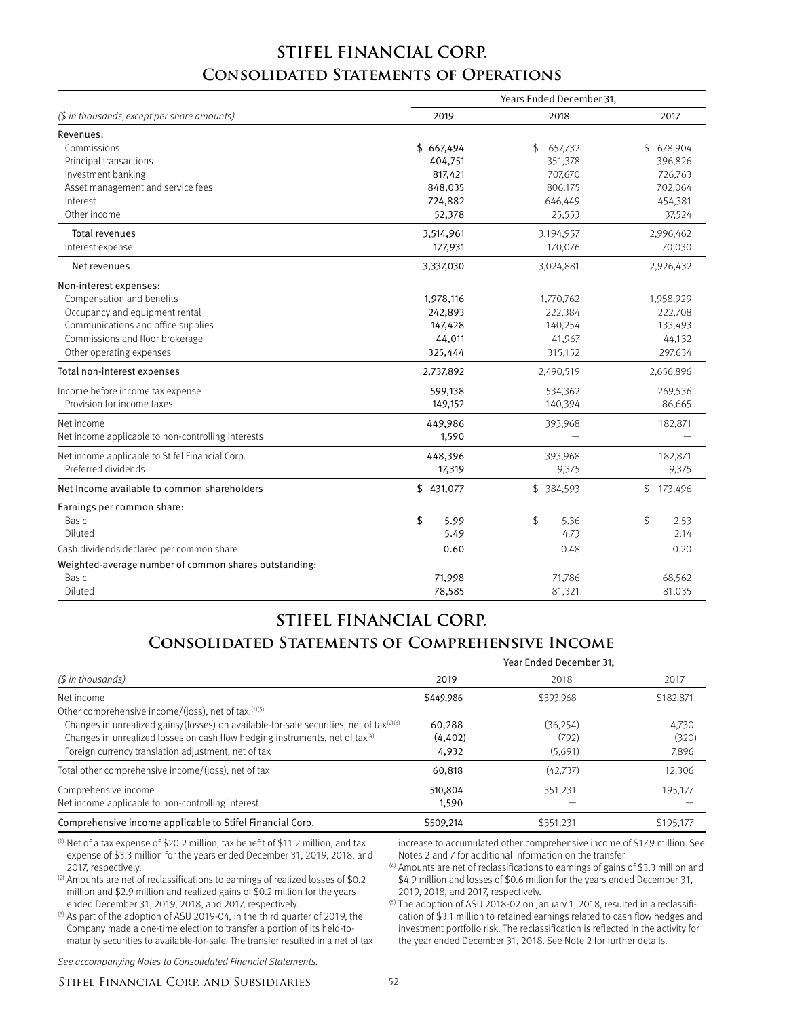# **STIFEL FINANCIAL CORP. Consolidated Statements of Operations**

|                                                       | Years Ended December 31, |               |            |  |
|-------------------------------------------------------|--------------------------|---------------|------------|--|
| (\$ in thousands, except per share amounts)           | 2019                     | 2018          | 2017       |  |
| Revenues:                                             |                          |               |            |  |
| Commissions                                           | \$667,494                | 657,732<br>\$ | \$ 678,904 |  |
| Principal transactions                                | 404,751                  | 351,378       | 396,826    |  |
| Investment banking                                    | 817,421                  | 707,670       | 726,763    |  |
| Asset management and service fees                     | 848,035                  | 806,175       | 702,064    |  |
| Interest                                              | 724,882                  | 646,449       | 454,381    |  |
| Other income                                          | 52,378                   | 25,553        | 37,524     |  |
| Total revenues                                        | 3,514,961                | 3,194,957     | 2,996,462  |  |
| Interest expense                                      | 177,931                  | 170,076       | 70,030     |  |
| Net revenues                                          | 3,337,030                | 3,024,881     | 2,926,432  |  |
| Non-interest expenses:                                |                          |               |            |  |
| Compensation and benefits                             | 1,978,116                | 1,770,762     | 1,958,929  |  |
| Occupancy and equipment rental                        | 242,893                  | 222,384       | 222,708    |  |
| Communications and office supplies                    | 147,428                  | 140,254       | 133,493    |  |
| Commissions and floor brokerage                       | 44,011                   | 41,967        | 44,132     |  |
| Other operating expenses                              | 325,444                  | 315,152       | 297,634    |  |
| Total non-interest expenses                           | 2,737,892                | 2,490,519     | 2,656,896  |  |
| Income before income tax expense                      | 599,138                  | 534,362       | 269,536    |  |
| Provision for income taxes                            | 149,152                  | 140,394       | 86,665     |  |
| Net income                                            | 449,986                  | 393,968       | 182,871    |  |
| Net income applicable to non-controlling interests    | 1,590                    |               |            |  |
| Net income applicable to Stifel Financial Corp.       | 448,396                  | 393,968       | 182,871    |  |
| Preferred dividends                                   | 17,319                   | 9,375         | 9,375      |  |
| Net Income available to common shareholders           | \$ 431,077               | \$ 384,593    | \$173,496  |  |
| Earnings per common share:                            |                          |               |            |  |
| <b>Basic</b>                                          | \$<br>5.99               | \$<br>5.36    | \$<br>2.53 |  |
| Diluted                                               | 5.49                     | 4.73          | 2.14       |  |
| Cash dividends declared per common share              | 0.60                     | 0.48          | 0.20       |  |
| Weighted-average number of common shares outstanding: |                          |               |            |  |
| <b>Basic</b>                                          | 71,998                   | 71,786        | 68,562     |  |
| Diluted                                               | 78,585                   | 81,321        | 81,035     |  |

# **STIFEL FINANCIAL CORP.**

# **Consolidated Statements of Comprehensive Income**

| (\$ in thousands)                                                                                   | Year Ended December 31, |           |           |
|-----------------------------------------------------------------------------------------------------|-------------------------|-----------|-----------|
|                                                                                                     | 2019                    | 2018      | 2017      |
| Net income                                                                                          | \$449,986               | \$393.968 | \$182,871 |
| Other comprehensive income/(loss), net of tax:(1)(5)                                                |                         |           |           |
| Changes in unrealized gains/(losses) on available-for-sale securities, net of tax <sup>(2)(3)</sup> | 60.288                  | (36, 254) | 4.730     |
| Changes in unrealized losses on cash flow hedging instruments, net of tax <sup>(4)</sup>            | (4, 402)                | (792)     | (320)     |
| Foreign currency translation adjustment, net of tax                                                 | 4,932                   | (5,691)   | 7,896     |
| Total other comprehensive income/(loss), net of tax                                                 | 60,818                  | (42, 737) | 12,306    |
| Comprehensive income                                                                                | 510,804                 | 351.231   | 195.177   |
| Net income applicable to non-controlling interest                                                   | 1,590                   |           |           |
| Comprehensive income applicable to Stifel Financial Corp.                                           | \$509,214               | \$351.231 | \$195,177 |

 $(1)$  Net of a tax expense of \$20.2 million, tax benefit of \$11.2 million, and tax expense of \$3.3 million for the years ended December 31, 2019, 2018, and 2017, respectively.

 $^{(2)}$  Amounts are net of reclassifications to earnings of realized losses of \$0.2 million and \$2.9 million and realized gains of \$0.2 million for the years ended December 31, 2019, 2018, and 2017, respectively.

 $(3)$  As part of the adoption of ASU 2019-04, in the third quarter of 2019, the Company made a one-time election to transfer a portion of its held-tomaturity securities to available-for-sale. The transfer resulted in a net of tax increase to accumulated other comprehensive income of \$17.9 million. See Notes 2 and 7 for additional information on the transfer.

 $^{(4)}$  Amounts are net of reclassifications to earnings of gains of \$3.3 million and \$4.9 million and losses of \$0.6 million for the years ended December 31, 2019, 2018, and 2017, respectively.

(5) The adoption of ASU 2018-02 on January 1, 2018, resulted in a reclassification of \$3.1 million to retained earnings related to cash flow hedges and investment portfolio risk. The reclassification is reflected in the activity for the year ended December 31, 2018. See Note 2 for further details.

See accompanying Notes to Consolidated Financial Statements.

# STIFEL FINANCIAL CORP. AND SUBSIDIARIES 52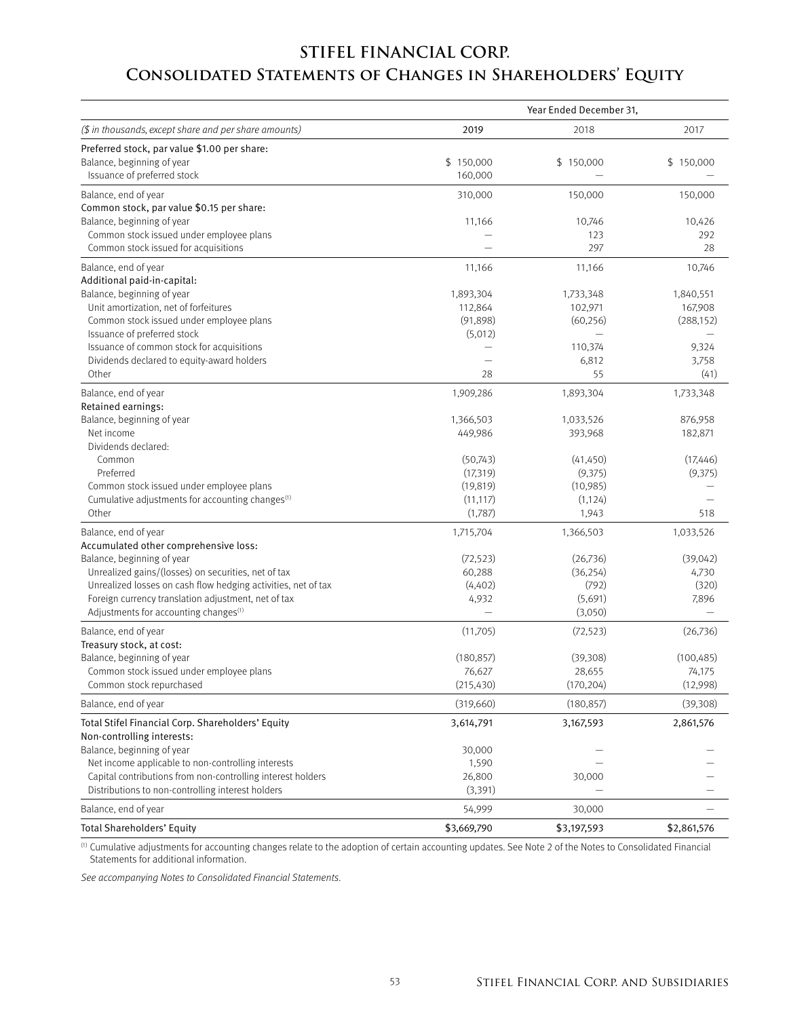# **STIFEL FINANCIAL CORP.**

# **Consolidated Statements of Changes in Shareholders' Equity**

|                                                                                 |                          | Year Ended December 31, |                    |
|---------------------------------------------------------------------------------|--------------------------|-------------------------|--------------------|
| (\$ in thousands, except share and per share amounts)                           | 2019                     | 2018                    | 2017               |
| Preferred stock, par value \$1.00 per share:                                    |                          |                         |                    |
| Balance, beginning of year                                                      | \$150,000                | \$150,000               | \$150,000          |
| Issuance of preferred stock                                                     | 160,000                  |                         |                    |
| Balance, end of year                                                            | 310,000                  | 150,000                 | 150,000            |
| Common stock, par value \$0.15 per share:                                       |                          |                         |                    |
| Balance, beginning of year                                                      | 11,166                   | 10,746                  | 10,426             |
| Common stock issued under employee plans                                        |                          | 123                     | 292                |
| Common stock issued for acquisitions                                            |                          | 297                     | 28                 |
| Balance, end of year                                                            | 11,166                   | 11,166                  | 10,746             |
| Additional paid-in-capital:                                                     |                          |                         |                    |
| Balance, beginning of year                                                      | 1,893,304                | 1,733,348               | 1,840,551          |
| Unit amortization, net of forfeitures                                           | 112,864                  | 102,971                 | 167,908            |
| Common stock issued under employee plans                                        | (91,898)                 | (60, 256)               | (288, 152)         |
| Issuance of preferred stock                                                     | (5,012)                  |                         |                    |
| Issuance of common stock for acquisitions                                       |                          | 110,374                 | 9,324              |
| Dividends declared to equity-award holders                                      |                          | 6,812                   | 3,758              |
| Other                                                                           | 28                       | 55                      | (41)               |
| Balance, end of year                                                            | 1,909,286                | 1,893,304               | 1,733,348          |
| Retained earnings:                                                              | 1,366,503                | 1,033,526               |                    |
| Balance, beginning of year<br>Net income                                        | 449,986                  | 393,968                 | 876,958<br>182,871 |
| Dividends declared:                                                             |                          |                         |                    |
| Common                                                                          | (50,743)                 | (41, 450)               | (17, 446)          |
| Preferred                                                                       | (17, 319)                | (9, 375)                | (9,375)            |
| Common stock issued under employee plans                                        | (19, 819)                | (10, 985)               |                    |
| Cumulative adjustments for accounting changes <sup>(1)</sup>                    | (11, 117)                | (1, 124)                |                    |
| Other                                                                           | (1,787)                  | 1,943                   | 518                |
| Balance, end of year                                                            | 1,715,704                | 1,366,503               | 1,033,526          |
| Accumulated other comprehensive loss:                                           |                          |                         |                    |
| Balance, beginning of year                                                      | (72, 523)                | (26, 736)               | (39,042)           |
| Unrealized gains/(losses) on securities, net of tax                             | 60,288                   | (36, 254)               | 4,730              |
| Unrealized losses on cash flow hedging activities, net of tax                   | (4,402)                  | (792)                   | (320)              |
| Foreign currency translation adjustment, net of tax                             | 4,932                    | (5,691)                 | 7,896              |
| Adjustments for accounting changes <sup>(1)</sup>                               | $\overline{\phantom{0}}$ | (3,050)                 |                    |
| Balance, end of year                                                            | (11,705)                 | (72, 523)               | (26, 736)          |
| Treasury stock, at cost:                                                        |                          |                         |                    |
| Balance, beginning of year                                                      | (180, 857)               | (39,308)                | (100, 485)         |
| Common stock issued under employee plans<br>Common stock repurchased            | 76,627<br>(215, 430)     | 28,655<br>(170, 204)    | 74,175<br>(12,998) |
|                                                                                 |                          |                         |                    |
| Balance, end of year                                                            | (319,660)                | (180, 857)              | (39, 308)          |
| Total Stifel Financial Corp. Shareholders' Equity<br>Non-controlling interests: | 3,614,791                | 3,167,593               | 2,861,576          |
| Balance, beginning of year                                                      | 30,000                   |                         |                    |
| Net income applicable to non-controlling interests                              | 1,590                    |                         |                    |
| Capital contributions from non-controlling interest holders                     | 26,800                   | 30,000                  |                    |
| Distributions to non-controlling interest holders                               | (3,391)                  |                         |                    |
| Balance, end of year                                                            | 54,999                   | 30,000                  |                    |
| <b>Total Shareholders' Equity</b>                                               | \$3,669,790              | \$3,197,593             | \$2,861,576        |
|                                                                                 |                          |                         |                    |

 $^{(1)}$  Cumulative adjustments for accounting changes relate to the adoption of certain accounting updates. See Note 2 of the Notes to Consolidated Financial Statements for additional information.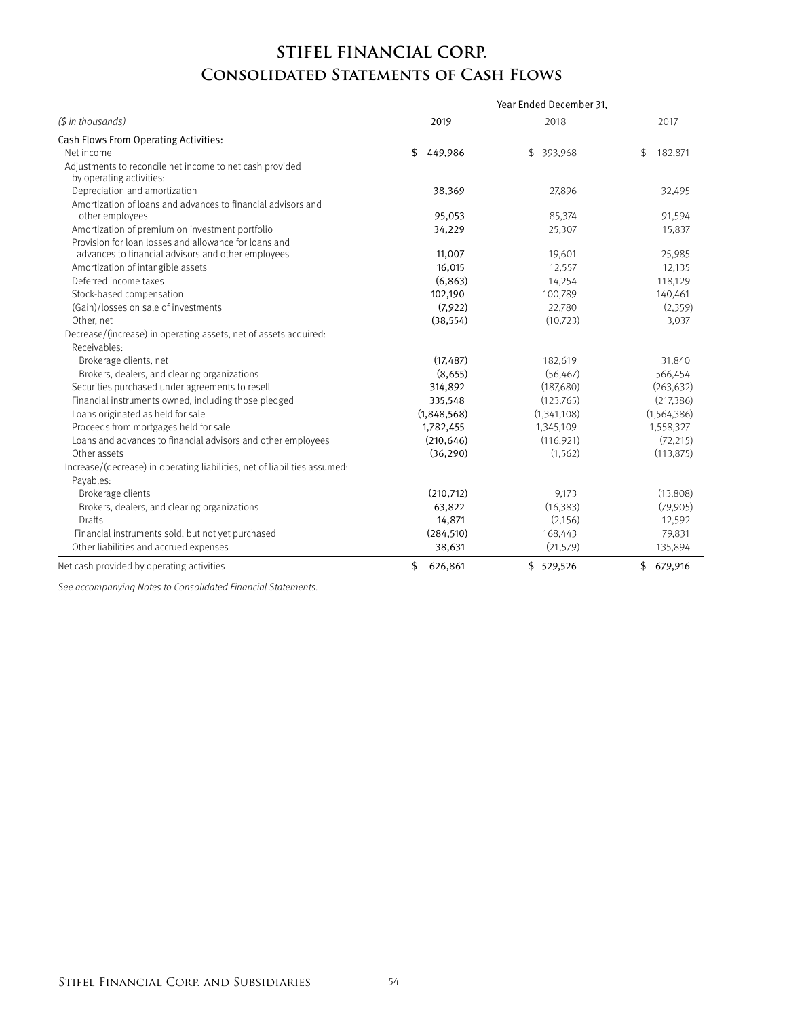# **STIFEL FINANCIAL CORP. Consolidated Statements of Cash Flows**

|                                                                           | Year Ended December 31, |             |               |  |
|---------------------------------------------------------------------------|-------------------------|-------------|---------------|--|
| (\$ in thousands)                                                         | 2019                    | 2018        | 2017          |  |
| Cash Flows From Operating Activities:                                     |                         |             |               |  |
| Net income                                                                | \$<br>449,986           | \$ 393,968  | \$<br>182,871 |  |
| Adjustments to reconcile net income to net cash provided                  |                         |             |               |  |
| by operating activities:                                                  |                         |             |               |  |
| Depreciation and amortization                                             | 38,369                  | 27,896      | 32,495        |  |
| Amortization of loans and advances to financial advisors and              |                         |             |               |  |
| other employees                                                           | 95,053                  | 85,374      | 91,594        |  |
| Amortization of premium on investment portfolio                           | 34,229                  | 25,307      | 15,837        |  |
| Provision for loan losses and allowance for loans and                     |                         |             |               |  |
| advances to financial advisors and other employees                        | 11,007                  | 19,601      | 25,985        |  |
| Amortization of intangible assets                                         | 16,015                  | 12,557      | 12,135        |  |
| Deferred income taxes                                                     | (6, 863)                | 14,254      | 118,129       |  |
| Stock-based compensation                                                  | 102,190                 | 100,789     | 140,461       |  |
| (Gain)/losses on sale of investments                                      | (7, 922)                | 22,780      | (2, 359)      |  |
| Other, net                                                                | (38, 554)               | (10, 723)   | 3,037         |  |
| Decrease/(increase) in operating assets, net of assets acquired:          |                         |             |               |  |
| Receivables:                                                              |                         |             |               |  |
| Brokerage clients, net                                                    | (17, 487)               | 182,619     | 31,840        |  |
| Brokers, dealers, and clearing organizations                              | (8,655)                 | (56, 467)   | 566,454       |  |
| Securities purchased under agreements to resell                           | 314,892                 | (187,680)   | (263, 632)    |  |
| Financial instruments owned, including those pledged                      | 335,548                 | (123,765)   | (217, 386)    |  |
| Loans originated as held for sale                                         | (1,848,568)             | (1,341,108) | (1, 564, 386) |  |
| Proceeds from mortgages held for sale                                     | 1,782,455               | 1,345,109   | 1,558,327     |  |
| Loans and advances to financial advisors and other employees              | (210, 646)              | (116,921)   | (72, 215)     |  |
| Other assets                                                              | (36, 290)               | (1, 562)    | (113, 875)    |  |
| Increase/(decrease) in operating liabilities, net of liabilities assumed: |                         |             |               |  |
| Payables:                                                                 |                         |             |               |  |
| Brokerage clients                                                         | (210, 712)              | 9.173       | (13,808)      |  |
| Brokers, dealers, and clearing organizations                              | 63,822                  | (16, 383)   | (79,905)      |  |
| Drafts                                                                    | 14,871                  | (2,156)     | 12,592        |  |
| Financial instruments sold, but not yet purchased                         | (284, 510)              | 168,443     | 79,831        |  |
| Other liabilities and accrued expenses                                    | 38,631                  | (21, 579)   | 135,894       |  |
| Net cash provided by operating activities                                 | \$<br>626,861           | \$529,526   | \$<br>679,916 |  |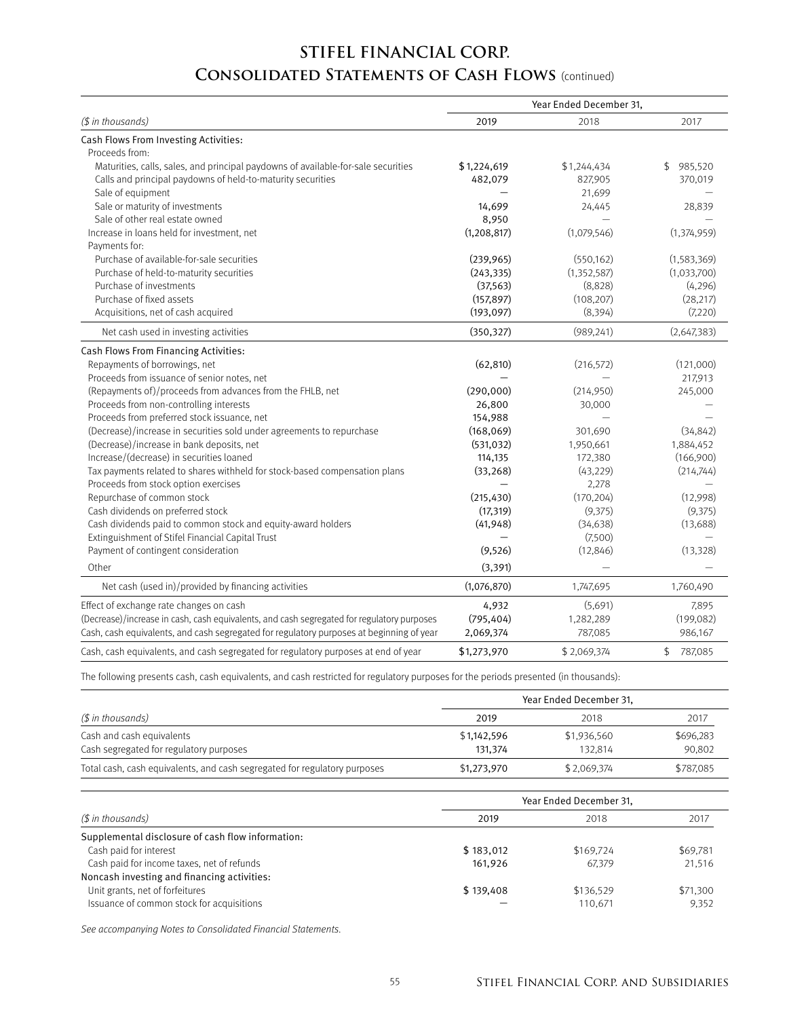# **STIFEL FINANCIAL CORP. Consolidated Statements of Cash Flows** (continued)

| (\$ in thousands)<br>2019<br>2018<br>2017<br>Cash Flows From Investing Activities:<br>Proceeds from:<br>\$1,224,619<br>\$<br>985.520<br>Maturities, calls, sales, and principal paydowns of available-for-sale securities<br>\$1,244,434<br>Calls and principal paydowns of held-to-maturity securities<br>482,079<br>827,905<br>370,019<br>Sale of equipment<br>21,699<br>Sale or maturity of investments<br>14,699<br>24,445<br>28,839<br>Sale of other real estate owned<br>8,950<br>Increase in loans held for investment, net<br>(1, 208, 817)<br>(1,079,546)<br>(1, 374, 959)<br>Payments for:<br>Purchase of available-for-sale securities<br>(239, 965)<br>(1,583,369)<br>(550, 162)<br>Purchase of held-to-maturity securities<br>(243, 335)<br>(1,352,587)<br>(1,033,700)<br>Purchase of investments<br>(37, 563)<br>(8,828)<br>(4, 296)<br>Purchase of fixed assets<br>(157, 897)<br>(108, 207)<br>(28, 217)<br>(193, 097)<br>(7,220)<br>Acquisitions, net of cash acquired<br>(8,394)<br>(2,647,383)<br>Net cash used in investing activities<br>(350, 327)<br>(989, 241)<br>Cash Flows From Financing Activities:<br>Repayments of borrowings, net<br>(62, 810)<br>(216, 572)<br>(121,000)<br>Proceeds from issuance of senior notes, net<br>217,913<br>(Repayments of)/proceeds from advances from the FHLB, net<br>(290,000)<br>(214,950)<br>245,000<br>Proceeds from non-controlling interests<br>26,800<br>30,000<br>Proceeds from preferred stock issuance, net<br>154,988<br>(Decrease)/increase in securities sold under agreements to repurchase<br>(168, 069)<br>301,690<br>(34, 842)<br>(Decrease)/increase in bank deposits, net<br>(531, 032)<br>1,950,661<br>1,884,452<br>Increase/(decrease) in securities loaned<br>172,380<br>(166,900)<br>114,135<br>Tax payments related to shares withheld for stock-based compensation plans<br>(33, 268)<br>(43, 229)<br>(214,744)<br>Proceeds from stock option exercises<br>2,278<br>Repurchase of common stock<br>(215, 430)<br>(170, 204)<br>(12,998)<br>Cash dividends on preferred stock<br>(17, 319)<br>(9, 375)<br>(9, 375)<br>Cash dividends paid to common stock and equity-award holders<br>(41, 948)<br>(34, 638)<br>(13,688)<br>Extinguishment of Stifel Financial Capital Trust<br>(7,500)<br>Payment of contingent consideration<br>(9, 526)<br>(12, 846)<br>(13, 328)<br>(3, 391)<br>Other<br>(1,076,870)<br>Net cash (used in)/provided by financing activities<br>1,747,695<br>1,760,490<br>Effect of exchange rate changes on cash<br>4,932<br>(5,691)<br>7,895<br>(Decrease)/increase in cash, cash equivalents, and cash segregated for regulatory purposes<br>(795, 404)<br>(199, 082)<br>1,282,289<br>Cash, cash equivalents, and cash segregated for regulatory purposes at beginning of year<br>2,069,374<br>787,085<br>986,167<br>Cash, cash equivalents, and cash segregated for regulatory purposes at end of year<br>\$<br>\$1,273,970<br>\$2,069,374<br>787,085 | Year Ended December 31, |  |  |  |
|-----------------------------------------------------------------------------------------------------------------------------------------------------------------------------------------------------------------------------------------------------------------------------------------------------------------------------------------------------------------------------------------------------------------------------------------------------------------------------------------------------------------------------------------------------------------------------------------------------------------------------------------------------------------------------------------------------------------------------------------------------------------------------------------------------------------------------------------------------------------------------------------------------------------------------------------------------------------------------------------------------------------------------------------------------------------------------------------------------------------------------------------------------------------------------------------------------------------------------------------------------------------------------------------------------------------------------------------------------------------------------------------------------------------------------------------------------------------------------------------------------------------------------------------------------------------------------------------------------------------------------------------------------------------------------------------------------------------------------------------------------------------------------------------------------------------------------------------------------------------------------------------------------------------------------------------------------------------------------------------------------------------------------------------------------------------------------------------------------------------------------------------------------------------------------------------------------------------------------------------------------------------------------------------------------------------------------------------------------------------------------------------------------------------------------------------------------------------------------------------------------------------------------------------------------------------------------------------------------------------------------------------------------------------------------------------------------------------------------------------------------------------------------------------------------------------------------------------------------------------------------------------------------------------------------------------------------------------|-------------------------|--|--|--|
|                                                                                                                                                                                                                                                                                                                                                                                                                                                                                                                                                                                                                                                                                                                                                                                                                                                                                                                                                                                                                                                                                                                                                                                                                                                                                                                                                                                                                                                                                                                                                                                                                                                                                                                                                                                                                                                                                                                                                                                                                                                                                                                                                                                                                                                                                                                                                                                                                                                                                                                                                                                                                                                                                                                                                                                                                                                                                                                                                                 |                         |  |  |  |
|                                                                                                                                                                                                                                                                                                                                                                                                                                                                                                                                                                                                                                                                                                                                                                                                                                                                                                                                                                                                                                                                                                                                                                                                                                                                                                                                                                                                                                                                                                                                                                                                                                                                                                                                                                                                                                                                                                                                                                                                                                                                                                                                                                                                                                                                                                                                                                                                                                                                                                                                                                                                                                                                                                                                                                                                                                                                                                                                                                 |                         |  |  |  |
|                                                                                                                                                                                                                                                                                                                                                                                                                                                                                                                                                                                                                                                                                                                                                                                                                                                                                                                                                                                                                                                                                                                                                                                                                                                                                                                                                                                                                                                                                                                                                                                                                                                                                                                                                                                                                                                                                                                                                                                                                                                                                                                                                                                                                                                                                                                                                                                                                                                                                                                                                                                                                                                                                                                                                                                                                                                                                                                                                                 |                         |  |  |  |
|                                                                                                                                                                                                                                                                                                                                                                                                                                                                                                                                                                                                                                                                                                                                                                                                                                                                                                                                                                                                                                                                                                                                                                                                                                                                                                                                                                                                                                                                                                                                                                                                                                                                                                                                                                                                                                                                                                                                                                                                                                                                                                                                                                                                                                                                                                                                                                                                                                                                                                                                                                                                                                                                                                                                                                                                                                                                                                                                                                 |                         |  |  |  |
|                                                                                                                                                                                                                                                                                                                                                                                                                                                                                                                                                                                                                                                                                                                                                                                                                                                                                                                                                                                                                                                                                                                                                                                                                                                                                                                                                                                                                                                                                                                                                                                                                                                                                                                                                                                                                                                                                                                                                                                                                                                                                                                                                                                                                                                                                                                                                                                                                                                                                                                                                                                                                                                                                                                                                                                                                                                                                                                                                                 |                         |  |  |  |
|                                                                                                                                                                                                                                                                                                                                                                                                                                                                                                                                                                                                                                                                                                                                                                                                                                                                                                                                                                                                                                                                                                                                                                                                                                                                                                                                                                                                                                                                                                                                                                                                                                                                                                                                                                                                                                                                                                                                                                                                                                                                                                                                                                                                                                                                                                                                                                                                                                                                                                                                                                                                                                                                                                                                                                                                                                                                                                                                                                 |                         |  |  |  |
|                                                                                                                                                                                                                                                                                                                                                                                                                                                                                                                                                                                                                                                                                                                                                                                                                                                                                                                                                                                                                                                                                                                                                                                                                                                                                                                                                                                                                                                                                                                                                                                                                                                                                                                                                                                                                                                                                                                                                                                                                                                                                                                                                                                                                                                                                                                                                                                                                                                                                                                                                                                                                                                                                                                                                                                                                                                                                                                                                                 |                         |  |  |  |
|                                                                                                                                                                                                                                                                                                                                                                                                                                                                                                                                                                                                                                                                                                                                                                                                                                                                                                                                                                                                                                                                                                                                                                                                                                                                                                                                                                                                                                                                                                                                                                                                                                                                                                                                                                                                                                                                                                                                                                                                                                                                                                                                                                                                                                                                                                                                                                                                                                                                                                                                                                                                                                                                                                                                                                                                                                                                                                                                                                 |                         |  |  |  |
|                                                                                                                                                                                                                                                                                                                                                                                                                                                                                                                                                                                                                                                                                                                                                                                                                                                                                                                                                                                                                                                                                                                                                                                                                                                                                                                                                                                                                                                                                                                                                                                                                                                                                                                                                                                                                                                                                                                                                                                                                                                                                                                                                                                                                                                                                                                                                                                                                                                                                                                                                                                                                                                                                                                                                                                                                                                                                                                                                                 |                         |  |  |  |
|                                                                                                                                                                                                                                                                                                                                                                                                                                                                                                                                                                                                                                                                                                                                                                                                                                                                                                                                                                                                                                                                                                                                                                                                                                                                                                                                                                                                                                                                                                                                                                                                                                                                                                                                                                                                                                                                                                                                                                                                                                                                                                                                                                                                                                                                                                                                                                                                                                                                                                                                                                                                                                                                                                                                                                                                                                                                                                                                                                 |                         |  |  |  |
|                                                                                                                                                                                                                                                                                                                                                                                                                                                                                                                                                                                                                                                                                                                                                                                                                                                                                                                                                                                                                                                                                                                                                                                                                                                                                                                                                                                                                                                                                                                                                                                                                                                                                                                                                                                                                                                                                                                                                                                                                                                                                                                                                                                                                                                                                                                                                                                                                                                                                                                                                                                                                                                                                                                                                                                                                                                                                                                                                                 |                         |  |  |  |
|                                                                                                                                                                                                                                                                                                                                                                                                                                                                                                                                                                                                                                                                                                                                                                                                                                                                                                                                                                                                                                                                                                                                                                                                                                                                                                                                                                                                                                                                                                                                                                                                                                                                                                                                                                                                                                                                                                                                                                                                                                                                                                                                                                                                                                                                                                                                                                                                                                                                                                                                                                                                                                                                                                                                                                                                                                                                                                                                                                 |                         |  |  |  |
|                                                                                                                                                                                                                                                                                                                                                                                                                                                                                                                                                                                                                                                                                                                                                                                                                                                                                                                                                                                                                                                                                                                                                                                                                                                                                                                                                                                                                                                                                                                                                                                                                                                                                                                                                                                                                                                                                                                                                                                                                                                                                                                                                                                                                                                                                                                                                                                                                                                                                                                                                                                                                                                                                                                                                                                                                                                                                                                                                                 |                         |  |  |  |
|                                                                                                                                                                                                                                                                                                                                                                                                                                                                                                                                                                                                                                                                                                                                                                                                                                                                                                                                                                                                                                                                                                                                                                                                                                                                                                                                                                                                                                                                                                                                                                                                                                                                                                                                                                                                                                                                                                                                                                                                                                                                                                                                                                                                                                                                                                                                                                                                                                                                                                                                                                                                                                                                                                                                                                                                                                                                                                                                                                 |                         |  |  |  |
|                                                                                                                                                                                                                                                                                                                                                                                                                                                                                                                                                                                                                                                                                                                                                                                                                                                                                                                                                                                                                                                                                                                                                                                                                                                                                                                                                                                                                                                                                                                                                                                                                                                                                                                                                                                                                                                                                                                                                                                                                                                                                                                                                                                                                                                                                                                                                                                                                                                                                                                                                                                                                                                                                                                                                                                                                                                                                                                                                                 |                         |  |  |  |
|                                                                                                                                                                                                                                                                                                                                                                                                                                                                                                                                                                                                                                                                                                                                                                                                                                                                                                                                                                                                                                                                                                                                                                                                                                                                                                                                                                                                                                                                                                                                                                                                                                                                                                                                                                                                                                                                                                                                                                                                                                                                                                                                                                                                                                                                                                                                                                                                                                                                                                                                                                                                                                                                                                                                                                                                                                                                                                                                                                 |                         |  |  |  |
|                                                                                                                                                                                                                                                                                                                                                                                                                                                                                                                                                                                                                                                                                                                                                                                                                                                                                                                                                                                                                                                                                                                                                                                                                                                                                                                                                                                                                                                                                                                                                                                                                                                                                                                                                                                                                                                                                                                                                                                                                                                                                                                                                                                                                                                                                                                                                                                                                                                                                                                                                                                                                                                                                                                                                                                                                                                                                                                                                                 |                         |  |  |  |
|                                                                                                                                                                                                                                                                                                                                                                                                                                                                                                                                                                                                                                                                                                                                                                                                                                                                                                                                                                                                                                                                                                                                                                                                                                                                                                                                                                                                                                                                                                                                                                                                                                                                                                                                                                                                                                                                                                                                                                                                                                                                                                                                                                                                                                                                                                                                                                                                                                                                                                                                                                                                                                                                                                                                                                                                                                                                                                                                                                 |                         |  |  |  |
|                                                                                                                                                                                                                                                                                                                                                                                                                                                                                                                                                                                                                                                                                                                                                                                                                                                                                                                                                                                                                                                                                                                                                                                                                                                                                                                                                                                                                                                                                                                                                                                                                                                                                                                                                                                                                                                                                                                                                                                                                                                                                                                                                                                                                                                                                                                                                                                                                                                                                                                                                                                                                                                                                                                                                                                                                                                                                                                                                                 |                         |  |  |  |
|                                                                                                                                                                                                                                                                                                                                                                                                                                                                                                                                                                                                                                                                                                                                                                                                                                                                                                                                                                                                                                                                                                                                                                                                                                                                                                                                                                                                                                                                                                                                                                                                                                                                                                                                                                                                                                                                                                                                                                                                                                                                                                                                                                                                                                                                                                                                                                                                                                                                                                                                                                                                                                                                                                                                                                                                                                                                                                                                                                 |                         |  |  |  |
|                                                                                                                                                                                                                                                                                                                                                                                                                                                                                                                                                                                                                                                                                                                                                                                                                                                                                                                                                                                                                                                                                                                                                                                                                                                                                                                                                                                                                                                                                                                                                                                                                                                                                                                                                                                                                                                                                                                                                                                                                                                                                                                                                                                                                                                                                                                                                                                                                                                                                                                                                                                                                                                                                                                                                                                                                                                                                                                                                                 |                         |  |  |  |
|                                                                                                                                                                                                                                                                                                                                                                                                                                                                                                                                                                                                                                                                                                                                                                                                                                                                                                                                                                                                                                                                                                                                                                                                                                                                                                                                                                                                                                                                                                                                                                                                                                                                                                                                                                                                                                                                                                                                                                                                                                                                                                                                                                                                                                                                                                                                                                                                                                                                                                                                                                                                                                                                                                                                                                                                                                                                                                                                                                 |                         |  |  |  |
|                                                                                                                                                                                                                                                                                                                                                                                                                                                                                                                                                                                                                                                                                                                                                                                                                                                                                                                                                                                                                                                                                                                                                                                                                                                                                                                                                                                                                                                                                                                                                                                                                                                                                                                                                                                                                                                                                                                                                                                                                                                                                                                                                                                                                                                                                                                                                                                                                                                                                                                                                                                                                                                                                                                                                                                                                                                                                                                                                                 |                         |  |  |  |
|                                                                                                                                                                                                                                                                                                                                                                                                                                                                                                                                                                                                                                                                                                                                                                                                                                                                                                                                                                                                                                                                                                                                                                                                                                                                                                                                                                                                                                                                                                                                                                                                                                                                                                                                                                                                                                                                                                                                                                                                                                                                                                                                                                                                                                                                                                                                                                                                                                                                                                                                                                                                                                                                                                                                                                                                                                                                                                                                                                 |                         |  |  |  |
|                                                                                                                                                                                                                                                                                                                                                                                                                                                                                                                                                                                                                                                                                                                                                                                                                                                                                                                                                                                                                                                                                                                                                                                                                                                                                                                                                                                                                                                                                                                                                                                                                                                                                                                                                                                                                                                                                                                                                                                                                                                                                                                                                                                                                                                                                                                                                                                                                                                                                                                                                                                                                                                                                                                                                                                                                                                                                                                                                                 |                         |  |  |  |
|                                                                                                                                                                                                                                                                                                                                                                                                                                                                                                                                                                                                                                                                                                                                                                                                                                                                                                                                                                                                                                                                                                                                                                                                                                                                                                                                                                                                                                                                                                                                                                                                                                                                                                                                                                                                                                                                                                                                                                                                                                                                                                                                                                                                                                                                                                                                                                                                                                                                                                                                                                                                                                                                                                                                                                                                                                                                                                                                                                 |                         |  |  |  |
|                                                                                                                                                                                                                                                                                                                                                                                                                                                                                                                                                                                                                                                                                                                                                                                                                                                                                                                                                                                                                                                                                                                                                                                                                                                                                                                                                                                                                                                                                                                                                                                                                                                                                                                                                                                                                                                                                                                                                                                                                                                                                                                                                                                                                                                                                                                                                                                                                                                                                                                                                                                                                                                                                                                                                                                                                                                                                                                                                                 |                         |  |  |  |
|                                                                                                                                                                                                                                                                                                                                                                                                                                                                                                                                                                                                                                                                                                                                                                                                                                                                                                                                                                                                                                                                                                                                                                                                                                                                                                                                                                                                                                                                                                                                                                                                                                                                                                                                                                                                                                                                                                                                                                                                                                                                                                                                                                                                                                                                                                                                                                                                                                                                                                                                                                                                                                                                                                                                                                                                                                                                                                                                                                 |                         |  |  |  |
|                                                                                                                                                                                                                                                                                                                                                                                                                                                                                                                                                                                                                                                                                                                                                                                                                                                                                                                                                                                                                                                                                                                                                                                                                                                                                                                                                                                                                                                                                                                                                                                                                                                                                                                                                                                                                                                                                                                                                                                                                                                                                                                                                                                                                                                                                                                                                                                                                                                                                                                                                                                                                                                                                                                                                                                                                                                                                                                                                                 |                         |  |  |  |
|                                                                                                                                                                                                                                                                                                                                                                                                                                                                                                                                                                                                                                                                                                                                                                                                                                                                                                                                                                                                                                                                                                                                                                                                                                                                                                                                                                                                                                                                                                                                                                                                                                                                                                                                                                                                                                                                                                                                                                                                                                                                                                                                                                                                                                                                                                                                                                                                                                                                                                                                                                                                                                                                                                                                                                                                                                                                                                                                                                 |                         |  |  |  |
|                                                                                                                                                                                                                                                                                                                                                                                                                                                                                                                                                                                                                                                                                                                                                                                                                                                                                                                                                                                                                                                                                                                                                                                                                                                                                                                                                                                                                                                                                                                                                                                                                                                                                                                                                                                                                                                                                                                                                                                                                                                                                                                                                                                                                                                                                                                                                                                                                                                                                                                                                                                                                                                                                                                                                                                                                                                                                                                                                                 |                         |  |  |  |
|                                                                                                                                                                                                                                                                                                                                                                                                                                                                                                                                                                                                                                                                                                                                                                                                                                                                                                                                                                                                                                                                                                                                                                                                                                                                                                                                                                                                                                                                                                                                                                                                                                                                                                                                                                                                                                                                                                                                                                                                                                                                                                                                                                                                                                                                                                                                                                                                                                                                                                                                                                                                                                                                                                                                                                                                                                                                                                                                                                 |                         |  |  |  |
|                                                                                                                                                                                                                                                                                                                                                                                                                                                                                                                                                                                                                                                                                                                                                                                                                                                                                                                                                                                                                                                                                                                                                                                                                                                                                                                                                                                                                                                                                                                                                                                                                                                                                                                                                                                                                                                                                                                                                                                                                                                                                                                                                                                                                                                                                                                                                                                                                                                                                                                                                                                                                                                                                                                                                                                                                                                                                                                                                                 |                         |  |  |  |
|                                                                                                                                                                                                                                                                                                                                                                                                                                                                                                                                                                                                                                                                                                                                                                                                                                                                                                                                                                                                                                                                                                                                                                                                                                                                                                                                                                                                                                                                                                                                                                                                                                                                                                                                                                                                                                                                                                                                                                                                                                                                                                                                                                                                                                                                                                                                                                                                                                                                                                                                                                                                                                                                                                                                                                                                                                                                                                                                                                 |                         |  |  |  |
|                                                                                                                                                                                                                                                                                                                                                                                                                                                                                                                                                                                                                                                                                                                                                                                                                                                                                                                                                                                                                                                                                                                                                                                                                                                                                                                                                                                                                                                                                                                                                                                                                                                                                                                                                                                                                                                                                                                                                                                                                                                                                                                                                                                                                                                                                                                                                                                                                                                                                                                                                                                                                                                                                                                                                                                                                                                                                                                                                                 |                         |  |  |  |
|                                                                                                                                                                                                                                                                                                                                                                                                                                                                                                                                                                                                                                                                                                                                                                                                                                                                                                                                                                                                                                                                                                                                                                                                                                                                                                                                                                                                                                                                                                                                                                                                                                                                                                                                                                                                                                                                                                                                                                                                                                                                                                                                                                                                                                                                                                                                                                                                                                                                                                                                                                                                                                                                                                                                                                                                                                                                                                                                                                 |                         |  |  |  |
|                                                                                                                                                                                                                                                                                                                                                                                                                                                                                                                                                                                                                                                                                                                                                                                                                                                                                                                                                                                                                                                                                                                                                                                                                                                                                                                                                                                                                                                                                                                                                                                                                                                                                                                                                                                                                                                                                                                                                                                                                                                                                                                                                                                                                                                                                                                                                                                                                                                                                                                                                                                                                                                                                                                                                                                                                                                                                                                                                                 |                         |  |  |  |
|                                                                                                                                                                                                                                                                                                                                                                                                                                                                                                                                                                                                                                                                                                                                                                                                                                                                                                                                                                                                                                                                                                                                                                                                                                                                                                                                                                                                                                                                                                                                                                                                                                                                                                                                                                                                                                                                                                                                                                                                                                                                                                                                                                                                                                                                                                                                                                                                                                                                                                                                                                                                                                                                                                                                                                                                                                                                                                                                                                 |                         |  |  |  |

The following presents cash, cash equivalents, and cash restricted for regulatory purposes for the periods presented (in thousands):

| (\$ in thousands)                                                         |             | Year Ended December 31, |           |  |
|---------------------------------------------------------------------------|-------------|-------------------------|-----------|--|
|                                                                           | 2019        | 2018                    | 2017      |  |
| Cash and cash equivalents                                                 | \$1,142,596 | \$1,936,560             | \$696,283 |  |
| Cash segregated for regulatory purposes                                   | 131,374     | 132.814                 | 90,802    |  |
| Total cash, cash equivalents, and cash segregated for regulatory purposes | \$1,273,970 | \$2,069,374             | \$787,085 |  |

| (\$ in thousands)                                 |           | Year Ended December 31, |          |  |
|---------------------------------------------------|-----------|-------------------------|----------|--|
|                                                   | 2019      | 2018                    | 2017     |  |
| Supplemental disclosure of cash flow information: |           |                         |          |  |
| Cash paid for interest                            | \$183,012 | \$169.724               | \$69,781 |  |
| Cash paid for income taxes, net of refunds        | 161.926   | 67.379                  | 21.516   |  |
| Noncash investing and financing activities:       |           |                         |          |  |
| Unit grants, net of forfeitures                   | \$139,408 | \$136.529               | \$71,300 |  |
| Issuance of common stock for acquisitions         |           | 110.671                 | 9,352    |  |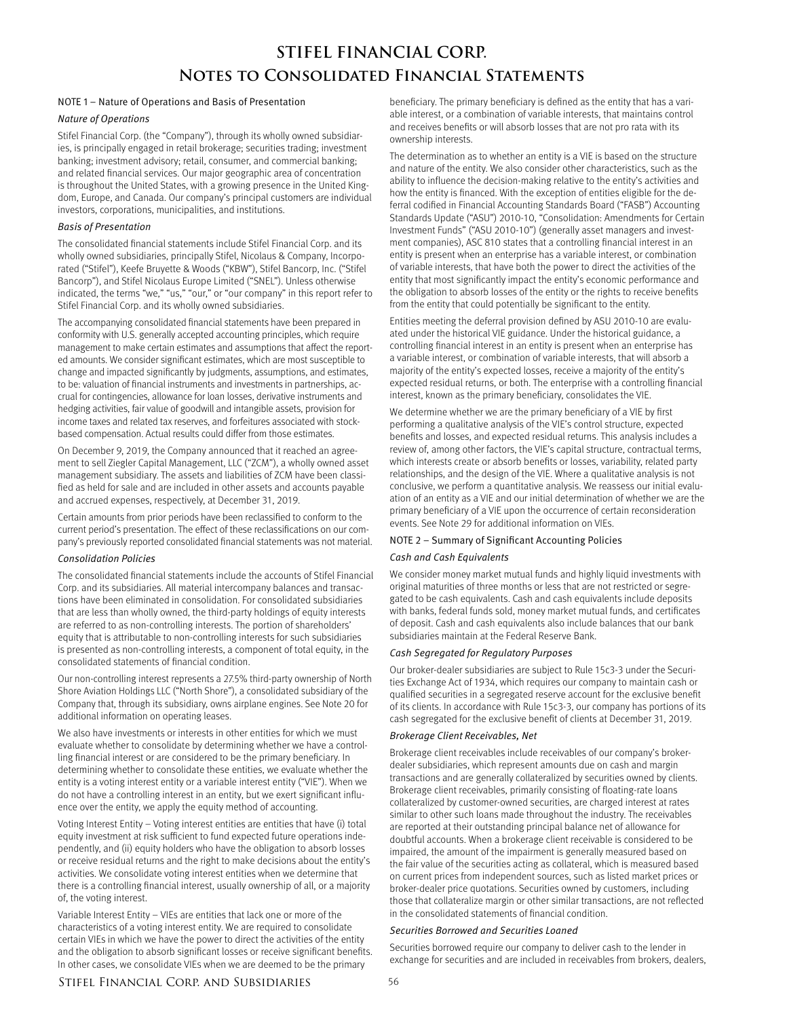# **STIFEL FINANCIAL CORP. Notes to Consolidated Financial Statements**

# NOTE 1 – Nature of Operations and Basis of Presentation

# Nature of Operations

Stifel Financial Corp. (the "Company"), through its wholly owned subsidiaries, is principally engaged in retail brokerage; securities trading; investment banking; investment advisory; retail, consumer, and commercial banking; and related financial services. Our major geographic area of concentration is throughout the United States, with a growing presence in the United Kingdom, Europe, and Canada. Our company's principal customers are individual investors, corporations, municipalities, and institutions.

# Basis of Presentation

The consolidated financial statements include Stifel Financial Corp. and its wholly owned subsidiaries, principally Stifel, Nicolaus & Company, Incorporated ("Stifel"), Keefe Bruyette & Woods ("KBW"), Stifel Bancorp, Inc. ("Stifel Bancorp"), and Stifel Nicolaus Europe Limited ("SNEL"). Unless otherwise indicated, the terms "we," "us," "our," or "our company" in this report refer to Stifel Financial Corp. and its wholly owned subsidiaries.

The accompanying consolidated financial statements have been prepared in conformity with U.S. generally accepted accounting principles, which require management to make certain estimates and assumptions that affect the reported amounts. We consider significant estimates, which are most susceptible to change and impacted significantly by judgments, assumptions, and estimates, to be: valuation of financial instruments and investments in partnerships, accrual for contingencies, allowance for loan losses, derivative instruments and hedging activities, fair value of goodwill and intangible assets, provision for income taxes and related tax reserves, and forfeitures associated with stockbased compensation. Actual results could differ from those estimates.

On December 9, 2019, the Company announced that it reached an agreement to sell Ziegler Capital Management, LLC ("ZCM"), a wholly owned asset management subsidiary. The assets and liabilities of ZCM have been classified as held for sale and are included in other assets and accounts payable and accrued expenses, respectively, at December 31, 2019.

Certain amounts from prior periods have been reclassified to conform to the current period's presentation. The effect of these reclassifications on our company's previously reported consolidated financial statements was not material.

## Consolidation Policies

The consolidated financial statements include the accounts of Stifel Financial Corp. and its subsidiaries. All material intercompany balances and transactions have been eliminated in consolidation. For consolidated subsidiaries that are less than wholly owned, the third-party holdings of equity interests are referred to as non-controlling interests. The portion of shareholders' equity that is attributable to non-controlling interests for such subsidiaries is presented as non-controlling interests, a component of total equity, in the consolidated statements of financial condition.

Our non-controlling interest represents a 27.5% third-party ownership of North Shore Aviation Holdings LLC ("North Shore"), a consolidated subsidiary of the Company that, through its subsidiary, owns airplane engines. See Note 20 for additional information on operating leases.

We also have investments or interests in other entities for which we must evaluate whether to consolidate by determining whether we have a controlling financial interest or are considered to be the primary beneficiary. In determining whether to consolidate these entities, we evaluate whether the entity is a voting interest entity or a variable interest entity ("VIE"). When we do not have a controlling interest in an entity, but we exert significant influence over the entity, we apply the equity method of accounting.

Voting Interest Entity – Voting interest entities are entities that have (i) total equity investment at risk sufficient to fund expected future operations independently, and (ii) equity holders who have the obligation to absorb losses or receive residual returns and the right to make decisions about the entity's activities. We consolidate voting interest entities when we determine that there is a controlling financial interest, usually ownership of all, or a majority of, the voting interest.

Variable Interest Entity – VIEs are entities that lack one or more of the characteristics of a voting interest entity. We are required to consolidate certain VIEs in which we have the power to direct the activities of the entity and the obligation to absorb significant losses or receive significant benefits. In other cases, we consolidate VIEs when we are deemed to be the primary

beneficiary. The primary beneficiary is defined as the entity that has a variable interest, or a combination of variable interests, that maintains control and receives benefits or will absorb losses that are not pro rata with its ownership interests.

The determination as to whether an entity is a VIE is based on the structure and nature of the entity. We also consider other characteristics, such as the ability to influence the decision-making relative to the entity's activities and how the entity is financed. With the exception of entities eligible for the deferral codified in Financial Accounting Standards Board ("FASB") Accounting Standards Update ("ASU") 2010-10, "Consolidation: Amendments for Certain Investment Funds" ("ASU 2010-10") (generally asset managers and investment companies), ASC 810 states that a controlling financial interest in an entity is present when an enterprise has a variable interest, or combination of variable interests, that have both the power to direct the activities of the entity that most significantly impact the entity's economic performance and the obligation to absorb losses of the entity or the rights to receive benefits from the entity that could potentially be significant to the entity.

Entities meeting the deferral provision defined by ASU 2010-10 are evaluated under the historical VIE guidance. Under the historical guidance, a controlling financial interest in an entity is present when an enterprise has a variable interest, or combination of variable interests, that will absorb a majority of the entity's expected losses, receive a majority of the entity's expected residual returns, or both. The enterprise with a controlling financial interest, known as the primary beneficiary, consolidates the VIE.

We determine whether we are the primary beneficiary of a VIE by first performing a qualitative analysis of the VIE's control structure, expected benefits and losses, and expected residual returns. This analysis includes a review of, among other factors, the VIE's capital structure, contractual terms, which interests create or absorb benefits or losses, variability, related party relationships, and the design of the VIE. Where a qualitative analysis is not conclusive, we perform a quantitative analysis. We reassess our initial evaluation of an entity as a VIE and our initial determination of whether we are the primary beneficiary of a VIE upon the occurrence of certain reconsideration events. See Note 29 for additional information on VIEs.

## NOTE 2 – Summary of Significant Accounting Policies

## Cash and Cash Equivalents

We consider money market mutual funds and highly liquid investments with original maturities of three months or less that are not restricted or segregated to be cash equivalents. Cash and cash equivalents include deposits with banks, federal funds sold, money market mutual funds, and certificates of deposit. Cash and cash equivalents also include balances that our bank subsidiaries maintain at the Federal Reserve Bank.

## Cash Segregated for Regulatory Purposes

Our broker-dealer subsidiaries are subject to Rule 15c3-3 under the Securities Exchange Act of 1934, which requires our company to maintain cash or qualified securities in a segregated reserve account for the exclusive benefit of its clients. In accordance with Rule 15c3-3, our company has portions of its cash segregated for the exclusive benefit of clients at December 31, 2019.

## Brokerage Client Receivables, Net

Brokerage client receivables include receivables of our company's brokerdealer subsidiaries, which represent amounts due on cash and margin transactions and are generally collateralized by securities owned by clients. Brokerage client receivables, primarily consisting of floating-rate loans collateralized by customer-owned securities, are charged interest at rates similar to other such loans made throughout the industry. The receivables are reported at their outstanding principal balance net of allowance for doubtful accounts. When a brokerage client receivable is considered to be impaired, the amount of the impairment is generally measured based on the fair value of the securities acting as collateral, which is measured based on current prices from independent sources, such as listed market prices or broker-dealer price quotations. Securities owned by customers, including those that collateralize margin or other similar transactions, are not reflected in the consolidated statements of financial condition.

# Securities Borrowed and Securities Loaned

Securities borrowed require our company to deliver cash to the lender in exchange for securities and are included in receivables from brokers, dealers,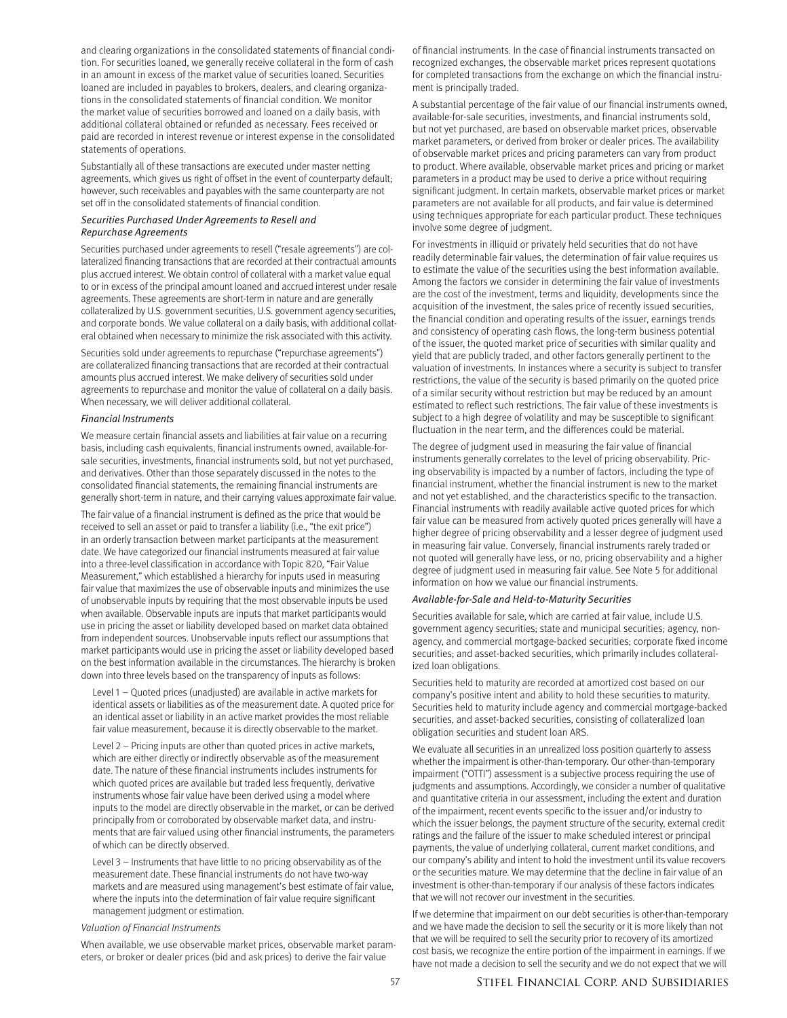and clearing organizations in the consolidated statements of financial condition. For securities loaned, we generally receive collateral in the form of cash in an amount in excess of the market value of securities loaned. Securities loaned are included in payables to brokers, dealers, and clearing organizations in the consolidated statements of financial condition. We monitor the market value of securities borrowed and loaned on a daily basis, with additional collateral obtained or refunded as necessary. Fees received or paid are recorded in interest revenue or interest expense in the consolidated statements of operations.

Substantially all of these transactions are executed under master netting agreements, which gives us right of offset in the event of counterparty default; however, such receivables and payables with the same counterparty are not set off in the consolidated statements of financial condition.

# Securities Purchased Under Agreements to Resell and Repurchase Agreements

Securities purchased under agreements to resell ("resale agreements") are collateralized financing transactions that are recorded at their contractual amounts plus accrued interest. We obtain control of collateral with a market value equal to or in excess of the principal amount loaned and accrued interest under resale agreements. These agreements are short-term in nature and are generally collateralized by U.S. government securities, U.S. government agency securities, and corporate bonds. We value collateral on a daily basis, with additional collateral obtained when necessary to minimize the risk associated with this activity.

Securities sold under agreements to repurchase ("repurchase agreements") are collateralized financing transactions that are recorded at their contractual amounts plus accrued interest. We make delivery of securities sold under agreements to repurchase and monitor the value of collateral on a daily basis. When necessary, we will deliver additional collateral.

# Financial Instruments

We measure certain financial assets and liabilities at fair value on a recurring basis, including cash equivalents, financial instruments owned, available-forsale securities, investments, financial instruments sold, but not yet purchased, and derivatives. Other than those separately discussed in the notes to the consolidated financial statements, the remaining financial instruments are generally short-term in nature, and their carrying values approximate fair value.

The fair value of a financial instrument is defined as the price that would be received to sell an asset or paid to transfer a liability (i.e., "the exit price") in an orderly transaction between market participants at the measurement date. We have categorized our financial instruments measured at fair value into a three-level classification in accordance with Topic 820, "Fair Value Measurement," which established a hierarchy for inputs used in measuring fair value that maximizes the use of observable inputs and minimizes the use of unobservable inputs by requiring that the most observable inputs be used when available. Observable inputs are inputs that market participants would use in pricing the asset or liability developed based on market data obtained from independent sources. Unobservable inputs reflect our assumptions that market participants would use in pricing the asset or liability developed based on the best information available in the circumstances. The hierarchy is broken down into three levels based on the transparency of inputs as follows:

Level 1 – Quoted prices (unadjusted) are available in active markets for identical assets or liabilities as of the measurement date. A quoted price for an identical asset or liability in an active market provides the most reliable fair value measurement, because it is directly observable to the market.

Level 2 – Pricing inputs are other than quoted prices in active markets, which are either directly or indirectly observable as of the measurement date. The nature of these financial instruments includes instruments for which quoted prices are available but traded less frequently, derivative instruments whose fair value have been derived using a model where inputs to the model are directly observable in the market, or can be derived principally from or corroborated by observable market data, and instruments that are fair valued using other financial instruments, the parameters of which can be directly observed.

Level 3 – Instruments that have little to no pricing observability as of the measurement date. These financial instruments do not have two-way markets and are measured using management's best estimate of fair value, where the inputs into the determination of fair value require significant management judgment or estimation.

## Valuation of Financial Instruments

When available, we use observable market prices, observable market parameters, or broker or dealer prices (bid and ask prices) to derive the fair value

of financial instruments. In the case of financial instruments transacted on recognized exchanges, the observable market prices represent quotations for completed transactions from the exchange on which the financial instrument is principally traded.

A substantial percentage of the fair value of our financial instruments owned, available-for-sale securities, investments, and financial instruments sold, but not yet purchased, are based on observable market prices, observable market parameters, or derived from broker or dealer prices. The availability of observable market prices and pricing parameters can vary from product to product. Where available, observable market prices and pricing or market parameters in a product may be used to derive a price without requiring significant judgment. In certain markets, observable market prices or market parameters are not available for all products, and fair value is determined using techniques appropriate for each particular product. These techniques involve some degree of judgment.

For investments in illiquid or privately held securities that do not have readily determinable fair values, the determination of fair value requires us to estimate the value of the securities using the best information available. Among the factors we consider in determining the fair value of investments are the cost of the investment, terms and liquidity, developments since the acquisition of the investment, the sales price of recently issued securities, the financial condition and operating results of the issuer, earnings trends and consistency of operating cash flows, the long-term business potential of the issuer, the quoted market price of securities with similar quality and yield that are publicly traded, and other factors generally pertinent to the valuation of investments. In instances where a security is subject to transfer restrictions, the value of the security is based primarily on the quoted price of a similar security without restriction but may be reduced by an amount estimated to reflect such restrictions. The fair value of these investments is subject to a high degree of volatility and may be susceptible to significant fluctuation in the near term, and the differences could be material.

The degree of judgment used in measuring the fair value of financial instruments generally correlates to the level of pricing observability. Pricing observability is impacted by a number of factors, including the type of financial instrument, whether the financial instrument is new to the market and not yet established, and the characteristics specific to the transaction. Financial instruments with readily available active quoted prices for which fair value can be measured from actively quoted prices generally will have a higher degree of pricing observability and a lesser degree of judgment used in measuring fair value. Conversely, financial instruments rarely traded or not quoted will generally have less, or no, pricing observability and a higher degree of judgment used in measuring fair value. See Note 5 for additional information on how we value our financial instruments.

## Available-for-Sale and Held-to-Maturity Securities

Securities available for sale, which are carried at fair value, include U.S. government agency securities; state and municipal securities; agency, nonagency, and commercial mortgage-backed securities; corporate fixed income securities; and asset-backed securities, which primarily includes collateralized loan obligations.

Securities held to maturity are recorded at amortized cost based on our company's positive intent and ability to hold these securities to maturity. Securities held to maturity include agency and commercial mortgage-backed securities, and asset-backed securities, consisting of collateralized loan obligation securities and student loan ARS.

We evaluate all securities in an unrealized loss position quarterly to assess whether the impairment is other-than-temporary. Our other-than-temporary impairment ("OTTI") assessment is a subjective process requiring the use of judgments and assumptions. Accordingly, we consider a number of qualitative and quantitative criteria in our assessment, including the extent and duration of the impairment, recent events specific to the issuer and/or industry to which the issuer belongs, the payment structure of the security, external credit ratings and the failure of the issuer to make scheduled interest or principal payments, the value of underlying collateral, current market conditions, and our company's ability and intent to hold the investment until its value recovers or the securities mature. We may determine that the decline in fair value of an investment is other-than-temporary if our analysis of these factors indicates that we will not recover our investment in the securities.

If we determine that impairment on our debt securities is other-than-temporary and we have made the decision to sell the security or it is more likely than not that we will be required to sell the security prior to recovery of its amortized cost basis, we recognize the entire portion of the impairment in earnings. If we have not made a decision to sell the security and we do not expect that we will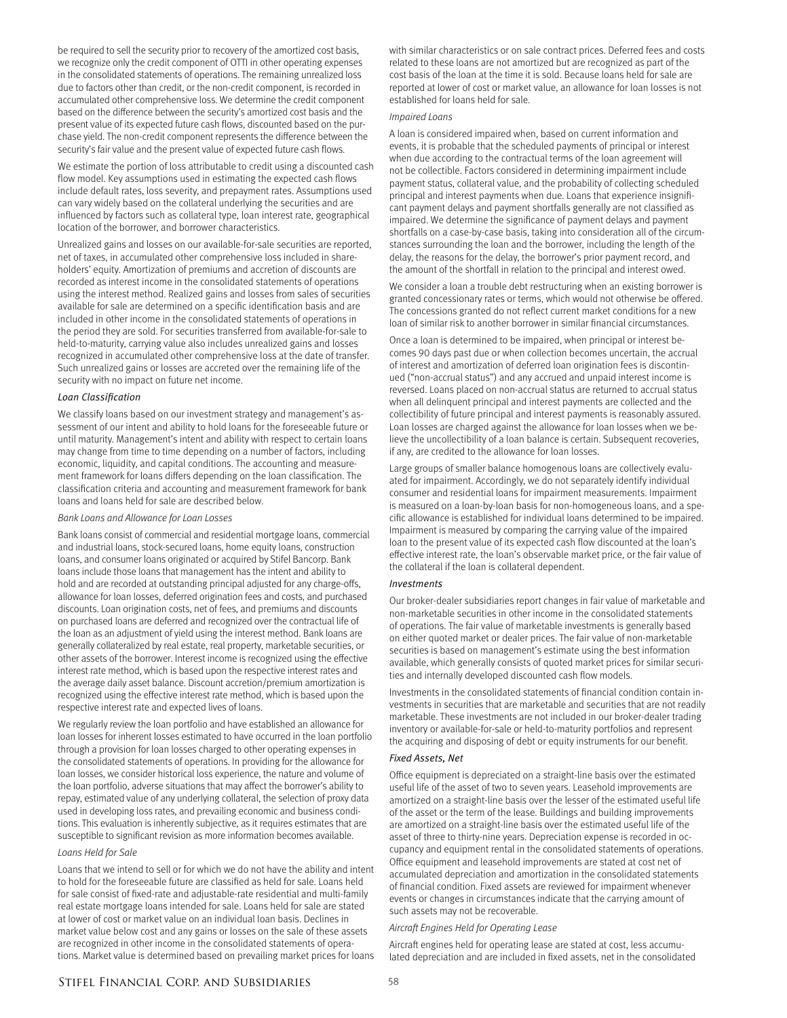be required to sell the security prior to recovery of the amortized cost basis, we recognize only the credit component of OTTI in other operating expenses in the consolidated statements of operations. The remaining unrealized loss due to factors other than credit, or the non-credit component, is recorded in accumulated other comprehensive loss. We determine the credit component based on the difference between the security's amortized cost basis and the present value of its expected future cash flows, discounted based on the purchase yield. The non-credit component represents the difference between the security's fair value and the present value of expected future cash flows.

We estimate the portion of loss attributable to credit using a discounted cash flow model. Key assumptions used in estimating the expected cash flows include default rates, loss severity, and prepayment rates. Assumptions used can vary widely based on the collateral underlying the securities and are influenced by factors such as collateral type, loan interest rate, geographical location of the borrower, and borrower characteristics.

Unrealized gains and losses on our available-for-sale securities are reported, net of taxes, in accumulated other comprehensive loss included in shareholders' equity. Amortization of premiums and accretion of discounts are recorded as interest income in the consolidated statements of operations using the interest method. Realized gains and losses from sales of securities available for sale are determined on a specific identification basis and are included in other income in the consolidated statements of operations in the period they are sold. For securities transferred from available-for-sale to held-to-maturity, carrying value also includes unrealized gains and losses recognized in accumulated other comprehensive loss at the date of transfer. Such unrealized gains or losses are accreted over the remaining life of the security with no impact on future net income.

# Loan Classification

We classify loans based on our investment strategy and management's assessment of our intent and ability to hold loans for the foreseeable future or until maturity. Management's intent and ability with respect to certain loans may change from time to time depending on a number of factors, including economic, liquidity, and capital conditions. The accounting and measurement framework for loans differs depending on the loan classification. The classification criteria and accounting and measurement framework for bank loans and loans held for sale are described below.

#### Bank Loans and Allowance for Loan Losses

Bank loans consist of commercial and residential mortgage loans, commercial and industrial loans, stock-secured loans, home equity loans, construction loans, and consumer loans originated or acquired by Stifel Bancorp. Bank loans include those loans that management has the intent and ability to hold and are recorded at outstanding principal adjusted for any charge-offs, allowance for loan losses, deferred origination fees and costs, and purchased discounts. Loan origination costs, net of fees, and premiums and discounts on purchased loans are deferred and recognized over the contractual life of the loan as an adjustment of yield using the interest method. Bank loans are generally collateralized by real estate, real property, marketable securities, or other assets of the borrower. Interest income is recognized using the effective interest rate method, which is based upon the respective interest rates and the average daily asset balance. Discount accretion/premium amortization is recognized using the effective interest rate method, which is based upon the respective interest rate and expected lives of loans.

We regularly review the loan portfolio and have established an allowance for loan losses for inherent losses estimated to have occurred in the loan portfolio through a provision for loan losses charged to other operating expenses in the consolidated statements of operations. In providing for the allowance for loan losses, we consider historical loss experience, the nature and volume of the loan portfolio, adverse situations that may affect the borrower's ability to repay, estimated value of any underlying collateral, the selection of proxy data used in developing loss rates, and prevailing economic and business conditions. This evaluation is inherently subjective, as it requires estimates that are susceptible to significant revision as more information becomes available.

### Loans Held for Sale

Loans that we intend to sell or for which we do not have the ability and intent to hold for the foreseeable future are classified as held for sale. Loans held for sale consist of fixed-rate and adjustable-rate residential and multi-family real estate mortgage loans intended for sale. Loans held for sale are stated at lower of cost or market value on an individual loan basis. Declines in market value below cost and any gains or losses on the sale of these assets are recognized in other income in the consolidated statements of operations. Market value is determined based on prevailing market prices for loans

with similar characteristics or on sale contract prices. Deferred fees and costs related to these loans are not amortized but are recognized as part of the cost basis of the loan at the time it is sold. Because loans held for sale are reported at lower of cost or market value, an allowance for loan losses is not established for loans held for sale.

## Impaired Loans

A loan is considered impaired when, based on current information and events, it is probable that the scheduled payments of principal or interest when due according to the contractual terms of the loan agreement will not be collectible. Factors considered in determining impairment include payment status, collateral value, and the probability of collecting scheduled principal and interest payments when due. Loans that experience insignificant payment delays and payment shortfalls generally are not classified as impaired. We determine the significance of payment delays and payment shortfalls on a case-by-case basis, taking into consideration all of the circumstances surrounding the loan and the borrower, including the length of the delay, the reasons for the delay, the borrower's prior payment record, and the amount of the shortfall in relation to the principal and interest owed.

We consider a loan a trouble debt restructuring when an existing borrower is granted concessionary rates or terms, which would not otherwise be offered. The concessions granted do not reflect current market conditions for a new loan of similar risk to another borrower in similar financial circumstances.

Once a loan is determined to be impaired, when principal or interest becomes 90 days past due or when collection becomes uncertain, the accrual of interest and amortization of deferred loan origination fees is discontinued ("non-accrual status") and any accrued and unpaid interest income is reversed. Loans placed on non-accrual status are returned to accrual status when all delinquent principal and interest payments are collected and the collectibility of future principal and interest payments is reasonably assured. Loan losses are charged against the allowance for loan losses when we believe the uncollectibility of a loan balance is certain. Subsequent recoveries, if any, are credited to the allowance for loan losses.

Large groups of smaller balance homogenous loans are collectively evaluated for impairment. Accordingly, we do not separately identify individual consumer and residential loans for impairment measurements. Impairment is measured on a loan-by-loan basis for non-homogeneous loans, and a specific allowance is established for individual loans determined to be impaired. Impairment is measured by comparing the carrying value of the impaired loan to the present value of its expected cash flow discounted at the loan's effective interest rate, the loan's observable market price, or the fair value of the collateral if the loan is collateral dependent.

### Investments

Our broker-dealer subsidiaries report changes in fair value of marketable and non-marketable securities in other income in the consolidated statements of operations. The fair value of marketable investments is generally based on either quoted market or dealer prices. The fair value of non-marketable securities is based on management's estimate using the best information available, which generally consists of quoted market prices for similar securities and internally developed discounted cash flow models.

Investments in the consolidated statements of financial condition contain investments in securities that are marketable and securities that are not readily marketable. These investments are not included in our broker-dealer trading inventory or available-for-sale or held-to-maturity portfolios and represent the acquiring and disposing of debt or equity instruments for our benefit.

### Fixed Assets, Net

Office equipment is depreciated on a straight-line basis over the estimated useful life of the asset of two to seven years. Leasehold improvements are amortized on a straight-line basis over the lesser of the estimated useful life of the asset or the term of the lease. Buildings and building improvements are amortized on a straight-line basis over the estimated useful life of the asset of three to thirty-nine years. Depreciation expense is recorded in occupancy and equipment rental in the consolidated statements of operations. Office equipment and leasehold improvements are stated at cost net of accumulated depreciation and amortization in the consolidated statements of financial condition. Fixed assets are reviewed for impairment whenever events or changes in circumstances indicate that the carrying amount of such assets may not be recoverable.

#### Aircraft Engines Held for Operating Lease

Aircraft engines held for operating lease are stated at cost, less accumulated depreciation and are included in fixed assets, net in the consolidated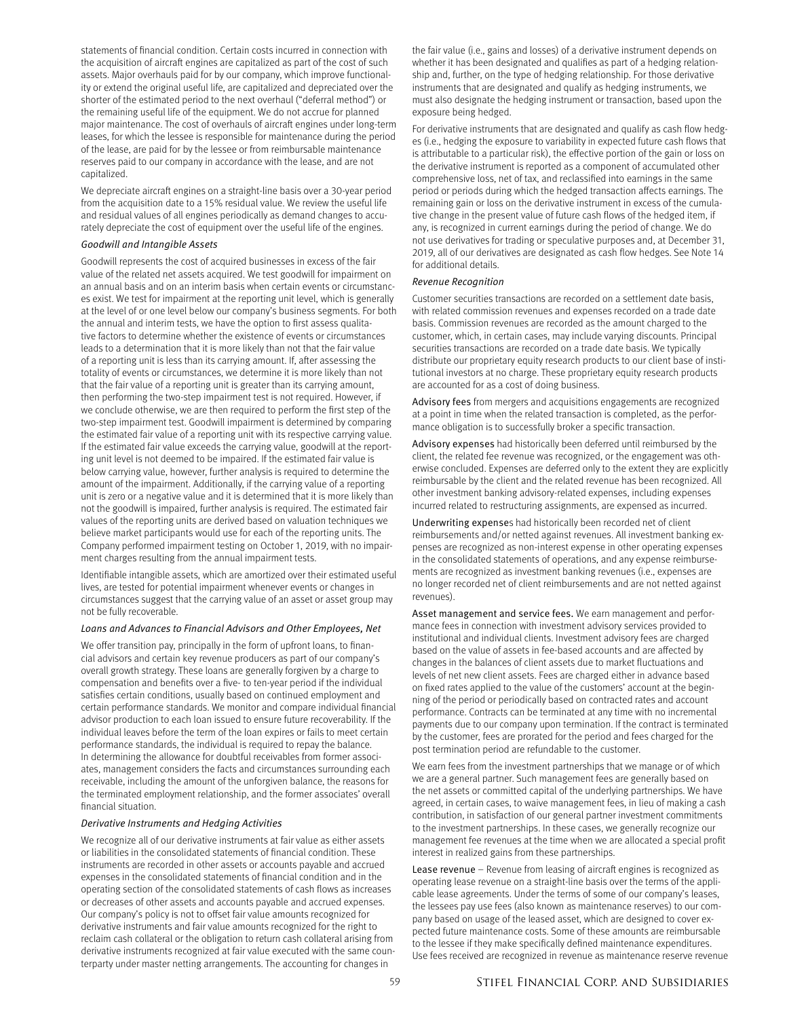statements of financial condition. Certain costs incurred in connection with the acquisition of aircraft engines are capitalized as part of the cost of such assets. Major overhauls paid for by our company, which improve functionality or extend the original useful life, are capitalized and depreciated over the shorter of the estimated period to the next overhaul ("deferral method") or the remaining useful life of the equipment. We do not accrue for planned major maintenance. The cost of overhauls of aircraft engines under long-term leases, for which the lessee is responsible for maintenance during the period of the lease, are paid for by the lessee or from reimbursable maintenance reserves paid to our company in accordance with the lease, and are not capitalized.

We depreciate aircraft engines on a straight-line basis over a 30-year period from the acquisition date to a 15% residual value. We review the useful life and residual values of all engines periodically as demand changes to accurately depreciate the cost of equipment over the useful life of the engines.

## Goodwill and Intangible Assets

Goodwill represents the cost of acquired businesses in excess of the fair value of the related net assets acquired. We test goodwill for impairment on an annual basis and on an interim basis when certain events or circumstances exist. We test for impairment at the reporting unit level, which is generally at the level of or one level below our company's business segments. For both the annual and interim tests, we have the option to first assess qualitative factors to determine whether the existence of events or circumstances leads to a determination that it is more likely than not that the fair value of a reporting unit is less than its carrying amount. If, after assessing the totality of events or circumstances, we determine it is more likely than not that the fair value of a reporting unit is greater than its carrying amount, then performing the two-step impairment test is not required. However, if we conclude otherwise, we are then required to perform the first step of the two-step impairment test. Goodwill impairment is determined by comparing the estimated fair value of a reporting unit with its respective carrying value. If the estimated fair value exceeds the carrying value, goodwill at the reporting unit level is not deemed to be impaired. If the estimated fair value is below carrying value, however, further analysis is required to determine the amount of the impairment. Additionally, if the carrying value of a reporting unit is zero or a negative value and it is determined that it is more likely than not the goodwill is impaired, further analysis is required. The estimated fair values of the reporting units are derived based on valuation techniques we believe market participants would use for each of the reporting units. The Company performed impairment testing on October 1, 2019, with no impairment charges resulting from the annual impairment tests.

Identifiable intangible assets, which are amortized over their estimated useful lives, are tested for potential impairment whenever events or changes in circumstances suggest that the carrying value of an asset or asset group may not be fully recoverable.

## Loans and Advances to Financial Advisors and Other Employees, Net

We offer transition pay, principally in the form of upfront loans, to financial advisors and certain key revenue producers as part of our company's overall growth strategy. These loans are generally forgiven by a charge to compensation and benefits over a five- to ten-year period if the individual satisfies certain conditions, usually based on continued employment and certain performance standards. We monitor and compare individual financial advisor production to each loan issued to ensure future recoverability. If the individual leaves before the term of the loan expires or fails to meet certain performance standards, the individual is required to repay the balance. In determining the allowance for doubtful receivables from former associates, management considers the facts and circumstances surrounding each receivable, including the amount of the unforgiven balance, the reasons for the terminated employment relationship, and the former associates' overall financial situation.

#### Derivative Instruments and Hedging Activities

We recognize all of our derivative instruments at fair value as either assets or liabilities in the consolidated statements of financial condition. These instruments are recorded in other assets or accounts payable and accrued expenses in the consolidated statements of financial condition and in the operating section of the consolidated statements of cash flows as increases or decreases of other assets and accounts payable and accrued expenses. Our company's policy is not to offset fair value amounts recognized for derivative instruments and fair value amounts recognized for the right to reclaim cash collateral or the obligation to return cash collateral arising from derivative instruments recognized at fair value executed with the same counterparty under master netting arrangements. The accounting for changes in

the fair value (i.e., gains and losses) of a derivative instrument depends on whether it has been designated and qualifies as part of a hedging relationship and, further, on the type of hedging relationship. For those derivative instruments that are designated and qualify as hedging instruments, we must also designate the hedging instrument or transaction, based upon the exposure being hedged.

For derivative instruments that are designated and qualify as cash flow hedges (i.e., hedging the exposure to variability in expected future cash flows that is attributable to a particular risk), the effective portion of the gain or loss on the derivative instrument is reported as a component of accumulated other comprehensive loss, net of tax, and reclassified into earnings in the same period or periods during which the hedged transaction affects earnings. The remaining gain or loss on the derivative instrument in excess of the cumulative change in the present value of future cash flows of the hedged item, if any, is recognized in current earnings during the period of change. We do not use derivatives for trading or speculative purposes and, at December 31, 2019, all of our derivatives are designated as cash flow hedges. See Note 14 for additional details.

### Revenue Recognition

Customer securities transactions are recorded on a settlement date basis, with related commission revenues and expenses recorded on a trade date basis. Commission revenues are recorded as the amount charged to the customer, which, in certain cases, may include varying discounts. Principal securities transactions are recorded on a trade date basis. We typically distribute our proprietary equity research products to our client base of institutional investors at no charge. These proprietary equity research products are accounted for as a cost of doing business.

Advisory fees from mergers and acquisitions engagements are recognized at a point in time when the related transaction is completed, as the performance obligation is to successfully broker a specific transaction.

Advisory expenses had historically been deferred until reimbursed by the client, the related fee revenue was recognized, or the engagement was otherwise concluded. Expenses are deferred only to the extent they are explicitly reimbursable by the client and the related revenue has been recognized. All other investment banking advisory-related expenses, including expenses incurred related to restructuring assignments, are expensed as incurred.

Underwriting expenses had historically been recorded net of client reimbursements and/or netted against revenues. All investment banking expenses are recognized as non-interest expense in other operating expenses in the consolidated statements of operations, and any expense reimbursements are recognized as investment banking revenues (i.e., expenses are no longer recorded net of client reimbursements and are not netted against revenues).

Asset management and service fees. We earn management and performance fees in connection with investment advisory services provided to institutional and individual clients. Investment advisory fees are charged based on the value of assets in fee-based accounts and are affected by changes in the balances of client assets due to market fluctuations and levels of net new client assets. Fees are charged either in advance based on fixed rates applied to the value of the customers' account at the beginning of the period or periodically based on contracted rates and account performance. Contracts can be terminated at any time with no incremental payments due to our company upon termination. If the contract is terminated by the customer, fees are prorated for the period and fees charged for the post termination period are refundable to the customer.

We earn fees from the investment partnerships that we manage or of which we are a general partner. Such management fees are generally based on the net assets or committed capital of the underlying partnerships. We have agreed, in certain cases, to waive management fees, in lieu of making a cash contribution, in satisfaction of our general partner investment commitments to the investment partnerships. In these cases, we generally recognize our management fee revenues at the time when we are allocated a special profit interest in realized gains from these partnerships.

Lease revenue – Revenue from leasing of aircraft engines is recognized as operating lease revenue on a straight-line basis over the terms of the applicable lease agreements. Under the terms of some of our company's leases, the lessees pay use fees (also known as maintenance reserves) to our company based on usage of the leased asset, which are designed to cover expected future maintenance costs. Some of these amounts are reimbursable to the lessee if they make specifically defined maintenance expenditures. Use fees received are recognized in revenue as maintenance reserve revenue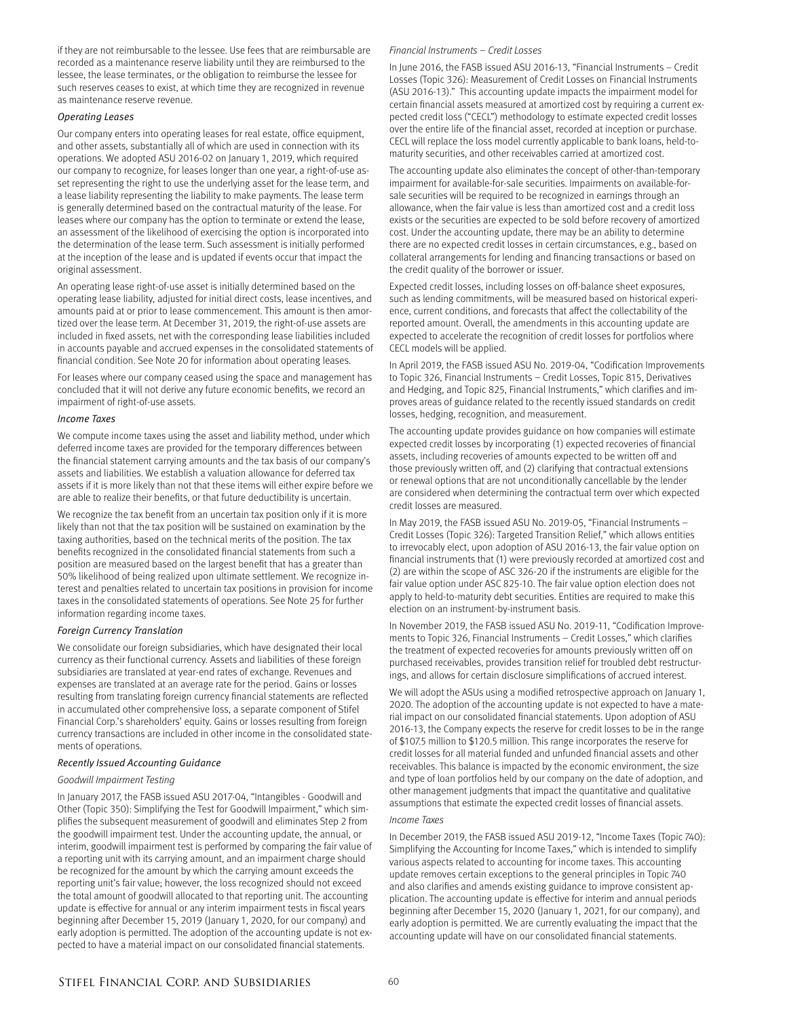if they are not reimbursable to the lessee. Use fees that are reimbursable are recorded as a maintenance reserve liability until they are reimbursed to the lessee, the lease terminates, or the obligation to reimburse the lessee for such reserves ceases to exist, at which time they are recognized in revenue as maintenance reserve revenue.

# Operating Leases

Our company enters into operating leases for real estate, office equipment, and other assets, substantially all of which are used in connection with its operations. We adopted ASU 2016-02 on January 1, 2019, which required our company to recognize, for leases longer than one year, a right-of-use asset representing the right to use the underlying asset for the lease term, and a lease liability representing the liability to make payments. The lease term is generally determined based on the contractual maturity of the lease. For leases where our company has the option to terminate or extend the lease, an assessment of the likelihood of exercising the option is incorporated into the determination of the lease term. Such assessment is initially performed at the inception of the lease and is updated if events occur that impact the original assessment.

An operating lease right-of-use asset is initially determined based on the operating lease liability, adjusted for initial direct costs, lease incentives, and amounts paid at or prior to lease commencement. This amount is then amortized over the lease term. At December 31, 2019, the right-of-use assets are included in fixed assets, net with the corresponding lease liabilities included in accounts payable and accrued expenses in the consolidated statements of financial condition. See Note 20 for information about operating leases.

For leases where our company ceased using the space and management has concluded that it will not derive any future economic benefits, we record an impairment of right-of-use assets.

# Income Taxes

We compute income taxes using the asset and liability method, under which deferred income taxes are provided for the temporary differences between the financial statement carrying amounts and the tax basis of our company's assets and liabilities. We establish a valuation allowance for deferred tax assets if it is more likely than not that these items will either expire before we are able to realize their benefits, or that future deductibility is uncertain.

We recognize the tax benefit from an uncertain tax position only if it is more likely than not that the tax position will be sustained on examination by the taxing authorities, based on the technical merits of the position. The tax benefits recognized in the consolidated financial statements from such a position are measured based on the largest benefit that has a greater than 50% likelihood of being realized upon ultimate settlement. We recognize interest and penalties related to uncertain tax positions in provision for income taxes in the consolidated statements of operations. See Note 25 for further information regarding income taxes.

# Foreign Currency Translation

We consolidate our foreign subsidiaries, which have designated their local currency as their functional currency. Assets and liabilities of these foreign subsidiaries are translated at year-end rates of exchange. Revenues and expenses are translated at an average rate for the period. Gains or losses resulting from translating foreign currency financial statements are reflected in accumulated other comprehensive loss, a separate component of Stifel Financial Corp.'s shareholders' equity. Gains or losses resulting from foreign currency transactions are included in other income in the consolidated statements of operations.

## Recently Issued Accounting Guidance

# Goodwill Impairment Testing

In January 2017, the FASB issued ASU 2017-04, "Intangibles - Goodwill and Other (Topic 350): Simplifying the Test for Goodwill Impairment," which simplifies the subsequent measurement of goodwill and eliminates Step 2 from the goodwill impairment test. Under the accounting update, the annual, or interim, goodwill impairment test is performed by comparing the fair value of a reporting unit with its carrying amount, and an impairment charge should be recognized for the amount by which the carrying amount exceeds the reporting unit's fair value; however, the loss recognized should not exceed the total amount of goodwill allocated to that reporting unit. The accounting update is effective for annual or any interim impairment tests in fiscal years beginning after December 15, 2019 (January 1, 2020, for our company) and early adoption is permitted. The adoption of the accounting update is not expected to have a material impact on our consolidated financial statements.

# Financial Instruments – Credit Losses

In June 2016, the FASB issued ASU 2016-13, "Financial Instruments − Credit Losses (Topic 326): Measurement of Credit Losses on Financial Instruments (ASU 2016-13)." This accounting update impacts the impairment model for certain financial assets measured at amortized cost by requiring a current expected credit loss ("CECL") methodology to estimate expected credit losses over the entire life of the financial asset, recorded at inception or purchase. CECL will replace the loss model currently applicable to bank loans, held-tomaturity securities, and other receivables carried at amortized cost.

The accounting update also eliminates the concept of other-than-temporary impairment for available-for-sale securities. Impairments on available-forsale securities will be required to be recognized in earnings through an allowance, when the fair value is less than amortized cost and a credit loss exists or the securities are expected to be sold before recovery of amortized cost. Under the accounting update, there may be an ability to determine there are no expected credit losses in certain circumstances, e.g., based on collateral arrangements for lending and financing transactions or based on the credit quality of the borrower or issuer.

Expected credit losses, including losses on off-balance sheet exposures, such as lending commitments, will be measured based on historical experience, current conditions, and forecasts that affect the collectability of the reported amount. Overall, the amendments in this accounting update are expected to accelerate the recognition of credit losses for portfolios where CECL models will be applied.

In April 2019, the FASB issued ASU No. 2019-04, "Codification Improvements to Topic 326, Financial Instruments – Credit Losses, Topic 815, Derivatives and Hedging, and Topic 825, Financial Instruments," which clarifies and improves areas of guidance related to the recently issued standards on credit losses, hedging, recognition, and measurement.

The accounting update provides guidance on how companies will estimate expected credit losses by incorporating (1) expected recoveries of financial assets, including recoveries of amounts expected to be written off and those previously written off, and (2) clarifying that contractual extensions or renewal options that are not unconditionally cancellable by the lender are considered when determining the contractual term over which expected credit losses are measured.

In May 2019, the FASB issued ASU No. 2019-05, "Financial Instruments – Credit Losses (Topic 326): Targeted Transition Relief," which allows entities to irrevocably elect, upon adoption of ASU 2016-13, the fair value option on financial instruments that (1) were previously recorded at amortized cost and (2) are within the scope of ASC 326-20 if the instruments are eligible for the fair value option under ASC 825-10. The fair value option election does not apply to held-to-maturity debt securities. Entities are required to make this election on an instrument-by-instrument basis.

In November 2019, the FASB issued ASU No. 2019-11, "Codification Improvements to Topic 326, Financial Instruments – Credit Losses," which clarifies the treatment of expected recoveries for amounts previously written off on purchased receivables, provides transition relief for troubled debt restructurings, and allows for certain disclosure simplifications of accrued interest.

We will adopt the ASUs using a modified retrospective approach on January 1, 2020. The adoption of the accounting update is not expected to have a material impact on our consolidated financial statements. Upon adoption of ASU 2016-13, the Company expects the reserve for credit losses to be in the range of \$107.5 million to \$120.5 million. This range incorporates the reserve for credit losses for all material funded and unfunded financial assets and other receivables. This balance is impacted by the economic environment, the size and type of loan portfolios held by our company on the date of adoption, and other management judgments that impact the quantitative and qualitative assumptions that estimate the expected credit losses of financial assets. Income Taxes

In December 2019, the FASB issued ASU 2019-12, "Income Taxes (Topic 740): Simplifying the Accounting for Income Taxes," which is intended to simplify various aspects related to accounting for income taxes. This accounting update removes certain exceptions to the general principles in Topic 740 and also clarifies and amends existing guidance to improve consistent application. The accounting update is effective for interim and annual periods beginning after December 15, 2020 (January 1, 2021, for our company), and early adoption is permitted. We are currently evaluating the impact that the accounting update will have on our consolidated financial statements.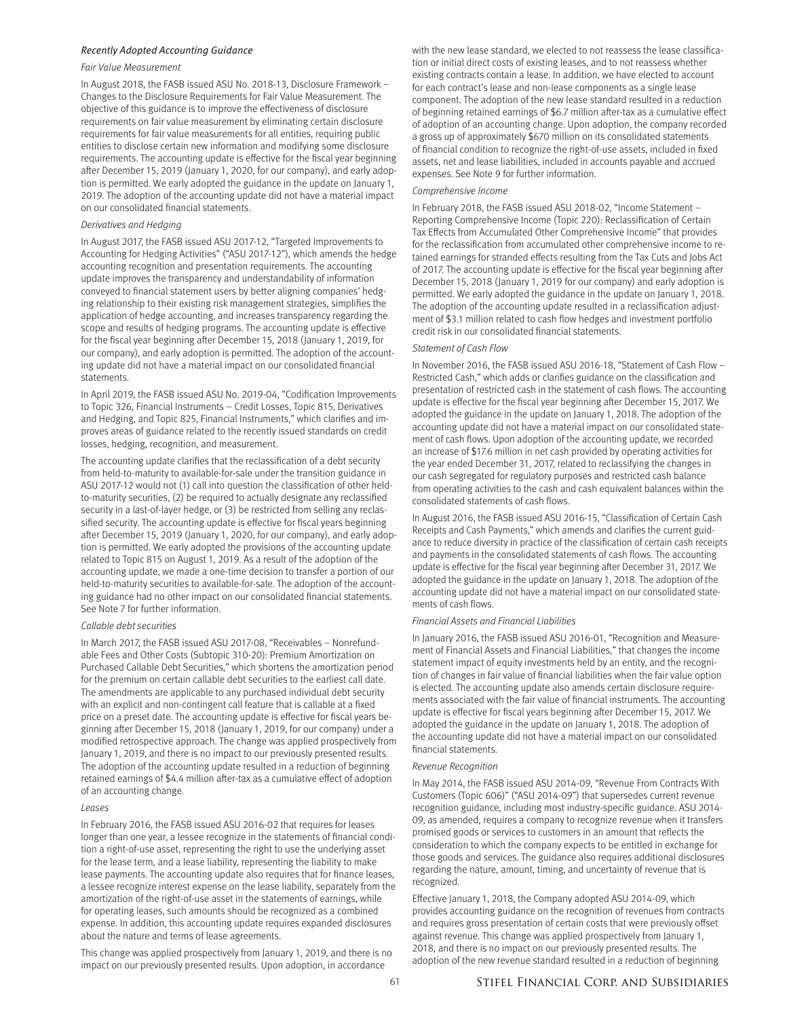## Recently Adopted Accounting Guidance

#### Fair Value Measurement

In August 2018, the FASB issued ASU No. 2018-13, Disclosure Framework – Changes to the Disclosure Requirements for Fair Value Measurement. The objective of this guidance is to improve the effectiveness of disclosure requirements on fair value measurement by eliminating certain disclosure requirements for fair value measurements for all entities, requiring public entities to disclose certain new information and modifying some disclosure requirements. The accounting update is effective for the fiscal year beginning after December 15, 2019 (January 1, 2020, for our company), and early adoption is permitted. We early adopted the guidance in the update on January 1, 2019. The adoption of the accounting update did not have a material impact on our consolidated financial statements.

## Derivatives and Hedging

In August 2017, the FASB issued ASU 2017-12, "Targeted Improvements to Accounting for Hedging Activities" ("ASU 2017-12"), which amends the hedge accounting recognition and presentation requirements. The accounting update improves the transparency and understandability of information conveyed to financial statement users by better aligning companies' hedging relationship to their existing risk management strategies, simplifies the application of hedge accounting, and increases transparency regarding the scope and results of hedging programs. The accounting update is effective for the fiscal year beginning after December 15, 2018 (January 1, 2019, for our company), and early adoption is permitted. The adoption of the accounting update did not have a material impact on our consolidated financial statements.

In April 2019, the FASB issued ASU No. 2019-04, "Codification Improvements to Topic 326, Financial Instruments – Credit Losses, Topic 815, Derivatives and Hedging, and Topic 825, Financial Instruments," which clarifies and improves areas of guidance related to the recently issued standards on credit losses, hedging, recognition, and measurement.

The accounting update clarifies that the reclassification of a debt security from held-to-maturity to available-for-sale under the transition guidance in ASU 2017-12 would not (1) call into question the classification of other heldto-maturity securities, (2) be required to actually designate any reclassified security in a last-of-layer hedge, or (3) be restricted from selling any reclassified security. The accounting update is effective for fiscal years beginning after December 15, 2019 (January 1, 2020, for our company), and early adoption is permitted. We early adopted the provisions of the accounting update related to Topic 815 on August 1, 2019. As a result of the adoption of the accounting update, we made a one-time decision to transfer a portion of our held-to-maturity securities to available-for-sale. The adoption of the accounting guidance had no other impact on our consolidated financial statements. See Note 7 for further information.

#### Callable debt securities

In March 2017, the FASB issued ASU 2017-08, "Receivables – Nonrefundable Fees and Other Costs (Subtopic 310-20): Premium Amortization on Purchased Callable Debt Securities," which shortens the amortization period for the premium on certain callable debt securities to the earliest call date. The amendments are applicable to any purchased individual debt security with an explicit and non-contingent call feature that is callable at a fixed price on a preset date. The accounting update is effective for fiscal years beginning after December 15, 2018 (January 1, 2019, for our company) under a modified retrospective approach. The change was applied prospectively from January 1, 2019, and there is no impact to our previously presented results. The adoption of the accounting update resulted in a reduction of beginning retained earnings of \$4.4 million after-tax as a cumulative effect of adoption of an accounting change.

#### Leases

In February 2016, the FASB issued ASU 2016-02 that requires for leases longer than one year, a lessee recognize in the statements of financial condition a right-of-use asset, representing the right to use the underlying asset for the lease term, and a lease liability, representing the liability to make lease payments. The accounting update also requires that for finance leases, a lessee recognize interest expense on the lease liability, separately from the amortization of the right-of-use asset in the statements of earnings, while for operating leases, such amounts should be recognized as a combined expense. In addition, this accounting update requires expanded disclosures about the nature and terms of lease agreements.

This change was applied prospectively from January 1, 2019, and there is no impact on our previously presented results. Upon adoption, in accordance

with the new lease standard, we elected to not reassess the lease classification or initial direct costs of existing leases, and to not reassess whether existing contracts contain a lease. In addition, we have elected to account for each contract's lease and non-lease components as a single lease component. The adoption of the new lease standard resulted in a reduction of beginning retained earnings of \$6.7 million after-tax as a cumulative effect of adoption of an accounting change. Upon adoption, the company recorded a gross up of approximately \$670 million on its consolidated statements of financial condition to recognize the right-of-use assets, included in fixed assets, net and lease liabilities, included in accounts payable and accrued expenses. See Note 9 for further information.

#### Comprehensive Income

In February 2018, the FASB issued ASU 2018-02, "Income Statement – Reporting Comprehensive Income (Topic 220): Reclassification of Certain Tax Effects from Accumulated Other Comprehensive Income" that provides for the reclassification from accumulated other comprehensive income to retained earnings for stranded effects resulting from the Tax Cuts and Jobs Act of 2017. The accounting update is effective for the fiscal year beginning after December 15, 2018 (January 1, 2019 for our company) and early adoption is permitted. We early adopted the guidance in the update on January 1, 2018. The adoption of the accounting update resulted in a reclassification adjustment of \$3.1 million related to cash flow hedges and investment portfolio credit risk in our consolidated financial statements.

#### Statement of Cash Flow

In November 2016, the FASB issued ASU 2016-18, "Statement of Cash Flow – Restricted Cash," which adds or clarifies guidance on the classification and presentation of restricted cash in the statement of cash flows. The accounting update is effective for the fiscal year beginning after December 15, 2017. We adopted the guidance in the update on January 1, 2018. The adoption of the accounting update did not have a material impact on our consolidated statement of cash flows. Upon adoption of the accounting update, we recorded an increase of \$17.6 million in net cash provided by operating activities for the year ended December 31, 2017, related to reclassifying the changes in our cash segregated for regulatory purposes and restricted cash balance from operating activities to the cash and cash equivalent balances within the consolidated statements of cash flows.

In August 2016, the FASB issued ASU 2016-15, "Classification of Certain Cash Receipts and Cash Payments," which amends and clarifies the current guidance to reduce diversity in practice of the classification of certain cash receipts and payments in the consolidated statements of cash flows. The accounting update is effective for the fiscal year beginning after December 31, 2017. We adopted the guidance in the update on January 1, 2018. The adoption of the accounting update did not have a material impact on our consolidated statements of cash flows.

#### Financial Assets and Financial Liabilities

In January 2016, the FASB issued ASU 2016-01, "Recognition and Measurement of Financial Assets and Financial Liabilities," that changes the income statement impact of equity investments held by an entity, and the recognition of changes in fair value of financial liabilities when the fair value option is elected. The accounting update also amends certain disclosure requirements associated with the fair value of financial instruments. The accounting update is effective for fiscal years beginning after December 15, 2017. We adopted the guidance in the update on January 1, 2018. The adoption of the accounting update did not have a material impact on our consolidated financial statements.

#### Revenue Recognition

In May 2014, the FASB issued ASU 2014-09, "Revenue From Contracts With Customers (Topic 606)" ("ASU 2014-09") that supersedes current revenue recognition guidance, including most industry-specific guidance. ASU 2014- 09, as amended, requires a company to recognize revenue when it transfers promised goods or services to customers in an amount that reflects the consideration to which the company expects to be entitled in exchange for those goods and services. The guidance also requires additional disclosures regarding the nature, amount, timing, and uncertainty of revenue that is recognized.

Effective January 1, 2018, the Company adopted ASU 2014-09, which provides accounting guidance on the recognition of revenues from contracts and requires gross presentation of certain costs that were previously offset against revenue. This change was applied prospectively from January 1, 2018, and there is no impact on our previously presented results. The adoption of the new revenue standard resulted in a reduction of beginning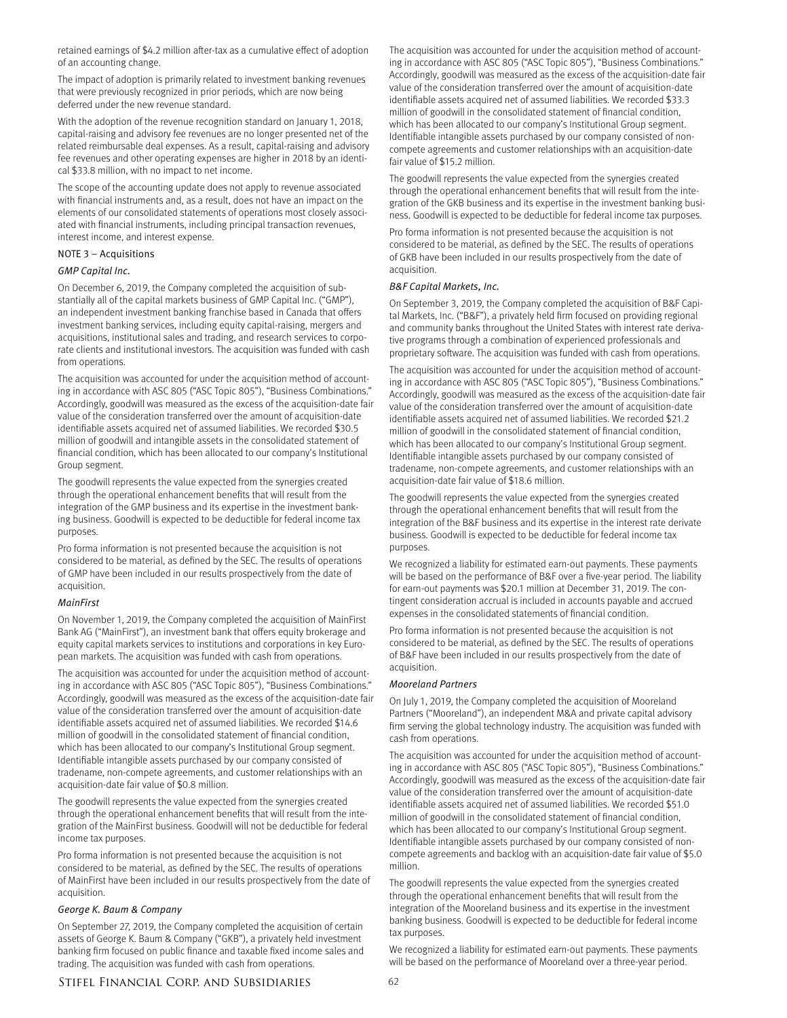retained earnings of \$4.2 million after-tax as a cumulative effect of adoption of an accounting change.

The impact of adoption is primarily related to investment banking revenues that were previously recognized in prior periods, which are now being deferred under the new revenue standard.

With the adoption of the revenue recognition standard on January 1, 2018, capital-raising and advisory fee revenues are no longer presented net of the related reimbursable deal expenses. As a result, capital-raising and advisory fee revenues and other operating expenses are higher in 2018 by an identical \$33.8 million, with no impact to net income.

The scope of the accounting update does not apply to revenue associated with financial instruments and, as a result, does not have an impact on the elements of our consolidated statements of operations most closely associated with financial instruments, including principal transaction revenues, interest income, and interest expense.

# NOTE 3 – Acquisitions

# GMP Capital Inc.

On December 6, 2019, the Company completed the acquisition of substantially all of the capital markets business of GMP Capital Inc. ("GMP"), an independent investment banking franchise based in Canada that offers investment banking services, including equity capital-raising, mergers and acquisitions, institutional sales and trading, and research services to corporate clients and institutional investors. The acquisition was funded with cash from operations.

The acquisition was accounted for under the acquisition method of accounting in accordance with ASC 805 ("ASC Topic 805"), "Business Combinations." Accordingly, goodwill was measured as the excess of the acquisition-date fair value of the consideration transferred over the amount of acquisition-date identifiable assets acquired net of assumed liabilities. We recorded \$30.5 million of goodwill and intangible assets in the consolidated statement of financial condition, which has been allocated to our company's Institutional Group segment.

The goodwill represents the value expected from the synergies created through the operational enhancement benefits that will result from the integration of the GMP business and its expertise in the investment banking business. Goodwill is expected to be deductible for federal income tax purposes.

Pro forma information is not presented because the acquisition is not considered to be material, as defined by the SEC. The results of operations of GMP have been included in our results prospectively from the date of acquisition.

# MainFirst

On November 1, 2019, the Company completed the acquisition of MainFirst Bank AG ("MainFirst"), an investment bank that offers equity brokerage and equity capital markets services to institutions and corporations in key European markets. The acquisition was funded with cash from operations.

The acquisition was accounted for under the acquisition method of accounting in accordance with ASC 805 ("ASC Topic 805"), "Business Combinations." Accordingly, goodwill was measured as the excess of the acquisition-date fair value of the consideration transferred over the amount of acquisition-date identifiable assets acquired net of assumed liabilities. We recorded \$14.6 million of goodwill in the consolidated statement of financial condition, which has been allocated to our company's Institutional Group segment. Identifiable intangible assets purchased by our company consisted of tradename, non-compete agreements, and customer relationships with an acquisition-date fair value of \$0.8 million.

The goodwill represents the value expected from the synergies created through the operational enhancement benefits that will result from the integration of the MainFirst business. Goodwill will not be deductible for federal income tax purposes.

Pro forma information is not presented because the acquisition is not considered to be material, as defined by the SEC. The results of operations of MainFirst have been included in our results prospectively from the date of acquisition.

# George K. Baum & Company

On September 27, 2019, the Company completed the acquisition of certain assets of George K. Baum & Company ("GKB"), a privately held investment banking firm focused on public finance and taxable fixed income sales and trading. The acquisition was funded with cash from operations.

The acquisition was accounted for under the acquisition method of accounting in accordance with ASC 805 ("ASC Topic 805"), "Business Combinations." Accordingly, goodwill was measured as the excess of the acquisition-date fair value of the consideration transferred over the amount of acquisition-date identifiable assets acquired net of assumed liabilities. We recorded \$33.3 million of goodwill in the consolidated statement of financial condition, which has been allocated to our company's Institutional Group segment. Identifiable intangible assets purchased by our company consisted of noncompete agreements and customer relationships with an acquisition-date fair value of \$15.2 million.

The goodwill represents the value expected from the synergies created through the operational enhancement benefits that will result from the integration of the GKB business and its expertise in the investment banking business. Goodwill is expected to be deductible for federal income tax purposes.

Pro forma information is not presented because the acquisition is not considered to be material, as defined by the SEC. The results of operations of GKB have been included in our results prospectively from the date of acquisition.

# B&F Capital Markets, Inc.

On September 3, 2019, the Company completed the acquisition of B&F Capital Markets, Inc. ("B&F"), a privately held firm focused on providing regional and community banks throughout the United States with interest rate derivative programs through a combination of experienced professionals and proprietary software. The acquisition was funded with cash from operations.

The acquisition was accounted for under the acquisition method of accounting in accordance with ASC 805 ("ASC Topic 805"), "Business Combinations." Accordingly, goodwill was measured as the excess of the acquisition-date fair value of the consideration transferred over the amount of acquisition-date identifiable assets acquired net of assumed liabilities. We recorded \$21.2 million of goodwill in the consolidated statement of financial condition, which has been allocated to our company's Institutional Group segment. Identifiable intangible assets purchased by our company consisted of tradename, non-compete agreements, and customer relationships with an acquisition-date fair value of \$18.6 million.

The goodwill represents the value expected from the synergies created through the operational enhancement benefits that will result from the integration of the B&F business and its expertise in the interest rate derivate business. Goodwill is expected to be deductible for federal income tax purposes.

We recognized a liability for estimated earn-out payments. These payments will be based on the performance of B&F over a five-year period. The liability for earn-out payments was \$20.1 million at December 31, 2019. The contingent consideration accrual is included in accounts payable and accrued expenses in the consolidated statements of financial condition.

Pro forma information is not presented because the acquisition is not considered to be material, as defined by the SEC. The results of operations of B&F have been included in our results prospectively from the date of acquisition.

# Mooreland Partners

On July 1, 2019, the Company completed the acquisition of Mooreland Partners ("Mooreland"), an independent M&A and private capital advisory firm serving the global technology industry. The acquisition was funded with cash from operations.

The acquisition was accounted for under the acquisition method of accounting in accordance with ASC 805 ("ASC Topic 805"), "Business Combinations." Accordingly, goodwill was measured as the excess of the acquisition-date fair value of the consideration transferred over the amount of acquisition-date identifiable assets acquired net of assumed liabilities. We recorded \$51.0 million of goodwill in the consolidated statement of financial condition, which has been allocated to our company's Institutional Group segment. Identifiable intangible assets purchased by our company consisted of noncompete agreements and backlog with an acquisition-date fair value of \$5.0 million.

The goodwill represents the value expected from the synergies created through the operational enhancement benefits that will result from the integration of the Mooreland business and its expertise in the investment banking business. Goodwill is expected to be deductible for federal income tax purposes.

We recognized a liability for estimated earn-out payments. These payments will be based on the performance of Mooreland over a three-year period.

# Stifel Financial Corp. and Subsidiaries 62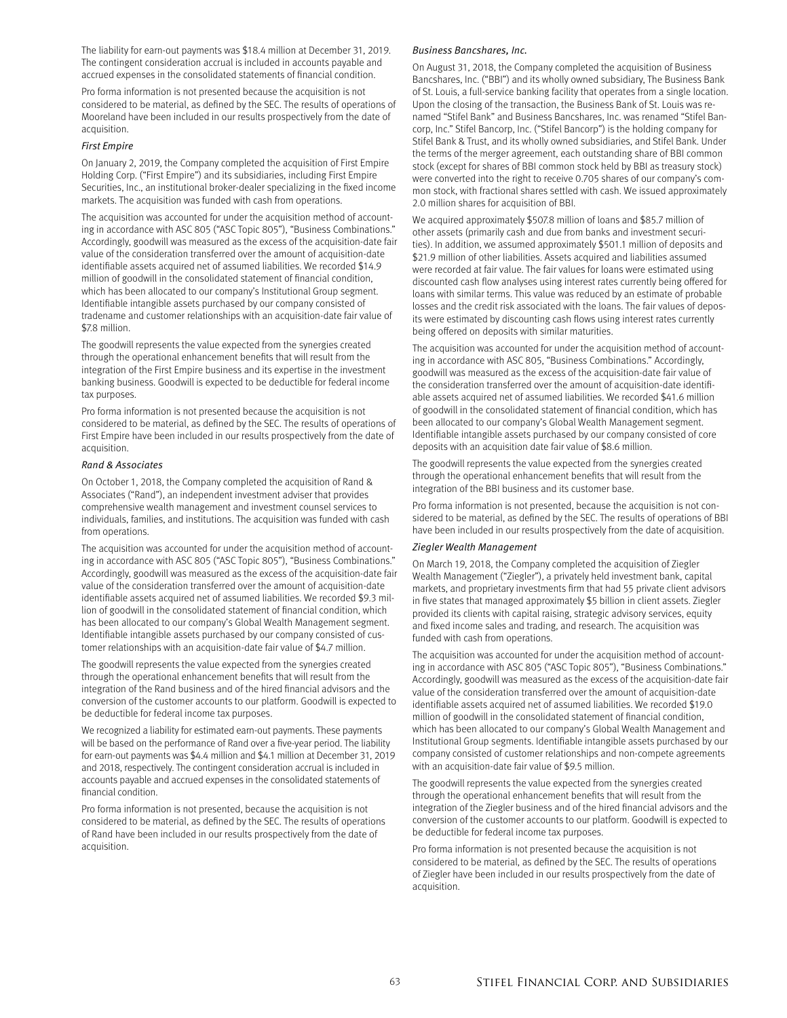The liability for earn-out payments was \$18.4 million at December 31, 2019. The contingent consideration accrual is included in accounts payable and accrued expenses in the consolidated statements of financial condition.

Pro forma information is not presented because the acquisition is not considered to be material, as defined by the SEC. The results of operations of Mooreland have been included in our results prospectively from the date of acquisition.

# First Empire

On January 2, 2019, the Company completed the acquisition of First Empire Holding Corp. ("First Empire") and its subsidiaries, including First Empire Securities, Inc., an institutional broker-dealer specializing in the fixed income markets. The acquisition was funded with cash from operations.

The acquisition was accounted for under the acquisition method of accounting in accordance with ASC 805 ("ASC Topic 805"), "Business Combinations." Accordingly, goodwill was measured as the excess of the acquisition-date fair value of the consideration transferred over the amount of acquisition-date identifiable assets acquired net of assumed liabilities. We recorded \$14.9 million of goodwill in the consolidated statement of financial condition, which has been allocated to our company's Institutional Group segment. Identifiable intangible assets purchased by our company consisted of tradename and customer relationships with an acquisition-date fair value of \$7.8 million.

The goodwill represents the value expected from the synergies created through the operational enhancement benefits that will result from the integration of the First Empire business and its expertise in the investment banking business. Goodwill is expected to be deductible for federal income tax purposes.

Pro forma information is not presented because the acquisition is not considered to be material, as defined by the SEC. The results of operations of First Empire have been included in our results prospectively from the date of acquisition.

# Rand & Associates

On October 1, 2018, the Company completed the acquisition of Rand & Associates ("Rand"), an independent investment adviser that provides comprehensive wealth management and investment counsel services to individuals, families, and institutions. The acquisition was funded with cash from operations.

The acquisition was accounted for under the acquisition method of accounting in accordance with ASC 805 ("ASC Topic 805"), "Business Combinations." Accordingly, goodwill was measured as the excess of the acquisition-date fair value of the consideration transferred over the amount of acquisition-date identifiable assets acquired net of assumed liabilities. We recorded \$9.3 million of goodwill in the consolidated statement of financial condition, which has been allocated to our company's Global Wealth Management segment. Identifiable intangible assets purchased by our company consisted of customer relationships with an acquisition-date fair value of \$4.7 million.

The goodwill represents the value expected from the synergies created through the operational enhancement benefits that will result from the integration of the Rand business and of the hired financial advisors and the conversion of the customer accounts to our platform. Goodwill is expected to be deductible for federal income tax purposes.

We recognized a liability for estimated earn-out payments. These payments will be based on the performance of Rand over a five-year period. The liability for earn-out payments was \$4.4 million and \$4.1 million at December 31, 2019 and 2018, respectively. The contingent consideration accrual is included in accounts payable and accrued expenses in the consolidated statements of financial condition.

Pro forma information is not presented, because the acquisition is not considered to be material, as defined by the SEC. The results of operations of Rand have been included in our results prospectively from the date of acquisition.

# Business Bancshares, Inc.

On August 31, 2018, the Company completed the acquisition of Business Bancshares, Inc. ("BBI") and its wholly owned subsidiary, The Business Bank of St. Louis, a full-service banking facility that operates from a single location. Upon the closing of the transaction, the Business Bank of St. Louis was renamed "Stifel Bank" and Business Bancshares, Inc. was renamed "Stifel Bancorp, Inc." Stifel Bancorp, Inc. ("Stifel Bancorp") is the holding company for Stifel Bank & Trust, and its wholly owned subsidiaries, and Stifel Bank. Under the terms of the merger agreement, each outstanding share of BBI common stock (except for shares of BBI common stock held by BBI as treasury stock) were converted into the right to receive 0.705 shares of our company's common stock, with fractional shares settled with cash. We issued approximately 2.0 million shares for acquisition of BBI.

We acquired approximately \$507.8 million of loans and \$85.7 million of other assets (primarily cash and due from banks and investment securities). In addition, we assumed approximately \$501.1 million of deposits and \$21.9 million of other liabilities. Assets acquired and liabilities assumed were recorded at fair value. The fair values for loans were estimated using discounted cash flow analyses using interest rates currently being offered for loans with similar terms. This value was reduced by an estimate of probable losses and the credit risk associated with the loans. The fair values of deposits were estimated by discounting cash flows using interest rates currently being offered on deposits with similar maturities.

The acquisition was accounted for under the acquisition method of accounting in accordance with ASC 805, "Business Combinations." Accordingly, goodwill was measured as the excess of the acquisition-date fair value of the consideration transferred over the amount of acquisition-date identifiable assets acquired net of assumed liabilities. We recorded \$41.6 million of goodwill in the consolidated statement of financial condition, which has been allocated to our company's Global Wealth Management segment. Identifiable intangible assets purchased by our company consisted of core deposits with an acquisition date fair value of \$8.6 million.

The goodwill represents the value expected from the synergies created through the operational enhancement benefits that will result from the integration of the BBI business and its customer base.

Pro forma information is not presented, because the acquisition is not considered to be material, as defined by the SEC. The results of operations of BBI have been included in our results prospectively from the date of acquisition.

## Ziegler Wealth Management

On March 19, 2018, the Company completed the acquisition of Ziegler Wealth Management ("Ziegler"), a privately held investment bank, capital markets, and proprietary investments firm that had 55 private client advisors in five states that managed approximately \$5 billion in client assets. Ziegler provided its clients with capital raising, strategic advisory services, equity and fixed income sales and trading, and research. The acquisition was funded with cash from operations.

The acquisition was accounted for under the acquisition method of accounting in accordance with ASC 805 ("ASC Topic 805"), "Business Combinations." Accordingly, goodwill was measured as the excess of the acquisition-date fair value of the consideration transferred over the amount of acquisition-date identifiable assets acquired net of assumed liabilities. We recorded \$19.0 million of goodwill in the consolidated statement of financial condition, which has been allocated to our company's Global Wealth Management and Institutional Group segments. Identifiable intangible assets purchased by our company consisted of customer relationships and non-compete agreements with an acquisition-date fair value of \$9.5 million.

The goodwill represents the value expected from the synergies created through the operational enhancement benefits that will result from the integration of the Ziegler business and of the hired financial advisors and the conversion of the customer accounts to our platform. Goodwill is expected to be deductible for federal income tax purposes.

Pro forma information is not presented because the acquisition is not considered to be material, as defined by the SEC. The results of operations of Ziegler have been included in our results prospectively from the date of acquisition.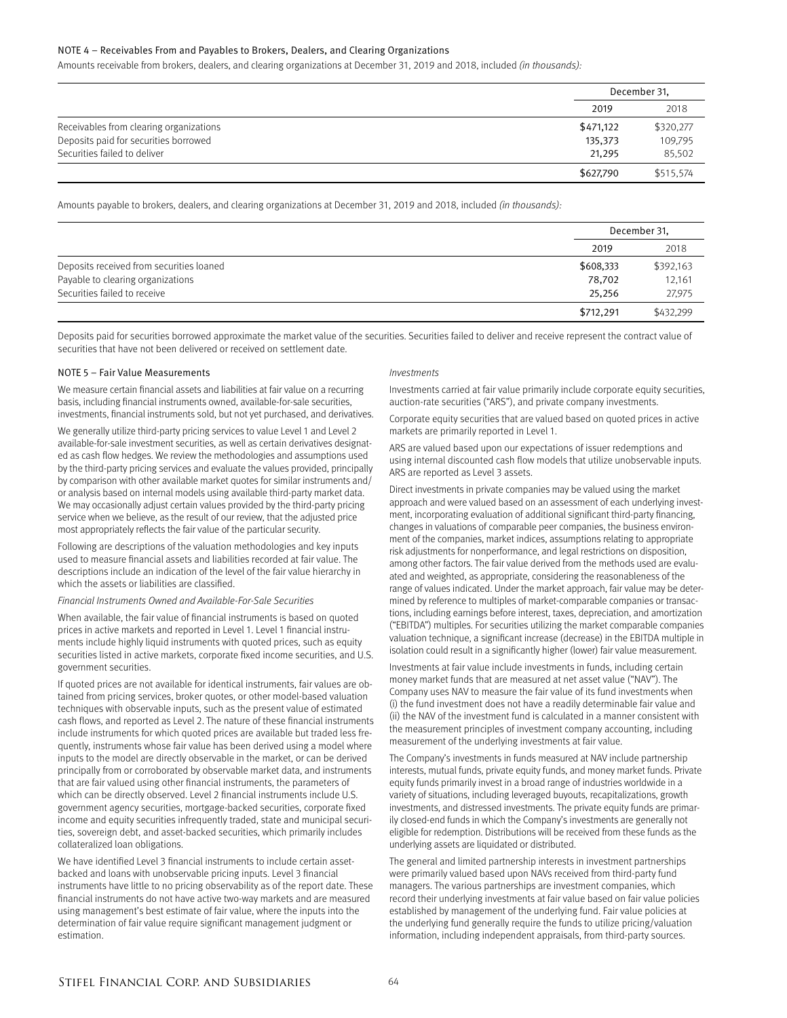# NOTE 4 – Receivables From and Payables to Brokers, Dealers, and Clearing Organizations

Amounts receivable from brokers, dealers, and clearing organizations at December 31, 2019 and 2018, included (in thousands):

|                                         |           | December 31, |
|-----------------------------------------|-----------|--------------|
|                                         | 2019      | 2018         |
| Receivables from clearing organizations | \$471,122 | \$320,277    |
| Deposits paid for securities borrowed   | 135,373   | 109,795      |
| Securities failed to deliver            | 21,295    | 85,502       |
|                                         | \$627,790 | \$515,574    |

Amounts payable to brokers, dealers, and clearing organizations at December 31, 2019 and 2018, included (in thousands):

|                                          |           | December 31, |
|------------------------------------------|-----------|--------------|
|                                          | 2019      | 2018         |
| Deposits received from securities loaned | \$608,333 | \$392,163    |
| Payable to clearing organizations        | 78,702    | 12,161       |
| Securities failed to receive             | 25.256    | 27,975       |
|                                          | \$712,291 | \$432,299    |

Deposits paid for securities borrowed approximate the market value of the securities. Securities failed to deliver and receive represent the contract value of securities that have not been delivered or received on settlement date.

### NOTE 5 – Fair Value Measurements

We measure certain financial assets and liabilities at fair value on a recurring basis, including financial instruments owned, available-for-sale securities, investments, financial instruments sold, but not yet purchased, and derivatives.

We generally utilize third-party pricing services to value Level 1 and Level 2 available-for-sale investment securities, as well as certain derivatives designated as cash flow hedges. We review the methodologies and assumptions used by the third-party pricing services and evaluate the values provided, principally by comparison with other available market quotes for similar instruments and/ or analysis based on internal models using available third-party market data. We may occasionally adjust certain values provided by the third-party pricing service when we believe, as the result of our review, that the adjusted price most appropriately reflects the fair value of the particular security.

Following are descriptions of the valuation methodologies and key inputs used to measure financial assets and liabilities recorded at fair value. The descriptions include an indication of the level of the fair value hierarchy in which the assets or liabilities are classified.

#### Financial Instruments Owned and Available-For-Sale Securities

When available, the fair value of financial instruments is based on quoted prices in active markets and reported in Level 1. Level 1 financial instruments include highly liquid instruments with quoted prices, such as equity securities listed in active markets, corporate fixed income securities, and U.S. government securities.

If quoted prices are not available for identical instruments, fair values are obtained from pricing services, broker quotes, or other model-based valuation techniques with observable inputs, such as the present value of estimated cash flows, and reported as Level 2. The nature of these financial instruments include instruments for which quoted prices are available but traded less frequently, instruments whose fair value has been derived using a model where inputs to the model are directly observable in the market, or can be derived principally from or corroborated by observable market data, and instruments that are fair valued using other financial instruments, the parameters of which can be directly observed. Level 2 financial instruments include U.S. government agency securities, mortgage-backed securities, corporate fixed income and equity securities infrequently traded, state and municipal securities, sovereign debt, and asset-backed securities, which primarily includes collateralized loan obligations.

We have identified Level 3 financial instruments to include certain assetbacked and loans with unobservable pricing inputs. Level 3 financial instruments have little to no pricing observability as of the report date. These financial instruments do not have active two-way markets and are measured using management's best estimate of fair value, where the inputs into the determination of fair value require significant management judgment or estimation.

#### Investments

Investments carried at fair value primarily include corporate equity securities, auction-rate securities ("ARS"), and private company investments.

Corporate equity securities that are valued based on quoted prices in active markets are primarily reported in Level 1.

ARS are valued based upon our expectations of issuer redemptions and using internal discounted cash flow models that utilize unobservable inputs. ARS are reported as Level 3 assets.

Direct investments in private companies may be valued using the market approach and were valued based on an assessment of each underlying investment, incorporating evaluation of additional significant third-party financing, changes in valuations of comparable peer companies, the business environment of the companies, market indices, assumptions relating to appropriate risk adjustments for nonperformance, and legal restrictions on disposition, among other factors. The fair value derived from the methods used are evaluated and weighted, as appropriate, considering the reasonableness of the range of values indicated. Under the market approach, fair value may be determined by reference to multiples of market-comparable companies or transactions, including earnings before interest, taxes, depreciation, and amortization ("EBITDA") multiples. For securities utilizing the market comparable companies valuation technique, a significant increase (decrease) in the EBITDA multiple in isolation could result in a significantly higher (lower) fair value measurement.

Investments at fair value include investments in funds, including certain money market funds that are measured at net asset value ("NAV"). The Company uses NAV to measure the fair value of its fund investments when (i) the fund investment does not have a readily determinable fair value and (ii) the NAV of the investment fund is calculated in a manner consistent with the measurement principles of investment company accounting, including measurement of the underlying investments at fair value.

The Company's investments in funds measured at NAV include partnership interests, mutual funds, private equity funds, and money market funds. Private equity funds primarily invest in a broad range of industries worldwide in a variety of situations, including leveraged buyouts, recapitalizations, growth investments, and distressed investments. The private equity funds are primarily closed-end funds in which the Company's investments are generally not eligible for redemption. Distributions will be received from these funds as the underlying assets are liquidated or distributed.

The general and limited partnership interests in investment partnerships were primarily valued based upon NAVs received from third-party fund managers. The various partnerships are investment companies, which record their underlying investments at fair value based on fair value policies established by management of the underlying fund. Fair value policies at the underlying fund generally require the funds to utilize pricing/valuation information, including independent appraisals, from third-party sources.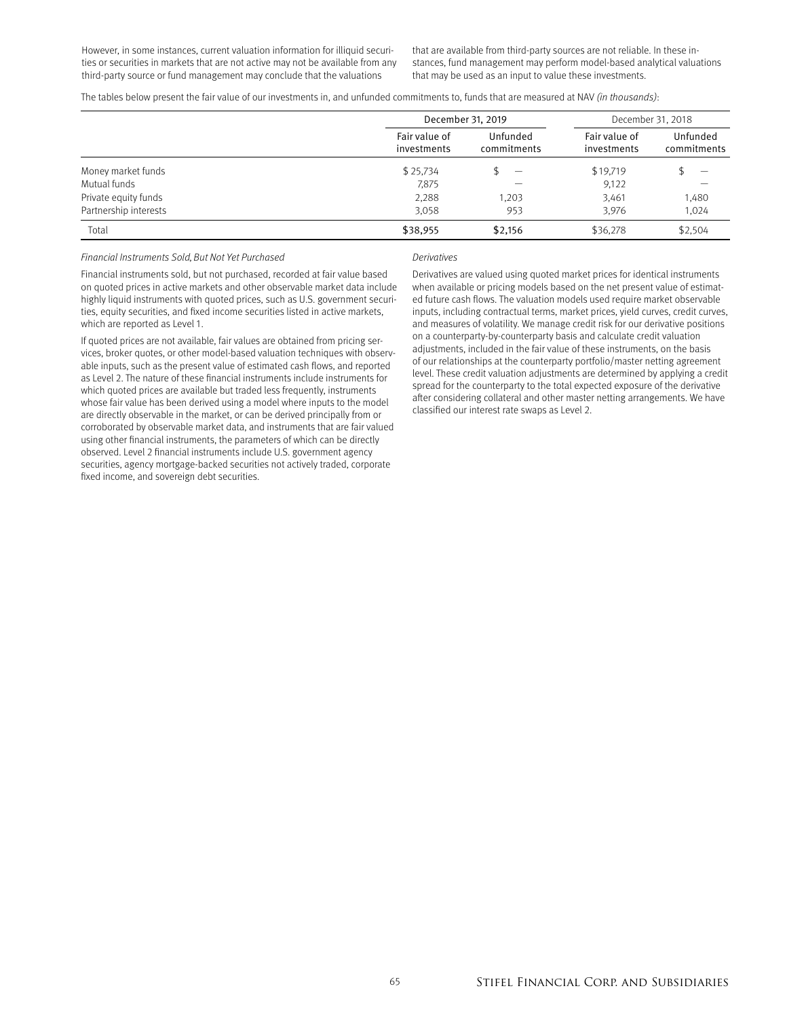However, in some instances, current valuation information for illiquid securities or securities in markets that are not active may not be available from any third-party source or fund management may conclude that the valuations

that are available from third-party sources are not reliable. In these instances, fund management may perform model-based analytical valuations that may be used as an input to value these investments.

The tables below present the fair value of our investments in, and unfunded commitments to, funds that are measured at NAV (in thousands):

|                       |                              | December 31, 2019       |                              | December 31, 2018       |  |
|-----------------------|------------------------------|-------------------------|------------------------------|-------------------------|--|
|                       | Fair value of<br>investments | Unfunded<br>commitments | Fair value of<br>investments | Unfunded<br>commitments |  |
| Money market funds    | \$25,734                     |                         | \$19,719                     |                         |  |
| Mutual funds          | 7,875                        |                         | 9,122                        |                         |  |
| Private equity funds  | 2,288                        | ,203                    | 3,461                        | 1,480                   |  |
| Partnership interests | 3,058                        | 953                     | 3.976                        | 1,024                   |  |
| Total                 | \$38,955                     | \$2,156                 | \$36,278                     | \$2,504                 |  |

#### Financial Instruments Sold, But Not Yet Purchased

Financial instruments sold, but not purchased, recorded at fair value based on quoted prices in active markets and other observable market data include highly liquid instruments with quoted prices, such as U.S. government securities, equity securities, and fixed income securities listed in active markets, which are reported as Level 1.

If quoted prices are not available, fair values are obtained from pricing services, broker quotes, or other model-based valuation techniques with observable inputs, such as the present value of estimated cash flows, and reported as Level 2. The nature of these financial instruments include instruments for which quoted prices are available but traded less frequently, instruments whose fair value has been derived using a model where inputs to the model are directly observable in the market, or can be derived principally from or corroborated by observable market data, and instruments that are fair valued using other financial instruments, the parameters of which can be directly observed. Level 2 financial instruments include U.S. government agency securities, agency mortgage-backed securities not actively traded, corporate fixed income, and sovereign debt securities.

#### Derivatives

Derivatives are valued using quoted market prices for identical instruments when available or pricing models based on the net present value of estimated future cash flows. The valuation models used require market observable inputs, including contractual terms, market prices, yield curves, credit curves, and measures of volatility. We manage credit risk for our derivative positions on a counterparty-by-counterparty basis and calculate credit valuation adjustments, included in the fair value of these instruments, on the basis of our relationships at the counterparty portfolio/master netting agreement level. These credit valuation adjustments are determined by applying a credit spread for the counterparty to the total expected exposure of the derivative after considering collateral and other master netting arrangements. We have classified our interest rate swaps as Level 2.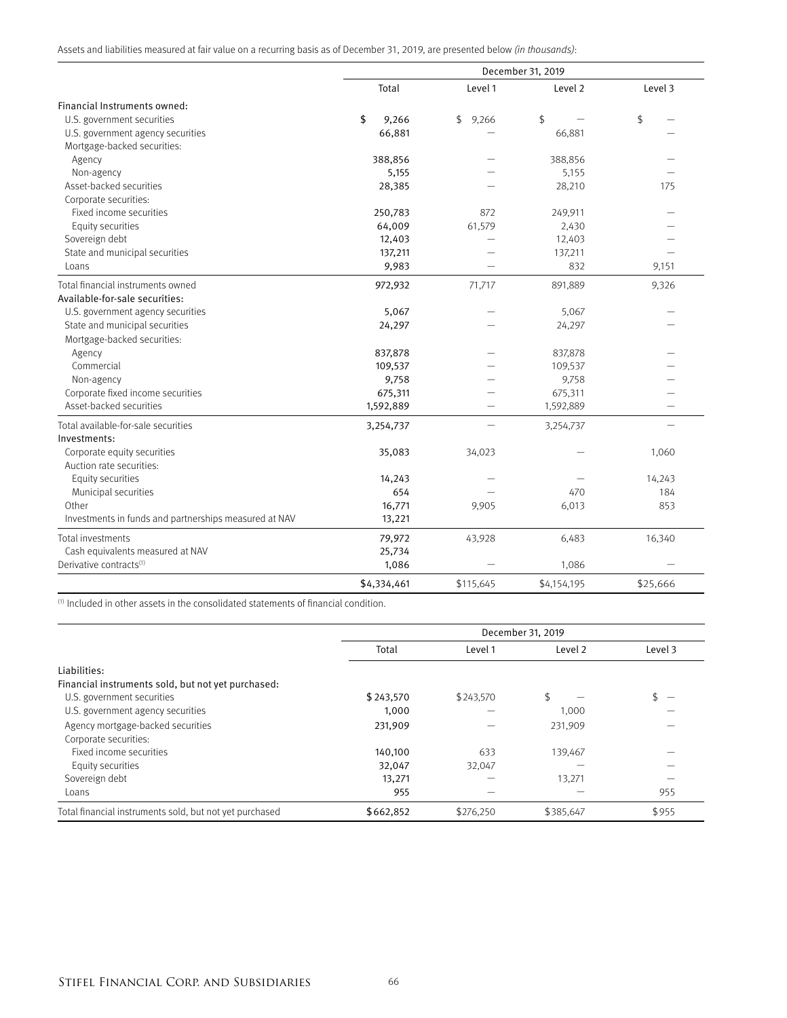| Assets and liabilities measured at fair value on a recurring basis as of December 31, 2019, are presented below <i>(in thousands)</i> : |  |  |  |
|-----------------------------------------------------------------------------------------------------------------------------------------|--|--|--|
|-----------------------------------------------------------------------------------------------------------------------------------------|--|--|--|

|                                                       | December 31, 2019 |             |             |          |
|-------------------------------------------------------|-------------------|-------------|-------------|----------|
|                                                       | Total             | Level 1     | Level 2     | Level 3  |
| Financial Instruments owned:                          |                   |             |             |          |
| U.S. government securities                            | \$<br>9,266       | \$<br>9,266 | \$          | \$       |
| U.S. government agency securities                     | 66,881            |             | 66,881      |          |
| Mortgage-backed securities:                           |                   |             |             |          |
| Agency                                                | 388,856           |             | 388,856     |          |
| Non-agency                                            | 5,155             |             | 5,155       |          |
| Asset-backed securities                               | 28,385            |             | 28,210      | 175      |
| Corporate securities:                                 |                   |             |             |          |
| Fixed income securities                               | 250,783           | 872         | 249,911     |          |
| Equity securities                                     | 64,009            | 61,579      | 2,430       |          |
| Sovereign debt                                        | 12,403            |             | 12,403      |          |
| State and municipal securities                        | 137,211           |             | 137,211     |          |
| Loans                                                 | 9,983             |             | 832         | 9,151    |
| Total financial instruments owned                     | 972,932           | 71,717      | 891,889     | 9,326    |
| Available-for-sale securities:                        |                   |             |             |          |
| U.S. government agency securities                     | 5,067             |             | 5,067       |          |
| State and municipal securities                        | 24,297            |             | 24,297      |          |
| Mortgage-backed securities:                           |                   |             |             |          |
| Agency                                                | 837,878           |             | 837,878     |          |
| Commercial                                            | 109,537           |             | 109,537     |          |
| Non-agency                                            | 9,758             |             | 9,758       |          |
| Corporate fixed income securities                     | 675,311           |             | 675,311     |          |
| Asset-backed securities                               | 1,592,889         |             | 1,592,889   |          |
| Total available-for-sale securities                   | 3,254,737         |             | 3,254,737   |          |
| Investments:                                          |                   |             |             |          |
| Corporate equity securities                           | 35,083            | 34,023      |             | 1,060    |
| Auction rate securities:                              |                   |             |             |          |
| Equity securities                                     | 14,243            |             |             | 14,243   |
| Municipal securities                                  | 654               |             | 470         | 184      |
| Other                                                 | 16,771            | 9,905       | 6,013       | 853      |
| Investments in funds and partnerships measured at NAV | 13,221            |             |             |          |
| Total investments                                     | 79,972            | 43,928      | 6,483       | 16,340   |
| Cash equivalents measured at NAV                      | 25,734            |             |             |          |
| Derivative contracts <sup>(1)</sup>                   | 1,086             |             | 1,086       |          |
|                                                       | \$4,334,461       | \$115,645   | \$4,154,195 | \$25,666 |

 $\overline{^{(1)}}$  Included in other assets in the consolidated statements of financial condition.

|                                                         | December 31, 2019 |           |           |                          |  |
|---------------------------------------------------------|-------------------|-----------|-----------|--------------------------|--|
|                                                         | Total             | Level 1   | Level 2   | Level 3                  |  |
| Liabilities:                                            |                   |           |           |                          |  |
| Financial instruments sold, but not yet purchased:      |                   |           |           |                          |  |
| U.S. government securities                              | \$243,570         | \$243,570 | \$        | $\overline{\phantom{0}}$ |  |
| U.S. government agency securities                       | 1,000             |           | 1,000     |                          |  |
| Agency mortgage-backed securities                       | 231,909           |           | 231,909   |                          |  |
| Corporate securities:                                   |                   |           |           |                          |  |
| Fixed income securities                                 | 140,100           | 633       | 139,467   |                          |  |
| Equity securities                                       | 32,047            | 32,047    |           |                          |  |
| Sovereign debt                                          | 13,271            |           | 13,271    |                          |  |
| Loans                                                   | 955               |           |           | 955                      |  |
| Total financial instruments sold, but not yet purchased | \$662,852         | \$276.250 | \$385,647 | \$955                    |  |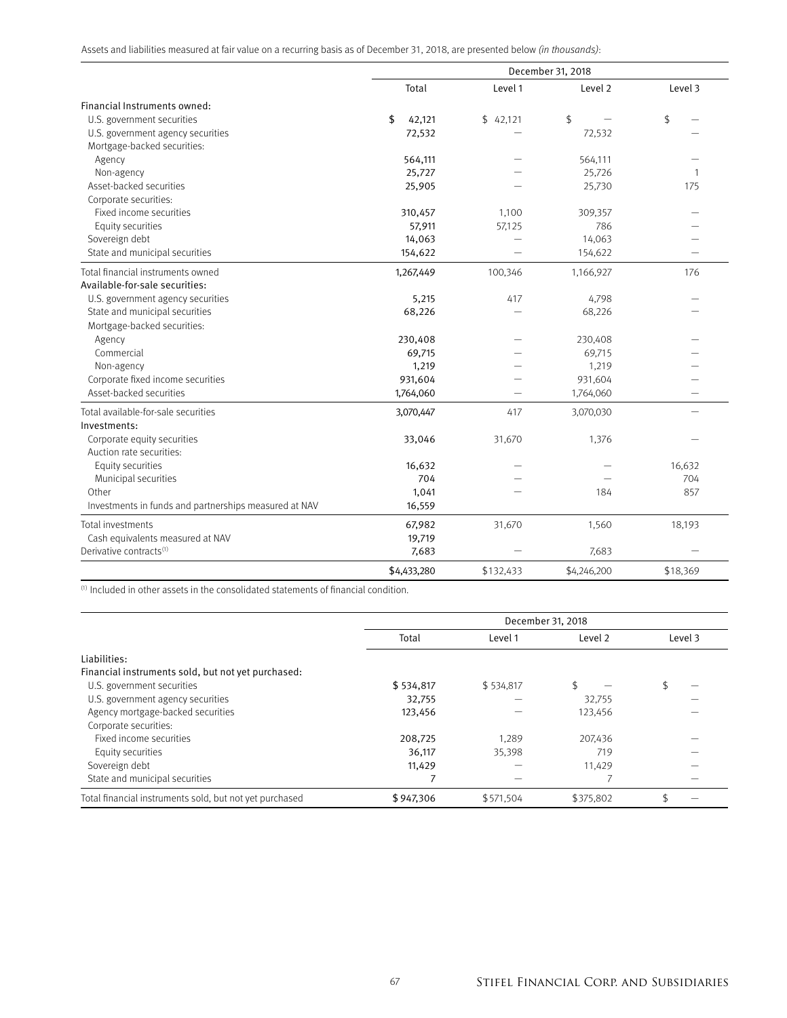| Assets and liabilities measured at fair value on a recurring basis as of December 31, 2018, are presented below <i>(in thousands)</i> : |  |  |  |
|-----------------------------------------------------------------------------------------------------------------------------------------|--|--|--|
|-----------------------------------------------------------------------------------------------------------------------------------------|--|--|--|

|                                                       | December 31, 2018 |           |             |          |
|-------------------------------------------------------|-------------------|-----------|-------------|----------|
|                                                       | Total             | Level 1   | Level 2     | Level 3  |
| Financial Instruments owned:                          |                   |           |             |          |
| U.S. government securities                            | \$<br>42,121      | \$42,121  | \$          | \$       |
| U.S. government agency securities                     | 72,532            |           | 72,532      |          |
| Mortgage-backed securities:                           |                   |           |             |          |
| Agency                                                | 564,111           |           | 564,111     |          |
| Non-agency                                            | 25,727            |           | 25,726      |          |
| Asset-backed securities                               | 25,905            |           | 25,730      | 175      |
| Corporate securities:                                 |                   |           |             |          |
| Fixed income securities                               | 310,457           | 1.100     | 309,357     |          |
| Equity securities                                     | 57,911            | 57,125    | 786         |          |
| Sovereign debt                                        | 14,063            |           | 14,063      |          |
| State and municipal securities                        | 154,622           |           | 154,622     |          |
| Total financial instruments owned                     | 1,267,449         | 100,346   | 1,166,927   | 176      |
| Available-for-sale securities:                        |                   |           |             |          |
| U.S. government agency securities                     | 5,215             | 417       | 4,798       |          |
| State and municipal securities                        | 68,226            |           | 68,226      |          |
| Mortgage-backed securities:                           |                   |           |             |          |
| Agency                                                | 230,408           |           | 230,408     |          |
| Commercial                                            | 69,715            |           | 69,715      |          |
| Non-agency                                            | 1,219             |           | 1,219       |          |
| Corporate fixed income securities                     | 931,604           |           | 931,604     |          |
| Asset-backed securities                               | 1,764,060         |           | 1,764,060   |          |
| Total available-for-sale securities                   | 3,070,447         | 417       | 3,070,030   |          |
| Investments:                                          |                   |           |             |          |
| Corporate equity securities                           | 33,046            | 31,670    | 1,376       |          |
| Auction rate securities:                              |                   |           |             |          |
| Equity securities                                     | 16,632            |           |             | 16,632   |
| Municipal securities                                  | 704               |           |             | 704      |
| Other                                                 | 1,041             |           | 184         | 857      |
| Investments in funds and partnerships measured at NAV | 16,559            |           |             |          |
| Total investments                                     | 67,982            | 31,670    | 1,560       | 18,193   |
| Cash equivalents measured at NAV                      | 19,719            |           |             |          |
| Derivative contracts <sup>(1)</sup>                   | 7,683             |           | 7,683       |          |
|                                                       | \$4,433,280       | \$132.433 | \$4,246,200 | \$18,369 |

 $\overline{^{(1)}}$  Included in other assets in the consolidated statements of financial condition.

|                                                         | December 31, 2018 |           |           |  |         |  |
|---------------------------------------------------------|-------------------|-----------|-----------|--|---------|--|
|                                                         | Total             | Level 1   | Level 2   |  | Level 3 |  |
| Liabilities:                                            |                   |           |           |  |         |  |
| Financial instruments sold, but not yet purchased:      |                   |           |           |  |         |  |
| U.S. government securities                              | \$534,817         | \$534,817 |           |  |         |  |
| U.S. government agency securities                       | 32,755            |           | 32,755    |  |         |  |
| Agency mortgage-backed securities                       | 123,456           |           | 123,456   |  |         |  |
| Corporate securities:                                   |                   |           |           |  |         |  |
| Fixed income securities                                 | 208,725           | 1.289     | 207,436   |  |         |  |
| Equity securities                                       | 36,117            | 35,398    | 719       |  |         |  |
| Sovereign debt                                          | 11,429            |           | 11,429    |  |         |  |
| State and municipal securities                          |                   |           |           |  |         |  |
| Total financial instruments sold, but not yet purchased | \$947,306         | \$571.504 | \$375,802 |  |         |  |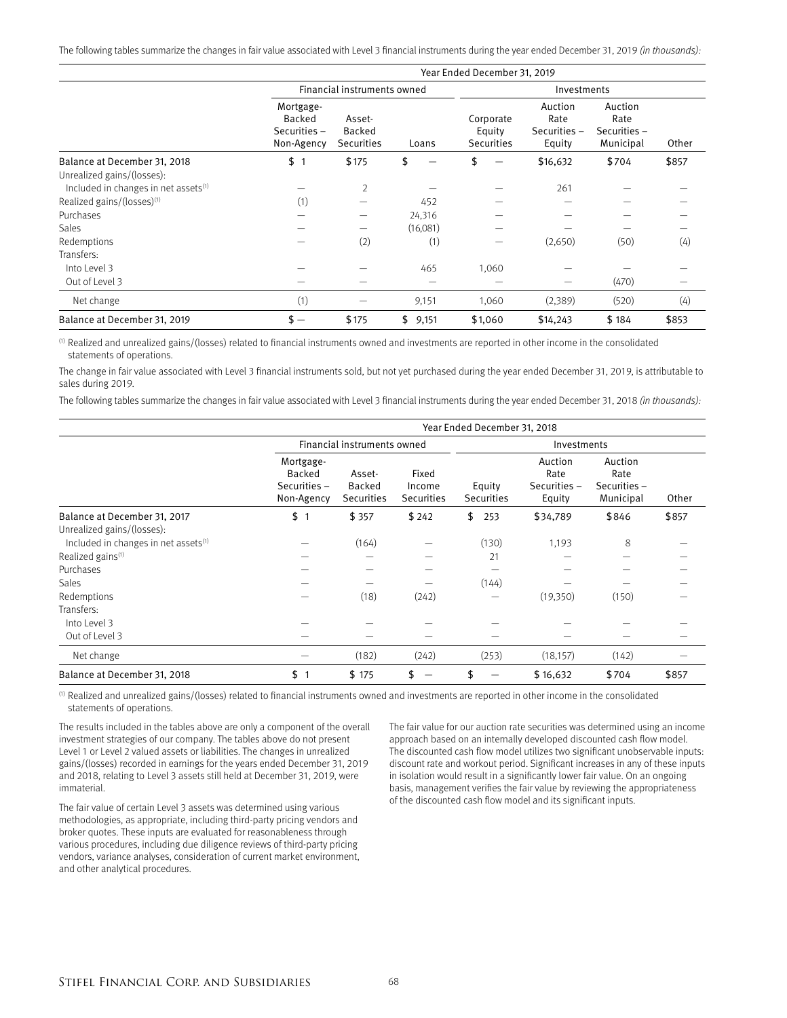The following tables summarize the changes in fair value associated with Level 3 financial instruments during the year ended December 31, 2019 (in thousands):

|                                                                                | Year Ended December 31, 2019                               |                                       |             |                                   |                                             |                                                |       |
|--------------------------------------------------------------------------------|------------------------------------------------------------|---------------------------------------|-------------|-----------------------------------|---------------------------------------------|------------------------------------------------|-------|
|                                                                                |                                                            | Financial instruments owned           |             | Investments                       |                                             |                                                |       |
|                                                                                | Mortgage-<br><b>Backed</b><br>Securities $-$<br>Non-Agency | Asset-<br><b>Backed</b><br>Securities | Loans       | Corporate<br>Equity<br>Securities | Auction<br>Rate<br>Securities $-$<br>Equity | Auction<br>Rate<br>Securities $-$<br>Municipal | Other |
| Balance at December 31, 2018                                                   | \$<br>$\mathbf{1}$                                         | \$175                                 | \$          | \$                                | \$16,632                                    | \$704                                          | \$857 |
| Unrealized gains/(losses):<br>Included in changes in net assets <sup>(1)</sup> |                                                            | $\overline{2}$                        |             |                                   | 261                                         |                                                |       |
| Realized gains/(losses) <sup>(1)</sup>                                         | (1)                                                        | -                                     | 452         |                                   |                                             |                                                |       |
| Purchases                                                                      |                                                            |                                       | 24,316      |                                   |                                             |                                                |       |
| <b>Sales</b>                                                                   |                                                            | -                                     | (16,081)    |                                   |                                             |                                                |       |
| Redemptions                                                                    |                                                            | (2)                                   | (1)         |                                   | (2,650)                                     | (50)                                           | (4)   |
| Transfers:                                                                     |                                                            |                                       |             |                                   |                                             |                                                |       |
| Into Level 3                                                                   |                                                            |                                       | 465         | 1,060                             |                                             |                                                |       |
| Out of Level 3                                                                 |                                                            |                                       |             |                                   |                                             | (470)                                          |       |
| Net change                                                                     | (1)                                                        |                                       | 9,151       | 1,060                             | (2,389)                                     | (520)                                          | (4)   |
| Balance at December 31, 2019                                                   | $$ -$                                                      | \$175                                 | \$<br>9,151 | \$1,060                           | \$14,243                                    | \$184                                          | \$853 |

(1) Realized and unrealized gains/(losses) related to financial instruments owned and investments are reported in other income in the consolidated statements of operations.

The change in fair value associated with Level 3 financial instruments sold, but not yet purchased during the year ended December 31, 2019, is attributable to sales during 2019.

The following tables summarize the changes in fair value associated with Level 3 financial instruments during the year ended December 31, 2018 (in thousands):

|                                                  | Year Ended December 31, 2018                               |                                       |                               |                             |                                             |                                             |       |
|--------------------------------------------------|------------------------------------------------------------|---------------------------------------|-------------------------------|-----------------------------|---------------------------------------------|---------------------------------------------|-------|
|                                                  |                                                            | Financial instruments owned           |                               |                             |                                             |                                             |       |
|                                                  | Mortgage-<br><b>Backed</b><br>Securities $-$<br>Non-Agency | Asset-<br><b>Backed</b><br>Securities | Fixed<br>Income<br>Securities | Equity<br><b>Securities</b> | Auction<br>Rate<br>Securities $-$<br>Equity | Auction<br>Rate<br>Securities-<br>Municipal | Other |
| Balance at December 31, 2017                     | \$<br>-1                                                   | \$357                                 | \$242                         | \$<br>253                   | \$34,789                                    | \$846                                       | \$857 |
| Unrealized gains/(losses):                       |                                                            |                                       |                               |                             |                                             |                                             |       |
| Included in changes in net assets <sup>(1)</sup> |                                                            | (164)                                 |                               | (130)                       | 1,193                                       | 8                                           |       |
| Realized gains <sup>(1)</sup>                    |                                                            |                                       |                               | 21                          |                                             |                                             |       |
| Purchases                                        |                                                            |                                       |                               |                             |                                             |                                             |       |
| Sales                                            |                                                            |                                       |                               | (144)                       |                                             |                                             |       |
| Redemptions                                      |                                                            | (18)                                  | (242)                         |                             | (19,350)                                    | (150)                                       |       |
| Transfers:                                       |                                                            |                                       |                               |                             |                                             |                                             |       |
| Into Level 3                                     |                                                            |                                       |                               |                             |                                             |                                             |       |
| Out of Level 3                                   |                                                            |                                       |                               |                             |                                             |                                             |       |
| Net change                                       |                                                            | (182)                                 | (242)                         | (253)                       | (18, 157)                                   | (142)                                       |       |
| Balance at December 31, 2018                     | \$<br>1                                                    | \$175                                 | \$                            | ፍ                           | \$16,632                                    | \$704                                       | \$857 |

(1) Realized and unrealized gains/(losses) related to financial instruments owned and investments are reported in other income in the consolidated statements of operations.

The results included in the tables above are only a component of the overall investment strategies of our company. The tables above do not present Level 1 or Level 2 valued assets or liabilities. The changes in unrealized gains/(losses) recorded in earnings for the years ended December 31, 2019 and 2018, relating to Level 3 assets still held at December 31, 2019, were immaterial.

The fair value of certain Level 3 assets was determined using various methodologies, as appropriate, including third-party pricing vendors and broker quotes. These inputs are evaluated for reasonableness through various procedures, including due diligence reviews of third-party pricing vendors, variance analyses, consideration of current market environment, and other analytical procedures.

The fair value for our auction rate securities was determined using an income approach based on an internally developed discounted cash flow model. The discounted cash flow model utilizes two significant unobservable inputs: discount rate and workout period. Significant increases in any of these inputs in isolation would result in a significantly lower fair value. On an ongoing basis, management verifies the fair value by reviewing the appropriateness of the discounted cash flow model and its significant inputs.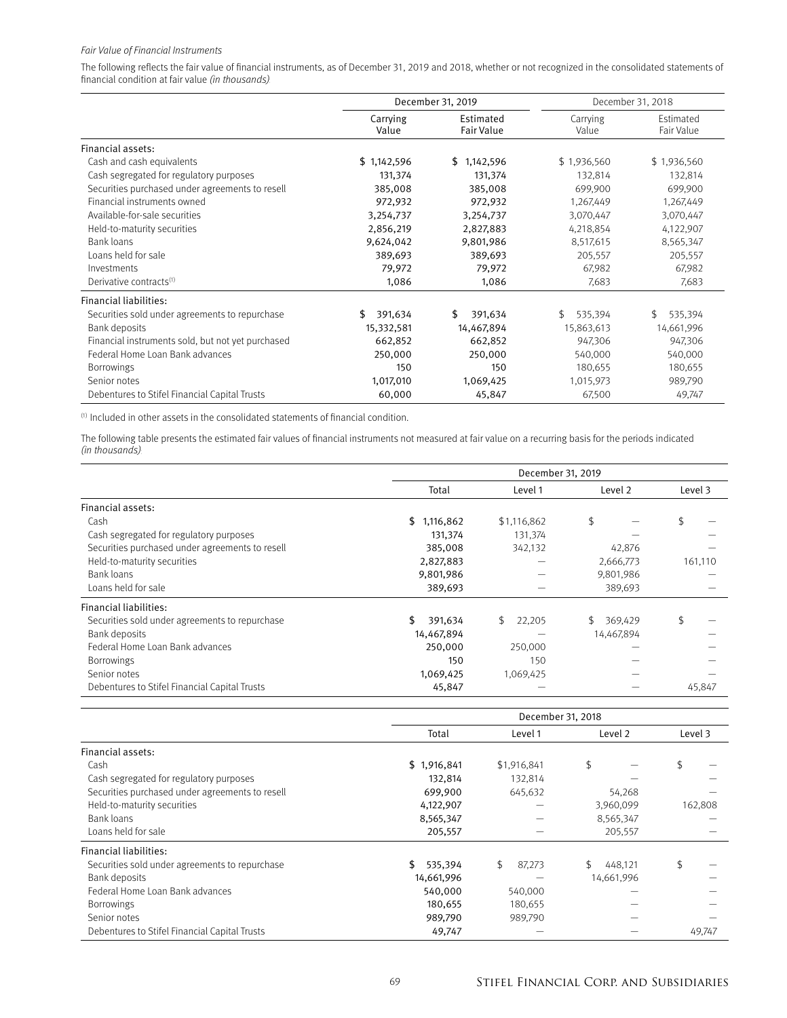# Fair Value of Financial Instruments

The following reflects the fair value of financial instruments, as of December 31, 2019 and 2018, whether or not recognized in the consolidated statements of financial condition at fair value (in thousands):

|                                                   | December 31, 2019 |                         |                   | December 31, 2018       |
|---------------------------------------------------|-------------------|-------------------------|-------------------|-------------------------|
|                                                   | Carrying<br>Value | Estimated<br>Fair Value | Carrying<br>Value | Estimated<br>Fair Value |
| Financial assets:                                 |                   |                         |                   |                         |
| Cash and cash equivalents                         | \$1,142,596       | 1,142,596<br>\$         | \$1,936,560       | \$1,936,560             |
| Cash segregated for regulatory purposes           | 131,374           | 131,374                 | 132,814           | 132,814                 |
| Securities purchased under agreements to resell   | 385,008           | 385,008                 | 699,900           | 699,900                 |
| Financial instruments owned                       | 972,932           | 972,932                 | 1,267,449         | 1,267,449               |
| Available-for-sale securities                     | 3,254,737         | 3,254,737               | 3,070,447         | 3,070,447               |
| Held-to-maturity securities                       | 2,856,219         | 2,827,883               | 4,218,854         | 4,122,907               |
| Bank loans                                        | 9,624,042         | 9,801,986               | 8,517,615         | 8,565,347               |
| Loans held for sale                               | 389,693           | 389,693                 | 205,557           | 205,557                 |
| Investments                                       | 79,972            | 79,972                  | 67,982            | 67,982                  |
| Derivative contracts <sup>(1)</sup>               | 1,086             | 1,086                   | 7,683             | 7,683                   |
| Financial liabilities:                            |                   |                         |                   |                         |
| Securities sold under agreements to repurchase    | \$.<br>391,634    | \$.<br>391,634          | \$<br>535,394     | 535,394<br>\$           |
| Bank deposits                                     | 15,332,581        | 14,467,894              | 15,863,613        | 14,661,996              |
| Financial instruments sold, but not yet purchased | 662,852           | 662,852                 | 947,306           | 947,306                 |
| Federal Home Loan Bank advances                   | 250,000           | 250,000                 | 540,000           | 540,000                 |
| <b>Borrowings</b>                                 | 150               | 150                     | 180,655           | 180,655                 |
| Senior notes                                      | 1,017,010         | 1,069,425               | 1,015,973         | 989,790                 |
| Debentures to Stifel Financial Capital Trusts     | 60,000            | 45,847                  | 67,500            | 49,747                  |

 $(1)$  Included in other assets in the consolidated statements of financial condition.

The following table presents the estimated fair values of financial instruments not measured at fair value on a recurring basis for the periods indicated (in thousands):

|                                                 | December 31, 2019 |              |                |         |
|-------------------------------------------------|-------------------|--------------|----------------|---------|
|                                                 | Total             | Level 1      | Level 2        | Level 3 |
| Financial assets:                               |                   |              |                |         |
| Cash                                            | \$<br>1,116,862   | \$1,116,862  | \$             | \$      |
| Cash segregated for regulatory purposes         | 131,374           | 131,374      |                |         |
| Securities purchased under agreements to resell | 385,008           | 342,132      | 42,876         |         |
| Held-to-maturity securities                     | 2,827,883         |              | 2,666,773      | 161,110 |
| Bank loans                                      | 9,801,986         |              | 9,801,986      |         |
| Loans held for sale                             | 389,693           |              | 389,693        |         |
| Financial liabilities:                          |                   |              |                |         |
| Securities sold under agreements to repurchase  | \$<br>391,634     | 22,205<br>\$ | 369,429<br>\$. | \$      |
| Bank deposits                                   | 14,467,894        |              | 14,467,894     |         |
| Federal Home Loan Bank advances                 | 250,000           | 250,000      |                |         |
| <b>Borrowings</b>                               | 150               | 150          |                |         |
| Senior notes                                    | 1,069,425         | 1,069,425    |                |         |
| Debentures to Stifel Financial Capital Trusts   | 45,847            |              |                | 45,847  |

|                                                 |             | December 31, 2018 |               |         |  |
|-------------------------------------------------|-------------|-------------------|---------------|---------|--|
|                                                 | Total       | Level 1           | Level 2       | Level 3 |  |
| Financial assets:                               |             |                   |               |         |  |
| Cash                                            | \$1,916,841 | \$1,916,841       | \$            |         |  |
| Cash segregated for regulatory purposes         | 132,814     | 132,814           |               |         |  |
| Securities purchased under agreements to resell | 699,900     | 645,632           | 54,268        |         |  |
| Held-to-maturity securities                     | 4,122,907   |                   | 3,960,099     | 162,808 |  |
| Bank loans                                      | 8,565,347   |                   | 8,565,347     |         |  |
| Loans held for sale                             | 205,557     |                   | 205,557       |         |  |
| Financial liabilities:                          |             |                   |               |         |  |
| Securities sold under agreements to repurchase  | 535,394     | 87,273            | \$<br>448.121 |         |  |
| Bank deposits                                   | 14,661,996  |                   | 14,661,996    |         |  |
| Federal Home Loan Bank advances                 | 540,000     | 540,000           |               |         |  |
| <b>Borrowings</b>                               | 180,655     | 180,655           |               |         |  |
| Senior notes                                    | 989,790     | 989,790           |               |         |  |
| Debentures to Stifel Financial Capital Trusts   | 49,747      |                   |               | 49,747  |  |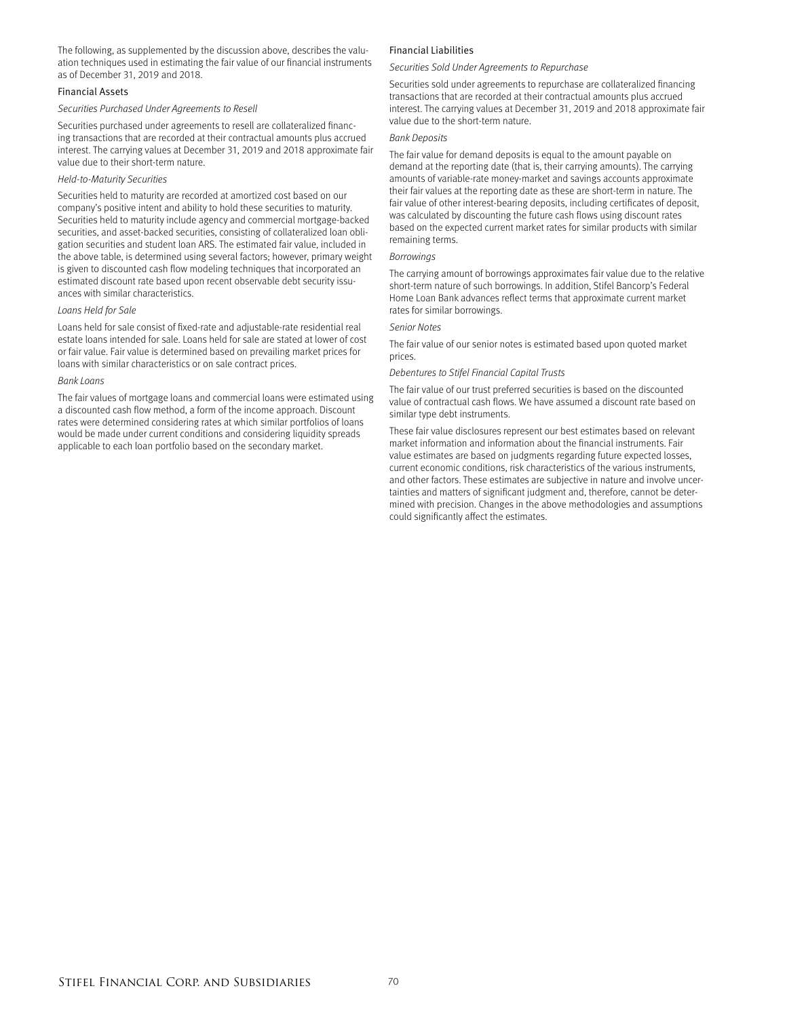The following, as supplemented by the discussion above, describes the valuation techniques used in estimating the fair value of our financial instruments as of December 31, 2019 and 2018.

# Financial Assets

# Securities Purchased Under Agreements to Resell

Securities purchased under agreements to resell are collateralized financing transactions that are recorded at their contractual amounts plus accrued interest. The carrying values at December 31, 2019 and 2018 approximate fair value due to their short-term nature.

# Held-to-Maturity Securities

Securities held to maturity are recorded at amortized cost based on our company's positive intent and ability to hold these securities to maturity. Securities held to maturity include agency and commercial mortgage-backed securities, and asset-backed securities, consisting of collateralized loan obligation securities and student loan ARS. The estimated fair value, included in the above table, is determined using several factors; however, primary weight is given to discounted cash flow modeling techniques that incorporated an estimated discount rate based upon recent observable debt security issuances with similar characteristics.

# Loans Held for Sale

Loans held for sale consist of fixed-rate and adjustable-rate residential real estate loans intended for sale. Loans held for sale are stated at lower of cost or fair value. Fair value is determined based on prevailing market prices for loans with similar characteristics or on sale contract prices.

# Bank Loans

The fair values of mortgage loans and commercial loans were estimated using a discounted cash flow method, a form of the income approach. Discount rates were determined considering rates at which similar portfolios of loans would be made under current conditions and considering liquidity spreads applicable to each loan portfolio based on the secondary market.

# Financial Liabilities

# Securities Sold Under Agreements to Repurchase

Securities sold under agreements to repurchase are collateralized financing transactions that are recorded at their contractual amounts plus accrued interest. The carrying values at December 31, 2019 and 2018 approximate fair value due to the short-term nature.

# Bank Deposits

The fair value for demand deposits is equal to the amount payable on demand at the reporting date (that is, their carrying amounts). The carrying amounts of variable-rate money-market and savings accounts approximate their fair values at the reporting date as these are short-term in nature. The fair value of other interest-bearing deposits, including certificates of deposit, was calculated by discounting the future cash flows using discount rates based on the expected current market rates for similar products with similar remaining terms.

# Borrowings

The carrying amount of borrowings approximates fair value due to the relative short-term nature of such borrowings. In addition, Stifel Bancorp's Federal Home Loan Bank advances reflect terms that approximate current market rates for similar borrowings.

# Senior Notes

The fair value of our senior notes is estimated based upon quoted market prices.

# Debentures to Stifel Financial Capital Trusts

The fair value of our trust preferred securities is based on the discounted value of contractual cash flows. We have assumed a discount rate based on similar type debt instruments.

These fair value disclosures represent our best estimates based on relevant market information and information about the financial instruments. Fair value estimates are based on judgments regarding future expected losses, current economic conditions, risk characteristics of the various instruments, and other factors. These estimates are subjective in nature and involve uncertainties and matters of significant judgment and, therefore, cannot be determined with precision. Changes in the above methodologies and assumptions could significantly affect the estimates.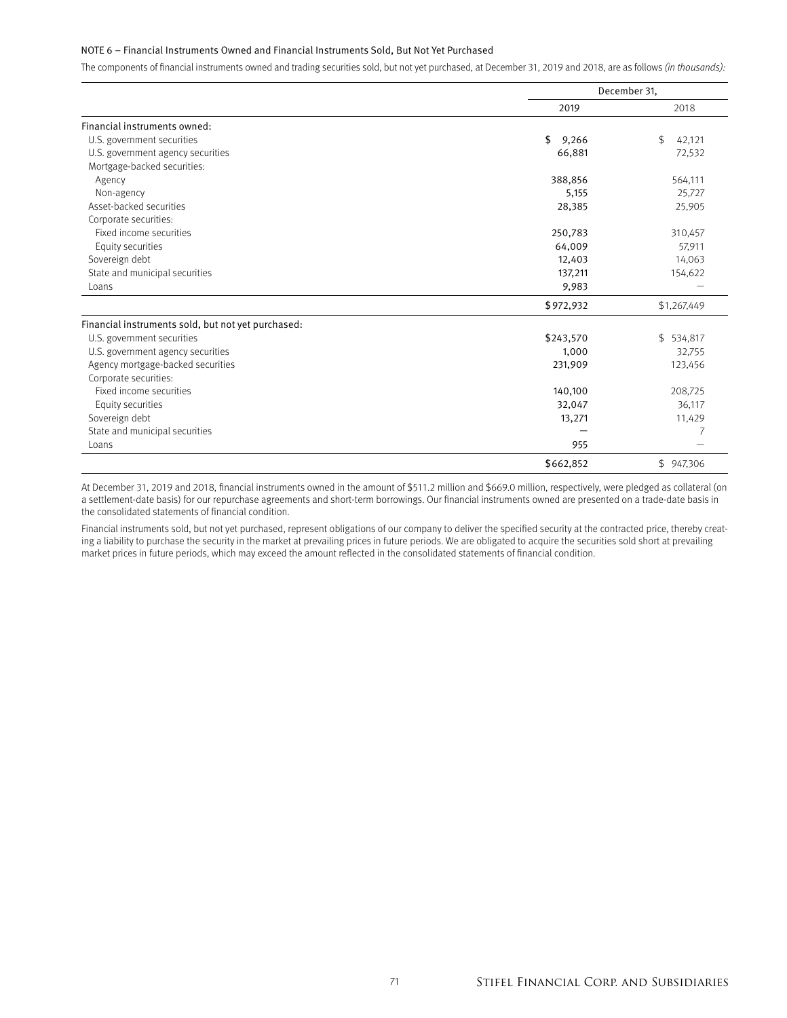# NOTE 6 – Financial Instruments Owned and Financial Instruments Sold, But Not Yet Purchased

The components of financial instruments owned and trading securities sold, but not yet purchased, at December 31, 2019 and 2018, are as follows (in thousands):

|                                                    |             | December 31, |
|----------------------------------------------------|-------------|--------------|
|                                                    | 2019        | 2018         |
| Financial instruments owned:                       |             |              |
| U.S. government securities                         | \$<br>9,266 | \$<br>42,121 |
| U.S. government agency securities                  | 66,881      | 72,532       |
| Mortgage-backed securities:                        |             |              |
| Agency                                             | 388,856     | 564,111      |
| Non-agency                                         | 5,155       | 25,727       |
| Asset-backed securities                            | 28,385      | 25,905       |
| Corporate securities:                              |             |              |
| Fixed income securities                            | 250,783     | 310,457      |
| Equity securities                                  | 64,009      | 57,911       |
| Sovereign debt                                     | 12,403      | 14,063       |
| State and municipal securities                     | 137,211     | 154,622      |
| Loans                                              | 9,983       |              |
|                                                    | \$972,932   | \$1,267,449  |
| Financial instruments sold, but not yet purchased: |             |              |
| U.S. government securities                         | \$243,570   | \$534,817    |
| U.S. government agency securities                  | 1,000       | 32,755       |
| Agency mortgage-backed securities                  | 231,909     | 123,456      |
| Corporate securities:                              |             |              |
| Fixed income securities                            | 140,100     | 208,725      |
| Equity securities                                  | 32,047      | 36,117       |
| Sovereign debt                                     | 13,271      | 11,429       |
| State and municipal securities                     |             | 7            |
| Loans                                              | 955         |              |
|                                                    | \$662,852   | \$947,306    |

At December 31, 2019 and 2018, financial instruments owned in the amount of \$511.2 million and \$669.0 million, respectively, were pledged as collateral (on a settlement-date basis) for our repurchase agreements and short-term borrowings. Our financial instruments owned are presented on a trade-date basis in the consolidated statements of financial condition.

Financial instruments sold, but not yet purchased, represent obligations of our company to deliver the specified security at the contracted price, thereby creating a liability to purchase the security in the market at prevailing prices in future periods. We are obligated to acquire the securities sold short at prevailing market prices in future periods, which may exceed the amount reflected in the consolidated statements of financial condition.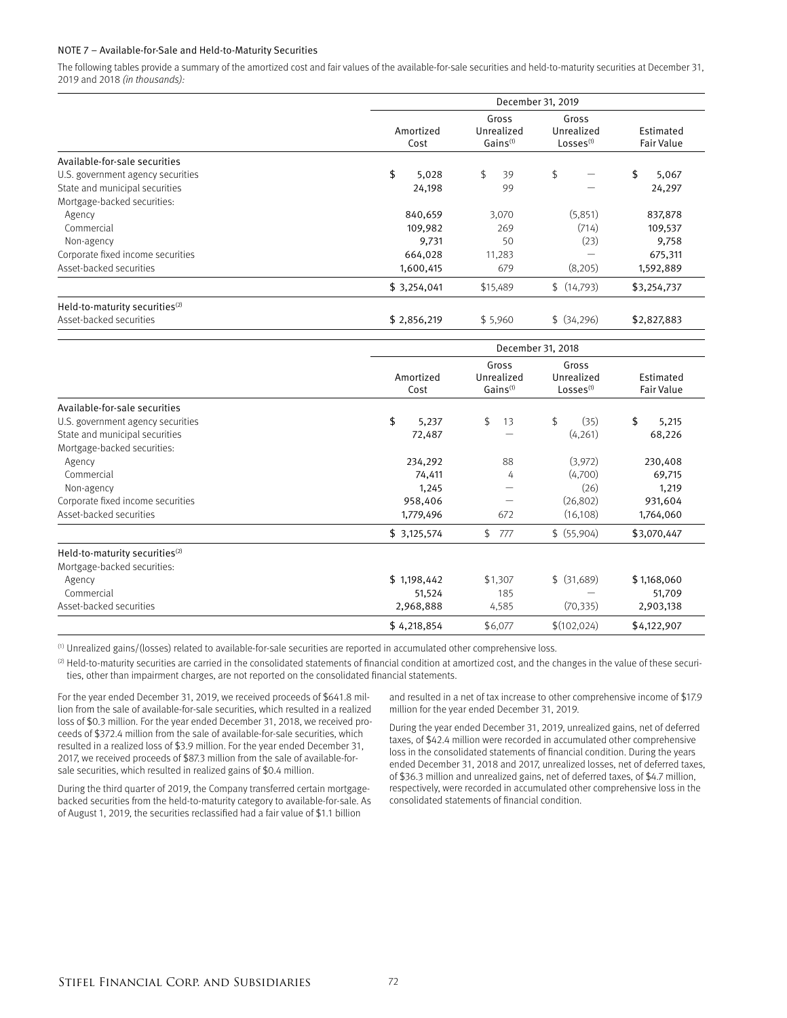# NOTE 7 – Available-for-Sale and Held-to-Maturity Securities

The following tables provide a summary of the amortized cost and fair values of the available-for-sale securities and held-to-maturity securities at December 31, 2019 and 2018 (in thousands):

|                                            | December 31, 2019 |                                      |                                              |                         |  |
|--------------------------------------------|-------------------|--------------------------------------|----------------------------------------------|-------------------------|--|
|                                            | Amortized<br>Cost | Gross<br>Unrealized<br>$GainS^{(1)}$ | Gross<br>Unrealized<br>Losses <sup>(1)</sup> | Estimated<br>Fair Value |  |
| Available-for-sale securities              |                   |                                      |                                              |                         |  |
| U.S. government agency securities          | \$<br>5,028       | \$<br>39                             | \$                                           | \$<br>5,067             |  |
| State and municipal securities             | 24,198            | 99                                   |                                              | 24,297                  |  |
| Mortgage-backed securities:                |                   |                                      |                                              |                         |  |
| Agency                                     | 840,659           | 3,070                                | (5,851)                                      | 837,878                 |  |
| Commercial                                 | 109,982           | 269                                  | (714)                                        | 109,537                 |  |
| Non-agency                                 | 9,731             | 50                                   | (23)                                         | 9,758                   |  |
| Corporate fixed income securities          | 664,028           | 11,283                               | --                                           | 675,311                 |  |
| Asset-backed securities                    | 1,600,415         | 679                                  | (8,205)                                      | 1,592,889               |  |
|                                            | \$3,254,041       | \$15,489                             | \$(14,793)                                   | \$3,254,737             |  |
| Held-to-maturity securities <sup>(2)</sup> |                   |                                      |                                              |                         |  |
| Asset-backed securities                    | \$2,856,219       | \$5,960                              | $$$ (34,296)                                 | \$2,827,883             |  |

|                                                                                                    | December 31, 2018     |                                             |                                              |                         |
|----------------------------------------------------------------------------------------------------|-----------------------|---------------------------------------------|----------------------------------------------|-------------------------|
|                                                                                                    | Amortized<br>Cost     | Gross<br>Unrealized<br>Gains <sup>(1)</sup> | Gross<br>Unrealized<br>Losses <sup>(1)</sup> | Estimated<br>Fair Value |
| Available-for-sale securities                                                                      |                       |                                             |                                              |                         |
| U.S. government agency securities<br>State and municipal securities<br>Mortgage-backed securities: | \$<br>5,237<br>72,487 | \$<br>13                                    | \$<br>(35)<br>(4,261)                        | \$<br>5,215<br>68,226   |
| Agency                                                                                             | 234,292               | 88                                          | (3,972)                                      | 230,408                 |
| Commercial                                                                                         | 74,411                | 4                                           | (4,700)                                      | 69,715                  |
| Non-agency                                                                                         | 1,245                 |                                             | (26)                                         | 1,219                   |
| Corporate fixed income securities                                                                  | 958,406               |                                             | (26, 802)                                    | 931,604                 |
| Asset-backed securities                                                                            | 1,779,496             | 672                                         | (16, 108)                                    | 1,764,060               |
|                                                                                                    | \$3,125,574           | \$<br>777                                   | \$ (55,904)                                  | \$3,070,447             |
| Held-to-maturity securities <sup>(2)</sup>                                                         |                       |                                             |                                              |                         |
| Mortgage-backed securities:                                                                        |                       |                                             |                                              |                         |
| Agency                                                                                             | \$1,198,442           | \$1,307                                     | \$ (31,689)                                  | \$1,168,060             |
| Commercial                                                                                         | 51,524                | 185                                         |                                              | 51,709                  |
| Asset-backed securities                                                                            | 2,968,888             | 4,585                                       | (70, 335)                                    | 2,903,138               |
|                                                                                                    | \$4,218,854           | \$6,077                                     | \$(102,024)                                  | \$4,122,907             |

 $<sup>(1)</sup>$  Unrealized gains/(losses) related to available-for-sale securities are reported in accumulated other comprehensive loss.</sup>

(2) Held-to-maturity securities are carried in the consolidated statements of financial condition at amortized cost, and the changes in the value of these securities, other than impairment charges, are not reported on the consolidated financial statements.

For the year ended December 31, 2019, we received proceeds of \$641.8 million from the sale of available-for-sale securities, which resulted in a realized loss of \$0.3 million. For the year ended December 31, 2018, we received proceeds of \$372.4 million from the sale of available-for-sale securities, which resulted in a realized loss of \$3.9 million. For the year ended December 31, 2017, we received proceeds of \$87.3 million from the sale of available-forsale securities, which resulted in realized gains of \$0.4 million.

During the third quarter of 2019, the Company transferred certain mortgagebacked securities from the held-to-maturity category to available-for-sale. As of August 1, 2019, the securities reclassified had a fair value of \$1.1 billion

and resulted in a net of tax increase to other comprehensive income of \$17.9 million for the year ended December 31, 2019.

During the year ended December 31, 2019, unrealized gains, net of deferred taxes, of \$42.4 million were recorded in accumulated other comprehensive loss in the consolidated statements of financial condition. During the years ended December 31, 2018 and 2017, unrealized losses, net of deferred taxes, of \$36.3 million and unrealized gains, net of deferred taxes, of \$4.7 million, respectively, were recorded in accumulated other comprehensive loss in the consolidated statements of financial condition.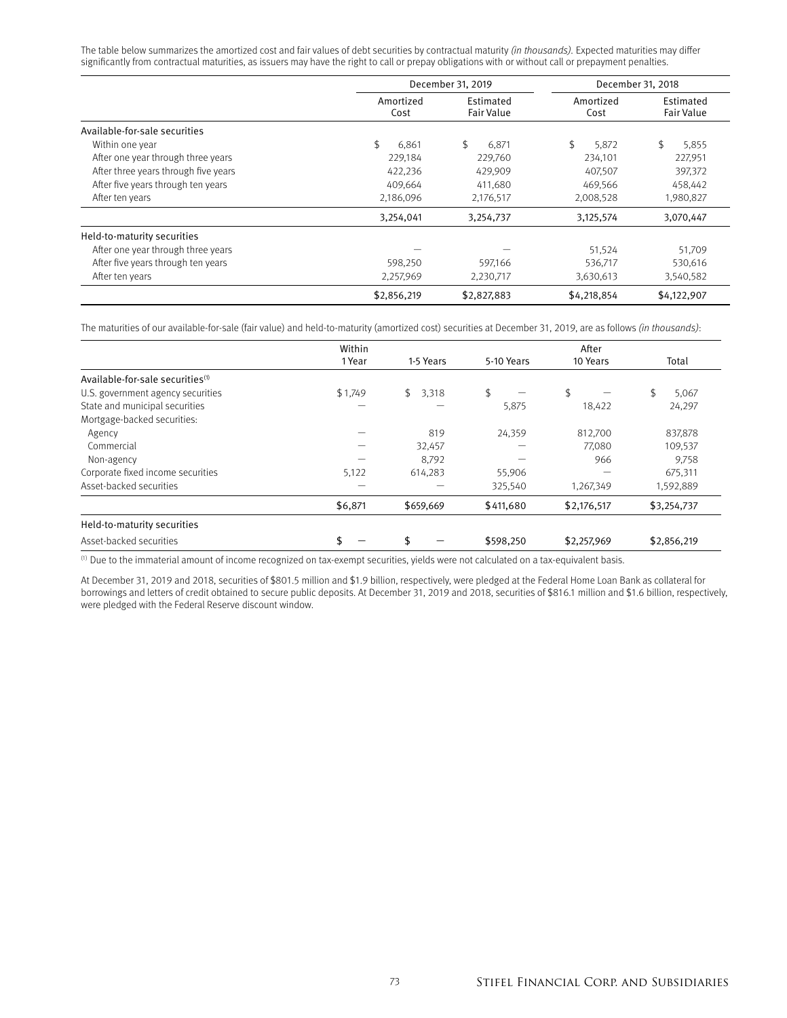The table below summarizes the amortized cost and fair values of debt securities by contractual maturity (in thousands). Expected maturities may differ significantly from contractual maturities, as issuers may have the right to call or prepay obligations with or without call or prepayment penalties.

|                                      |                   | December 31, 2019              |                   | December 31, 2018       |
|--------------------------------------|-------------------|--------------------------------|-------------------|-------------------------|
|                                      | Amortized<br>Cost | Estimated<br><b>Fair Value</b> | Amortized<br>Cost | Estimated<br>Fair Value |
| Available-for-sale securities        |                   |                                |                   |                         |
| Within one year                      | 6.861             | \$<br>6.871                    | \$<br>5,872       | \$<br>5,855             |
| After one year through three years   | 229.184           | 229,760                        | 234,101           | 227,951                 |
| After three years through five years | 422,236           | 429,909                        | 407,507           | 397,372                 |
| After five years through ten years   | 409,664           | 411,680                        | 469,566           | 458,442                 |
| After ten years                      | 2.186.096         | 2,176,517                      | 2,008,528         | 1,980,827               |
|                                      | 3,254,041         | 3,254,737                      | 3,125,574         | 3,070,447               |
| Held-to-maturity securities          |                   |                                |                   |                         |
| After one year through three years   |                   |                                | 51,524            | 51,709                  |
| After five years through ten years   | 598,250           | 597,166                        | 536,717           | 530,616                 |
| After ten years                      | 2,257,969         | 2,230,717                      | 3,630,613         | 3,540,582               |
|                                      | \$2,856,219       | \$2,827,883                    | \$4,218,854       | \$4,122,907             |

The maturities of our available-for-sale (fair value) and held-to-maturity (amortized cost) securities at December 31, 2019, are as follows (in thousands):

|                                              | Within  |             |            | After       |             |
|----------------------------------------------|---------|-------------|------------|-------------|-------------|
|                                              | 1 Year  | 1-5 Years   | 5-10 Years | 10 Years    | Total       |
| Available-for-sale securities <sup>(1)</sup> |         |             |            |             |             |
| U.S. government agency securities            | \$1,749 | \$<br>3,318 | \$         | \$          | \$<br>5,067 |
| State and municipal securities               |         |             | 5.875      | 18.422      | 24,297      |
| Mortgage-backed securities:                  |         |             |            |             |             |
| Agency                                       |         | 819         | 24,359     | 812,700     | 837,878     |
| Commercial                                   |         | 32,457      |            | 77,080      | 109,537     |
| Non-agency                                   |         | 8,792       |            | 966         | 9,758       |
| Corporate fixed income securities            | 5,122   | 614,283     | 55,906     |             | 675,311     |
| Asset-backed securities                      |         |             | 325,540    | 1,267,349   | 1,592,889   |
|                                              | \$6,871 | \$659,669   | \$411,680  | \$2,176,517 | \$3,254,737 |
| Held-to-maturity securities                  |         |             |            |             |             |
| Asset-backed securities                      |         | Ъ.          | \$598,250  | \$2,257,969 | \$2,856,219 |

 $(1)$  Due to the immaterial amount of income recognized on tax-exempt securities, yields were not calculated on a tax-equivalent basis.

At December 31, 2019 and 2018, securities of \$801.5 million and \$1.9 billion, respectively, were pledged at the Federal Home Loan Bank as collateral for borrowings and letters of credit obtained to secure public deposits. At December 31, 2019 and 2018, securities of \$816.1 million and \$1.6 billion, respectively, were pledged with the Federal Reserve discount window.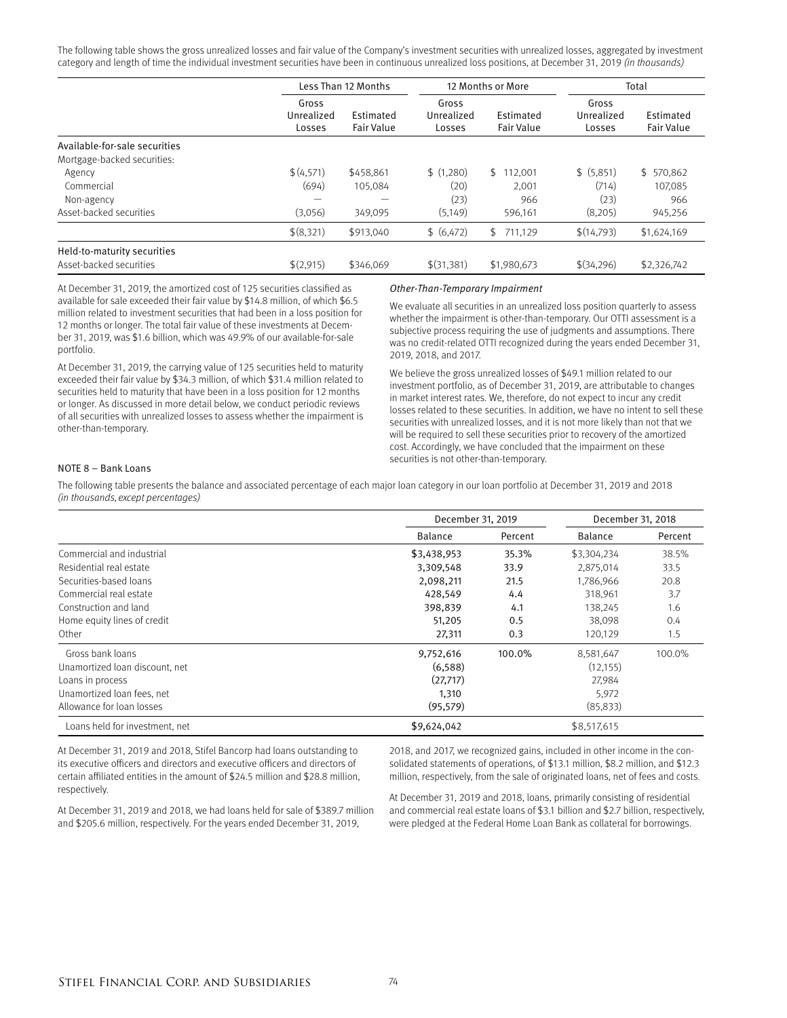The following table shows the gross unrealized losses and fair value of the Company's investment securities with unrealized losses, aggregated by investment category and length of time the individual investment securities have been in continuous unrealized loss positions, at December 31, 2019 (in thousands):

|                               |                                      | Less Than 12 Months     |                                      | 12 Months or More         |                               | Total                   |  |
|-------------------------------|--------------------------------------|-------------------------|--------------------------------------|---------------------------|-------------------------------|-------------------------|--|
|                               | Gross<br><b>Unrealized</b><br>Losses | Estimated<br>Fair Value | Gross<br><b>Unrealized</b><br>Losses | Estimated<br>Fair Value   | Gross<br>Unrealized<br>Losses | Estimated<br>Fair Value |  |
| Available-for-sale securities |                                      |                         |                                      |                           |                               |                         |  |
| Mortgage-backed securities:   |                                      |                         |                                      |                           |                               |                         |  |
| Agency                        | \$(4.571)                            | \$458,861               | \$(1,280)                            | $\mathfrak{L}$<br>112.001 | \$ (5.851)                    | \$570,862               |  |
| Commercial                    | (694)                                | 105.084                 | (20)                                 | 2.001                     | (714)                         | 107.085                 |  |
| Non-agency                    |                                      |                         | (23)                                 | 966                       | (23)                          | 966                     |  |
| Asset-backed securities       | (3,056)                              | 349,095                 | (5, 149)                             | 596,161                   | (8,205)                       | 945,256                 |  |
|                               | \$ (8,321)                           | \$913,040               | \$ (6, 472)                          | $\mathfrak{L}$<br>711.129 | \$(14,793)                    | \$1,624,169             |  |
| Held-to-maturity securities   |                                      |                         |                                      |                           |                               |                         |  |
| Asset-backed securities       | \$(2,915)                            | \$346.069               | \$(31,381)                           | \$1,980,673               | $$$ (34,296)                  | \$2,326,742             |  |

At December 31, 2019, the amortized cost of 125 securities classified as available for sale exceeded their fair value by \$14.8 million, of which \$6.5 million related to investment securities that had been in a loss position for 12 months or longer. The total fair value of these investments at December 31, 2019, was \$1.6 billion, which was 49.9% of our available-for-sale portfolio.

At December 31, 2019, the carrying value of 125 securities held to maturity exceeded their fair value by \$34.3 million, of which \$31.4 million related to securities held to maturity that have been in a loss position for 12 months or longer. As discussed in more detail below, we conduct periodic reviews of all securities with unrealized losses to assess whether the impairment is other-than-temporary.

#### Other-Than-Temporary Impairment

We evaluate all securities in an unrealized loss position quarterly to assess whether the impairment is other-than-temporary. Our OTTI assessment is a subjective process requiring the use of judgments and assumptions. There was no credit-related OTTI recognized during the years ended December 31, 2019, 2018, and 2017.

We believe the gross unrealized losses of \$49.1 million related to our investment portfolio, as of December 31, 2019, are attributable to changes in market interest rates. We, therefore, do not expect to incur any credit losses related to these securities. In addition, we have no intent to sell these securities with unrealized losses, and it is not more likely than not that we will be required to sell these securities prior to recovery of the amortized cost. Accordingly, we have concluded that the impairment on these securities is not other-than-temporary.

# NOTE 8 – Bank Loans

The following table presents the balance and associated percentage of each major loan category in our loan portfolio at December 31, 2019 and 2018 (in thousands, except percentages):

|                                |                | December 31, 2019 |                | December 31, 2018 |
|--------------------------------|----------------|-------------------|----------------|-------------------|
|                                | <b>Balance</b> | Percent           | <b>Balance</b> | Percent           |
| Commercial and industrial      | \$3,438,953    | 35.3%             | \$3,304,234    | 38.5%             |
| Residential real estate        | 3,309,548      | 33.9              | 2,875,014      | 33.5              |
| Securities-based loans         | 2,098,211      | 21.5              | 1,786,966      | 20.8              |
| Commercial real estate         | 428,549        | 4.4               | 318,961        | 3.7               |
| Construction and land          | 398,839        | 4.1               | 138.245        | 1.6               |
| Home equity lines of credit    | 51,205         | 0.5               | 38,098         | 0.4               |
| Other                          | 27,311         | 0.3               | 120,129        | 1.5               |
| Gross bank loans               | 9,752,616      | 100.0%            | 8,581,647      | 100.0%            |
| Unamortized loan discount, net | (6, 588)       |                   | (12, 155)      |                   |
| Loans in process               | (27,717)       |                   | 27.984         |                   |
| Unamortized loan fees, net     | 1,310          |                   | 5,972          |                   |
| Allowance for loan losses      | (95, 579)      |                   | (85, 833)      |                   |
| Loans held for investment, net | \$9,624,042    |                   | \$8,517,615    |                   |

At December 31, 2019 and 2018, Stifel Bancorp had loans outstanding to its executive officers and directors and executive officers and directors of certain affiliated entities in the amount of \$24.5 million and \$28.8 million, respectively.

2018, and 2017, we recognized gains, included in other income in the consolidated statements of operations, of \$13.1 million, \$8.2 million, and \$12.3 million, respectively, from the sale of originated loans, net of fees and costs.

At December 31, 2019 and 2018, we had loans held for sale of \$389.7 million and \$205.6 million, respectively. For the years ended December 31, 2019,

At December 31, 2019 and 2018, loans, primarily consisting of residential and commercial real estate loans of \$3.1 billion and \$2.7 billion, respectively, were pledged at the Federal Home Loan Bank as collateral for borrowings.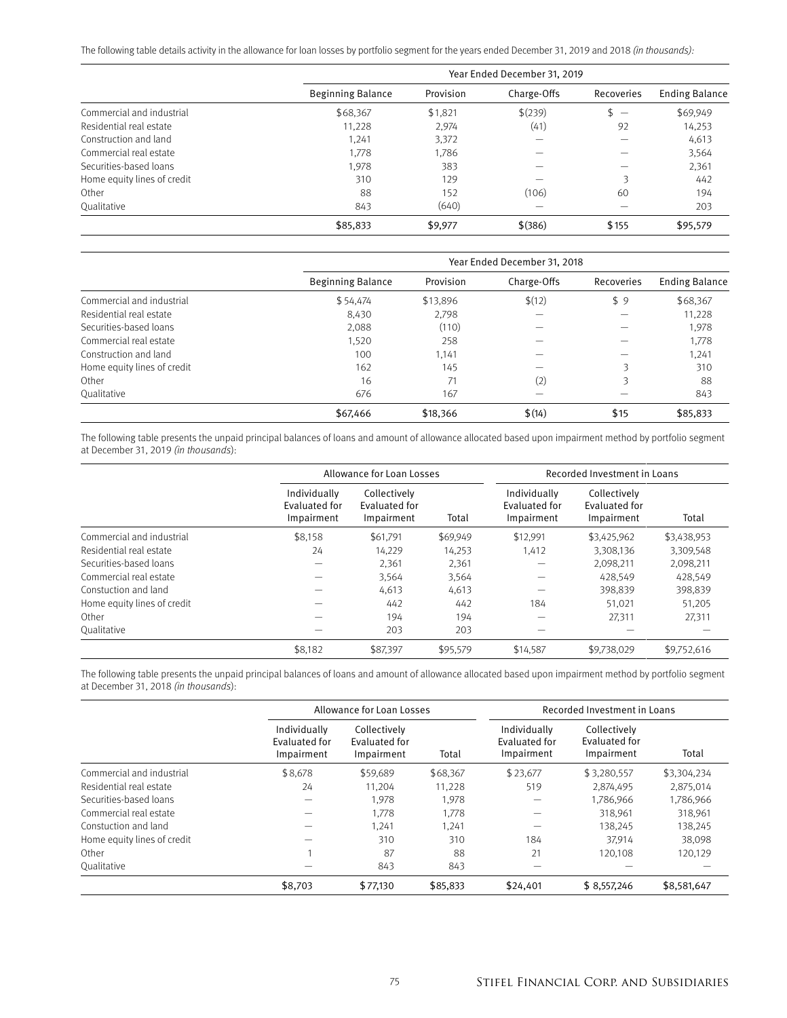The following table details activity in the allowance for loan losses by portfolio segment for the years ended December 31, 2019 and 2018 (in thousands):

|                             | Year Ended December 31, 2019 |           |             |            |                       |  |  |  |
|-----------------------------|------------------------------|-----------|-------------|------------|-----------------------|--|--|--|
|                             | <b>Beginning Balance</b>     | Provision | Charge-Offs | Recoveries | <b>Ending Balance</b> |  |  |  |
| Commercial and industrial   | \$68,367                     | \$1,821   | \$(239)     | $$ -$      | \$69,949              |  |  |  |
| Residential real estate     | 11,228                       | 2,974     | (41)        | 92         | 14,253                |  |  |  |
| Construction and land       | 1,241                        | 3,372     |             |            | 4,613                 |  |  |  |
| Commercial real estate      | 1,778                        | 1,786     |             |            | 3,564                 |  |  |  |
| Securities-based loans      | 1,978                        | 383       |             |            | 2,361                 |  |  |  |
| Home equity lines of credit | 310                          | 129       |             | Р          | 442                   |  |  |  |
| Other                       | 88                           | 152       | (106)       | 60         | 194                   |  |  |  |
| Qualitative                 | 843                          | (640)     |             |            | 203                   |  |  |  |
|                             | \$85,833                     | \$9,977   | $$^{(386)}$ | \$155      | \$95,579              |  |  |  |

|                             | Year Ended December 31, 2018 |           |             |            |                       |  |  |  |
|-----------------------------|------------------------------|-----------|-------------|------------|-----------------------|--|--|--|
|                             | Beginning Balance            | Provision | Charge-Offs | Recoveries | <b>Ending Balance</b> |  |  |  |
| Commercial and industrial   | \$54,474                     | \$13,896  | \$(12)      | \$9        | \$68,367              |  |  |  |
| Residential real estate     | 8,430                        | 2,798     |             |            | 11,228                |  |  |  |
| Securities-based loans      | 2.088                        | (110)     |             |            | 1,978                 |  |  |  |
| Commercial real estate      | 1,520                        | 258       |             |            | 1,778                 |  |  |  |
| Construction and land       | 100                          | 1,141     |             |            | 1,241                 |  |  |  |
| Home equity lines of credit | 162                          | 145       |             |            | 310                   |  |  |  |
| Other                       | 16                           | 71        | (2)         |            | 88                    |  |  |  |
| Qualitative                 | 676                          | 167       |             |            | 843                   |  |  |  |
|                             | \$67,466                     | \$18,366  | \$(14)      | \$15       | \$85,833              |  |  |  |

The following table presents the unpaid principal balances of loans and amount of allowance allocated based upon impairment method by portfolio segment at December 31, 2019 (in thousands):

|                             |                                             | Allowance for Loan Losses                   |          |                                             | Recorded Investment in Loans                |             |
|-----------------------------|---------------------------------------------|---------------------------------------------|----------|---------------------------------------------|---------------------------------------------|-------------|
|                             | Individually<br>Evaluated for<br>Impairment | Collectively<br>Evaluated for<br>Impairment | Total    | Individually<br>Evaluated for<br>Impairment | Collectively<br>Evaluated for<br>Impairment | Total       |
| Commercial and industrial   | \$8,158                                     | \$61,791                                    | \$69,949 | \$12,991                                    | \$3,425,962                                 | \$3,438,953 |
| Residential real estate     | 24                                          | 14,229                                      | 14,253   | 1,412                                       | 3,308,136                                   | 3,309,548   |
| Securities-based loans      |                                             | 2,361                                       | 2,361    |                                             | 2,098,211                                   | 2,098,211   |
| Commercial real estate      |                                             | 3.564                                       | 3.564    |                                             | 428.549                                     | 428,549     |
| Constuction and land        |                                             | 4,613                                       | 4,613    |                                             | 398,839                                     | 398,839     |
| Home equity lines of credit |                                             | 442                                         | 442      | 184                                         | 51.021                                      | 51,205      |
| Other                       |                                             | 194                                         | 194      |                                             | 27,311                                      | 27,311      |
| Qualitative                 |                                             | 203                                         | 203      |                                             |                                             |             |
|                             | \$8.182                                     | \$87,397                                    | \$95,579 | \$14,587                                    | \$9,738,029                                 | \$9,752,616 |

The following table presents the unpaid principal balances of loans and amount of allowance allocated based upon impairment method by portfolio segment at December 31, 2018 (in thousands):

|                             |                                             | Allowance for Loan Losses                   |          |                                             | Recorded Investment in Loans                |             |
|-----------------------------|---------------------------------------------|---------------------------------------------|----------|---------------------------------------------|---------------------------------------------|-------------|
|                             | Individually<br>Evaluated for<br>Impairment | Collectively<br>Evaluated for<br>Impairment | Total    | Individually<br>Evaluated for<br>Impairment | Collectively<br>Evaluated for<br>Impairment | Total       |
| Commercial and industrial   | \$8,678                                     | \$59,689                                    | \$68,367 | \$23,677                                    | \$3,280,557                                 | \$3,304,234 |
| Residential real estate     | 24                                          | 11.204                                      | 11,228   | 519                                         | 2,874,495                                   | 2,875,014   |
| Securities-based loans      |                                             | 1.978                                       | 1,978    |                                             | 1,786,966                                   | 1,786,966   |
| Commercial real estate      |                                             | 1,778                                       | 1,778    |                                             | 318,961                                     | 318,961     |
| Constuction and land        |                                             | 1.241                                       | 1.241    |                                             | 138.245                                     | 138.245     |
| Home equity lines of credit |                                             | 310                                         | 310      | 184                                         | 37.914                                      | 38,098      |
| Other                       |                                             | 87                                          | 88       | 21                                          | 120.108                                     | 120.129     |
| Qualitative                 |                                             | 843                                         | 843      |                                             |                                             |             |
|                             | \$8,703                                     | \$77,130                                    | \$85,833 | \$24,401                                    | \$8,557,246                                 | \$8,581,647 |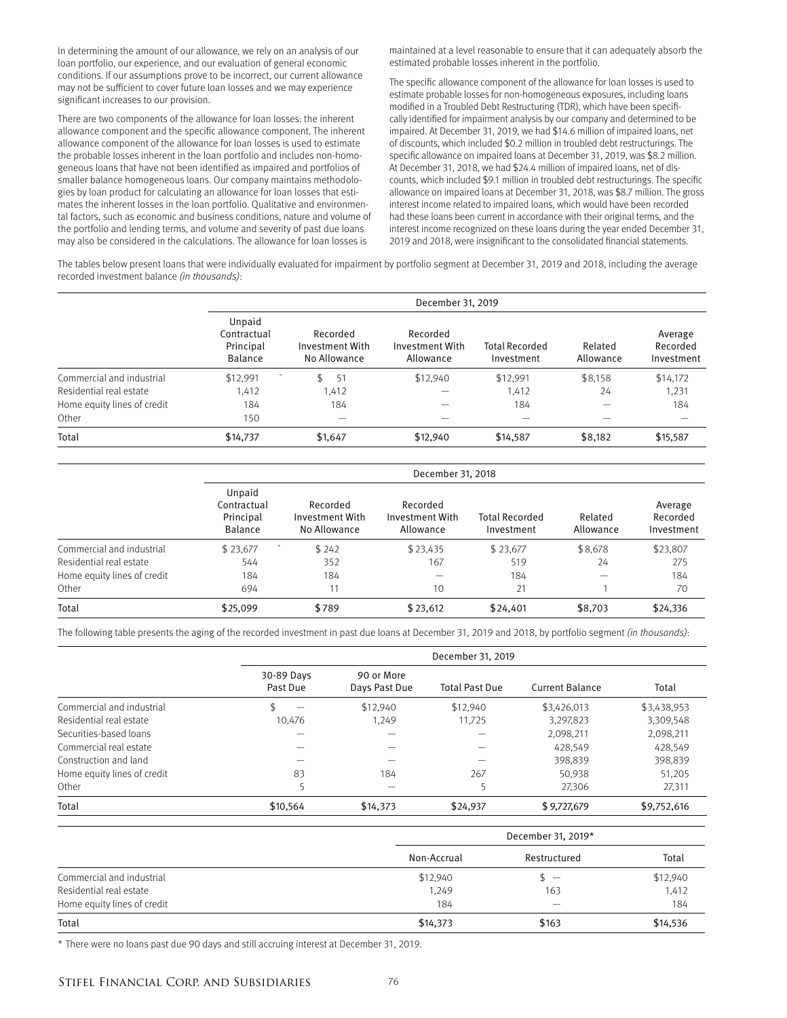In determining the amount of our allowance, we rely on an analysis of our loan portfolio, our experience, and our evaluation of general economic conditions. If our assumptions prove to be incorrect, our current allowance may not be sufficient to cover future loan losses and we may experience significant increases to our provision.

There are two components of the allowance for loan losses: the inherent allowance component and the specific allowance component. The inherent allowance component of the allowance for loan losses is used to estimate the probable losses inherent in the loan portfolio and includes non-homogeneous loans that have not been identified as impaired and portfolios of smaller balance homogeneous loans. Our company maintains methodologies by loan product for calculating an allowance for loan losses that estimates the inherent losses in the loan portfolio. Qualitative and environmental factors, such as economic and business conditions, nature and volume of the portfolio and lending terms, and volume and severity of past due loans may also be considered in the calculations. The allowance for loan losses is

maintained at a level reasonable to ensure that it can adequately absorb the estimated probable losses inherent in the portfolio.

The specific allowance component of the allowance for loan losses is used to estimate probable losses for non-homogeneous exposures, including loans modified in a Troubled Debt Restructuring (TDR), which have been specifically identified for impairment analysis by our company and determined to be impaired. At December 31, 2019, we had \$14.6 million of impaired loans, net of discounts, which included \$0.2 million in troubled debt restructurings. The specific allowance on impaired loans at December 31, 2019, was \$8.2 million. At December 31, 2018, we had \$24.4 million of impaired loans, net of discounts, which included \$9.1 million in troubled debt restructurings. The specific allowance on impaired loans at December 31, 2018, was \$8.7 million. The gross interest income related to impaired loans, which would have been recorded had these loans been current in accordance with their original terms, and the interest income recognized on these loans during the year ended December 31, 2019 and 2018, were insignificant to the consolidated financial statements.

The tables below present loans that were individually evaluated for impairment by portfolio segment at December 31, 2019 and 2018, including the average recorded investment balance (in thousands):

|                             |                                               | December 31, 2019                           |                                          |                              |                      |                                   |  |  |  |
|-----------------------------|-----------------------------------------------|---------------------------------------------|------------------------------------------|------------------------------|----------------------|-----------------------------------|--|--|--|
|                             | Unpaid<br>Contractual<br>Principal<br>Balance | Recorded<br>Investment With<br>No Allowance | Recorded<br>Investment With<br>Allowance | Total Recorded<br>Investment | Related<br>Allowance | Average<br>Recorded<br>Investment |  |  |  |
| Commercial and industrial   | \$12,991                                      | 51                                          | \$12,940                                 | \$12.991                     | \$8,158              | \$14,172                          |  |  |  |
| Residential real estate     | 1.412                                         | 1.412                                       |                                          | 1,412                        | 24                   | 1,231                             |  |  |  |
| Home equity lines of credit | 184                                           | 184                                         |                                          | 184                          |                      | 184                               |  |  |  |
| Other                       | 150                                           |                                             |                                          |                              |                      |                                   |  |  |  |
| Total                       | \$14,737                                      | \$1,647                                     | \$12,940                                 | \$14,587                     | \$8,182              | \$15,587                          |  |  |  |

|                             | December 31, 2018                             |                                             |                                          |                                     |                      |                                   |  |  |
|-----------------------------|-----------------------------------------------|---------------------------------------------|------------------------------------------|-------------------------------------|----------------------|-----------------------------------|--|--|
|                             | Unpaid<br>Contractual<br>Principal<br>Balance | Recorded<br>Investment With<br>No Allowance | Recorded<br>Investment With<br>Allowance | <b>Total Recorded</b><br>Investment | Related<br>Allowance | Average<br>Recorded<br>Investment |  |  |
| Commercial and industrial   | \$23,677                                      | \$242                                       | \$23,435                                 | \$23.677                            | \$8,678              | \$23,807                          |  |  |
| Residential real estate     | 544                                           | 352                                         | 167                                      | 519                                 | 24                   | 275                               |  |  |
| Home equity lines of credit | 184                                           | 184                                         | _                                        | 184                                 |                      | 184                               |  |  |
| Other                       | 694                                           |                                             | 10                                       | 21                                  |                      | 70                                |  |  |
| Total                       | \$25,099                                      | \$789                                       | \$23,612                                 | \$24,401                            | \$8,703              | \$24,336                          |  |  |

The following table presents the aging of the recorded investment in past due loans at December 31, 2019 and 2018, by portfolio segment (in thousands):

|                             | December 31, 2019      |                             |                       |                        |             |  |  |  |
|-----------------------------|------------------------|-----------------------------|-----------------------|------------------------|-------------|--|--|--|
|                             | 30-89 Days<br>Past Due | 90 or More<br>Days Past Due | <b>Total Past Due</b> | <b>Current Balance</b> | Total       |  |  |  |
| Commercial and industrial   |                        | \$12,940                    | \$12,940              | \$3,426,013            | \$3,438,953 |  |  |  |
| Residential real estate     | 10.476                 | .249                        | 11,725                | 3,297,823              | 3,309,548   |  |  |  |
| Securities-based loans      |                        |                             |                       | 2,098,211              | 2,098,211   |  |  |  |
| Commercial real estate      |                        |                             |                       | 428.549                | 428,549     |  |  |  |
| Construction and land       |                        |                             |                       | 398,839                | 398,839     |  |  |  |
| Home equity lines of credit | 83                     | 184                         | 267                   | 50.938                 | 51,205      |  |  |  |
| Other                       |                        |                             |                       | 27.306                 | 27,311      |  |  |  |
| Total                       | \$10,564               | \$14,373                    | \$24,937              | \$9,727,679            | \$9,752,616 |  |  |  |

|                             |             | December 31, 2019*             |          |  |  |
|-----------------------------|-------------|--------------------------------|----------|--|--|
|                             | Non-Accrual | Restructured                   | Total    |  |  |
| Commercial and industrial   | \$12,940    | P.<br>$\overline{\phantom{a}}$ | \$12,940 |  |  |
| Residential real estate     | 1,249       | 163                            | 1,412    |  |  |
| Home equity lines of credit | 184         | $\overline{\phantom{a}}$       | 184      |  |  |
| Total                       | \$14,373    | \$163                          | \$14,536 |  |  |

\* There were no loans past due 90 days and still accruing interest at December 31, 2019.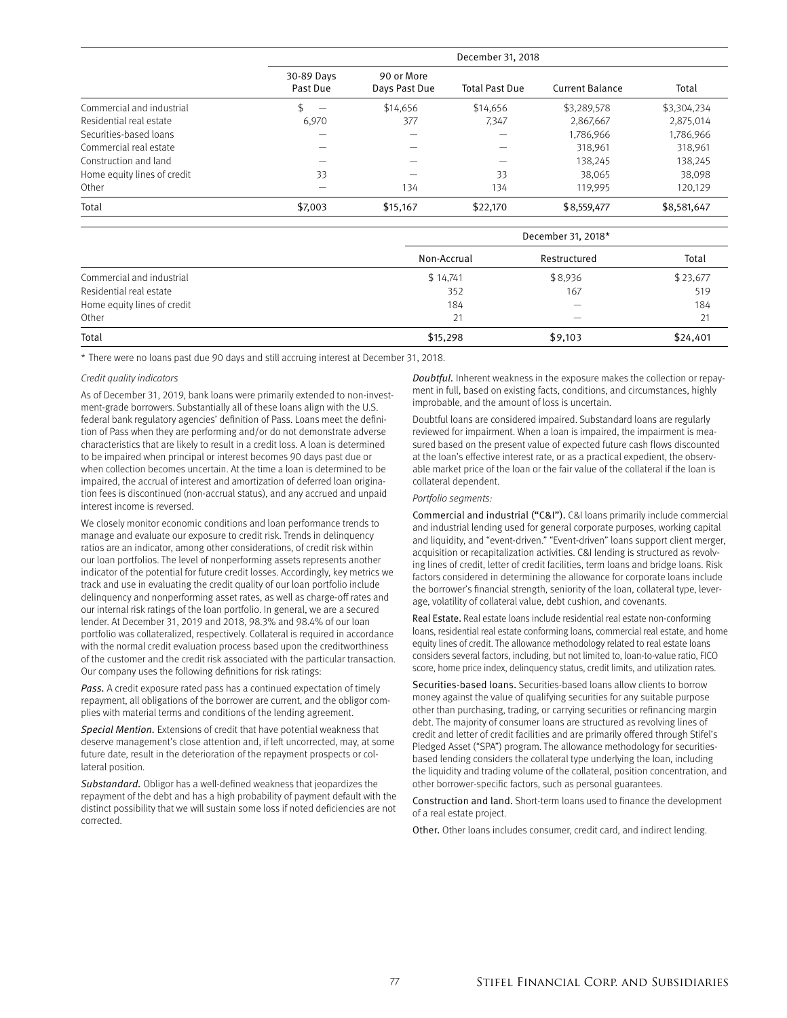|                             | December 31, 2018      |                             |                       |                        |             |
|-----------------------------|------------------------|-----------------------------|-----------------------|------------------------|-------------|
|                             | 30-89 Days<br>Past Due | 90 or More<br>Days Past Due | <b>Total Past Due</b> | <b>Current Balance</b> | Total       |
| Commercial and industrial   |                        | \$14,656                    | \$14,656              | \$3,289,578            | \$3,304,234 |
| Residential real estate     | 6,970                  | 377                         | 7.347                 | 2,867,667              | 2,875,014   |
| Securities-based loans      |                        |                             |                       | 1,786,966              | 1,786,966   |
| Commercial real estate      |                        |                             |                       | 318,961                | 318,961     |
| Construction and land       |                        |                             |                       | 138.245                | 138,245     |
| Home equity lines of credit | 33                     |                             | 33                    | 38,065                 | 38,098      |
| Other                       |                        | 134                         | 134                   | 119,995                | 120,129     |
| Total                       | \$7,003                | \$15,167                    | \$22,170              | \$8,559,477            | \$8,581,647 |

|                             | December 31, 2018* |                          |          |  |
|-----------------------------|--------------------|--------------------------|----------|--|
|                             | Non-Accrual        | Restructured             | Total    |  |
| Commercial and industrial   | \$14,741           | \$8,936                  | \$23,677 |  |
| Residential real estate     | 352                | 167                      | 519      |  |
| Home equity lines of credit | 184                | $\overline{\phantom{a}}$ | 184      |  |
| Other                       | 21                 | $\overline{\phantom{a}}$ | 21       |  |
| Total                       | \$15,298           | \$9,103                  | \$24,401 |  |

\* There were no loans past due 90 days and still accruing interest at December 31, 2018.

#### Credit quality indicators

As of December 31, 2019, bank loans were primarily extended to non-investment-grade borrowers. Substantially all of these loans align with the U.S. federal bank regulatory agencies' definition of Pass. Loans meet the definition of Pass when they are performing and/or do not demonstrate adverse characteristics that are likely to result in a credit loss. A loan is determined to be impaired when principal or interest becomes 90 days past due or when collection becomes uncertain. At the time a loan is determined to be impaired, the accrual of interest and amortization of deferred loan origination fees is discontinued (non-accrual status), and any accrued and unpaid interest income is reversed.

We closely monitor economic conditions and loan performance trends to manage and evaluate our exposure to credit risk. Trends in delinquency ratios are an indicator, among other considerations, of credit risk within our loan portfolios. The level of nonperforming assets represents another indicator of the potential for future credit losses. Accordingly, key metrics we track and use in evaluating the credit quality of our loan portfolio include delinquency and nonperforming asset rates, as well as charge-off rates and our internal risk ratings of the loan portfolio. In general, we are a secured lender. At December 31, 2019 and 2018, 98.3% and 98.4% of our loan portfolio was collateralized, respectively. Collateral is required in accordance with the normal credit evaluation process based upon the creditworthiness of the customer and the credit risk associated with the particular transaction. Our company uses the following definitions for risk ratings:

Pass. A credit exposure rated pass has a continued expectation of timely repayment, all obligations of the borrower are current, and the obligor complies with material terms and conditions of the lending agreement.

Special Mention. Extensions of credit that have potential weakness that deserve management's close attention and, if left uncorrected, may, at some future date, result in the deterioration of the repayment prospects or collateral position.

Substandard. Obligor has a well-defined weakness that jeopardizes the repayment of the debt and has a high probability of payment default with the distinct possibility that we will sustain some loss if noted deficiencies are not corrected.

Doubtful. Inherent weakness in the exposure makes the collection or repayment in full, based on existing facts, conditions, and circumstances, highly improbable, and the amount of loss is uncertain.

Doubtful loans are considered impaired. Substandard loans are regularly reviewed for impairment. When a loan is impaired, the impairment is measured based on the present value of expected future cash flows discounted at the loan's effective interest rate, or as a practical expedient, the observable market price of the loan or the fair value of the collateral if the loan is collateral dependent.

#### Portfolio segments:

Commercial and industrial ("C&I"). C&I loans primarily include commercial and industrial lending used for general corporate purposes, working capital and liquidity, and "event-driven." "Event-driven" loans support client merger, acquisition or recapitalization activities. C&I lending is structured as revolving lines of credit, letter of credit facilities, term loans and bridge loans. Risk factors considered in determining the allowance for corporate loans include the borrower's financial strength, seniority of the loan, collateral type, leverage, volatility of collateral value, debt cushion, and covenants.

Real Estate. Real estate loans include residential real estate non-conforming loans, residential real estate conforming loans, commercial real estate, and home equity lines of credit. The allowance methodology related to real estate loans considers several factors, including, but not limited to, loan-to-value ratio, FICO score, home price index, delinquency status, credit limits, and utilization rates.

Securities-based loans. Securities-based loans allow clients to borrow money against the value of qualifying securities for any suitable purpose other than purchasing, trading, or carrying securities or refinancing margin debt. The majority of consumer loans are structured as revolving lines of credit and letter of credit facilities and are primarily offered through Stifel's Pledged Asset ("SPA") program. The allowance methodology for securitiesbased lending considers the collateral type underlying the loan, including the liquidity and trading volume of the collateral, position concentration, and other borrower-specific factors, such as personal guarantees.

Construction and land. Short-term loans used to finance the development of a real estate project.

Other. Other loans includes consumer, credit card, and indirect lending.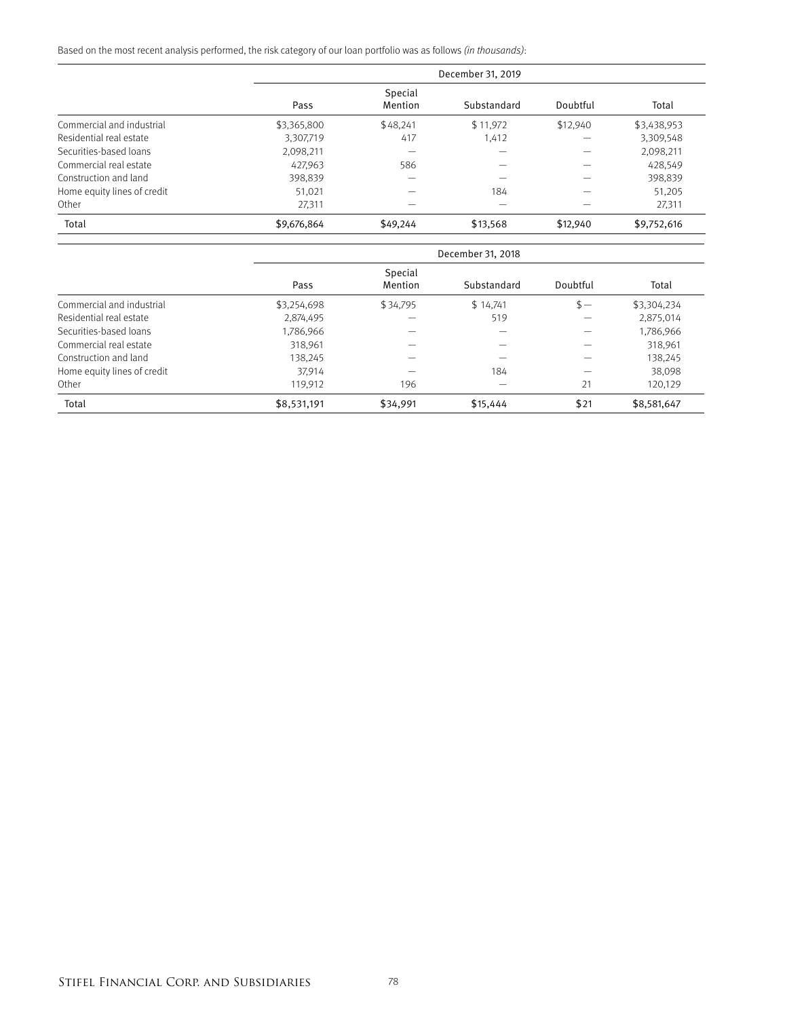Based on the most recent analysis performed, the risk category of our loan portfolio was as follows (in thousands):

|                             | December 31, 2019 |                    |             |          |             |
|-----------------------------|-------------------|--------------------|-------------|----------|-------------|
|                             | Pass              | Special<br>Mention | Substandard | Doubtful | Total       |
| Commercial and industrial   | \$3,365,800       | \$48,241           | \$11,972    | \$12,940 | \$3,438,953 |
| Residential real estate     | 3,307,719         | 417                | 1,412       |          | 3,309,548   |
| Securities-based loans      | 2,098,211         |                    |             |          | 2,098,211   |
| Commercial real estate      | 427,963           | 586                |             |          | 428,549     |
| Construction and land       | 398,839           |                    |             |          | 398,839     |
| Home equity lines of credit | 51,021            |                    | 184         |          | 51,205      |
| Other                       | 27.311            |                    |             |          | 27,311      |
| Total                       | \$9,676,864       | \$49,244           | \$13,568    | \$12,940 | \$9,752,616 |

|                             | December 31, 2018 |                    |             |          |             |
|-----------------------------|-------------------|--------------------|-------------|----------|-------------|
|                             | Pass              | Special<br>Mention | Substandard | Doubtful | Total       |
| Commercial and industrial   | \$3,254,698       | \$34,795           | \$14,741    | $$-$     | \$3,304,234 |
| Residential real estate     | 2,874,495         |                    | 519         |          | 2,875,014   |
| Securities-based loans      | 1,786,966         |                    |             |          | 1,786,966   |
| Commercial real estate      | 318,961           |                    |             |          | 318,961     |
| Construction and land       | 138,245           |                    |             |          | 138,245     |
| Home equity lines of credit | 37.914            |                    | 184         |          | 38,098      |
| Other                       | 119.912           | 196                | -           | 21       | 120,129     |
| Total                       | \$8,531,191       | \$34,991           | \$15,444    | \$21     | \$8,581,647 |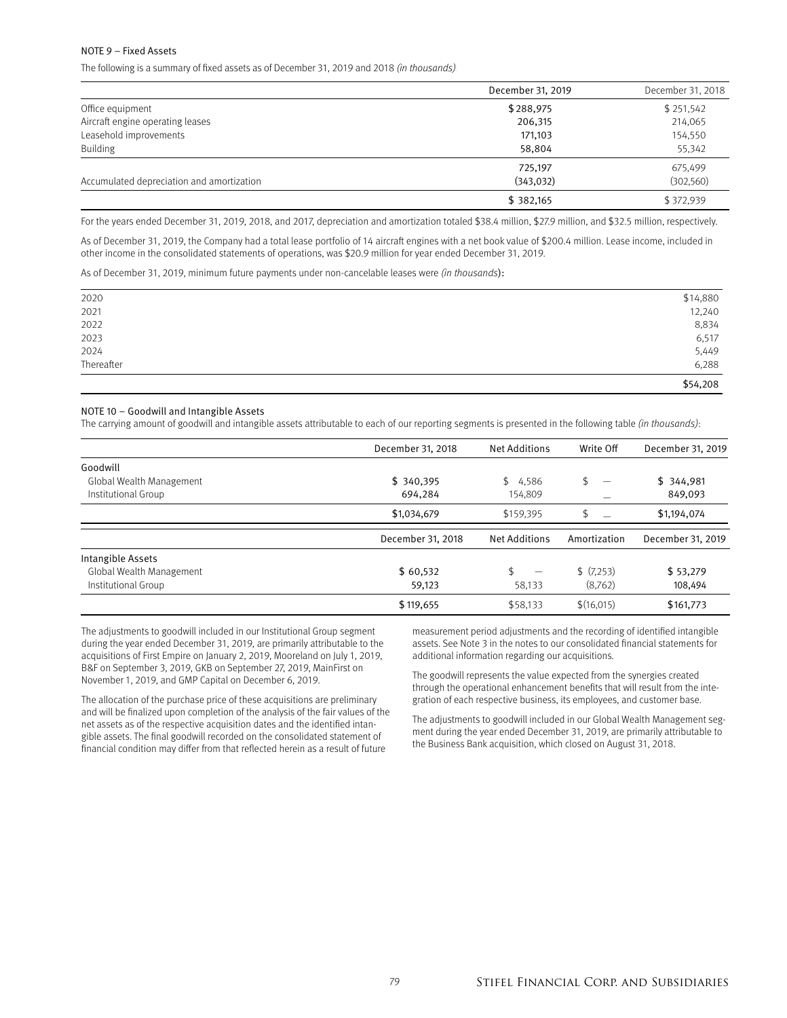# NOTE 9 – Fixed Assets

The following is a summary of fixed assets as of December 31, 2019 and 2018 (in thousands):

|                                           | December 31, 2019 | December 31, 2018 |
|-------------------------------------------|-------------------|-------------------|
| Office equipment                          | \$288,975         | \$251,542         |
| Aircraft engine operating leases          | 206,315           | 214,065           |
| Leasehold improvements                    | 171,103           | 154,550           |
| <b>Building</b>                           | 58,804            | 55,342            |
|                                           | 725,197           | 675,499           |
| Accumulated depreciation and amortization | (343,032)         | (302,560)         |
|                                           | \$382,165         | \$372,939         |

For the years ended December 31, 2019, 2018, and 2017, depreciation and amortization totaled \$38.4 million, \$27.9 million, and \$32.5 million, respectively.

As of December 31, 2019, the Company had a total lease portfolio of 14 aircraft engines with a net book value of \$200.4 million. Lease income, included in other income in the consolidated statements of operations, was \$20.9 million for year ended December 31, 2019.

As of December 31, 2019, minimum future payments under non-cancelable leases were (in thousands):

| 2020       | \$14,880 |
|------------|----------|
| 2021       | 12,240   |
| 2022       | 8,834    |
| 2023       | 6,517    |
| 2024       | 5,449    |
| Thereafter | 6,288    |
|            | \$54,208 |

#### NOTE 10 – Goodwill and Intangible Assets

The carrying amount of goodwill and intangible assets attributable to each of our reporting segments is presented in the following table (in thousands):

|                          | December 31, 2018 | <b>Net Additions</b>    | Write Off    | December 31, 2019 |
|--------------------------|-------------------|-------------------------|--------------|-------------------|
| Goodwill                 |                   |                         |              |                   |
| Global Wealth Management | \$ 340,395        | $\mathbb{S}^-$<br>4,586 | -            | \$ 344,981        |
| Institutional Group      | 694.284           | 154,809                 |              | 849,093           |
|                          | \$1,034,679       | \$159,395               | .D           | \$1,194,074       |
|                          | December 31, 2018 | Net Additions           | Amortization | December 31, 2019 |
| Intangible Assets        |                   |                         |              |                   |
| Global Wealth Management | \$60,532          | \$                      | \$(7,253)    | \$53,279          |
| Institutional Group      | 59,123            | 58,133                  | (8,762)      | 108,494           |
|                          | \$119,655         | \$58,133                | \$(16,015)   | \$161,773         |

The adjustments to goodwill included in our Institutional Group segment during the year ended December 31, 2019, are primarily attributable to the acquisitions of First Empire on January 2, 2019, Mooreland on July 1, 2019, B&F on September 3, 2019, GKB on September 27, 2019, MainFirst on November 1, 2019, and GMP Capital on December 6, 2019.

The allocation of the purchase price of these acquisitions are preliminary and will be finalized upon completion of the analysis of the fair values of the net assets as of the respective acquisition dates and the identified intangible assets. The final goodwill recorded on the consolidated statement of financial condition may differ from that reflected herein as a result of future

measurement period adjustments and the recording of identified intangible assets. See Note 3 in the notes to our consolidated financial statements for additional information regarding our acquisitions.

The goodwill represents the value expected from the synergies created through the operational enhancement benefits that will result from the integration of each respective business, its employees, and customer base.

The adjustments to goodwill included in our Global Wealth Management segment during the year ended December 31, 2019, are primarily attributable to the Business Bank acquisition, which closed on August 31, 2018.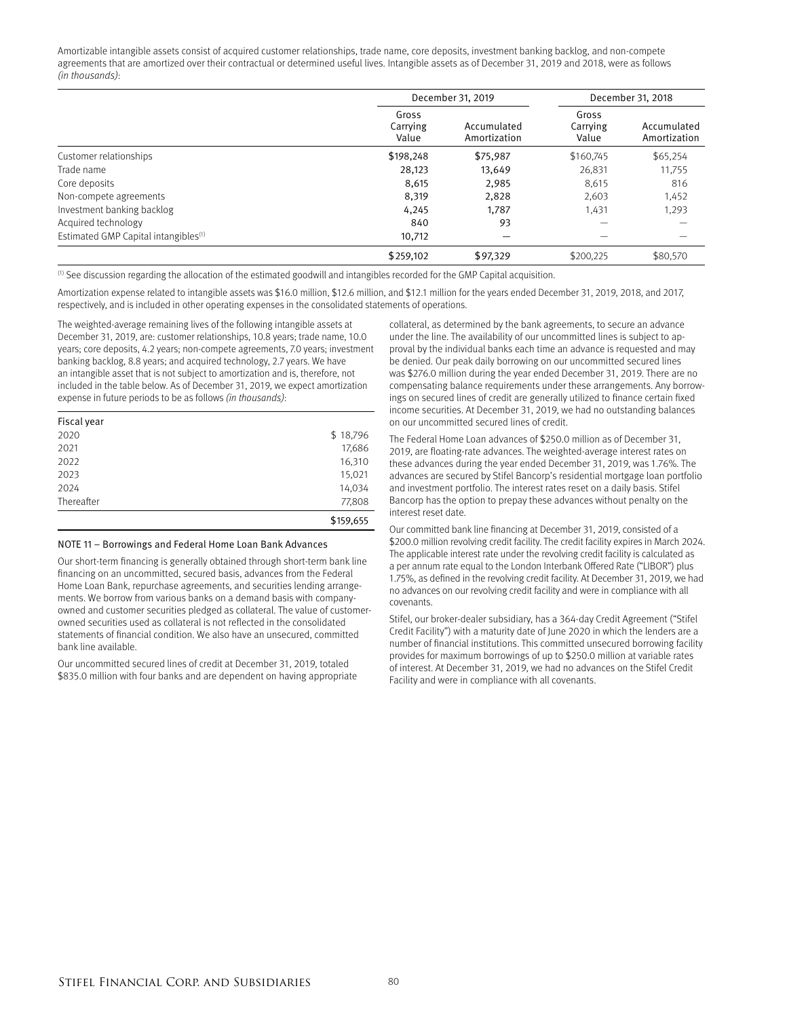Amortizable intangible assets consist of acquired customer relationships, trade name, core deposits, investment banking backlog, and non-compete agreements that are amortized over their contractual or determined useful lives. Intangible assets as of December 31, 2019 and 2018, were as follows (in thousands):

|                                                  | December 31, 2019          |                             | December 31, 2018          |                             |
|--------------------------------------------------|----------------------------|-----------------------------|----------------------------|-----------------------------|
|                                                  | Gross<br>Carrying<br>Value | Accumulated<br>Amortization | Gross<br>Carrying<br>Value | Accumulated<br>Amortization |
| Customer relationships                           | \$198,248                  | \$75,987                    | \$160,745                  | \$65,254                    |
| Trade name                                       | 28,123                     | 13,649                      | 26,831                     | 11,755                      |
| Core deposits                                    | 8,615                      | 2,985                       | 8,615                      | 816                         |
| Non-compete agreements                           | 8,319                      | 2,828                       | 2,603                      | 1,452                       |
| Investment banking backlog                       | 4,245                      | 1,787                       | 1,431                      | 1,293                       |
| Acquired technology                              | 840                        | 93                          |                            |                             |
| Estimated GMP Capital intangibles <sup>(1)</sup> | 10.712                     |                             |                            |                             |
|                                                  | \$259,102                  | \$97,329                    | \$200,225                  | \$80,570                    |

(1) See discussion regarding the allocation of the estimated goodwill and intangibles recorded for the GMP Capital acquisition.

Amortization expense related to intangible assets was \$16.0 million, \$12.6 million, and \$12.1 million for the years ended December 31, 2019, 2018, and 2017, respectively, and is included in other operating expenses in the consolidated statements of operations.

The weighted-average remaining lives of the following intangible assets at December 31, 2019, are: customer relationships, 10.8 years; trade name, 10.0 years; core deposits, 4.2 years; non-compete agreements, 7.0 years; investment banking backlog, 8.8 years; and acquired technology, 2.7 years. We have an intangible asset that is not subject to amortization and is, therefore, not included in the table below. As of December 31, 2019, we expect amortization expense in future periods to be as follows (in thousands):

| Fiscal year |           |
|-------------|-----------|
| 2020        | \$18,796  |
| 2021        | 17,686    |
| 2022        | 16,310    |
| 2023        | 15,021    |
| 2024        | 14,034    |
| Thereafter  | 77,808    |
|             | \$159,655 |

# NOTE 11 – Borrowings and Federal Home Loan Bank Advances

Our short-term financing is generally obtained through short-term bank line financing on an uncommitted, secured basis, advances from the Federal Home Loan Bank, repurchase agreements, and securities lending arrangements. We borrow from various banks on a demand basis with companyowned and customer securities pledged as collateral. The value of customerowned securities used as collateral is not reflected in the consolidated statements of financial condition. We also have an unsecured, committed bank line available.

Our uncommitted secured lines of credit at December 31, 2019, totaled \$835.0 million with four banks and are dependent on having appropriate

collateral, as determined by the bank agreements, to secure an advance under the line. The availability of our uncommitted lines is subject to approval by the individual banks each time an advance is requested and may be denied. Our peak daily borrowing on our uncommitted secured lines was \$276.0 million during the year ended December 31, 2019. There are no compensating balance requirements under these arrangements. Any borrowings on secured lines of credit are generally utilized to finance certain fixed income securities. At December 31, 2019, we had no outstanding balances on our uncommitted secured lines of credit.

The Federal Home Loan advances of \$250.0 million as of December 31, 2019, are floating-rate advances. The weighted-average interest rates on these advances during the year ended December 31, 2019, was 1.76%. The advances are secured by Stifel Bancorp's residential mortgage loan portfolio and investment portfolio. The interest rates reset on a daily basis. Stifel Bancorp has the option to prepay these advances without penalty on the interest reset date.

Our committed bank line financing at December 31, 2019, consisted of a \$200.0 million revolving credit facility. The credit facility expires in March 2024. The applicable interest rate under the revolving credit facility is calculated as a per annum rate equal to the London Interbank Offered Rate ("LIBOR") plus 1.75%, as defined in the revolving credit facility. At December 31, 2019, we had no advances on our revolving credit facility and were in compliance with all covenants.

Stifel, our broker-dealer subsidiary, has a 364-day Credit Agreement ("Stifel Credit Facility") with a maturity date of June 2020 in which the lenders are a number of financial institutions. This committed unsecured borrowing facility provides for maximum borrowings of up to \$250.0 million at variable rates of interest. At December 31, 2019, we had no advances on the Stifel Credit Facility and were in compliance with all covenants.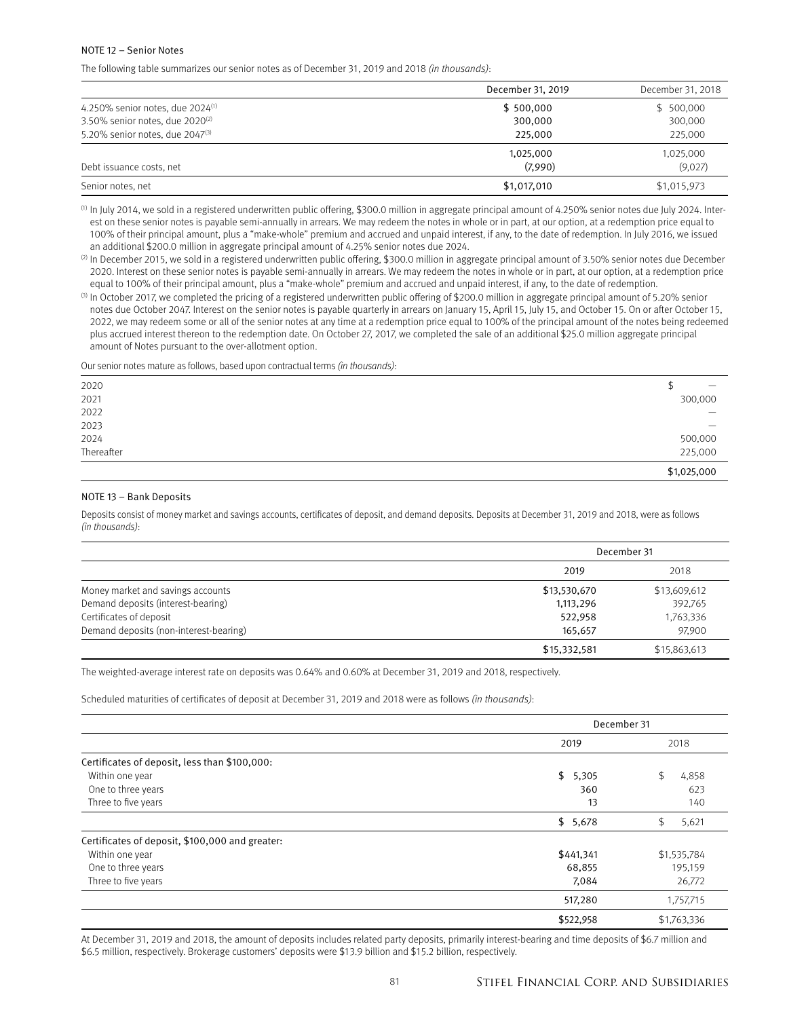### NOTE 12 – Senior Notes

The following table summarizes our senior notes as of December 31, 2019 and 2018 (in thousands):

|                                             | December 31, 2019 | December 31, 2018 |
|---------------------------------------------|-------------------|-------------------|
| 4.250% senior notes, due $2024^{(1)}$       | \$500,000         | \$500,000         |
| 3.50% senior notes, due $2020^{(2)}$        | 300,000           | 300,000           |
| 5.20% senior notes, due 2047 <sup>(3)</sup> | 225,000           | 225,000           |
|                                             | 1,025,000         | 1,025,000         |
| Debt issuance costs, net                    | (7,990)           | (9,027)           |
| Senior notes, net                           | \$1,017,010       | \$1,015,973       |

 $^{(1)}$  In July 2014, we sold in a registered underwritten public offering, \$300.0 million in aggregate principal amount of 4.250% senior notes due July 2024. Interest on these senior notes is payable semi-annually in arrears. We may redeem the notes in whole or in part, at our option, at a redemption price equal to 100% of their principal amount, plus a "make-whole" premium and accrued and unpaid interest, if any, to the date of redemption. In July 2016, we issued an additional \$200.0 million in aggregate principal amount of 4.25% senior notes due 2024.

 $^{(2)}$  In December 2015, we sold in a registered underwritten public offering, \$300.0 million in aggregate principal amount of 3.50% senior notes due December 2020. Interest on these senior notes is payable semi-annually in arrears. We may redeem the notes in whole or in part, at our option, at a redemption price equal to 100% of their principal amount, plus a "make-whole" premium and accrued and unpaid interest, if any, to the date of redemption.

(3) In October 2017, we completed the pricing of a registered underwritten public offering of \$200.0 million in aggregate principal amount of 5.20% senior notes due October 2047. Interest on the senior notes is payable quarterly in arrears on January 15, April 15, July 15, and October 15. On or after October 15, 2022, we may redeem some or all of the senior notes at any time at a redemption price equal to 100% of the principal amount of the notes being redeemed plus accrued interest thereon to the redemption date. On October 27, 2017, we completed the sale of an additional \$25.0 million aggregate principal amount of Notes pursuant to the over-allotment option.

Our senior notes mature as follows, based upon contractual terms (in thousands):

|                    | \$1,025,000        |
|--------------------|--------------------|
|                    |                    |
| 2024<br>Thereafter | 500,000<br>225,000 |
| 2023               |                    |
| 2022               | $\sim$             |
| 2021               | 300,000            |
| 2020               |                    |

# NOTE 13 – Bank Deposits

Deposits consist of money market and savings accounts, certificates of deposit, and demand deposits. Deposits at December 31, 2019 and 2018, were as follows (in thousands):

|                                        | December 31  |              |
|----------------------------------------|--------------|--------------|
|                                        | 2019         | 2018         |
| Money market and savings accounts      | \$13,530,670 | \$13,609,612 |
| Demand deposits (interest-bearing)     | 1,113,296    | 392,765      |
| Certificates of deposit                | 522,958      | 1,763,336    |
| Demand deposits (non-interest-bearing) | 165.657      | 97.900       |
|                                        | \$15,332,581 | \$15,863,613 |

The weighted-average interest rate on deposits was 0.64% and 0.60% at December 31, 2019 and 2018, respectively.

Scheduled maturities of certificates of deposit at December 31, 2019 and 2018 were as follows (in thousands):

|                                                 | December 31 |             |
|-------------------------------------------------|-------------|-------------|
|                                                 | 2019        | 2018        |
| Certificates of deposit, less than \$100,000:   |             |             |
| Within one year                                 | \$5,305     | \$<br>4,858 |
| One to three years                              | 360         | 623         |
| Three to five years                             | 13          | 140         |
|                                                 | \$5,678     | 5,621<br>\$ |
| Certificates of deposit, \$100,000 and greater: |             |             |
| Within one year                                 | \$441,341   | \$1,535,784 |
| One to three years                              | 68,855      | 195,159     |
| Three to five years                             | 7,084       | 26,772      |
|                                                 | 517,280     | 1,757,715   |
|                                                 | \$522,958   | \$1,763,336 |

At December 31, 2019 and 2018, the amount of deposits includes related party deposits, primarily interest-bearing and time deposits of \$6.7 million and \$6.5 million, respectively. Brokerage customers' deposits were \$13.9 billion and \$15.2 billion, respectively.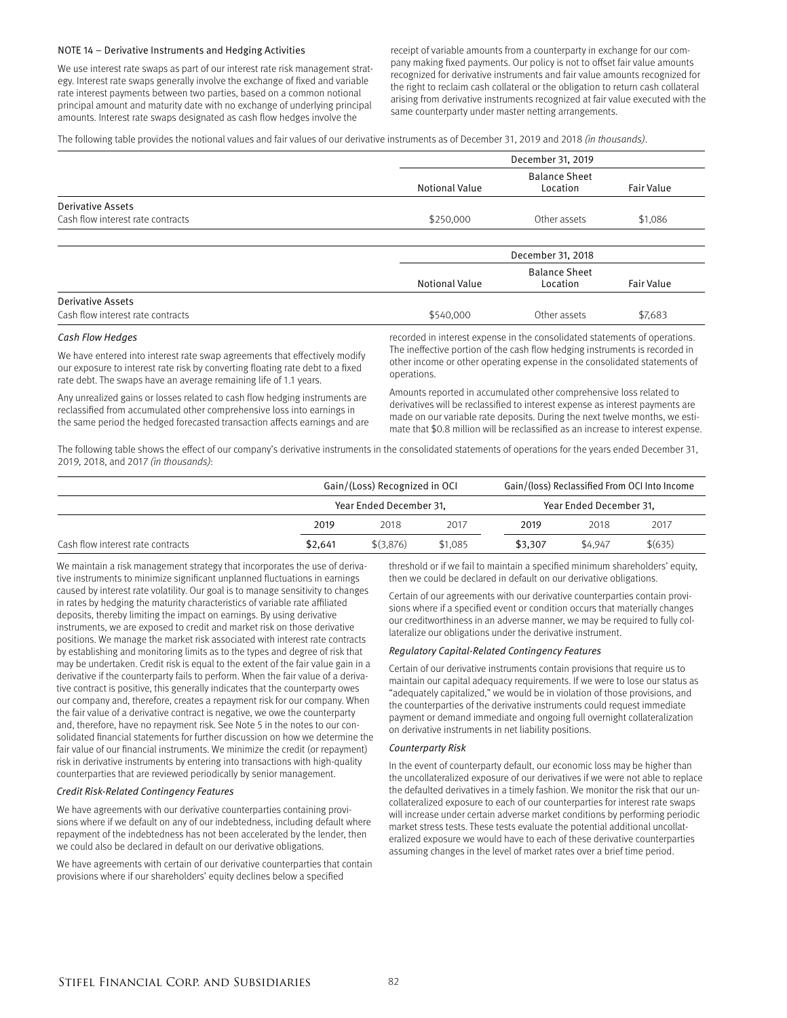#### NOTE 14 – Derivative Instruments and Hedging Activities

We use interest rate swaps as part of our interest rate risk management strategy. Interest rate swaps generally involve the exchange of fixed and variable rate interest payments between two parties, based on a common notional principal amount and maturity date with no exchange of underlying principal amounts. Interest rate swaps designated as cash flow hedges involve the

receipt of variable amounts from a counterparty in exchange for our company making fixed payments. Our policy is not to offset fair value amounts recognized for derivative instruments and fair value amounts recognized for the right to reclaim cash collateral or the obligation to return cash collateral arising from derivative instruments recognized at fair value executed with the same counterparty under master netting arrangements.

The following table provides the notional values and fair values of our derivative instruments as of December 31, 2019 and 2018 (in thousands).

|                                   | December 31, 2019     |                                  |                   |
|-----------------------------------|-----------------------|----------------------------------|-------------------|
|                                   | <b>Notional Value</b> | <b>Balance Sheet</b><br>Location | <b>Fair Value</b> |
| <b>Derivative Assets</b>          |                       |                                  |                   |
| Cash flow interest rate contracts | \$250,000             | Other assets                     | \$1,086           |
|                                   |                       |                                  |                   |
|                                   |                       | December 31, 2018                |                   |
|                                   | <b>Notional Value</b> | <b>Balance Sheet</b><br>Location | <b>Fair Value</b> |
| Derivative Assets                 |                       |                                  |                   |
| Cash flow interest rate contracts | \$540,000             | Other assets                     | \$7,683           |

#### Cash Flow Hedges

We have entered into interest rate swap agreements that effectively modify our exposure to interest rate risk by converting floating rate debt to a fixed rate debt. The swaps have an average remaining life of 1.1 years.

Any unrealized gains or losses related to cash flow hedging instruments are reclassified from accumulated other comprehensive loss into earnings in the same period the hedged forecasted transaction affects earnings and are

recorded in interest expense in the consolidated statements of operations. The ineffective portion of the cash flow hedging instruments is recorded in other income or other operating expense in the consolidated statements of operations.

Amounts reported in accumulated other comprehensive loss related to derivatives will be reclassified to interest expense as interest payments are made on our variable rate deposits. During the next twelve months, we estimate that \$0.8 million will be reclassified as an increase to interest expense.

The following table shows the effect of our company's derivative instruments in the consolidated statements of operations for the years ended December 31, 2019, 2018, and 2017 (in thousands):

|                                   |         | Gain/(Loss) Recognized in OCI |         | Gain/(loss) Reclassified From OCI Into Income |         |         |  |
|-----------------------------------|---------|-------------------------------|---------|-----------------------------------------------|---------|---------|--|
|                                   |         | Year Ended December 31,       |         | Year Ended December 31,                       |         |         |  |
|                                   | 2019    | 2018                          | 2017    | 2019                                          | 2018    | 2017    |  |
| Cash flow interest rate contracts | \$2.641 | $$$ (3,876)                   | \$1,085 | \$3,307                                       | \$4.947 | \$(635) |  |

We maintain a risk management strategy that incorporates the use of derivative instruments to minimize significant unplanned fluctuations in earnings caused by interest rate volatility. Our goal is to manage sensitivity to changes in rates by hedging the maturity characteristics of variable rate affiliated deposits, thereby limiting the impact on earnings. By using derivative instruments, we are exposed to credit and market risk on those derivative positions. We manage the market risk associated with interest rate contracts by establishing and monitoring limits as to the types and degree of risk that may be undertaken. Credit risk is equal to the extent of the fair value gain in a derivative if the counterparty fails to perform. When the fair value of a derivative contract is positive, this generally indicates that the counterparty owes our company and, therefore, creates a repayment risk for our company. When the fair value of a derivative contract is negative, we owe the counterparty and, therefore, have no repayment risk. See Note 5 in the notes to our consolidated financial statements for further discussion on how we determine the fair value of our financial instruments. We minimize the credit (or repayment) risk in derivative instruments by entering into transactions with high-quality counterparties that are reviewed periodically by senior management.

#### Credit Risk-Related Contingency Features

We have agreements with our derivative counterparties containing provisions where if we default on any of our indebtedness, including default where repayment of the indebtedness has not been accelerated by the lender, then we could also be declared in default on our derivative obligations.

We have agreements with certain of our derivative counterparties that contain provisions where if our shareholders' equity declines below a specified

threshold or if we fail to maintain a specified minimum shareholders' equity, then we could be declared in default on our derivative obligations.

Certain of our agreements with our derivative counterparties contain provisions where if a specified event or condition occurs that materially changes our creditworthiness in an adverse manner, we may be required to fully collateralize our obligations under the derivative instrument.

#### Regulatory Capital-Related Contingency Features

Certain of our derivative instruments contain provisions that require us to maintain our capital adequacy requirements. If we were to lose our status as "adequately capitalized," we would be in violation of those provisions, and the counterparties of the derivative instruments could request immediate payment or demand immediate and ongoing full overnight collateralization on derivative instruments in net liability positions.

#### Counterparty Risk

In the event of counterparty default, our economic loss may be higher than the uncollateralized exposure of our derivatives if we were not able to replace the defaulted derivatives in a timely fashion. We monitor the risk that our uncollateralized exposure to each of our counterparties for interest rate swaps will increase under certain adverse market conditions by performing periodic market stress tests. These tests evaluate the potential additional uncollateralized exposure we would have to each of these derivative counterparties assuming changes in the level of market rates over a brief time period.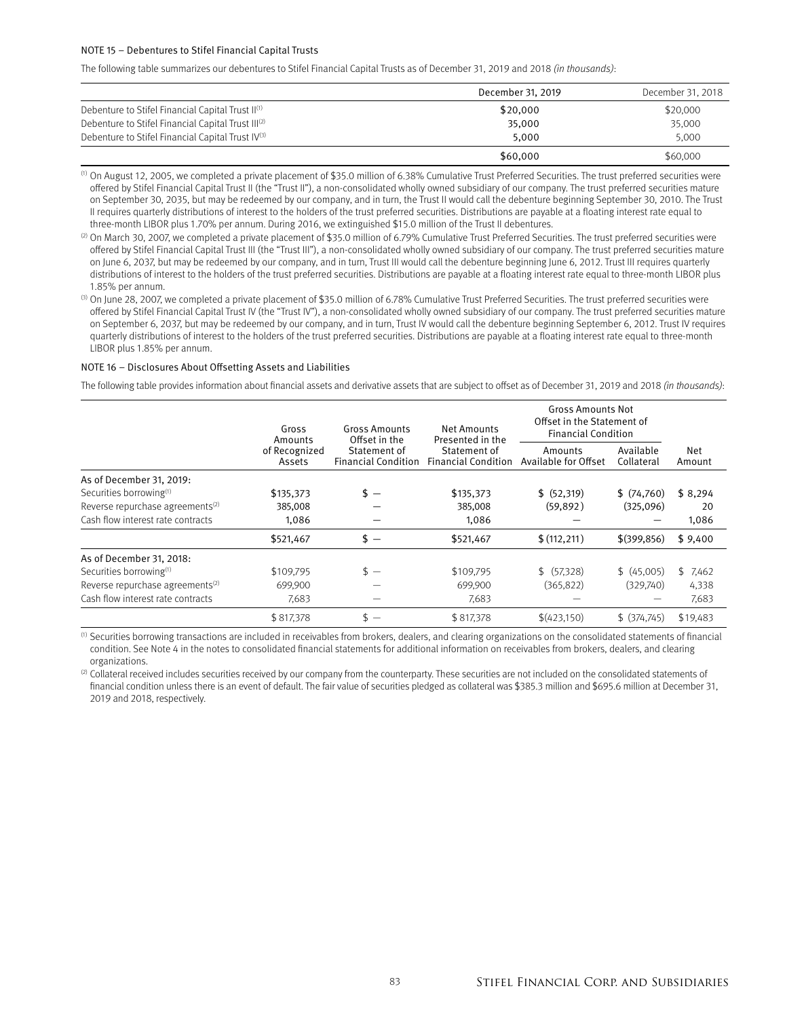# NOTE 15 – Debentures to Stifel Financial Capital Trusts

The following table summarizes our debentures to Stifel Financial Capital Trusts as of December 31, 2019 and 2018 (in thousands):

|                                                                | December 31, 2019 | December 31, 2018 |
|----------------------------------------------------------------|-------------------|-------------------|
| Debenture to Stifel Financial Capital Trust II <sup>(1)</sup>  | \$20,000          | \$20,000          |
| Debenture to Stifel Financial Capital Trust III <sup>(2)</sup> | 35,000            | 35,000            |
| Debenture to Stifel Financial Capital Trust IV(3)              | 5.000             | 5.000             |
|                                                                | \$60,000          | \$60,000          |

<sup>(1)</sup> On August 12, 2005, we completed a private placement of \$35.0 million of 6.38% Cumulative Trust Preferred Securities. The trust preferred securities were offered by Stifel Financial Capital Trust II (the "Trust II"), a non-consolidated wholly owned subsidiary of our company. The trust preferred securities mature on September 30, 2035, but may be redeemed by our company, and in turn, the Trust II would call the debenture beginning September 30, 2010. The Trust II requires quarterly distributions of interest to the holders of the trust preferred securities. Distributions are payable at a floating interest rate equal to three-month LIBOR plus 1.70% per annum. During 2016, we extinguished \$15.0 million of the Trust II debentures.

 $^{(2)}$  On March 30, 2007, we completed a private placement of \$35.0 million of 6.79% Cumulative Trust Preferred Securities. The trust preferred securities were offered by Stifel Financial Capital Trust III (the "Trust III"), a non-consolidated wholly owned subsidiary of our company. The trust preferred securities mature on June 6, 2037, but may be redeemed by our company, and in turn, Trust III would call the debenture beginning June 6, 2012. Trust III requires quarterly distributions of interest to the holders of the trust preferred securities. Distributions are payable at a floating interest rate equal to three-month LIBOR plus 1.85% per annum.

(3) On June 28, 2007, we completed a private placement of \$35.0 million of 6.78% Cumulative Trust Preferred Securities. The trust preferred securities were offered by Stifel Financial Capital Trust IV (the "Trust IV"), a non-consolidated wholly owned subsidiary of our company. The trust preferred securities mature on September 6, 2037, but may be redeemed by our company, and in turn, Trust IV would call the debenture beginning September 6, 2012. Trust IV requires quarterly distributions of interest to the holders of the trust preferred securities. Distributions are payable at a floating interest rate equal to three-month LIBOR plus 1.85% per annum.

# NOTE 16 – Disclosures About Offsetting Assets and Liabilities

The following table provides information about financial assets and derivative assets that are subject to offset as of December 31, 2019 and 2018 (in thousands):

|                                              | Gross<br>Amounts        | <b>Gross Amounts</b><br>Offset in the      | Net Amounts<br>Presented in the            | <b>Gross Amounts Not</b><br>Offset in the Statement of<br><b>Financial Condition</b> |                         |               |
|----------------------------------------------|-------------------------|--------------------------------------------|--------------------------------------------|--------------------------------------------------------------------------------------|-------------------------|---------------|
|                                              | of Recognized<br>Assets | Statement of<br><b>Financial Condition</b> | Statement of<br><b>Financial Condition</b> | Amounts<br>Available for Offset                                                      | Available<br>Collateral | Net<br>Amount |
| As of December 31, 2019:                     |                         |                                            |                                            |                                                                                      |                         |               |
| Securities borrowing <sup>(1)</sup>          | \$135,373               | $s -$                                      | \$135,373                                  | \$ (52,319)                                                                          | \$(74,760)              | \$8,294       |
| Reverse repurchase agreements <sup>(2)</sup> | 385,008                 |                                            | 385,008                                    | (59, 892)                                                                            | (325,096)               | 20            |
| Cash flow interest rate contracts            | 1,086                   |                                            | 1,086                                      |                                                                                      |                         | 1,086         |
|                                              | \$521,467               | $s -$                                      | \$521,467                                  | \$(112,211)                                                                          | $$$ (399,856)           | \$9,400       |
| As of December 31, 2018:                     |                         |                                            |                                            |                                                                                      |                         |               |
| Securities borrowing <sup>(1)</sup>          | \$109,795               | $\frac{1}{2}$                              | \$109,795                                  | \$ (57,328)                                                                          | \$(45,005)              | \$.<br>7,462  |
| Reverse repurchase agreements <sup>(2)</sup> | 699.900                 |                                            | 699.900                                    | (365, 822)                                                                           | (329.740)               | 4,338         |
| Cash flow interest rate contracts            | 7,683                   |                                            | 7,683                                      |                                                                                      |                         | 7,683         |
|                                              | \$817,378               | $s -$                                      | \$817,378                                  | \$(423,150)                                                                          | \$ (374,745)            | \$19,483      |

 $<sup>(1)</sup>$  Securities borrowing transactions are included in receivables from brokers, dealers, and clearing organizations on the consolidated statements of financial</sup> condition. See Note 4 in the notes to consolidated financial statements for additional information on receivables from brokers, dealers, and clearing organizations.

 $\alpha$  Collateral received includes securities received by our company from the counterparty. These securities are not included on the consolidated statements of financial condition unless there is an event of default. The fair value of securities pledged as collateral was \$385.3 million and \$695.6 million at December 31, 2019 and 2018, respectively.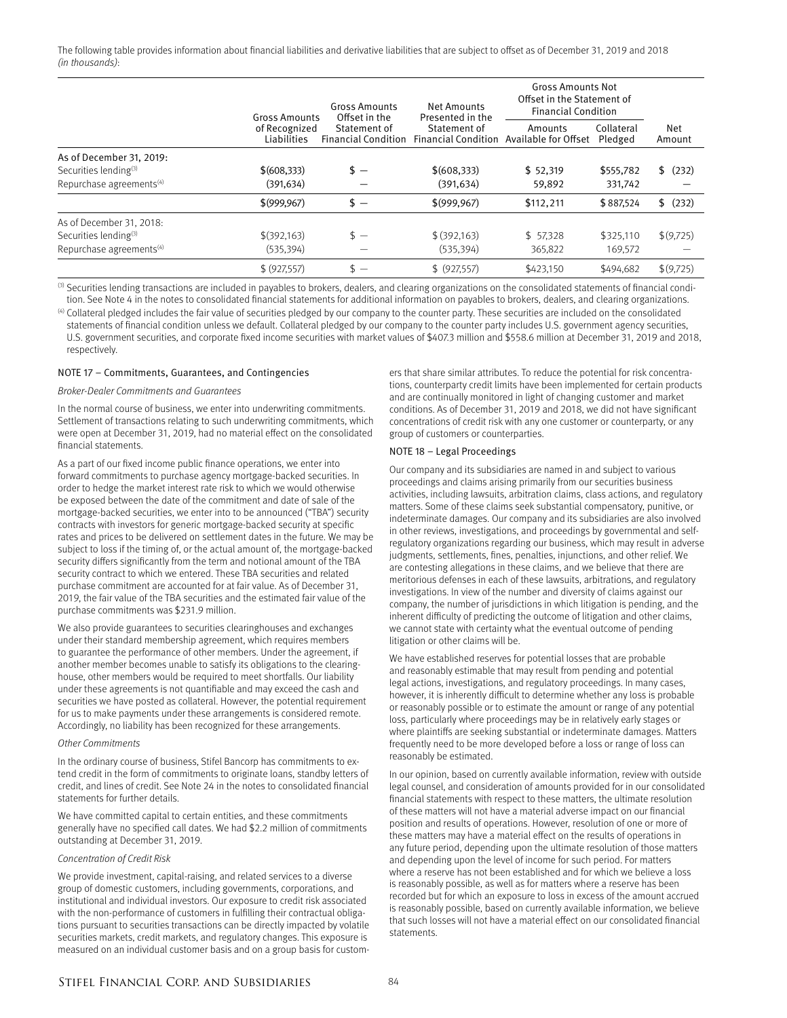The following table provides information about financial liabilities and derivative liabilities that are subject to offset as of December 31, 2019 and 2018 (in thousands):

|                                      | <b>Gross Amounts</b>         | <b>Gross Amounts</b><br>Offset in the      | Net Amounts<br>Presented in the            | <b>Gross Amounts Not</b><br>Offset in the Statement of<br><b>Financial Condition</b> |                       |               |
|--------------------------------------|------------------------------|--------------------------------------------|--------------------------------------------|--------------------------------------------------------------------------------------|-----------------------|---------------|
|                                      | of Recognized<br>Liabilities | Statement of<br><b>Financial Condition</b> | Statement of<br><b>Financial Condition</b> | Amounts<br>Available for Offset                                                      | Collateral<br>Pledged | Net<br>Amount |
| As of December 31, 2019:             |                              |                                            |                                            |                                                                                      |                       |               |
| Securities lending <sup>(3)</sup>    | \$ (608,333)                 | $s -$                                      | \$(608, 333)                               | \$52,319                                                                             | \$555,782             | \$ (232)      |
| Repurchase agreements <sup>(4)</sup> | (391, 634)                   |                                            | (391, 634)                                 | 59,892                                                                               | 331,742               |               |
|                                      | \$ (999, 967)                | $$ -$                                      | \$(999, 967)                               | \$112.211                                                                            | \$887,524             | \$ (232)      |
| As of December 31, 2018:             |                              |                                            |                                            |                                                                                      |                       |               |
| Securities lending $(3)$             | $$$ (392,163)                | $$ -$                                      | \$ (392,163)                               | \$57.328                                                                             | \$325,110             | \$(9,725)     |
| Repurchase agreements <sup>(4)</sup> | (535, 394)                   |                                            | (535, 394)                                 | 365,822                                                                              | 169,572               |               |
|                                      | \$ (927,557)                 | $s -$                                      | \$ (927,557)                               | \$423,150                                                                            | \$494.682             | \$(9,725)     |

(3) Securities lending transactions are included in payables to brokers, dealers, and clearing organizations on the consolidated statements of financial condition. See Note 4 in the notes to consolidated financial statements for additional information on payables to brokers, dealers, and clearing organizations.

<sup>(4)</sup> Collateral pledged includes the fair value of securities pledged by our company to the counter party. These securities are included on the consolidated statements of financial condition unless we default. Collateral pledged by our company to the counter party includes U.S. government agency securities, U.S. government securities, and corporate fixed income securities with market values of \$407.3 million and \$558.6 million at December 31, 2019 and 2018, respectively.

#### NOTE 17 – Commitments, Guarantees, and Contingencies

Broker-Dealer Commitments and Guarantees

In the normal course of business, we enter into underwriting commitments. Settlement of transactions relating to such underwriting commitments, which were open at December 31, 2019, had no material effect on the consolidated financial statements.

As a part of our fixed income public finance operations, we enter into forward commitments to purchase agency mortgage-backed securities. In order to hedge the market interest rate risk to which we would otherwise be exposed between the date of the commitment and date of sale of the mortgage-backed securities, we enter into to be announced ("TBA") security contracts with investors for generic mortgage-backed security at specific rates and prices to be delivered on settlement dates in the future. We may be subject to loss if the timing of, or the actual amount of, the mortgage-backed security differs significantly from the term and notional amount of the TBA security contract to which we entered. These TBA securities and related purchase commitment are accounted for at fair value. As of December 31, 2019, the fair value of the TBA securities and the estimated fair value of the purchase commitments was \$231.9 million.

We also provide guarantees to securities clearinghouses and exchanges under their standard membership agreement, which requires members to guarantee the performance of other members. Under the agreement, if another member becomes unable to satisfy its obligations to the clearinghouse, other members would be required to meet shortfalls. Our liability under these agreements is not quantifiable and may exceed the cash and securities we have posted as collateral. However, the potential requirement for us to make payments under these arrangements is considered remote. Accordingly, no liability has been recognized for these arrangements.

#### Other Commitments

In the ordinary course of business, Stifel Bancorp has commitments to extend credit in the form of commitments to originate loans, standby letters of credit, and lines of credit. See Note 24 in the notes to consolidated financial statements for further details.

We have committed capital to certain entities, and these commitments generally have no specified call dates. We had \$2.2 million of commitments outstanding at December 31, 2019.

#### Concentration of Credit Risk

We provide investment, capital-raising, and related services to a diverse group of domestic customers, including governments, corporations, and institutional and individual investors. Our exposure to credit risk associated with the non-performance of customers in fulfilling their contractual obligations pursuant to securities transactions can be directly impacted by volatile securities markets, credit markets, and regulatory changes. This exposure is measured on an individual customer basis and on a group basis for custom-

ers that share similar attributes. To reduce the potential for risk concentrations, counterparty credit limits have been implemented for certain products and are continually monitored in light of changing customer and market conditions. As of December 31, 2019 and 2018, we did not have significant concentrations of credit risk with any one customer or counterparty, or any group of customers or counterparties.

#### NOTE 18 – Legal Proceedings

Our company and its subsidiaries are named in and subject to various proceedings and claims arising primarily from our securities business activities, including lawsuits, arbitration claims, class actions, and regulatory matters. Some of these claims seek substantial compensatory, punitive, or indeterminate damages. Our company and its subsidiaries are also involved in other reviews, investigations, and proceedings by governmental and selfregulatory organizations regarding our business, which may result in adverse judgments, settlements, fines, penalties, injunctions, and other relief. We are contesting allegations in these claims, and we believe that there are meritorious defenses in each of these lawsuits, arbitrations, and regulatory investigations. In view of the number and diversity of claims against our company, the number of jurisdictions in which litigation is pending, and the inherent difficulty of predicting the outcome of litigation and other claims, we cannot state with certainty what the eventual outcome of pending litigation or other claims will be.

We have established reserves for potential losses that are probable and reasonably estimable that may result from pending and potential legal actions, investigations, and regulatory proceedings. In many cases, however, it is inherently difficult to determine whether any loss is probable or reasonably possible or to estimate the amount or range of any potential loss, particularly where proceedings may be in relatively early stages or where plaintiffs are seeking substantial or indeterminate damages. Matters frequently need to be more developed before a loss or range of loss can reasonably be estimated.

In our opinion, based on currently available information, review with outside legal counsel, and consideration of amounts provided for in our consolidated financial statements with respect to these matters, the ultimate resolution of these matters will not have a material adverse impact on our financial position and results of operations. However, resolution of one or more of these matters may have a material effect on the results of operations in any future period, depending upon the ultimate resolution of those matters and depending upon the level of income for such period. For matters where a reserve has not been established and for which we believe a loss is reasonably possible, as well as for matters where a reserve has been recorded but for which an exposure to loss in excess of the amount accrued is reasonably possible, based on currently available information, we believe that such losses will not have a material effect on our consolidated financial statements.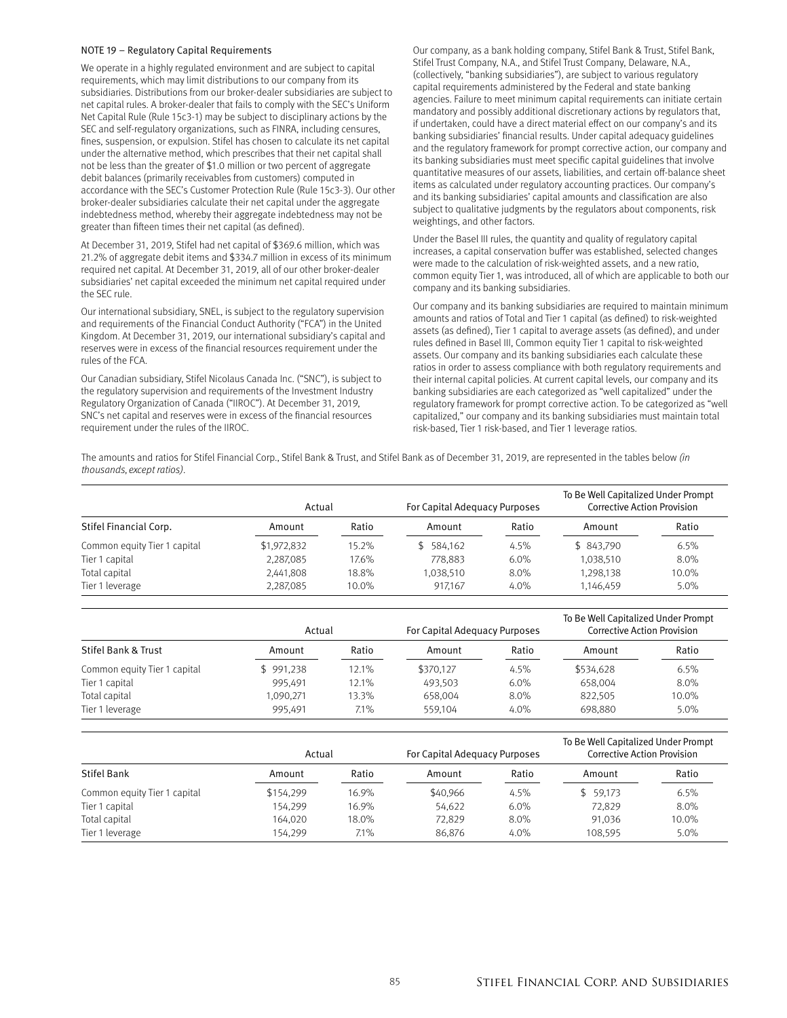#### NOTE 19 – Regulatory Capital Requirements

We operate in a highly regulated environment and are subject to capital requirements, which may limit distributions to our company from its subsidiaries. Distributions from our broker-dealer subsidiaries are subject to net capital rules. A broker-dealer that fails to comply with the SEC's Uniform Net Capital Rule (Rule 15c3-1) may be subject to disciplinary actions by the SEC and self-regulatory organizations, such as FINRA, including censures, fines, suspension, or expulsion. Stifel has chosen to calculate its net capital under the alternative method, which prescribes that their net capital shall not be less than the greater of \$1.0 million or two percent of aggregate debit balances (primarily receivables from customers) computed in accordance with the SEC's Customer Protection Rule (Rule 15c3-3). Our other broker-dealer subsidiaries calculate their net capital under the aggregate indebtedness method, whereby their aggregate indebtedness may not be greater than fifteen times their net capital (as defined).

At December 31, 2019, Stifel had net capital of \$369.6 million, which was 21.2% of aggregate debit items and \$334.7 million in excess of its minimum required net capital. At December 31, 2019, all of our other broker-dealer subsidiaries' net capital exceeded the minimum net capital required under the SEC rule.

Our international subsidiary, SNEL, is subject to the regulatory supervision and requirements of the Financial Conduct Authority ("FCA") in the United Kingdom. At December 31, 2019, our international subsidiary's capital and reserves were in excess of the financial resources requirement under the rules of the FCA.

Our Canadian subsidiary, Stifel Nicolaus Canada Inc. ("SNC"), is subject to the regulatory supervision and requirements of the Investment Industry Regulatory Organization of Canada ("IIROC"). At December 31, 2019, SNC's net capital and reserves were in excess of the financial resources requirement under the rules of the IIROC.

Our company, as a bank holding company, Stifel Bank & Trust, Stifel Bank, Stifel Trust Company, N.A., and Stifel Trust Company, Delaware, N.A., (collectively, "banking subsidiaries"), are subject to various regulatory capital requirements administered by the Federal and state banking agencies. Failure to meet minimum capital requirements can initiate certain mandatory and possibly additional discretionary actions by regulators that, if undertaken, could have a direct material effect on our company's and its banking subsidiaries' financial results. Under capital adequacy guidelines and the regulatory framework for prompt corrective action, our company and its banking subsidiaries must meet specific capital guidelines that involve quantitative measures of our assets, liabilities, and certain off-balance sheet items as calculated under regulatory accounting practices. Our company's and its banking subsidiaries' capital amounts and classification are also subject to qualitative judgments by the regulators about components, risk weightings, and other factors.

Under the Basel III rules, the quantity and quality of regulatory capital increases, a capital conservation buffer was established, selected changes were made to the calculation of risk-weighted assets, and a new ratio, common equity Tier 1, was introduced, all of which are applicable to both our company and its banking subsidiaries.

Our company and its banking subsidiaries are required to maintain minimum amounts and ratios of Total and Tier 1 capital (as defined) to risk-weighted assets (as defined), Tier 1 capital to average assets (as defined), and under rules defined in Basel III, Common equity Tier 1 capital to risk-weighted assets. Our company and its banking subsidiaries each calculate these ratios in order to assess compliance with both regulatory requirements and their internal capital policies. At current capital levels, our company and its banking subsidiaries are each categorized as "well capitalized" under the regulatory framework for prompt corrective action. To be categorized as "well capitalized," our company and its banking subsidiaries must maintain total risk-based, Tier 1 risk-based, and Tier 1 leverage ratios.

The amounts and ratios for Stifel Financial Corp., Stifel Bank & Trust, and Stifel Bank as of December 31, 2019, are represented in the tables below (in thousands, except ratios).

|                              | Actual      |          | For Capital Adequacy Purposes |       | To Be Well Capitalized Under Prompt<br><b>Corrective Action Provision</b> |       |
|------------------------------|-------------|----------|-------------------------------|-------|---------------------------------------------------------------------------|-------|
| Stifel Financial Corp.       | Amount      | Ratio    | Amount                        | Ratio | Amount                                                                    | Ratio |
| Common equity Tier 1 capital | \$1,972,832 | 15.2%    | 584.162                       | 4.5%  | \$ 843,790                                                                | 6.5%  |
| Tier 1 capital               | 2.287.085   | 17.6%    | 778.883                       | 6.0%  | 1,038,510                                                                 | 8.0%  |
| Total capital                | 2,441,808   | 18.8%    | 1.038.510                     | 8.0%  | 1.298.138                                                                 | 10.0% |
| Tier 1 leverage              | 2.287.085   | $10.0\%$ | 917.167                       | 4.0%  | 1.146.459                                                                 | 5.0%  |

|                              | Actual    |       | For Capital Adequacy Purposes |       | To Be Well Capitalized Under Prompt<br><b>Corrective Action Provision</b> |       |
|------------------------------|-----------|-------|-------------------------------|-------|---------------------------------------------------------------------------|-------|
| Stifel Bank & Trust          | Amount    | Ratio | Amount                        | Ratio | Amount                                                                    | Ratio |
| Common equity Tier 1 capital | \$991.238 | 12.1% | \$370,127                     | 4.5%  | \$534,628                                                                 | 6.5%  |
| Tier 1 capital               | 995.491   | 12.1% | 493.503                       | 6.0%  | 658.004                                                                   | 8.0%  |
| Total capital                | 1.090.271 | 13.3% | 658.004                       | 8.0%  | 822.505                                                                   | 10.0% |
| Tier 1 leverage              | 995.491   | 7.1%  | 559.104                       | 4.0%  | 698.880                                                                   | 5.0%  |

|                              | Actual    |       | For Capital Adequacy Purposes |         | To Be Well Capitalized Under Prompt<br><b>Corrective Action Provision</b> |       |
|------------------------------|-----------|-------|-------------------------------|---------|---------------------------------------------------------------------------|-------|
| <b>Stifel Bank</b>           | Amount    | Ratio | Amount                        | Ratio   | Amount                                                                    | Ratio |
| Common equity Tier 1 capital | \$154,299 | 16.9% | \$40,966                      | 4.5%    | \$59,173                                                                  | 6.5%  |
| Tier 1 capital               | 154,299   | 16.9% | 54,622                        | 6.0%    | 72,829                                                                    | 8.0%  |
| Total capital                | 164.020   | 18.0% | 72.829                        | $8.0\%$ | 91.036                                                                    | 10.0% |
| Tier 1 leverage              | 154.299   | 7.1%  | 86.876                        | 4.0%    | 108.595                                                                   | 5.0%  |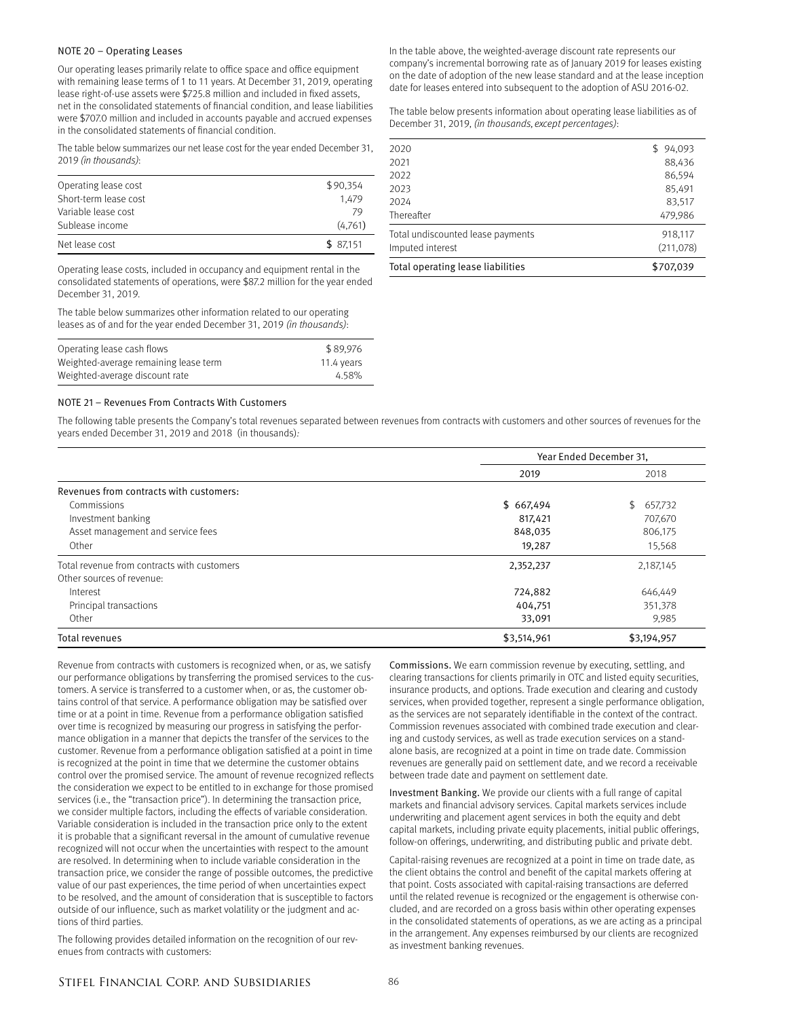# NOTE 20 – Operating Leases

Our operating leases primarily relate to office space and office equipment with remaining lease terms of 1 to 11 years. At December 31, 2019, operating lease right-of-use assets were \$725.8 million and included in fixed assets, net in the consolidated statements of financial condition, and lease liabilities were \$707.0 million and included in accounts payable and accrued expenses in the consolidated statements of financial condition.

The table below summarizes our net lease cost for the year ended December 31, 2019 (in thousands):

| Operating lease cost  | \$90,354 |
|-----------------------|----------|
| Short-term lease cost | 1.479    |
| Variable lease cost   | 79       |
| Sublease income       | (4.761)  |
| Net lease cost        | \$87,151 |

Operating lease costs, included in occupancy and equipment rental in the consolidated statements of operations, were \$87.2 million for the year ended December 31, 2019.

The table below summarizes other information related to our operating leases as of and for the year ended December 31, 2019 (in thousands):

| Operating lease cash flows            | \$89.976   |
|---------------------------------------|------------|
| Weighted-average remaining lease term | 11.4 years |
| Weighted-average discount rate        | 4.58%      |

# NOTE 21 – Revenues From Contracts With Customers

In the table above, the weighted-average discount rate represents our company's incremental borrowing rate as of January 2019 for leases existing on the date of adoption of the new lease standard and at the lease inception date for leases entered into subsequent to the adoption of ASU 2016-02.

The table below presents information about operating lease liabilities as of December 31, 2019, (in thousands, except percentages):

| \$707,039             |
|-----------------------|
| 918,117<br>(211, 078) |
| 479,986               |
| 83,517                |
| 85,491                |
| 86,594                |
| 88,436                |
| 94,093                |
|                       |

The following table presents the Company's total revenues separated between revenues from contracts with customers and other sources of revenues for the years ended December 31, 2019 and 2018 (in thousands):

|                                             |             | Year Ended December 31, |
|---------------------------------------------|-------------|-------------------------|
|                                             | 2019        | 2018                    |
| Revenues from contracts with customers:     |             |                         |
| Commissions                                 | \$667,494   | 657,732<br>S.           |
| Investment banking                          | 817,421     | 707,670                 |
| Asset management and service fees           | 848,035     | 806,175                 |
| Other                                       | 19,287      | 15,568                  |
| Total revenue from contracts with customers | 2,352,237   | 2,187,145               |
| Other sources of revenue:                   |             |                         |
| Interest                                    | 724,882     | 646,449                 |
| Principal transactions                      | 404,751     | 351,378                 |
| Other                                       | 33,091      | 9,985                   |
| Total revenues                              | \$3,514,961 | \$3,194,957             |

Revenue from contracts with customers is recognized when, or as, we satisfy our performance obligations by transferring the promised services to the customers. A service is transferred to a customer when, or as, the customer obtains control of that service. A performance obligation may be satisfied over time or at a point in time. Revenue from a performance obligation satisfied over time is recognized by measuring our progress in satisfying the performance obligation in a manner that depicts the transfer of the services to the customer. Revenue from a performance obligation satisfied at a point in time is recognized at the point in time that we determine the customer obtains control over the promised service. The amount of revenue recognized reflects the consideration we expect to be entitled to in exchange for those promised services (i.e., the "transaction price"). In determining the transaction price, we consider multiple factors, including the effects of variable consideration. Variable consideration is included in the transaction price only to the extent it is probable that a significant reversal in the amount of cumulative revenue recognized will not occur when the uncertainties with respect to the amount are resolved. In determining when to include variable consideration in the transaction price, we consider the range of possible outcomes, the predictive value of our past experiences, the time period of when uncertainties expect to be resolved, and the amount of consideration that is susceptible to factors outside of our influence, such as market volatility or the judgment and actions of third parties.

The following provides detailed information on the recognition of our revenues from contracts with customers:

Commissions. We earn commission revenue by executing, settling, and clearing transactions for clients primarily in OTC and listed equity securities, insurance products, and options. Trade execution and clearing and custody services, when provided together, represent a single performance obligation, as the services are not separately identifiable in the context of the contract. Commission revenues associated with combined trade execution and clearing and custody services, as well as trade execution services on a standalone basis, are recognized at a point in time on trade date. Commission revenues are generally paid on settlement date, and we record a receivable between trade date and payment on settlement date.

Investment Banking. We provide our clients with a full range of capital markets and financial advisory services. Capital markets services include underwriting and placement agent services in both the equity and debt capital markets, including private equity placements, initial public offerings, follow-on offerings, underwriting, and distributing public and private debt.

Capital-raising revenues are recognized at a point in time on trade date, as the client obtains the control and benefit of the capital markets offering at that point. Costs associated with capital-raising transactions are deferred until the related revenue is recognized or the engagement is otherwise concluded, and are recorded on a gross basis within other operating expenses in the consolidated statements of operations, as we are acting as a principal in the arrangement. Any expenses reimbursed by our clients are recognized as investment banking revenues.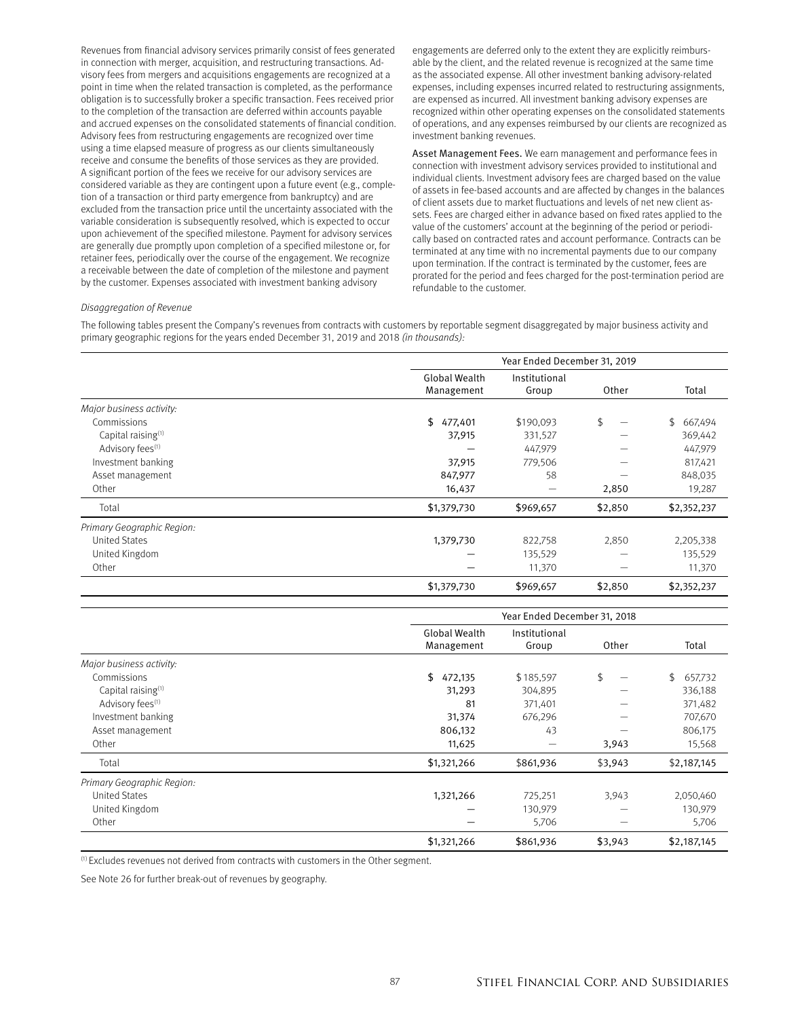Revenues from financial advisory services primarily consist of fees generated in connection with merger, acquisition, and restructuring transactions. Advisory fees from mergers and acquisitions engagements are recognized at a point in time when the related transaction is completed, as the performance obligation is to successfully broker a specific transaction. Fees received prior to the completion of the transaction are deferred within accounts payable and accrued expenses on the consolidated statements of financial condition. Advisory fees from restructuring engagements are recognized over time using a time elapsed measure of progress as our clients simultaneously receive and consume the benefits of those services as they are provided. A significant portion of the fees we receive for our advisory services are considered variable as they are contingent upon a future event (e.g., completion of a transaction or third party emergence from bankruptcy) and are excluded from the transaction price until the uncertainty associated with the variable consideration is subsequently resolved, which is expected to occur upon achievement of the specified milestone. Payment for advisory services are generally due promptly upon completion of a specified milestone or, for retainer fees, periodically over the course of the engagement. We recognize a receivable between the date of completion of the milestone and payment by the customer. Expenses associated with investment banking advisory

engagements are deferred only to the extent they are explicitly reimbursable by the client, and the related revenue is recognized at the same time as the associated expense. All other investment banking advisory-related expenses, including expenses incurred related to restructuring assignments, are expensed as incurred. All investment banking advisory expenses are recognized within other operating expenses on the consolidated statements of operations, and any expenses reimbursed by our clients are recognized as investment banking revenues.

Asset Management Fees. We earn management and performance fees in connection with investment advisory services provided to institutional and individual clients. Investment advisory fees are charged based on the value of assets in fee-based accounts and are affected by changes in the balances of client assets due to market fluctuations and levels of net new client assets. Fees are charged either in advance based on fixed rates applied to the value of the customers' account at the beginning of the period or periodically based on contracted rates and account performance. Contracts can be terminated at any time with no incremental payments due to our company upon termination. If the contract is terminated by the customer, fees are prorated for the period and fees charged for the post-termination period are refundable to the customer.

#### Disaggregation of Revenue

The following tables present the Company's revenues from contracts with customers by reportable segment disaggregated by major business activity and primary geographic regions for the years ended December 31, 2019 and 2018 (in thousands):

|                                | Year Ended December 31, 2019 |                        |         |                |
|--------------------------------|------------------------------|------------------------|---------|----------------|
|                                | Global Wealth<br>Management  | Institutional<br>Group | Other   | Total          |
| Major business activity:       |                              |                        |         |                |
| Commissions                    | \$<br>477,401                | \$190,093              | \$      | \$.<br>667,494 |
| Capital raising <sup>(1)</sup> | 37,915                       | 331,527                |         | 369,442        |
| Advisory fees <sup>(1)</sup>   |                              | 447,979                |         | 447,979        |
| Investment banking             | 37,915                       | 779,506                |         | 817,421        |
| Asset management               | 847,977                      | 58                     |         | 848,035        |
| Other                          | 16,437                       |                        | 2,850   | 19,287         |
| Total                          | \$1,379,730                  | \$969,657              | \$2,850 | \$2,352,237    |
| Primary Geographic Region:     |                              |                        |         |                |
| <b>United States</b>           | 1,379,730                    | 822,758                | 2,850   | 2,205,338      |
| United Kingdom                 |                              | 135,529                |         | 135,529        |
| Other                          |                              | 11,370                 |         | 11,370         |
|                                | \$1,379,730                  | \$969,657              | \$2,850 | \$2,352,237    |

|                                | Year Ended December 31, 2018       |                        |         |                |
|--------------------------------|------------------------------------|------------------------|---------|----------------|
|                                | <b>Global Wealth</b><br>Management | Institutional<br>Group | Other   | Total          |
| Major business activity:       |                                    |                        |         |                |
| Commissions                    | \$<br>472,135                      | \$185,597              | \$      | \$.<br>657,732 |
| Capital raising <sup>(1)</sup> | 31,293                             | 304,895                |         | 336,188        |
| Advisory fees <sup>(1)</sup>   | 81                                 | 371,401                |         | 371,482        |
| Investment banking             | 31,374                             | 676,296                |         | 707,670        |
| Asset management               | 806,132                            | 43                     |         | 806,175        |
| Other                          | 11,625                             |                        | 3,943   | 15,568         |
| Total                          | \$1,321,266                        | \$861,936              | \$3,943 | \$2,187,145    |
| Primary Geographic Region:     |                                    |                        |         |                |
| <b>United States</b>           | 1,321,266                          | 725,251                | 3,943   | 2,050,460      |
| United Kingdom                 |                                    | 130,979                |         | 130,979        |
| Other                          |                                    | 5,706                  |         | 5,706          |
|                                | \$1,321,266                        | \$861,936              | \$3,943 | \$2,187,145    |

(1) Excludes revenues not derived from contracts with customers in the Other segment.

See Note 26 for further break-out of revenues by geography.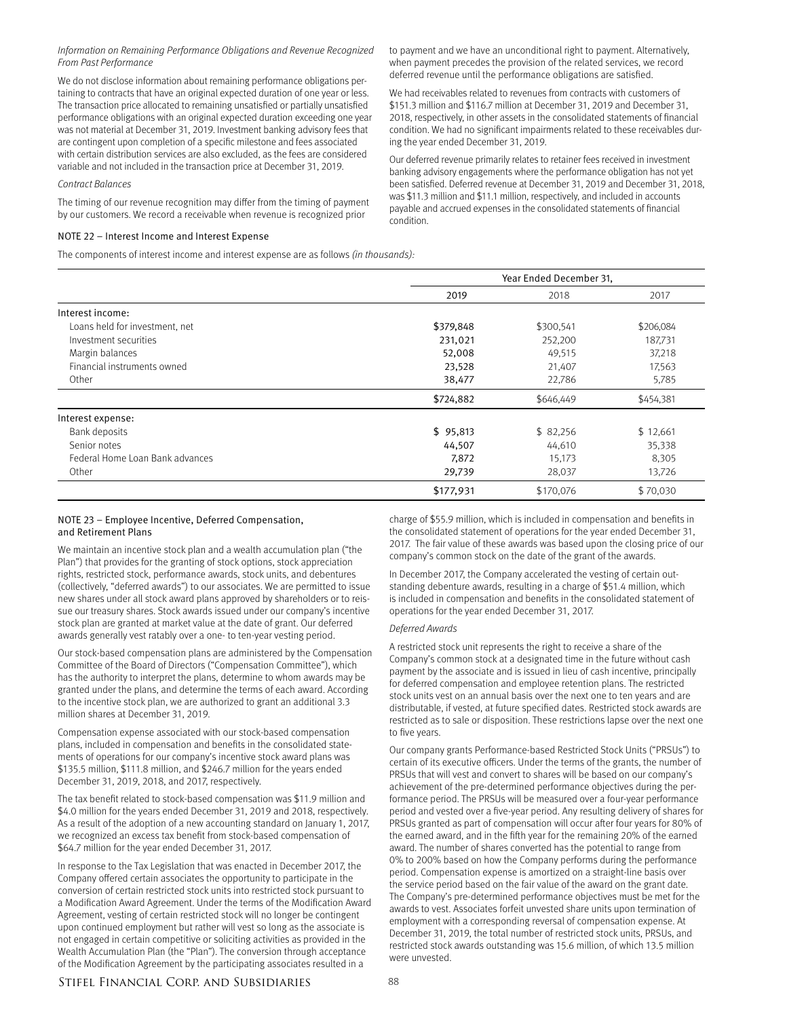Information on Remaining Performance Obligations and Revenue Recognized From Past Performance

We do not disclose information about remaining performance obligations pertaining to contracts that have an original expected duration of one year or less. The transaction price allocated to remaining unsatisfied or partially unsatisfied performance obligations with an original expected duration exceeding one year was not material at December 31, 2019. Investment banking advisory fees that are contingent upon completion of a specific milestone and fees associated with certain distribution services are also excluded, as the fees are considered variable and not included in the transaction price at December 31, 2019.

#### Contract Balances

The timing of our revenue recognition may differ from the timing of payment by our customers. We record a receivable when revenue is recognized prior

#### NOTE 22 – Interest Income and Interest Expense

The components of interest income and interest expense are as follows (in thousands):

to payment and we have an unconditional right to payment. Alternatively, when payment precedes the provision of the related services, we record deferred revenue until the performance obligations are satisfied.

We had receivables related to revenues from contracts with customers of \$151.3 million and \$116.7 million at December 31, 2019 and December 31, 2018, respectively, in other assets in the consolidated statements of financial condition. We had no significant impairments related to these receivables during the year ended December 31, 2019.

Our deferred revenue primarily relates to retainer fees received in investment banking advisory engagements where the performance obligation has not yet been satisfied. Deferred revenue at December 31, 2019 and December 31, 2018, was \$11.3 million and \$11.1 million, respectively, and included in accounts payable and accrued expenses in the consolidated statements of financial condition.

|                                 | Year Ended December 31, |           |           |
|---------------------------------|-------------------------|-----------|-----------|
|                                 | 2019                    | 2018      | 2017      |
| Interest income:                |                         |           |           |
| Loans held for investment, net  | \$379,848               | \$300,541 | \$206,084 |
| Investment securities           | 231,021                 | 252,200   | 187,731   |
| Margin balances                 | 52,008                  | 49,515    | 37,218    |
| Financial instruments owned     | 23,528                  | 21,407    | 17,563    |
| Other                           | 38,477                  | 22,786    | 5,785     |
|                                 | \$724,882               | \$646,449 | \$454,381 |
| Interest expense:               |                         |           |           |
| Bank deposits                   | \$95,813                | \$82,256  | \$12,661  |
| Senior notes                    | 44,507                  | 44,610    | 35,338    |
| Federal Home Loan Bank advances | 7,872                   | 15,173    | 8,305     |
| Other                           | 29,739                  | 28,037    | 13,726    |
|                                 | \$177,931               | \$170,076 | \$70,030  |

#### NOTE 23 – Employee Incentive, Deferred Compensation, and Retirement Plans

We maintain an incentive stock plan and a wealth accumulation plan ("the Plan") that provides for the granting of stock options, stock appreciation rights, restricted stock, performance awards, stock units, and debentures (collectively, "deferred awards") to our associates. We are permitted to issue new shares under all stock award plans approved by shareholders or to reissue our treasury shares. Stock awards issued under our company's incentive stock plan are granted at market value at the date of grant. Our deferred awards generally vest ratably over a one- to ten-year vesting period.

Our stock-based compensation plans are administered by the Compensation Committee of the Board of Directors ("Compensation Committee"), which has the authority to interpret the plans, determine to whom awards may be granted under the plans, and determine the terms of each award. According to the incentive stock plan, we are authorized to grant an additional 3.3 million shares at December 31, 2019.

Compensation expense associated with our stock-based compensation plans, included in compensation and benefits in the consolidated statements of operations for our company's incentive stock award plans was \$135.5 million, \$111.8 million, and \$246.7 million for the years ended December 31, 2019, 2018, and 2017, respectively.

The tax benefit related to stock-based compensation was \$11.9 million and \$4.0 million for the years ended December 31, 2019 and 2018, respectively. As a result of the adoption of a new accounting standard on January 1, 2017, we recognized an excess tax benefit from stock-based compensation of \$64.7 million for the year ended December 31, 2017.

In response to the Tax Legislation that was enacted in December 2017, the Company offered certain associates the opportunity to participate in the conversion of certain restricted stock units into restricted stock pursuant to a Modification Award Agreement. Under the terms of the Modification Award Agreement, vesting of certain restricted stock will no longer be contingent upon continued employment but rather will vest so long as the associate is not engaged in certain competitive or soliciting activities as provided in the Wealth Accumulation Plan (the "Plan"). The conversion through acceptance of the Modification Agreement by the participating associates resulted in a

charge of \$55.9 million, which is included in compensation and benefits in the consolidated statement of operations for the year ended December 31, 2017. The fair value of these awards was based upon the closing price of our company's common stock on the date of the grant of the awards.

In December 2017, the Company accelerated the vesting of certain outstanding debenture awards, resulting in a charge of \$51.4 million, which is included in compensation and benefits in the consolidated statement of operations for the year ended December 31, 2017.

# Deferred Awards

A restricted stock unit represents the right to receive a share of the Company's common stock at a designated time in the future without cash payment by the associate and is issued in lieu of cash incentive, principally for deferred compensation and employee retention plans. The restricted stock units vest on an annual basis over the next one to ten years and are distributable, if vested, at future specified dates. Restricted stock awards are restricted as to sale or disposition. These restrictions lapse over the next one to five years.

Our company grants Performance-based Restricted Stock Units ("PRSUs") to certain of its executive officers. Under the terms of the grants, the number of PRSUs that will vest and convert to shares will be based on our company's achievement of the pre-determined performance objectives during the performance period. The PRSUs will be measured over a four-year performance period and vested over a five-year period. Any resulting delivery of shares for PRSUs granted as part of compensation will occur after four years for 80% of the earned award, and in the fifth year for the remaining 20% of the earned award. The number of shares converted has the potential to range from 0% to 200% based on how the Company performs during the performance period. Compensation expense is amortized on a straight-line basis over the service period based on the fair value of the award on the grant date. The Company's pre-determined performance objectives must be met for the awards to vest. Associates forfeit unvested share units upon termination of employment with a corresponding reversal of compensation expense. At December 31, 2019, the total number of restricted stock units, PRSUs, and restricted stock awards outstanding was 15.6 million, of which 13.5 million were unvested.

# Stifel Financial Corp. and Subsidiaries 88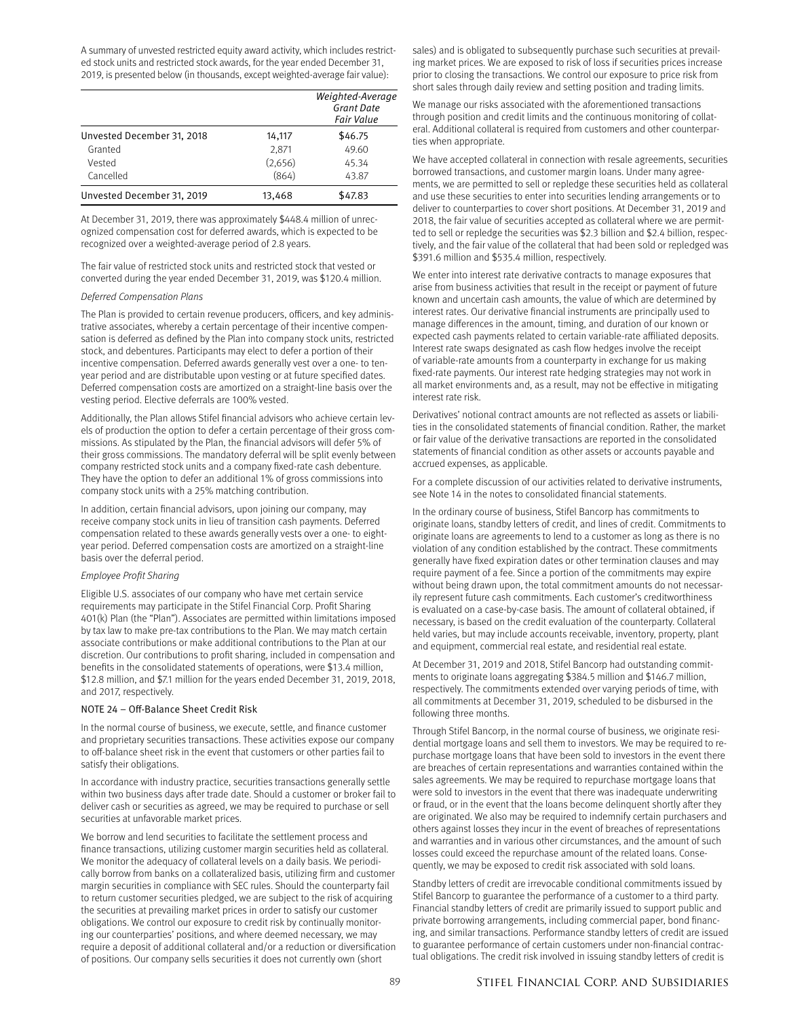A summary of unvested restricted equity award activity, which includes restricted stock units and restricted stock awards, for the year ended December 31, 2019, is presented below (in thousands, except weighted-average fair value):

|                            |         | Weighted-Average<br><b>Grant Date</b><br>Fair Value |
|----------------------------|---------|-----------------------------------------------------|
| Unvested December 31, 2018 | 14,117  | \$46.75                                             |
| Granted                    | 2.871   | 49.60                                               |
| Vested                     | (2,656) | 45.34                                               |
| Cancelled                  | (864)   | 43.87                                               |
| Unvested December 31, 2019 | 13,468  | \$47.83                                             |

At December 31, 2019, there was approximately \$448.4 million of unrecognized compensation cost for deferred awards, which is expected to be recognized over a weighted-average period of 2.8 years.

The fair value of restricted stock units and restricted stock that vested or converted during the year ended December 31, 2019, was \$120.4 million.

#### Deferred Compensation Plans

The Plan is provided to certain revenue producers, officers, and key administrative associates, whereby a certain percentage of their incentive compensation is deferred as defined by the Plan into company stock units, restricted stock, and debentures. Participants may elect to defer a portion of their incentive compensation. Deferred awards generally vest over a one- to tenyear period and are distributable upon vesting or at future specified dates. Deferred compensation costs are amortized on a straight-line basis over the vesting period. Elective deferrals are 100% vested.

Additionally, the Plan allows Stifel financial advisors who achieve certain levels of production the option to defer a certain percentage of their gross commissions. As stipulated by the Plan, the financial advisors will defer 5% of their gross commissions. The mandatory deferral will be split evenly between company restricted stock units and a company fixed-rate cash debenture. They have the option to defer an additional 1% of gross commissions into company stock units with a 25% matching contribution.

In addition, certain financial advisors, upon joining our company, may receive company stock units in lieu of transition cash payments. Deferred compensation related to these awards generally vests over a one- to eightyear period. Deferred compensation costs are amortized on a straight-line basis over the deferral period.

#### Employee Profit Sharing

Eligible U.S. associates of our company who have met certain service requirements may participate in the Stifel Financial Corp. Profit Sharing 401(k) Plan (the "Plan"). Associates are permitted within limitations imposed by tax law to make pre-tax contributions to the Plan. We may match certain associate contributions or make additional contributions to the Plan at our discretion. Our contributions to profit sharing, included in compensation and benefits in the consolidated statements of operations, were \$13.4 million, \$12.8 million, and \$7.1 million for the years ended December 31, 2019, 2018, and 2017, respectively.

#### NOTE 24 – Off-Balance Sheet Credit Risk

In the normal course of business, we execute, settle, and finance customer and proprietary securities transactions. These activities expose our company to off-balance sheet risk in the event that customers or other parties fail to satisfy their obligations.

In accordance with industry practice, securities transactions generally settle within two business days after trade date. Should a customer or broker fail to deliver cash or securities as agreed, we may be required to purchase or sell securities at unfavorable market prices.

We borrow and lend securities to facilitate the settlement process and finance transactions, utilizing customer margin securities held as collateral. We monitor the adequacy of collateral levels on a daily basis. We periodically borrow from banks on a collateralized basis, utilizing firm and customer margin securities in compliance with SEC rules. Should the counterparty fail to return customer securities pledged, we are subject to the risk of acquiring the securities at prevailing market prices in order to satisfy our customer obligations. We control our exposure to credit risk by continually monitoring our counterparties' positions, and where deemed necessary, we may require a deposit of additional collateral and/or a reduction or diversification of positions. Our company sells securities it does not currently own (short

sales) and is obligated to subsequently purchase such securities at prevailing market prices. We are exposed to risk of loss if securities prices increase prior to closing the transactions. We control our exposure to price risk from short sales through daily review and setting position and trading limits.

We manage our risks associated with the aforementioned transactions through position and credit limits and the continuous monitoring of collateral. Additional collateral is required from customers and other counterparties when appropriate.

We have accepted collateral in connection with resale agreements, securities borrowed transactions, and customer margin loans. Under many agreements, we are permitted to sell or repledge these securities held as collateral and use these securities to enter into securities lending arrangements or to deliver to counterparties to cover short positions. At December 31, 2019 and 2018, the fair value of securities accepted as collateral where we are permitted to sell or repledge the securities was \$2.3 billion and \$2.4 billion, respectively, and the fair value of the collateral that had been sold or repledged was \$391.6 million and \$535.4 million, respectively.

We enter into interest rate derivative contracts to manage exposures that arise from business activities that result in the receipt or payment of future known and uncertain cash amounts, the value of which are determined by interest rates. Our derivative financial instruments are principally used to manage differences in the amount, timing, and duration of our known or expected cash payments related to certain variable-rate affiliated deposits. Interest rate swaps designated as cash flow hedges involve the receipt of variable-rate amounts from a counterparty in exchange for us making fixed-rate payments. Our interest rate hedging strategies may not work in all market environments and, as a result, may not be effective in mitigating interest rate risk.

Derivatives' notional contract amounts are not reflected as assets or liabilities in the consolidated statements of financial condition. Rather, the market or fair value of the derivative transactions are reported in the consolidated statements of financial condition as other assets or accounts payable and accrued expenses, as applicable.

For a complete discussion of our activities related to derivative instruments, see Note 14 in the notes to consolidated financial statements.

In the ordinary course of business, Stifel Bancorp has commitments to originate loans, standby letters of credit, and lines of credit. Commitments to originate loans are agreements to lend to a customer as long as there is no violation of any condition established by the contract. These commitments generally have fixed expiration dates or other termination clauses and may require payment of a fee. Since a portion of the commitments may expire without being drawn upon, the total commitment amounts do not necessarily represent future cash commitments. Each customer's creditworthiness is evaluated on a case-by-case basis. The amount of collateral obtained, if necessary, is based on the credit evaluation of the counterparty. Collateral held varies, but may include accounts receivable, inventory, property, plant and equipment, commercial real estate, and residential real estate.

At December 31, 2019 and 2018, Stifel Bancorp had outstanding commitments to originate loans aggregating \$384.5 million and \$146.7 million, respectively. The commitments extended over varying periods of time, with all commitments at December 31, 2019, scheduled to be disbursed in the following three months.

Through Stifel Bancorp, in the normal course of business, we originate residential mortgage loans and sell them to investors. We may be required to repurchase mortgage loans that have been sold to investors in the event there are breaches of certain representations and warranties contained within the sales agreements. We may be required to repurchase mortgage loans that were sold to investors in the event that there was inadequate underwriting or fraud, or in the event that the loans become delinquent shortly after they are originated. We also may be required to indemnify certain purchasers and others against losses they incur in the event of breaches of representations and warranties and in various other circumstances, and the amount of such losses could exceed the repurchase amount of the related loans. Consequently, we may be exposed to credit risk associated with sold loans.

Standby letters of credit are irrevocable conditional commitments issued by Stifel Bancorp to guarantee the performance of a customer to a third party. Financial standby letters of credit are primarily issued to support public and private borrowing arrangements, including commercial paper, bond financing, and similar transactions. Performance standby letters of credit are issued to guarantee performance of certain customers under non-financial contractual obligations. The credit risk involved in issuing standby letters of credit is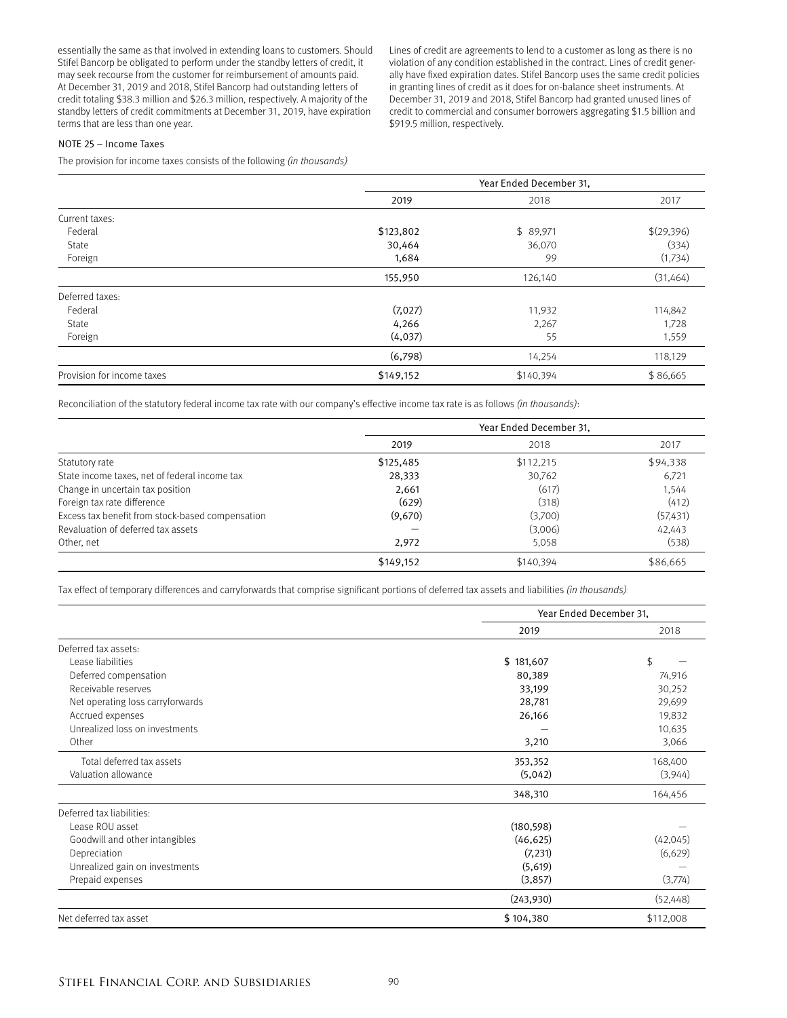essentially the same as that involved in extending loans to customers. Should Stifel Bancorp be obligated to perform under the standby letters of credit, it may seek recourse from the customer for reimbursement of amounts paid. At December 31, 2019 and 2018, Stifel Bancorp had outstanding letters of credit totaling \$38.3 million and \$26.3 million, respectively. A majority of the standby letters of credit commitments at December 31, 2019, have expiration terms that are less than one year.

Lines of credit are agreements to lend to a customer as long as there is no violation of any condition established in the contract. Lines of credit generally have fixed expiration dates. Stifel Bancorp uses the same credit policies in granting lines of credit as it does for on-balance sheet instruments. At December 31, 2019 and 2018, Stifel Bancorp had granted unused lines of credit to commercial and consumer borrowers aggregating \$1.5 billion and \$919.5 million, respectively.

# NOTE 25 – Income Taxes

The provision for income taxes consists of the following (in thousands):

|                            | Year Ended December 31, |           |            |
|----------------------------|-------------------------|-----------|------------|
|                            | 2019                    | 2018      | 2017       |
| Current taxes:             |                         |           |            |
| Federal                    | \$123,802               | \$89,971  | \$(29,396) |
| State                      | 30,464                  | 36,070    | (334)      |
| Foreign                    | 1,684                   | 99        | (1,734)    |
|                            | 155,950                 | 126,140   | (31,464)   |
| Deferred taxes:            |                         |           |            |
| Federal                    | (7,027)                 | 11,932    | 114,842    |
| State                      | 4,266                   | 2,267     | 1,728      |
| Foreign                    | (4,037)                 | 55        | 1,559      |
|                            | (6,798)                 | 14,254    | 118,129    |
| Provision for income taxes | \$149,152               | \$140,394 | \$86,665   |

Reconciliation of the statutory federal income tax rate with our company's effective income tax rate is as follows (in thousands):

|                                                  | Year Ended December 31, |           |           |
|--------------------------------------------------|-------------------------|-----------|-----------|
|                                                  | 2019                    | 2018      | 2017      |
| Statutory rate                                   | \$125,485               | \$112,215 | \$94,338  |
| State income taxes, net of federal income tax    | 28,333                  | 30,762    | 6,721     |
| Change in uncertain tax position                 | 2,661                   | (617)     | 1,544     |
| Foreign tax rate difference                      | (629)                   | (318)     | (412)     |
| Excess tax benefit from stock-based compensation | (9,670)                 | (3,700)   | (57, 431) |
| Revaluation of deferred tax assets               |                         | (3,006)   | 42,443    |
| Other, net                                       | 2,972                   | 5,058     | (538)     |
|                                                  | \$149,152               | \$140,394 | \$86,665  |

Tax effect of temporary differences and carryforwards that comprise significant portions of deferred tax assets and liabilities (in thousands):

|                                  | Year Ended December 31, |           |
|----------------------------------|-------------------------|-----------|
|                                  | 2019                    | 2018      |
| Deferred tax assets:             |                         |           |
| Lease liabilities                | \$181,607               | \$        |
| Deferred compensation            | 80,389                  | 74,916    |
| Receivable reserves              | 33,199                  | 30,252    |
| Net operating loss carryforwards | 28,781                  | 29,699    |
| Accrued expenses                 | 26,166                  | 19,832    |
| Unrealized loss on investments   |                         | 10,635    |
| Other                            | 3,210                   | 3,066     |
| Total deferred tax assets        | 353,352                 | 168,400   |
| Valuation allowance              | (5,042)                 | (3,944)   |
|                                  | 348,310                 | 164,456   |
| Deferred tax liabilities:        |                         |           |
| Lease ROU asset                  | (180, 598)              |           |
| Goodwill and other intangibles   | (46, 625)               | (42, 045) |
| Depreciation                     | (7, 231)                | (6,629)   |
| Unrealized gain on investments   | (5,619)                 |           |
| Prepaid expenses                 | (3,857)                 | (3,774)   |
|                                  | (243,930)               | (52, 448) |
| Net deferred tax asset           | \$104,380               | \$112,008 |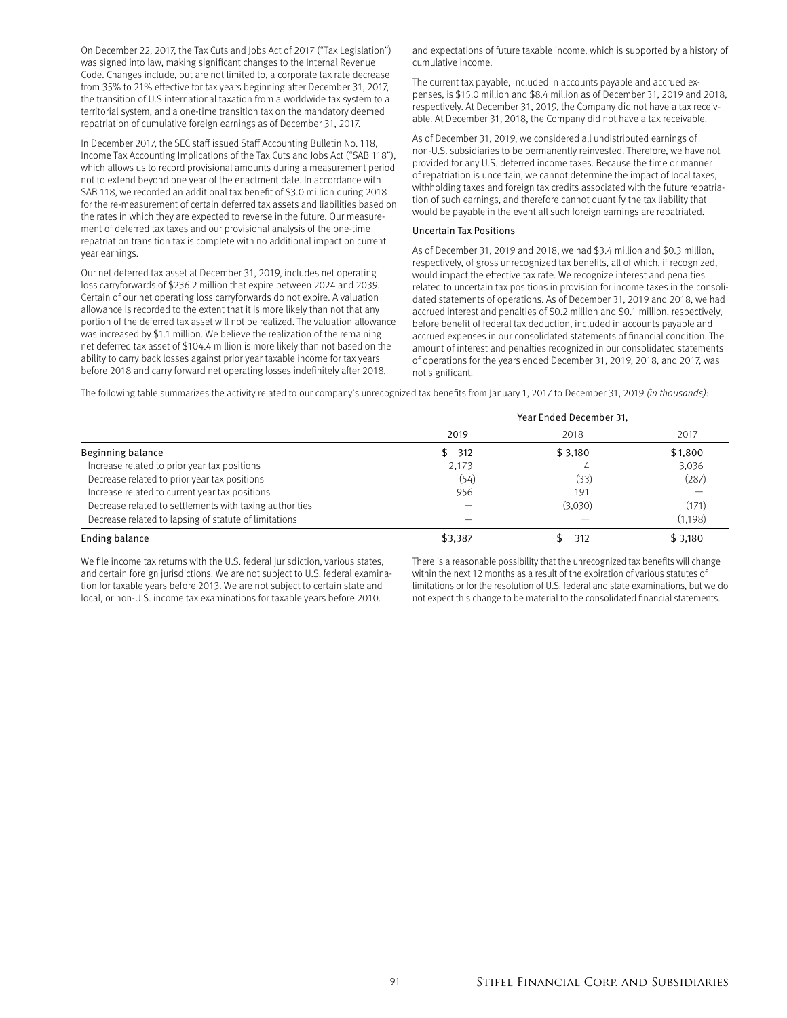On December 22, 2017, the Tax Cuts and Jobs Act of 2017 ("Tax Legislation") was signed into law, making significant changes to the Internal Revenue Code. Changes include, but are not limited to, a corporate tax rate decrease from 35% to 21% effective for tax years beginning after December 31, 2017, the transition of U.S international taxation from a worldwide tax system to a territorial system, and a one-time transition tax on the mandatory deemed repatriation of cumulative foreign earnings as of December 31, 2017.

In December 2017, the SEC staff issued Staff Accounting Bulletin No. 118, Income Tax Accounting Implications of the Tax Cuts and Jobs Act ("SAB 118"), which allows us to record provisional amounts during a measurement period not to extend beyond one year of the enactment date. In accordance with SAB 118, we recorded an additional tax benefit of \$3.0 million during 2018 for the re-measurement of certain deferred tax assets and liabilities based on the rates in which they are expected to reverse in the future. Our measurement of deferred tax taxes and our provisional analysis of the one-time repatriation transition tax is complete with no additional impact on current year earnings.

Our net deferred tax asset at December 31, 2019, includes net operating loss carryforwards of \$236.2 million that expire between 2024 and 2039. Certain of our net operating loss carryforwards do not expire. A valuation allowance is recorded to the extent that it is more likely than not that any portion of the deferred tax asset will not be realized. The valuation allowance was increased by \$1.1 million. We believe the realization of the remaining net deferred tax asset of \$104.4 million is more likely than not based on the ability to carry back losses against prior year taxable income for tax years before 2018 and carry forward net operating losses indefinitely after 2018,

and expectations of future taxable income, which is supported by a history of cumulative income.

The current tax payable, included in accounts payable and accrued expenses, is \$15.0 million and \$8.4 million as of December 31, 2019 and 2018, respectively. At December 31, 2019, the Company did not have a tax receivable. At December 31, 2018, the Company did not have a tax receivable.

As of December 31, 2019, we considered all undistributed earnings of non-U.S. subsidiaries to be permanently reinvested. Therefore, we have not provided for any U.S. deferred income taxes. Because the time or manner of repatriation is uncertain, we cannot determine the impact of local taxes, withholding taxes and foreign tax credits associated with the future repatriation of such earnings, and therefore cannot quantify the tax liability that would be payable in the event all such foreign earnings are repatriated.

#### Uncertain Tax Positions

As of December 31, 2019 and 2018, we had \$3.4 million and \$0.3 million, respectively, of gross unrecognized tax benefits, all of which, if recognized, would impact the effective tax rate. We recognize interest and penalties related to uncertain tax positions in provision for income taxes in the consolidated statements of operations. As of December 31, 2019 and 2018, we had accrued interest and penalties of \$0.2 million and \$0.1 million, respectively, before benefit of federal tax deduction, included in accounts payable and accrued expenses in our consolidated statements of financial condition. The amount of interest and penalties recognized in our consolidated statements of operations for the years ended December 31, 2019, 2018, and 2017, was not significant.

The following table summarizes the activity related to our company's unrecognized tax benefits from January 1, 2017 to December 31, 2019 (in thousands):

|                                                         | Year Ended December 31, |         |          |
|---------------------------------------------------------|-------------------------|---------|----------|
|                                                         | 2019                    | 2018    | 2017     |
| Beginning balance                                       | \$312                   | \$3,180 | \$1,800  |
| Increase related to prior year tax positions            | 2,173                   |         | 3.036    |
| Decrease related to prior year tax positions            | (54)                    | (33)    | (287)    |
| Increase related to current year tax positions          | 956                     | 191     |          |
| Decrease related to settlements with taxing authorities |                         | (3,030) | (171)    |
| Decrease related to lapsing of statute of limitations   |                         |         | (1, 198) |
| Ending balance                                          | \$3,387                 | 312     | \$3,180  |

We file income tax returns with the U.S. federal jurisdiction, various states, and certain foreign jurisdictions. We are not subject to U.S. federal examination for taxable years before 2013. We are not subject to certain state and local, or non-U.S. income tax examinations for taxable years before 2010.

There is a reasonable possibility that the unrecognized tax benefits will change within the next 12 months as a result of the expiration of various statutes of limitations or for the resolution of U.S. federal and state examinations, but we do not expect this change to be material to the consolidated financial statements.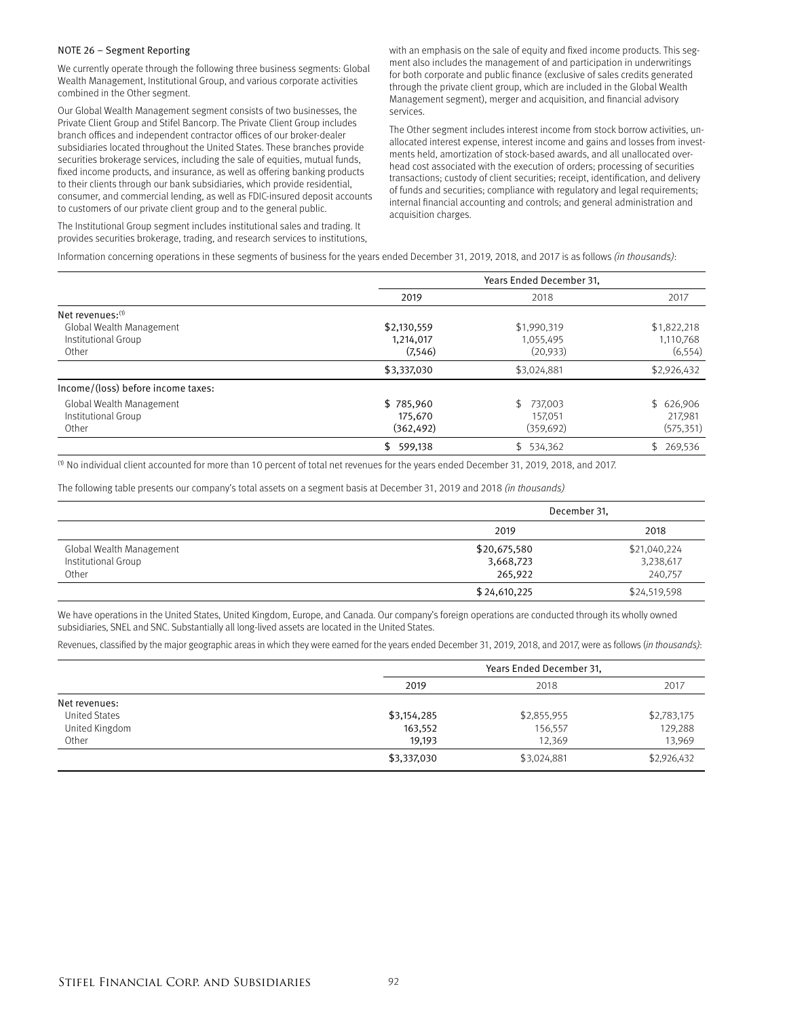# NOTE 26 – Segment Reporting

We currently operate through the following three business segments: Global Wealth Management, Institutional Group, and various corporate activities combined in the Other segment.

Our Global Wealth Management segment consists of two businesses, the Private Client Group and Stifel Bancorp. The Private Client Group includes branch offices and independent contractor offices of our broker-dealer subsidiaries located throughout the United States. These branches provide securities brokerage services, including the sale of equities, mutual funds, fixed income products, and insurance, as well as offering banking products to their clients through our bank subsidiaries, which provide residential, consumer, and commercial lending, as well as FDIC-insured deposit accounts to customers of our private client group and to the general public.

The Institutional Group segment includes institutional sales and trading. It provides securities brokerage, trading, and research services to institutions,

with an emphasis on the sale of equity and fixed income products. This segment also includes the management of and participation in underwritings for both corporate and public finance (exclusive of sales credits generated through the private client group, which are included in the Global Wealth Management segment), merger and acquisition, and financial advisory services.

The Other segment includes interest income from stock borrow activities, unallocated interest expense, interest income and gains and losses from investments held, amortization of stock-based awards, and all unallocated overhead cost associated with the execution of orders; processing of securities transactions; custody of client securities; receipt, identification, and delivery of funds and securities; compliance with regulatory and legal requirements; internal financial accounting and controls; and general administration and acquisition charges.

Information concerning operations in these segments of business for the years ended December 31, 2019, 2018, and 2017 is as follows (in thousands):

|                                    | Years Ended December 31, |                           |             |
|------------------------------------|--------------------------|---------------------------|-------------|
|                                    | 2019                     | 2018                      | 2017        |
| Net revenues: <sup>(1)</sup>       |                          |                           |             |
| Global Wealth Management           | \$2,130,559              | \$1,990,319               | \$1,822,218 |
| Institutional Group                | 1,214,017                | 1,055,495                 | 1,110,768   |
| Other                              | (7, 546)                 | (20,933)                  | (6, 554)    |
|                                    | \$3,337,030              | \$3,024,881               | \$2,926,432 |
| Income/(loss) before income taxes: |                          |                           |             |
| Global Wealth Management           | \$785,960                | $\mathfrak{F}$<br>737,003 | \$626,906   |
| Institutional Group                | 175,670                  | 157.051                   | 217.981     |
| Other                              | (362, 492)               | (359, 692)                | (575, 351)  |
|                                    | \$<br>599,138            | $\mathfrak{F}$<br>534,362 | \$269,536   |

 $^{(0)}$  No individual client accounted for more than 10 percent of total net revenues for the years ended December 31, 2019, 2018, and 2017.

The following table presents our company's total assets on a segment basis at December 31, 2019 and 2018 (in thousands):

|                          | December 31, |              |
|--------------------------|--------------|--------------|
|                          | 2019         | 2018         |
| Global Wealth Management | \$20,675,580 | \$21,040,224 |
| Institutional Group      | 3,668,723    | 3,238,617    |
| Other                    | 265,922      | 240,757      |
|                          | \$24,610,225 | \$24,519,598 |

We have operations in the United States, United Kingdom, Europe, and Canada. Our company's foreign operations are conducted through its wholly owned subsidiaries, SNEL and SNC. Substantially all long-lived assets are located in the United States.

Revenues, classified by the major geographic areas in which they were earned for the years ended December 31, 2019, 2018, and 2017, were as follows (in thousands):

|                      | Years Ended December 31, |             |             |
|----------------------|--------------------------|-------------|-------------|
|                      | 2019                     | 2018        | 2017        |
| Net revenues:        |                          |             |             |
| <b>United States</b> | \$3,154,285              | \$2,855,955 | \$2,783,175 |
| United Kingdom       | 163,552                  | 156,557     | 129,288     |
| Other                | 19,193                   | 12,369      | 13,969      |
|                      | \$3,337,030              | \$3,024,881 | \$2,926,432 |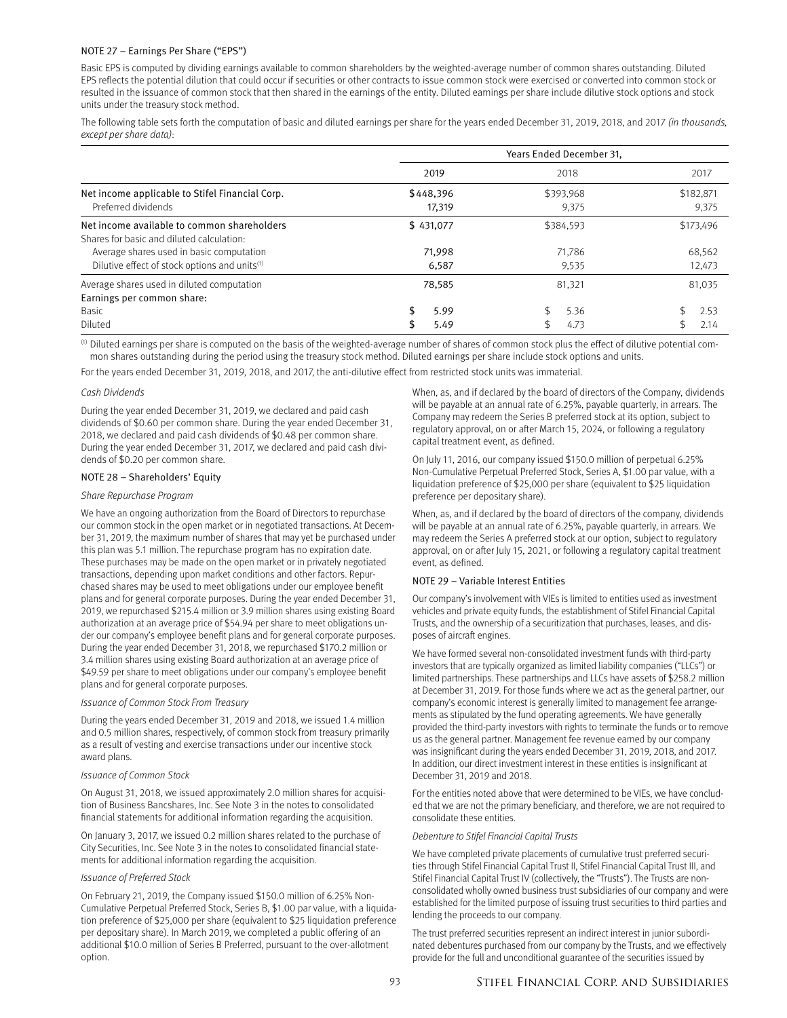#### NOTE 27 – Earnings Per Share ("EPS")

Basic EPS is computed by dividing earnings available to common shareholders by the weighted-average number of common shares outstanding. Diluted EPS reflects the potential dilution that could occur if securities or other contracts to issue common stock were exercised or converted into common stock or resulted in the issuance of common stock that then shared in the earnings of the entity. Diluted earnings per share include dilutive stock options and stock units under the treasury stock method.

The following table sets forth the computation of basic and diluted earnings per share for the years ended December 31, 2019, 2018, and 2017 (in thousands, except per share data):

|                                                                                                       | Years Ended December 31, |                    |                    |
|-------------------------------------------------------------------------------------------------------|--------------------------|--------------------|--------------------|
|                                                                                                       | 2019                     | 2018               | 2017               |
| Net income applicable to Stifel Financial Corp.<br>Preferred dividends                                | \$448,396<br>17,319      | \$393.968<br>9,375 | \$182,871<br>9,375 |
| Net income available to common shareholders<br>Shares for basic and diluted calculation:              | \$431,077                | \$384,593          | \$173,496          |
| Average shares used in basic computation<br>Dilutive effect of stock options and units <sup>(1)</sup> | 71,998<br>6,587          | 71.786<br>9,535    | 68,562<br>12,473   |
| Average shares used in diluted computation<br>Earnings per common share:                              | 78,585                   | 81,321             | 81,035             |
| Basic<br>Diluted                                                                                      | 5.99<br>5.49             | 5.36<br>4.73       | 2.53<br>2.14       |

(1) Diluted earnings per share is computed on the basis of the weighted-average number of shares of common stock plus the effect of dilutive potential common shares outstanding during the period using the treasury stock method. Diluted earnings per share include stock options and units.

For the years ended December 31, 2019, 2018, and 2017, the anti-dilutive effect from restricted stock units was immaterial.

#### Cash Dividends

During the year ended December 31, 2019, we declared and paid cash dividends of \$0.60 per common share. During the year ended December 31, 2018, we declared and paid cash dividends of \$0.48 per common share. During the year ended December 31, 2017, we declared and paid cash dividends of \$0.20 per common share.

#### NOTE 28 – Shareholders' Equity

#### Share Repurchase Program

We have an ongoing authorization from the Board of Directors to repurchase our common stock in the open market or in negotiated transactions. At December 31, 2019, the maximum number of shares that may yet be purchased under this plan was 5.1 million. The repurchase program has no expiration date. These purchases may be made on the open market or in privately negotiated transactions, depending upon market conditions and other factors. Repurchased shares may be used to meet obligations under our employee benefit plans and for general corporate purposes. During the year ended December 31, 2019, we repurchased \$215.4 million or 3.9 million shares using existing Board authorization at an average price of \$54.94 per share to meet obligations under our company's employee benefit plans and for general corporate purposes. During the year ended December 31, 2018, we repurchased \$170.2 million or 3.4 million shares using existing Board authorization at an average price of \$49.59 per share to meet obligations under our company's employee benefit plans and for general corporate purposes.

#### Issuance of Common Stock From Treasury

During the years ended December 31, 2019 and 2018, we issued 1.4 million and 0.5 million shares, respectively, of common stock from treasury primarily as a result of vesting and exercise transactions under our incentive stock award plans.

#### Issuance of Common Stock

On August 31, 2018, we issued approximately 2.0 million shares for acquisition of Business Bancshares, Inc. See Note 3 in the notes to consolidated financial statements for additional information regarding the acquisition.

On January 3, 2017, we issued 0.2 million shares related to the purchase of City Securities, Inc. See Note 3 in the notes to consolidated financial statements for additional information regarding the acquisition.

### Issuance of Preferred Stock

On February 21, 2019, the Company issued \$150.0 million of 6.25% Non-Cumulative Perpetual Preferred Stock, Series B, \$1.00 par value, with a liquidation preference of \$25,000 per share (equivalent to \$25 liquidation preference per depositary share). In March 2019, we completed a public offering of an additional \$10.0 million of Series B Preferred, pursuant to the over-allotment option.

When, as, and if declared by the board of directors of the Company, dividends will be payable at an annual rate of 6.25%, payable quarterly, in arrears. The Company may redeem the Series B preferred stock at its option, subject to regulatory approval, on or after March 15, 2024, or following a regulatory capital treatment event, as defined.

On July 11, 2016, our company issued \$150.0 million of perpetual 6.25% Non-Cumulative Perpetual Preferred Stock, Series A, \$1.00 par value, with a liquidation preference of \$25,000 per share (equivalent to \$25 liquidation preference per depositary share).

When, as, and if declared by the board of directors of the company, dividends will be payable at an annual rate of 6.25%, payable quarterly, in arrears. We may redeem the Series A preferred stock at our option, subject to regulatory approval, on or after July 15, 2021, or following a regulatory capital treatment event, as defined.

#### NOTE 29 – Variable Interest Entities

Our company's involvement with VIEs is limited to entities used as investment vehicles and private equity funds, the establishment of Stifel Financial Capital Trusts, and the ownership of a securitization that purchases, leases, and disposes of aircraft engines.

We have formed several non-consolidated investment funds with third-party investors that are typically organized as limited liability companies ("LLCs") or limited partnerships. These partnerships and LLCs have assets of \$258.2 million at December 31, 2019. For those funds where we act as the general partner, our company's economic interest is generally limited to management fee arrangements as stipulated by the fund operating agreements. We have generally provided the third-party investors with rights to terminate the funds or to remove us as the general partner. Management fee revenue earned by our company was insignificant during the years ended December 31, 2019, 2018, and 2017. In addition, our direct investment interest in these entities is insignificant at December 31, 2019 and 2018.

For the entities noted above that were determined to be VIEs, we have concluded that we are not the primary beneficiary, and therefore, we are not required to consolidate these entities.

#### Debenture to Stifel Financial Capital Trusts

We have completed private placements of cumulative trust preferred securities through Stifel Financial Capital Trust II, Stifel Financial Capital Trust III, and Stifel Financial Capital Trust IV (collectively, the "Trusts"). The Trusts are nonconsolidated wholly owned business trust subsidiaries of our company and were established for the limited purpose of issuing trust securities to third parties and lending the proceeds to our company.

The trust preferred securities represent an indirect interest in junior subordinated debentures purchased from our company by the Trusts, and we effectively provide for the full and unconditional guarantee of the securities issued by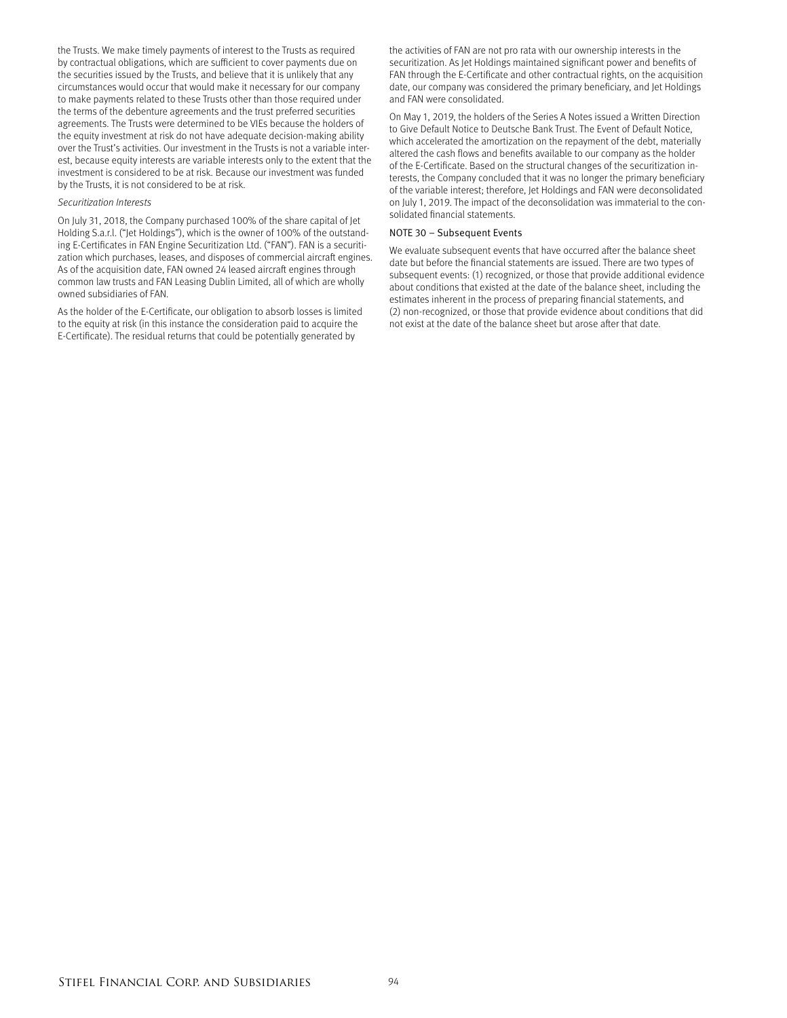the Trusts. We make timely payments of interest to the Trusts as required by contractual obligations, which are sufficient to cover payments due on the securities issued by the Trusts, and believe that it is unlikely that any circumstances would occur that would make it necessary for our company to make payments related to these Trusts other than those required under the terms of the debenture agreements and the trust preferred securities agreements. The Trusts were determined to be VIEs because the holders of the equity investment at risk do not have adequate decision-making ability over the Trust's activities. Our investment in the Trusts is not a variable interest, because equity interests are variable interests only to the extent that the investment is considered to be at risk. Because our investment was funded by the Trusts, it is not considered to be at risk.

#### Securitization Interests

On July 31, 2018, the Company purchased 100% of the share capital of Jet Holding S.a.r.l. ("Jet Holdings"), which is the owner of 100% of the outstanding E-Certificates in FAN Engine Securitization Ltd. ("FAN"). FAN is a securitization which purchases, leases, and disposes of commercial aircraft engines. As of the acquisition date, FAN owned 24 leased aircraft engines through common law trusts and FAN Leasing Dublin Limited, all of which are wholly owned subsidiaries of FAN.

As the holder of the E-Certificate, our obligation to absorb losses is limited to the equity at risk (in this instance the consideration paid to acquire the E-Certificate). The residual returns that could be potentially generated by

the activities of FAN are not pro rata with our ownership interests in the securitization. As Jet Holdings maintained significant power and benefits of FAN through the E-Certificate and other contractual rights, on the acquisition date, our company was considered the primary beneficiary, and Jet Holdings and FAN were consolidated.

On May 1, 2019, the holders of the Series A Notes issued a Written Direction to Give Default Notice to Deutsche Bank Trust. The Event of Default Notice, which accelerated the amortization on the repayment of the debt, materially altered the cash flows and benefits available to our company as the holder of the E-Certificate. Based on the structural changes of the securitization interests, the Company concluded that it was no longer the primary beneficiary of the variable interest; therefore, Jet Holdings and FAN were deconsolidated on July 1, 2019. The impact of the deconsolidation was immaterial to the consolidated financial statements.

#### NOTE 30 – Subsequent Events

We evaluate subsequent events that have occurred after the balance sheet date but before the financial statements are issued. There are two types of subsequent events: (1) recognized, or those that provide additional evidence about conditions that existed at the date of the balance sheet, including the estimates inherent in the process of preparing financial statements, and (2) non-recognized, or those that provide evidence about conditions that did not exist at the date of the balance sheet but arose after that date.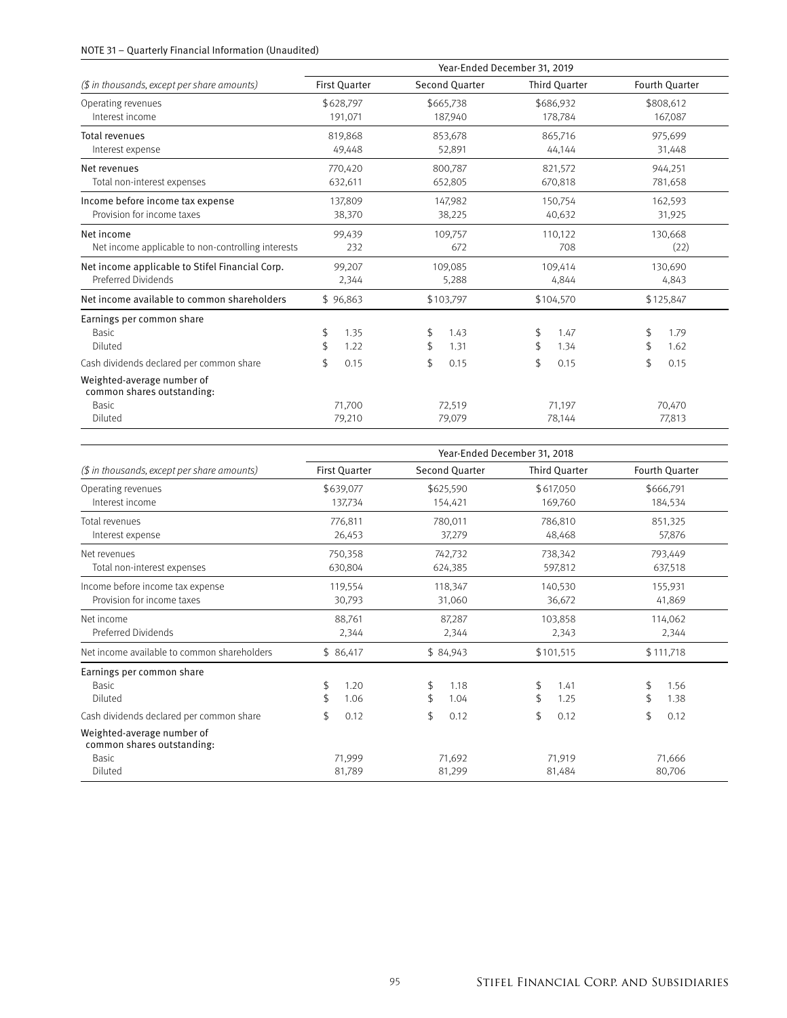# NOTE 31 – Quarterly Financial Information (Unaudited)

|                                                          |                      |                       | Year-Ended December 31, 2019 |                    |
|----------------------------------------------------------|----------------------|-----------------------|------------------------------|--------------------|
| (\$ in thousands, except per share amounts)              | <b>First Quarter</b> | <b>Second Quarter</b> | <b>Third Quarter</b>         | Fourth Quarter     |
| Operating revenues                                       | \$628,797            | \$665,738             | \$686.932                    | \$808,612          |
| Interest income                                          | 191,071              | 187,940               | 178,784                      | 167,087            |
| Total revenues                                           | 819,868              | 853,678               | 865.716                      | 975,699            |
| Interest expense                                         | 49,448               | 52,891                | 44,144                       | 31,448             |
| Net revenues                                             | 770,420              | 800,787               | 821,572                      | 944,251            |
| Total non-interest expenses                              | 632,611              | 652,805               | 670,818                      | 781,658            |
| Income before income tax expense                         | 137,809              | 147,982               | 150,754                      | 162,593            |
| Provision for income taxes                               | 38,370               | 38,225                | 40,632                       | 31,925             |
| Net income                                               | 99,439               | 109,757               | 110,122                      | 130,668            |
| Net income applicable to non-controlling interests       | 232                  | 672                   | 708                          | (22)               |
| Net income applicable to Stifel Financial Corp.          | 99,207               | 109,085               | 109,414                      | 130,690            |
| Preferred Dividends                                      | 2,344                | 5,288                 | 4,844                        | 4,843              |
| Net income available to common shareholders              | \$96,863             | \$103,797             | \$104,570                    | \$125,847          |
| Earnings per common share<br><b>Basic</b><br>Diluted     | \$<br>1.35<br>1.22   | \$<br>1.43<br>1.31    | \$<br>1.47<br>\$<br>1.34     | \$<br>1.79<br>1.62 |
| Cash dividends declared per common share                 | 0.15                 | \$                    | \$                           | \$                 |
|                                                          | ፍ                    | 0.15                  | 0.15                         | 0.15               |
| Weighted-average number of<br>common shares outstanding: |                      |                       |                              |                    |
| <b>Basic</b>                                             | 71,700               | 72,519                | 71,197                       | 70,470             |
| Diluted                                                  | 79,210               | 79,079                | 78,144                       | 77,813             |

|                                                                          |                      |                          | Year-Ended December 31, 2018 |                           |
|--------------------------------------------------------------------------|----------------------|--------------------------|------------------------------|---------------------------|
| (\$ in thousands, except per share amounts)                              | <b>First Quarter</b> | Second Quarter           | <b>Third Quarter</b>         | <b>Fourth Quarter</b>     |
| Operating revenues                                                       | \$639,077            | \$625,590                | \$617,050                    | \$666,791                 |
| Interest income                                                          | 137,734              | 154,421                  | 169,760                      | 184,534                   |
| Total revenues                                                           | 776,811              | 780,011                  | 786,810                      | 851,325                   |
| Interest expense                                                         | 26,453               | 37,279                   | 48,468                       | 57,876                    |
| Net revenues                                                             | 750,358              | 742,732                  | 738,342                      | 793,449                   |
| Total non-interest expenses                                              | 630,804              | 624,385                  | 597,812                      | 637,518                   |
| Income before income tax expense                                         | 119,554              | 118,347                  | 140,530                      | 155,931                   |
| Provision for income taxes                                               | 30,793               | 31,060                   | 36,672                       | 41,869                    |
| Net income                                                               | 88,761               | 87,287                   | 103.858                      | 114,062                   |
| Preferred Dividends                                                      | 2,344                | 2,344                    | 2,343                        | 2,344                     |
| Net income available to common shareholders                              | \$86,417             | \$84,943                 | \$101,515                    | \$111,718                 |
| Earnings per common share<br><b>Basic</b><br>Diluted                     | \$<br>1.20<br>1.06   | \$<br>1.18<br>1.04<br>\$ | \$<br>1.41<br>1.25           | \$<br>1.56<br>1.38<br>\$. |
| Cash dividends declared per common share                                 | 0.12                 | \$                       | \$                           | \$                        |
|                                                                          | ፍ                    | 0.12                     | 0.12                         | 0.12                      |
| Weighted-average number of<br>common shares outstanding:<br><b>Basic</b> | 71,999               | 71,692                   | 71,919                       | 71,666                    |
| Diluted                                                                  | 81,789               | 81,299                   | 81,484                       | 80,706                    |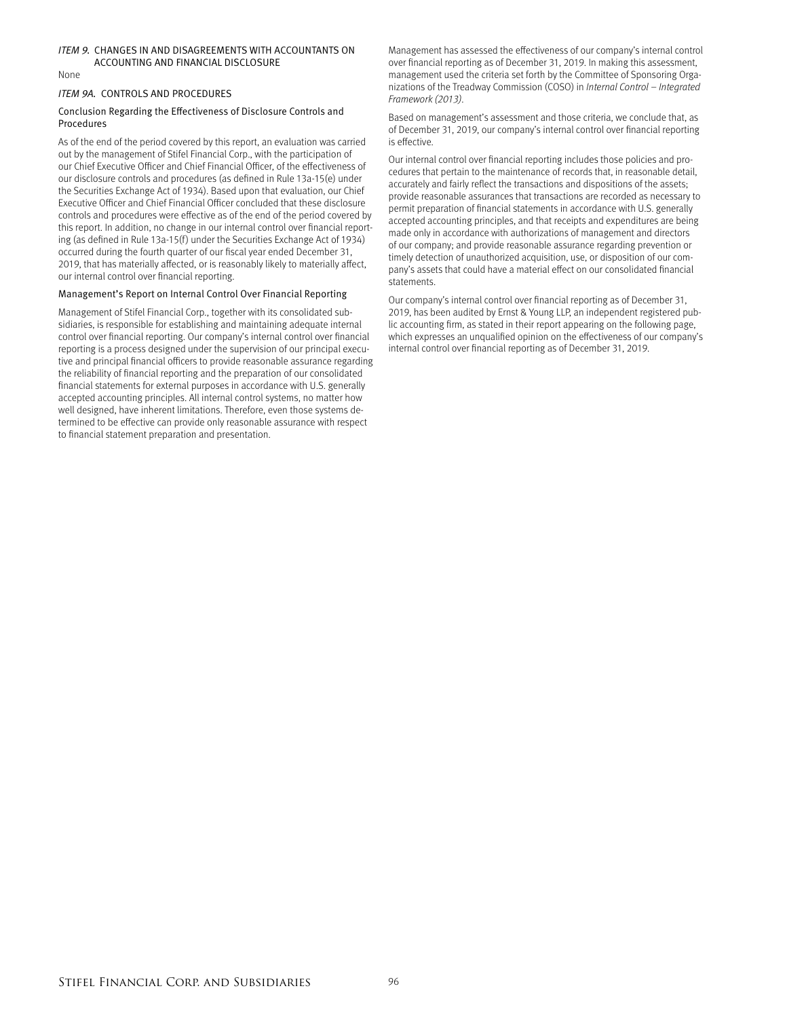#### ITEM 9. CHANGES IN AND DISAGREEMENTS WITH ACCOUNTANTS ON ACCOUNTING AND FINANCIAL DISCLOSURE

None

#### ITEM 9A. CONTROLS AND PROCEDURES

#### Conclusion Regarding the Effectiveness of Disclosure Controls and Procedures

As of the end of the period covered by this report, an evaluation was carried out by the management of Stifel Financial Corp., with the participation of our Chief Executive Officer and Chief Financial Officer, of the effectiveness of our disclosure controls and procedures (as defined in Rule 13a-15(e) under the Securities Exchange Act of 1934). Based upon that evaluation, our Chief Executive Officer and Chief Financial Officer concluded that these disclosure controls and procedures were effective as of the end of the period covered by this report. In addition, no change in our internal control over financial reporting (as defined in Rule 13a-15(f) under the Securities Exchange Act of 1934) occurred during the fourth quarter of our fiscal year ended December 31, 2019, that has materially affected, or is reasonably likely to materially affect, our internal control over financial reporting.

# Management's Report on Internal Control Over Financial Reporting

Management of Stifel Financial Corp., together with its consolidated subsidiaries, is responsible for establishing and maintaining adequate internal control over financial reporting. Our company's internal control over financial reporting is a process designed under the supervision of our principal executive and principal financial officers to provide reasonable assurance regarding the reliability of financial reporting and the preparation of our consolidated financial statements for external purposes in accordance with U.S. generally accepted accounting principles. All internal control systems, no matter how well designed, have inherent limitations. Therefore, even those systems determined to be effective can provide only reasonable assurance with respect to financial statement preparation and presentation.

Management has assessed the effectiveness of our company's internal control over financial reporting as of December 31, 2019. In making this assessment, management used the criteria set forth by the Committee of Sponsoring Organizations of the Treadway Commission (COSO) in Internal Control – Integrated Framework (2013).

Based on management's assessment and those criteria, we conclude that, as of December 31, 2019, our company's internal control over financial reporting is effective.

Our internal control over financial reporting includes those policies and procedures that pertain to the maintenance of records that, in reasonable detail, accurately and fairly reflect the transactions and dispositions of the assets; provide reasonable assurances that transactions are recorded as necessary to permit preparation of financial statements in accordance with U.S. generally accepted accounting principles, and that receipts and expenditures are being made only in accordance with authorizations of management and directors of our company; and provide reasonable assurance regarding prevention or timely detection of unauthorized acquisition, use, or disposition of our company's assets that could have a material effect on our consolidated financial statements.

Our company's internal control over financial reporting as of December 31, 2019, has been audited by Ernst & Young LLP, an independent registered public accounting firm, as stated in their report appearing on the following page, which expresses an unqualified opinion on the effectiveness of our company's internal control over financial reporting as of December 31, 2019.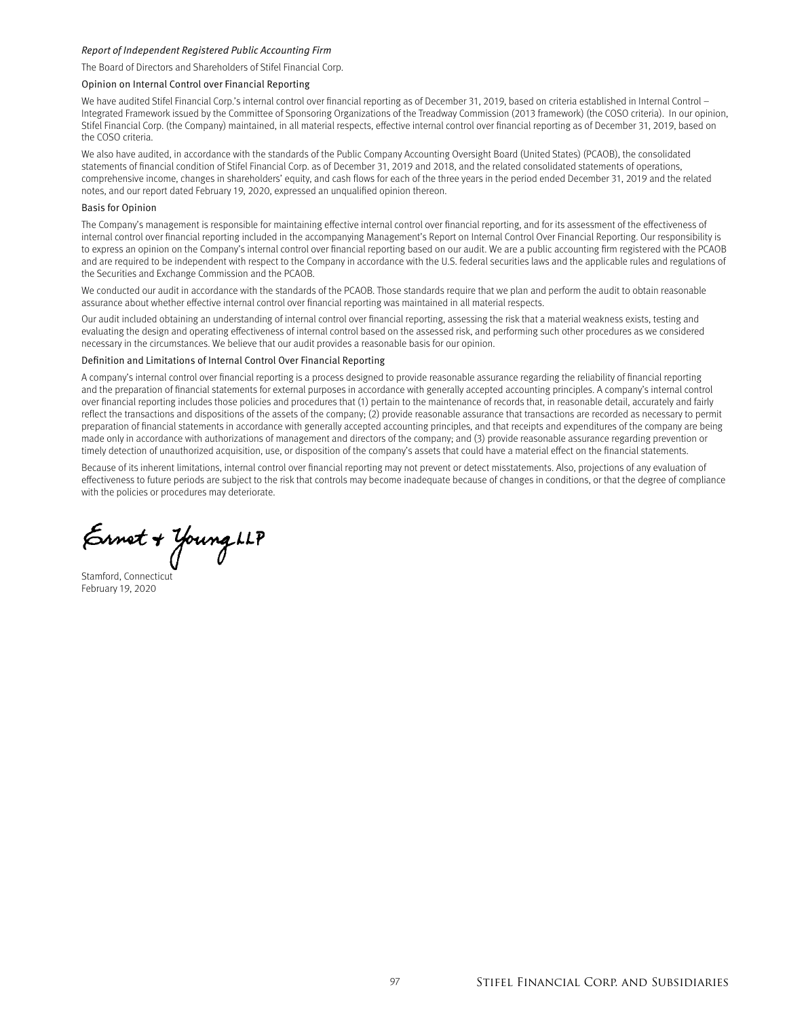# Report of Independent Registered Public Accounting Firm

The Board of Directors and Shareholders of Stifel Financial Corp.

### Opinion on Internal Control over Financial Reporting

We have audited Stifel Financial Corp.'s internal control over financial reporting as of December 31, 2019, based on criteria established in Internal Control – Integrated Framework issued by the Committee of Sponsoring Organizations of the Treadway Commission (2013 framework) (the COSO criteria). In our opinion, Stifel Financial Corp. (the Company) maintained, in all material respects, effective internal control over financial reporting as of December 31, 2019, based on the COSO criteria.

We also have audited, in accordance with the standards of the Public Company Accounting Oversight Board (United States) (PCAOB), the consolidated statements of financial condition of Stifel Financial Corp. as of December 31, 2019 and 2018, and the related consolidated statements of operations, comprehensive income, changes in shareholders' equity, and cash flows for each of the three years in the period ended December 31, 2019 and the related notes, and our report dated February 19, 2020, expressed an unqualified opinion thereon.

#### Basis for Opinion

The Company's management is responsible for maintaining effective internal control over financial reporting, and for its assessment of the effectiveness of internal control over financial reporting included in the accompanying Management's Report on Internal Control Over Financial Reporting. Our responsibility is to express an opinion on the Company's internal control over financial reporting based on our audit. We are a public accounting firm registered with the PCAOB and are required to be independent with respect to the Company in accordance with the U.S. federal securities laws and the applicable rules and regulations of the Securities and Exchange Commission and the PCAOB.

We conducted our audit in accordance with the standards of the PCAOB. Those standards require that we plan and perform the audit to obtain reasonable assurance about whether effective internal control over financial reporting was maintained in all material respects.

Our audit included obtaining an understanding of internal control over financial reporting, assessing the risk that a material weakness exists, testing and evaluating the design and operating effectiveness of internal control based on the assessed risk, and performing such other procedures as we considered necessary in the circumstances. We believe that our audit provides a reasonable basis for our opinion.

# Definition and Limitations of Internal Control Over Financial Reporting

A company's internal control over financial reporting is a process designed to provide reasonable assurance regarding the reliability of financial reporting and the preparation of financial statements for external purposes in accordance with generally accepted accounting principles. A company's internal control over financial reporting includes those policies and procedures that (1) pertain to the maintenance of records that, in reasonable detail, accurately and fairly reflect the transactions and dispositions of the assets of the company; (2) provide reasonable assurance that transactions are recorded as necessary to permit preparation of financial statements in accordance with generally accepted accounting principles, and that receipts and expenditures of the company are being made only in accordance with authorizations of management and directors of the company; and (3) provide reasonable assurance regarding prevention or timely detection of unauthorized acquisition, use, or disposition of the company's assets that could have a material effect on the financial statements.

Because of its inherent limitations, internal control over financial reporting may not prevent or detect misstatements. Also, projections of any evaluation of effectiveness to future periods are subject to the risk that controls may become inadequate because of changes in conditions, or that the degree of compliance with the policies or procedures may deteriorate.

Ernet + Young LLP

Stamford, Connecticut February 19, 2020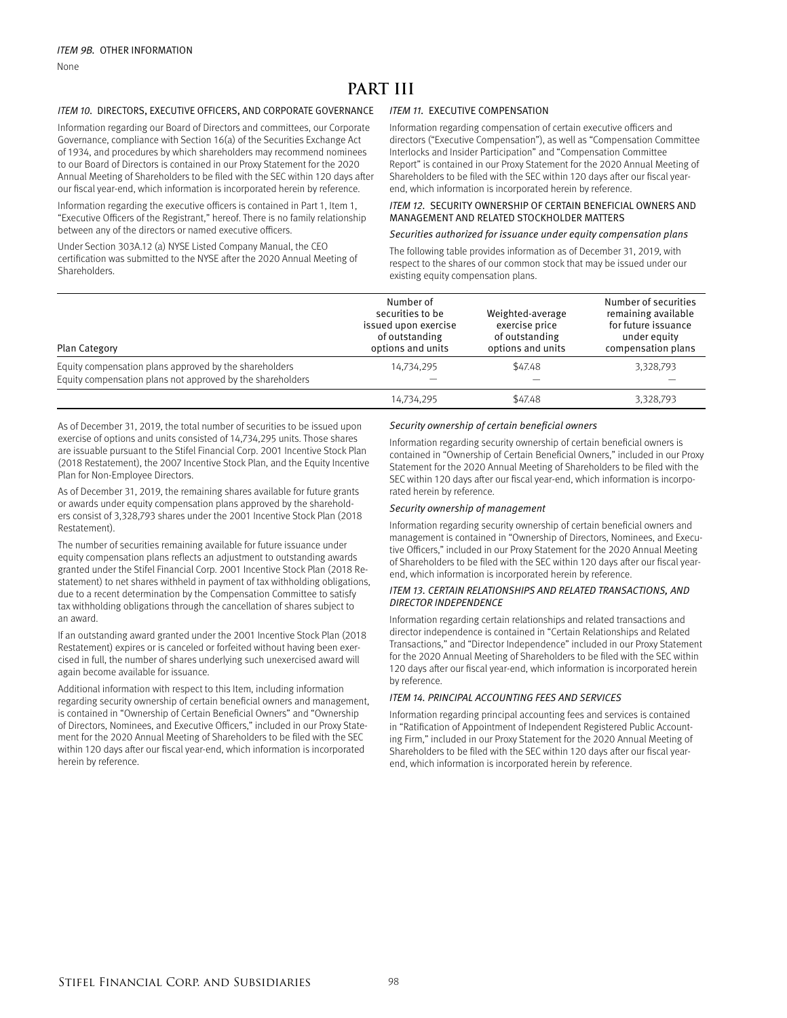None

# **PART III**

# ITEM 10. DIRECTORS, EXECUTIVE OFFICERS, AND CORPORATE GOVERNANCE

Information regarding our Board of Directors and committees, our Corporate Governance, compliance with Section 16(a) of the Securities Exchange Act of 1934, and procedures by which shareholders may recommend nominees to our Board of Directors is contained in our Proxy Statement for the 2020 Annual Meeting of Shareholders to be filed with the SEC within 120 days after our fiscal year-end, which information is incorporated herein by reference.

Information regarding the executive officers is contained in Part 1, Item 1, "Executive Officers of the Registrant," hereof. There is no family relationship between any of the directors or named executive officers.

Under Section 303A.12 (a) NYSE Listed Company Manual, the CEO certification was submitted to the NYSE after the 2020 Annual Meeting of Shareholders.

# ITEM 11. EXECUTIVE COMPENSATION

Information regarding compensation of certain executive officers and directors ("Executive Compensation"), as well as "Compensation Committee Interlocks and Insider Participation" and "Compensation Committee Report" is contained in our Proxy Statement for the 2020 Annual Meeting of Shareholders to be filed with the SEC within 120 days after our fiscal yearend, which information is incorporated herein by reference.

# ITEM 12. SECURITY OWNERSHIP OF CERTAIN BENEFICIAL OWNERS AND MANAGEMENT AND RELATED STOCKHOLDER MATTERS

# Securities authorized for issuance under equity compensation plans

The following table provides information as of December 31, 2019, with respect to the shares of our common stock that may be issued under our existing equity compensation plans.

| Plan Category                                              | Number of<br>securities to be<br>issued upon exercise<br>of outstanding<br>options and units | Weighted-average<br>exercise price<br>of outstanding<br>options and units | Number of securities<br>remaining available<br>for future issuance<br>under equity<br>compensation plans |
|------------------------------------------------------------|----------------------------------------------------------------------------------------------|---------------------------------------------------------------------------|----------------------------------------------------------------------------------------------------------|
| Equity compensation plans approved by the shareholders     | 14.734.295                                                                                   | \$47.48                                                                   | 3,328,793                                                                                                |
| Equity compensation plans not approved by the shareholders |                                                                                              | $\sim$                                                                    |                                                                                                          |
|                                                            | 14,734,295                                                                                   | \$47.48                                                                   | 3,328,793                                                                                                |

As of December 31, 2019, the total number of securities to be issued upon exercise of options and units consisted of 14,734,295 units. Those shares are issuable pursuant to the Stifel Financial Corp. 2001 Incentive Stock Plan (2018 Restatement), the 2007 Incentive Stock Plan, and the Equity Incentive Plan for Non-Employee Directors.

As of December 31, 2019, the remaining shares available for future grants or awards under equity compensation plans approved by the shareholders consist of 3,328,793 shares under the 2001 Incentive Stock Plan (2018 Restatement).

The number of securities remaining available for future issuance under equity compensation plans reflects an adjustment to outstanding awards granted under the Stifel Financial Corp. 2001 Incentive Stock Plan (2018 Restatement) to net shares withheld in payment of tax withholding obligations, due to a recent determination by the Compensation Committee to satisfy tax withholding obligations through the cancellation of shares subject to an award.

If an outstanding award granted under the 2001 Incentive Stock Plan (2018 Restatement) expires or is canceled or forfeited without having been exercised in full, the number of shares underlying such unexercised award will again become available for issuance.

Additional information with respect to this Item, including information regarding security ownership of certain beneficial owners and management, is contained in "Ownership of Certain Beneficial Owners" and "Ownership of Directors, Nominees, and Executive Officers," included in our Proxy Statement for the 2020 Annual Meeting of Shareholders to be filed with the SEC within 120 days after our fiscal year-end, which information is incorporated herein by reference.

# Security ownership of certain beneficial owners

Information regarding security ownership of certain beneficial owners is contained in "Ownership of Certain Beneficial Owners," included in our Proxy Statement for the 2020 Annual Meeting of Shareholders to be filed with the SEC within 120 days after our fiscal year-end, which information is incorporated herein by reference.

# Security ownership of management

Information regarding security ownership of certain beneficial owners and management is contained in "Ownership of Directors, Nominees, and Executive Officers," included in our Proxy Statement for the 2020 Annual Meeting of Shareholders to be filed with the SEC within 120 days after our fiscal yearend, which information is incorporated herein by reference.

#### ITEM 13. CERTAIN RELATIONSHIPS AND RELATED TRANSACTIONS, AND DIRECTOR INDEPENDENCE

Information regarding certain relationships and related transactions and director independence is contained in "Certain Relationships and Related Transactions," and "Director Independence" included in our Proxy Statement for the 2020 Annual Meeting of Shareholders to be filed with the SEC within 120 days after our fiscal year-end, which information is incorporated herein by reference.

# ITEM 14. PRINCIPAL ACCOUNTING FEES AND SERVICES

Information regarding principal accounting fees and services is contained in "Ratification of Appointment of Independent Registered Public Accounting Firm," included in our Proxy Statement for the 2020 Annual Meeting of Shareholders to be filed with the SEC within 120 days after our fiscal yearend, which information is incorporated herein by reference.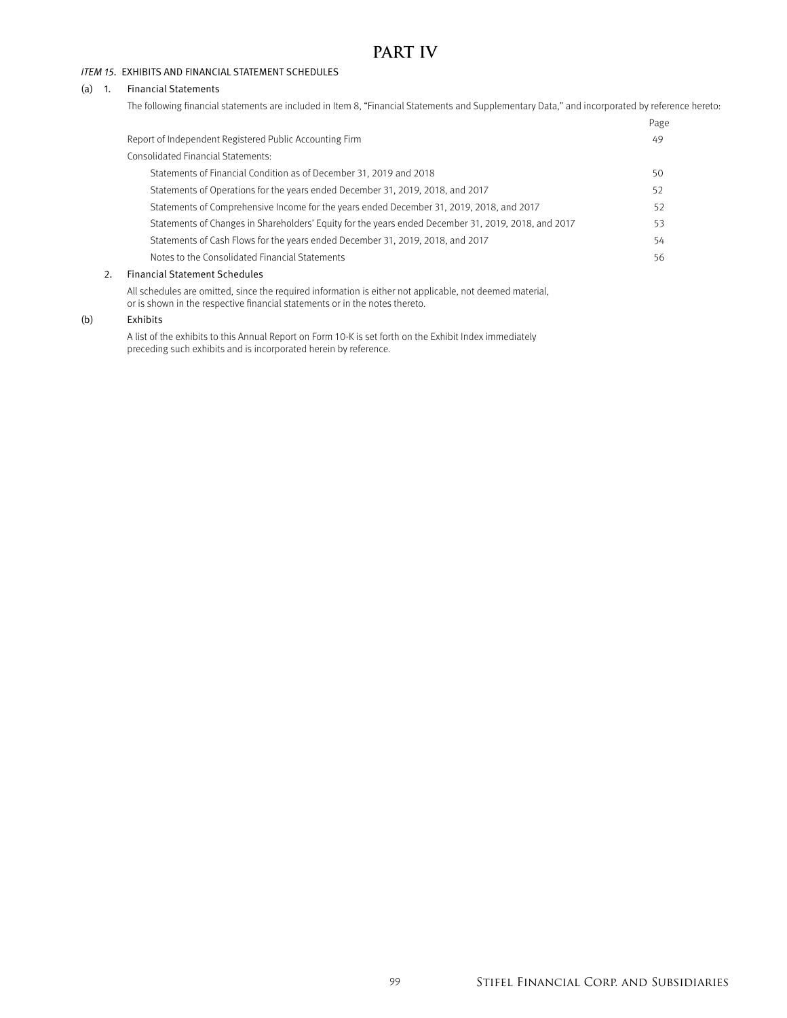# ITEM 15. EXHIBITS AND FINANCIAL STATEMENT SCHEDULES

# (a) 1. Financial Statements

The following financial statements are included in Item 8, "Financial Statements and Supplementary Data," and incorporated by reference hereto:

|                                                                                                     | Page |
|-----------------------------------------------------------------------------------------------------|------|
| Report of Independent Registered Public Accounting Firm                                             | 49   |
| <b>Consolidated Financial Statements:</b>                                                           |      |
| Statements of Financial Condition as of December 31, 2019 and 2018                                  | 50   |
| Statements of Operations for the years ended December 31, 2019, 2018, and 2017                      | 52   |
| Statements of Comprehensive Income for the years ended December 31, 2019, 2018, and 2017            | 52   |
| Statements of Changes in Shareholders' Equity for the years ended December 31, 2019, 2018, and 2017 | 53   |
| Statements of Cash Flows for the years ended December 31, 2019, 2018, and 2017                      | 54   |
| Notes to the Consolidated Financial Statements                                                      | 56   |
| <b>Financial Statement Schedules</b>                                                                |      |
|                                                                                                     |      |

 All schedules are omitted, since the required information is either not applicable, not deemed material, or is shown in the respective financial statements or in the notes thereto.

# (b) Exhibits

 A list of the exhibits to this Annual Report on Form 10-K is set forth on the Exhibit Index immediately preceding such exhibits and is incorporated herein by reference.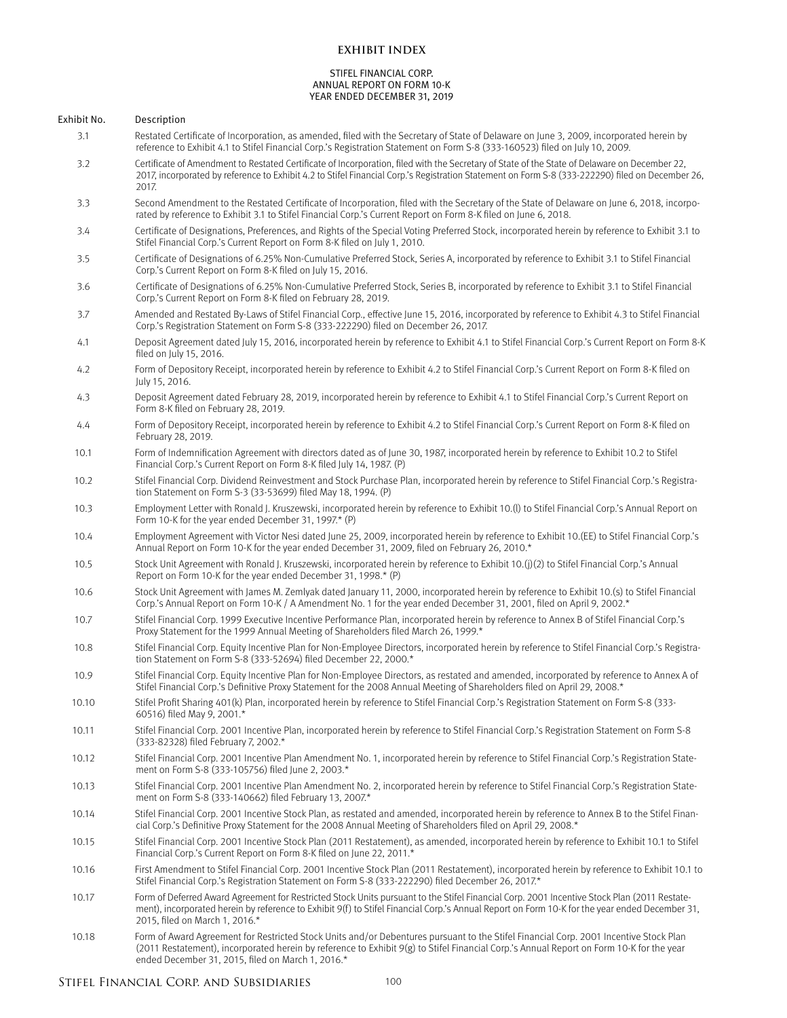# **EXHIBIT INDEX**

### STIFEL FINANCIAL CORP. ANNUAL REPORT ON FORM 10-K YEAR ENDED DECEMBER 31, 2019

# Exhibit No. Description

- 3.1 Restated Certificate of Incorporation, as amended, filed with the Secretary of State of Delaware on June 3, 2009, incorporated herein by reference to Exhibit 4.1 to Stifel Financial Corp.'s Registration Statement on Form S-8 (333-160523) filed on July 10, 2009.
- 3.2 Certificate of Amendment to Restated Certificate of Incorporation, filed with the Secretary of State of the State of Delaware on December 22, 2017, incorporated by reference to Exhibit 4.2 to Stifel Financial Corp.'s Registration Statement on Form S-8 (333-222290) filed on December 26, 2017.
- 3.3 Second Amendment to the Restated Certificate of Incorporation, filed with the Secretary of the State of Delaware on June 6, 2018, incorporated by reference to Exhibit 3.1 to Stifel Financial Corp.'s Current Report on Form 8-K filed on June 6, 2018.
- 3.4 Certificate of Designations, Preferences, and Rights of the Special Voting Preferred Stock, incorporated herein by reference to Exhibit 3.1 to Stifel Financial Corp.'s Current Report on Form 8-K filed on July 1, 2010.
- 3.5 Certificate of Designations of 6.25% Non-Cumulative Preferred Stock, Series A, incorporated by reference to Exhibit 3.1 to Stifel Financial Corp.'s Current Report on Form 8-K filed on July 15, 2016.
- 3.6 Certificate of Designations of 6.25% Non-Cumulative Preferred Stock, Series B, incorporated by reference to Exhibit 3.1 to Stifel Financial Corp.'s Current Report on Form 8-K filed on February 28, 2019.
- 3.7 Amended and Restated By-Laws of Stifel Financial Corp., effective June 15, 2016, incorporated by reference to Exhibit 4.3 to Stifel Financial Corp.'s Registration Statement on Form S-8 (333-222290) filed on December 26, 2017.
- 4.1 Deposit Agreement dated July 15, 2016, incorporated herein by reference to Exhibit 4.1 to Stifel Financial Corp.'s Current Report on Form 8-K filed on July 15, 2016.
- 4.2 Form of Depository Receipt, incorporated herein by reference to Exhibit 4.2 to Stifel Financial Corp.'s Current Report on Form 8-K filed on July 15, 2016.
- 4.3 Deposit Agreement dated February 28, 2019, incorporated herein by reference to Exhibit 4.1 to Stifel Financial Corp.'s Current Report on Form 8-K filed on February 28, 2019.
- 4.4 Form of Depository Receipt, incorporated herein by reference to Exhibit 4.2 to Stifel Financial Corp.'s Current Report on Form 8-K filed on February 28, 2019.
- 10.1 Form of Indemnification Agreement with directors dated as of June 30, 1987, incorporated herein by reference to Exhibit 10.2 to Stifel Financial Corp.'s Current Report on Form 8-K filed July 14, 1987. (P)
- 10.2 Stifel Financial Corp. Dividend Reinvestment and Stock Purchase Plan, incorporated herein by reference to Stifel Financial Corp.'s Registration Statement on Form S-3 (33-53699) filed May 18, 1994. (P)
- 10.3 Employment Letter with Ronald J. Kruszewski, incorporated herein by reference to Exhibit 10.(l) to Stifel Financial Corp.'s Annual Report on Form 10-K for the year ended December 31, 1997.\* (P)
- 10.4 Employment Agreement with Victor Nesi dated June 25, 2009, incorporated herein by reference to Exhibit 10.(EE) to Stifel Financial Corp.'s Annual Report on Form 10-K for the year ended December 31, 2009, filed on February 26, 2010.\*
- 10.5 Stock Unit Agreement with Ronald J. Kruszewski, incorporated herein by reference to Exhibit 10.(j)(2) to Stifel Financial Corp.'s Annual Report on Form 10-K for the year ended December 31, 1998.\* (P)
- 10.6 Stock Unit Agreement with James M. Zemlyak dated January 11, 2000, incorporated herein by reference to Exhibit 10.(s) to Stifel Financial Corp.'s Annual Report on Form 10-K / A Amendment No. 1 for the year ended December 31, 2001, filed on April 9, 2002.\*
- 10.7 Stifel Financial Corp. 1999 Executive Incentive Performance Plan, incorporated herein by reference to Annex B of Stifel Financial Corp.'s Proxy Statement for the 1999 Annual Meeting of Shareholders filed March 26, 1999.\*
- 10.8 Stifel Financial Corp. Equity Incentive Plan for Non-Employee Directors, incorporated herein by reference to Stifel Financial Corp.'s Registration Statement on Form S-8 (333-52694) filed December 22, 2000.\*
- 10.9 Stifel Financial Corp. Equity Incentive Plan for Non-Employee Directors, as restated and amended, incorporated by reference to Annex A of Stifel Financial Corp.'s Definitive Proxy Statement for the 2008 Annual Meeting of Shareholders filed on April 29, 2008.\*
- 10.10 Stifel Profit Sharing 401(k) Plan, incorporated herein by reference to Stifel Financial Corp.'s Registration Statement on Form S-8 (333- 60516) filed May 9, 2001.\*
- 10.11 Stifel Financial Corp. 2001 Incentive Plan, incorporated herein by reference to Stifel Financial Corp.'s Registration Statement on Form S-8 (333-82328) filed February 7, 2002.\*
- 10.12 Stifel Financial Corp. 2001 Incentive Plan Amendment No. 1, incorporated herein by reference to Stifel Financial Corp.'s Registration Statement on Form S-8 (333-105756) filed June 2, 2003.\*
- 10.13 Stifel Financial Corp. 2001 Incentive Plan Amendment No. 2, incorporated herein by reference to Stifel Financial Corp.'s Registration Statement on Form S-8 (333-140662) filed February 13, 2007.\*
- 10.14 Stifel Financial Corp. 2001 Incentive Stock Plan, as restated and amended, incorporated herein by reference to Annex B to the Stifel Financial Corp.'s Definitive Proxy Statement for the 2008 Annual Meeting of Shareholders filed on April 29, 2008.\*
- 10.15 Stifel Financial Corp. 2001 Incentive Stock Plan (2011 Restatement), as amended, incorporated herein by reference to Exhibit 10.1 to Stifel Financial Corp.'s Current Report on Form 8-K filed on June 22, 2011.\*
- 10.16 First Amendment to Stifel Financial Corp. 2001 Incentive Stock Plan (2011 Restatement), incorporated herein by reference to Exhibit 10.1 to Stifel Financial Corp.'s Registration Statement on Form S-8 (333-222290) filed December 26, 2017.\*
- 10.17 Form of Deferred Award Agreement for Restricted Stock Units pursuant to the Stifel Financial Corp. 2001 Incentive Stock Plan (2011 Restatement), incorporated herein by reference to Exhibit 9(f) to Stifel Financial Corp.'s Annual Report on Form 10-K for the year ended December 31, 2015, filed on March 1, 2016.\*
- 10.18 Form of Award Agreement for Restricted Stock Units and/or Debentures pursuant to the Stifel Financial Corp. 2001 Incentive Stock Plan (2011 Restatement), incorporated herein by reference to Exhibit 9(g) to Stifel Financial Corp.'s Annual Report on Form 10-K for the year ended December 31, 2015, filed on March 1, 2016.\*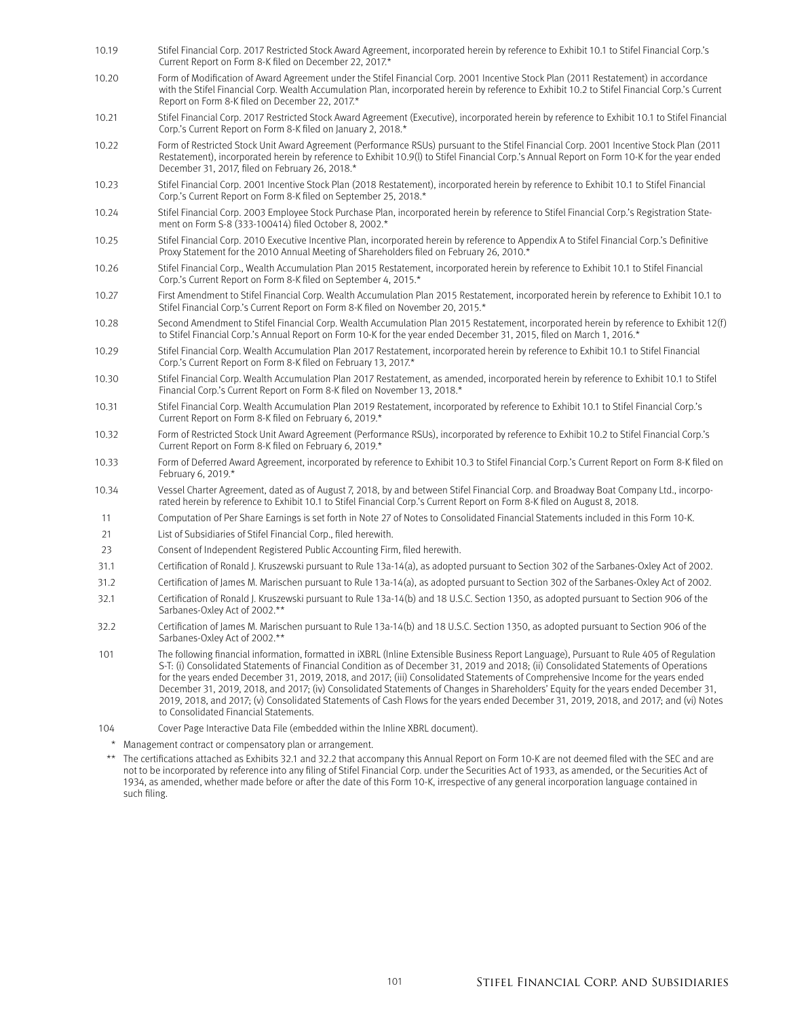- 10.19 Stifel Financial Corp. 2017 Restricted Stock Award Agreement, incorporated herein by reference to Exhibit 10.1 to Stifel Financial Corp.'s Current Report on Form 8-K filed on December 22, 2017.\*
- 10.20 Form of Modification of Award Agreement under the Stifel Financial Corp. 2001 Incentive Stock Plan (2011 Restatement) in accordance with the Stifel Financial Corp. Wealth Accumulation Plan, incorporated herein by reference to Exhibit 10.2 to Stifel Financial Corp.'s Current Report on Form 8-K filed on December 22, 2017.\*
- 10.21 Stifel Financial Corp. 2017 Restricted Stock Award Agreement (Executive), incorporated herein by reference to Exhibit 10.1 to Stifel Financial Corp.'s Current Report on Form 8-K filed on January 2, 2018.\*
- 10.22 Form of Restricted Stock Unit Award Agreement (Performance RSUs) pursuant to the Stifel Financial Corp. 2001 Incentive Stock Plan (2011 Restatement), incorporated herein by reference to Exhibit 10.9(l) to Stifel Financial Corp.'s Annual Report on Form 10-K for the year ended December 31, 2017, filed on February 26, 2018.\*
- 10.23 Stifel Financial Corp. 2001 Incentive Stock Plan (2018 Restatement), incorporated herein by reference to Exhibit 10.1 to Stifel Financial Corp.'s Current Report on Form 8-K filed on September 25, 2018.\*
- 10.24 Stifel Financial Corp. 2003 Employee Stock Purchase Plan, incorporated herein by reference to Stifel Financial Corp.'s Registration Statement on Form S-8 (333-100414) filed October 8, 2002.\*
- 10.25 Stifel Financial Corp. 2010 Executive Incentive Plan, incorporated herein by reference to Appendix A to Stifel Financial Corp.'s Definitive Proxy Statement for the 2010 Annual Meeting of Shareholders filed on February 26, 2010.\*
- 10.26 Stifel Financial Corp., Wealth Accumulation Plan 2015 Restatement, incorporated herein by reference to Exhibit 10.1 to Stifel Financial Corp.'s Current Report on Form 8-K filed on September 4, 2015.\*
- 10.27 First Amendment to Stifel Financial Corp. Wealth Accumulation Plan 2015 Restatement, incorporated herein by reference to Exhibit 10.1 to Stifel Financial Corp.'s Current Report on Form 8-K filed on November 20, 2015.\*
- 10.28 Second Amendment to Stifel Financial Corp. Wealth Accumulation Plan 2015 Restatement, incorporated herein by reference to Exhibit 12(f) to Stifel Financial Corp.'s Annual Report on Form 10-K for the year ended December 31, 2015, filed on March 1, 2016.\*
- 10.29 Stifel Financial Corp. Wealth Accumulation Plan 2017 Restatement, incorporated herein by reference to Exhibit 10.1 to Stifel Financial Corp.'s Current Report on Form 8-K filed on February 13, 2017.\*
- 10.30 Stifel Financial Corp. Wealth Accumulation Plan 2017 Restatement, as amended, incorporated herein by reference to Exhibit 10.1 to Stifel Financial Corp.'s Current Report on Form 8-K filed on November 13, 2018.\*
- 10.31 Stifel Financial Corp. Wealth Accumulation Plan 2019 Restatement, incorporated by reference to Exhibit 10.1 to Stifel Financial Corp.'s Current Report on Form 8-K filed on February 6, 2019.\*
- 10.32 Form of Restricted Stock Unit Award Agreement (Performance RSUs), incorporated by reference to Exhibit 10.2 to Stifel Financial Corp.'s Current Report on Form 8-K filed on February 6, 2019.\*
- 10.33 Form of Deferred Award Agreement, incorporated by reference to Exhibit 10.3 to Stifel Financial Corp.'s Current Report on Form 8-K filed on February 6, 2019.\*
- 10.34 Vessel Charter Agreement, dated as of August 7, 2018, by and between Stifel Financial Corp. and Broadway Boat Company Ltd., incorporated herein by reference to Exhibit 10.1 to Stifel Financial Corp.'s Current Report on Form 8-K filed on August 8, 2018.
- 11 Computation of Per Share Earnings is set forth in Note 27 of Notes to Consolidated Financial Statements included in this Form 10-K.
- 21 List of Subsidiaries of Stifel Financial Corp., filed herewith.
- 23 Consent of Independent Registered Public Accounting Firm, filed herewith.
- 31.1 Certification of Ronald J. Kruszewski pursuant to Rule 13a-14(a), as adopted pursuant to Section 302 of the Sarbanes-Oxley Act of 2002.
- 31.2 Certification of James M. Marischen pursuant to Rule 13a-14(a), as adopted pursuant to Section 302 of the Sarbanes-Oxley Act of 2002.
- 32.1 Certification of Ronald J. Kruszewski pursuant to Rule 13a-14(b) and 18 U.S.C. Section 1350, as adopted pursuant to Section 906 of the Sarbanes-Oxley Act of 2002.\*\*
- 32.2 Certification of James M. Marischen pursuant to Rule 13a-14(b) and 18 U.S.C. Section 1350, as adopted pursuant to Section 906 of the Sarbanes-Oxley Act of 2002.\*
- 101 The following financial information, formatted in iXBRL (Inline Extensible Business Report Language), Pursuant to Rule 405 of Regulation S-T: (i) Consolidated Statements of Financial Condition as of December 31, 2019 and 2018; (ii) Consolidated Statements of Operations for the years ended December 31, 2019, 2018, and 2017; (iii) Consolidated Statements of Comprehensive Income for the years ended December 31, 2019, 2018, and 2017; (iv) Consolidated Statements of Changes in Shareholders' Equity for the years ended December 31, 2019, 2018, and 2017; (v) Consolidated Statements of Cash Flows for the years ended December 31, 2019, 2018, and 2017; and (vi) Notes to Consolidated Financial Statements.
- 104 Cover Page Interactive Data File (embedded within the Inline XBRL document).
- \* Management contract or compensatory plan or arrangement.
- \*\* The certifications attached as Exhibits 32.1 and 32.2 that accompany this Annual Report on Form 10-K are not deemed filed with the SEC and are not to be incorporated by reference into any filing of Stifel Financial Corp. under the Securities Act of 1933, as amended, or the Securities Act of 1934, as amended, whether made before or after the date of this Form 10-K, irrespective of any general incorporation language contained in such filing.